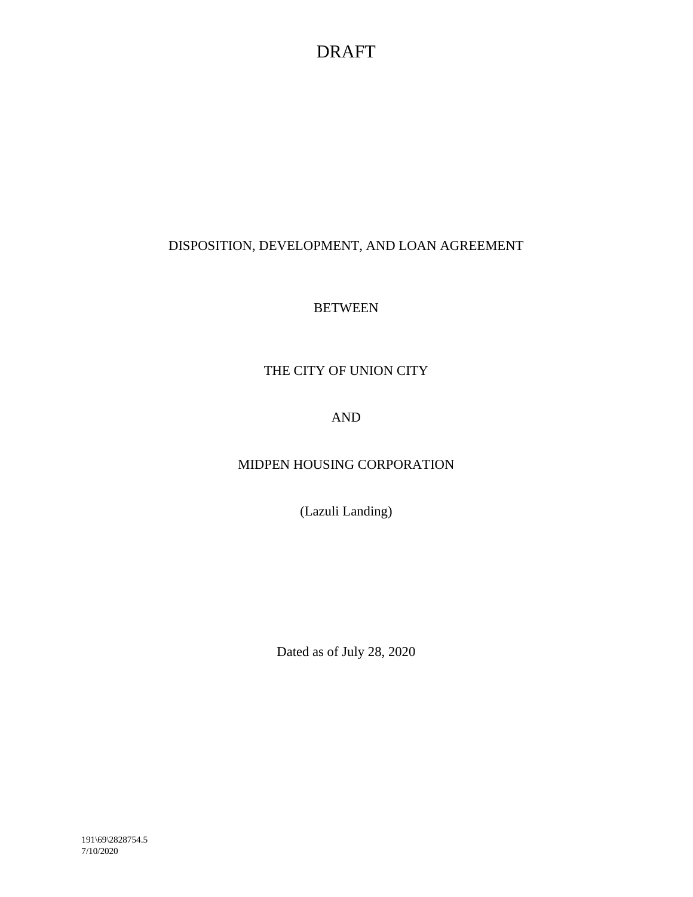# DISPOSITION, DEVELOPMENT, AND LOAN AGREEMENT

# **BETWEEN**

# THE CITY OF UNION CITY

# AND

# MIDPEN HOUSING CORPORATION

(Lazuli Landing)

Dated as of July 28, 2020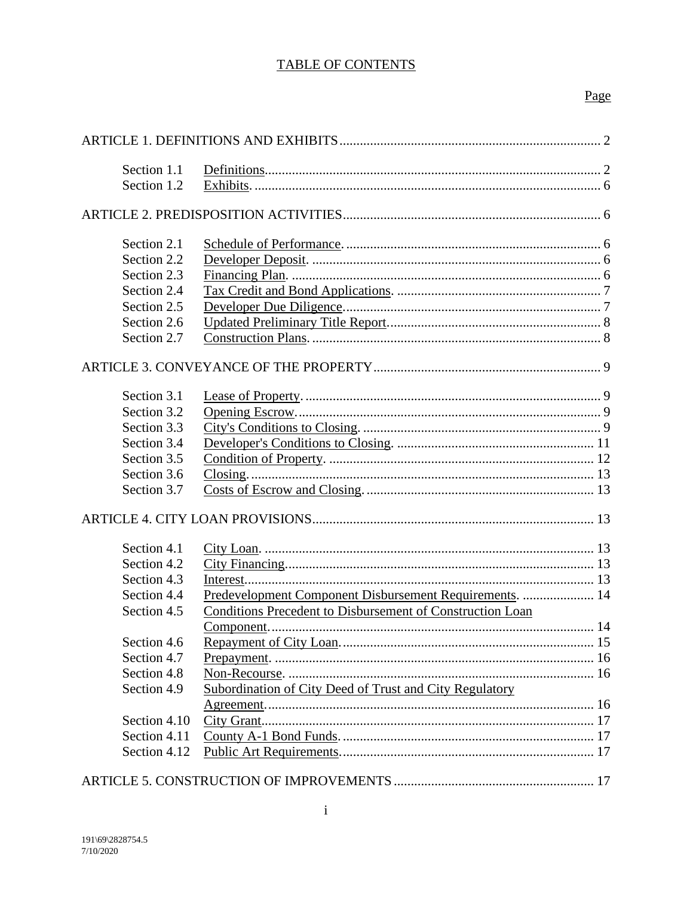# **TABLE OF CONTENTS**

# Page

| Section 1.1  |                                                           |  |
|--------------|-----------------------------------------------------------|--|
| Section 1.2  |                                                           |  |
|              |                                                           |  |
|              |                                                           |  |
| Section 2.1  |                                                           |  |
| Section 2.2  |                                                           |  |
| Section 2.3  |                                                           |  |
| Section 2.4  |                                                           |  |
| Section 2.5  |                                                           |  |
| Section 2.6  |                                                           |  |
| Section 2.7  |                                                           |  |
|              |                                                           |  |
| Section 3.1  |                                                           |  |
| Section 3.2  |                                                           |  |
| Section 3.3  |                                                           |  |
| Section 3.4  |                                                           |  |
| Section 3.5  |                                                           |  |
| Section 3.6  |                                                           |  |
| Section 3.7  |                                                           |  |
|              |                                                           |  |
|              |                                                           |  |
| Section 4.1  |                                                           |  |
| Section 4.2  |                                                           |  |
| Section 4.3  |                                                           |  |
| Section 4.4  | Predevelopment Component Disbursement Requirements.  14   |  |
| Section 4.5  | Conditions Precedent to Disbursement of Construction Loan |  |
|              |                                                           |  |
| Section 4.6  |                                                           |  |
| Section 4.7  |                                                           |  |
| Section 4.8  |                                                           |  |
| Section 4.9  | Subordination of City Deed of Trust and City Regulatory   |  |
|              |                                                           |  |
| Section 4.10 |                                                           |  |
| Section 4.11 |                                                           |  |
| Section 4.12 |                                                           |  |
|              |                                                           |  |
|              |                                                           |  |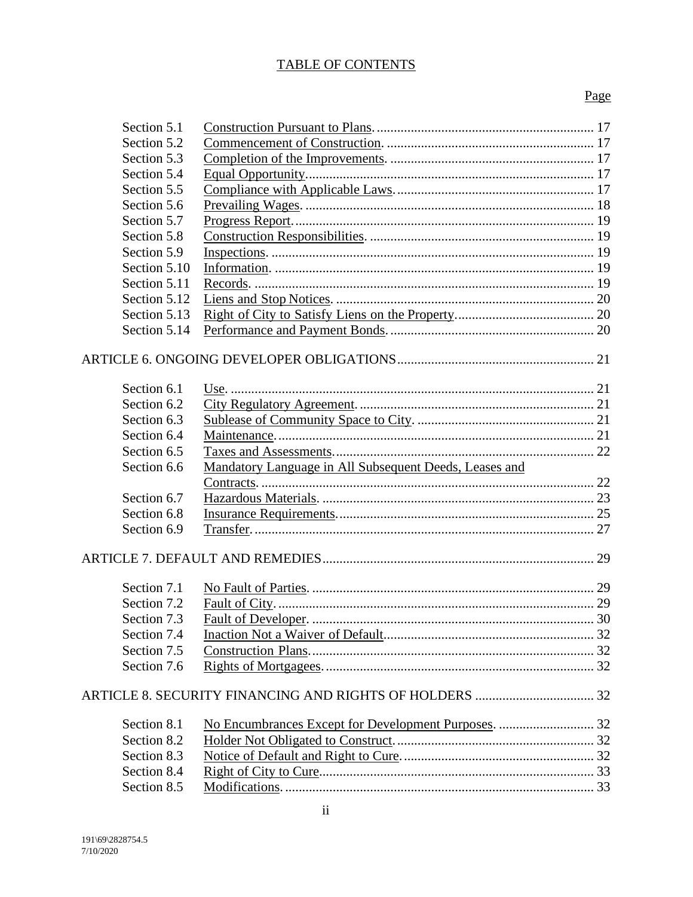# TABLE OF CONTENTS

# Page

| Section 5.1             |                                                        |  |  |
|-------------------------|--------------------------------------------------------|--|--|
| Section 5.2             |                                                        |  |  |
| Section 5.3             |                                                        |  |  |
| Section 5.4             |                                                        |  |  |
| Section 5.5             |                                                        |  |  |
| Section 5.6             |                                                        |  |  |
| Section 5.7             |                                                        |  |  |
| Section 5.8             |                                                        |  |  |
| Section 5.9             |                                                        |  |  |
| Section 5.10            |                                                        |  |  |
| Section 5.11            |                                                        |  |  |
| Section 5.12            |                                                        |  |  |
| Section 5.13            |                                                        |  |  |
| Section 5.14            |                                                        |  |  |
|                         |                                                        |  |  |
| Section 6.1             |                                                        |  |  |
| Section 6.2             |                                                        |  |  |
| Section 6.3             |                                                        |  |  |
| Section 6.4             |                                                        |  |  |
| Section 6.5             |                                                        |  |  |
| Section 6.6             | Mandatory Language in All Subsequent Deeds, Leases and |  |  |
|                         |                                                        |  |  |
| Section 6.7             |                                                        |  |  |
| Section 6.8             |                                                        |  |  |
| Section 6.9             |                                                        |  |  |
|                         |                                                        |  |  |
|                         |                                                        |  |  |
| Section 7.1             |                                                        |  |  |
| Section 7.2             |                                                        |  |  |
| Section 7.3             |                                                        |  |  |
| Section 7.4             |                                                        |  |  |
| Section 7.5             |                                                        |  |  |
| Section 7.6             |                                                        |  |  |
|                         |                                                        |  |  |
| Section 8.1             |                                                        |  |  |
| Section 8.2             |                                                        |  |  |
| Section 8.3             |                                                        |  |  |
| Section 8.4             |                                                        |  |  |
| Section 8.5             |                                                        |  |  |
| $\overline{\mathbf{u}}$ |                                                        |  |  |
|                         |                                                        |  |  |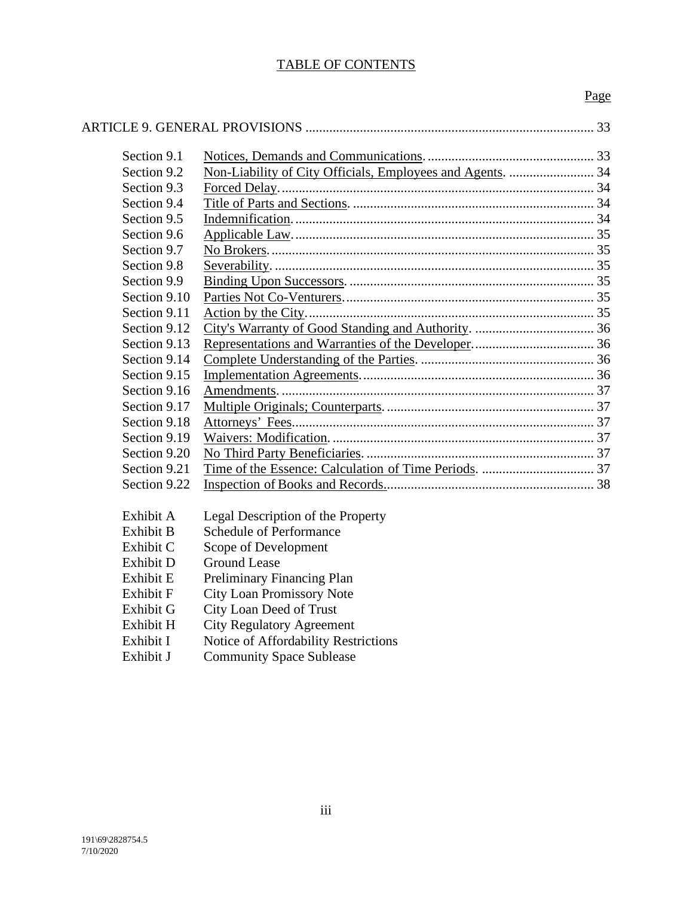# TABLE OF CONTENTS

# Page

| Section 9.1  |                                                            |  |  |
|--------------|------------------------------------------------------------|--|--|
| Section 9.2  | Non-Liability of City Officials, Employees and Agents.  34 |  |  |
| Section 9.3  |                                                            |  |  |
| Section 9.4  |                                                            |  |  |
| Section 9.5  |                                                            |  |  |
| Section 9.6  |                                                            |  |  |
| Section 9.7  |                                                            |  |  |
| Section 9.8  |                                                            |  |  |
| Section 9.9  |                                                            |  |  |
| Section 9.10 |                                                            |  |  |
| Section 9.11 |                                                            |  |  |
| Section 9.12 |                                                            |  |  |
| Section 9.13 |                                                            |  |  |
| Section 9.14 |                                                            |  |  |
| Section 9.15 |                                                            |  |  |
| Section 9.16 |                                                            |  |  |
| Section 9.17 |                                                            |  |  |
| Section 9.18 |                                                            |  |  |
| Section 9.19 |                                                            |  |  |
| Section 9.20 |                                                            |  |  |
| Section 9.21 |                                                            |  |  |
| Section 9.22 |                                                            |  |  |
| Exhibit A    | Legal Description of the Property                          |  |  |
| Exhibit B    | <b>Schedule of Performance</b>                             |  |  |
| Exhibit C    |                                                            |  |  |
| Exhibit D    | Scope of Development<br><b>Ground Lease</b>                |  |  |
| Exhibit E    |                                                            |  |  |
|              | Preliminary Financing Plan                                 |  |  |
| Exhibit F    | <b>City Loan Promissory Note</b>                           |  |  |
| Exhibit G    | City Loan Deed of Trust                                    |  |  |
| Exhibit H    | <b>City Regulatory Agreement</b>                           |  |  |

- Exhibit I Notice of Affordability Restrictions
- Exhibit J Community Space Sublease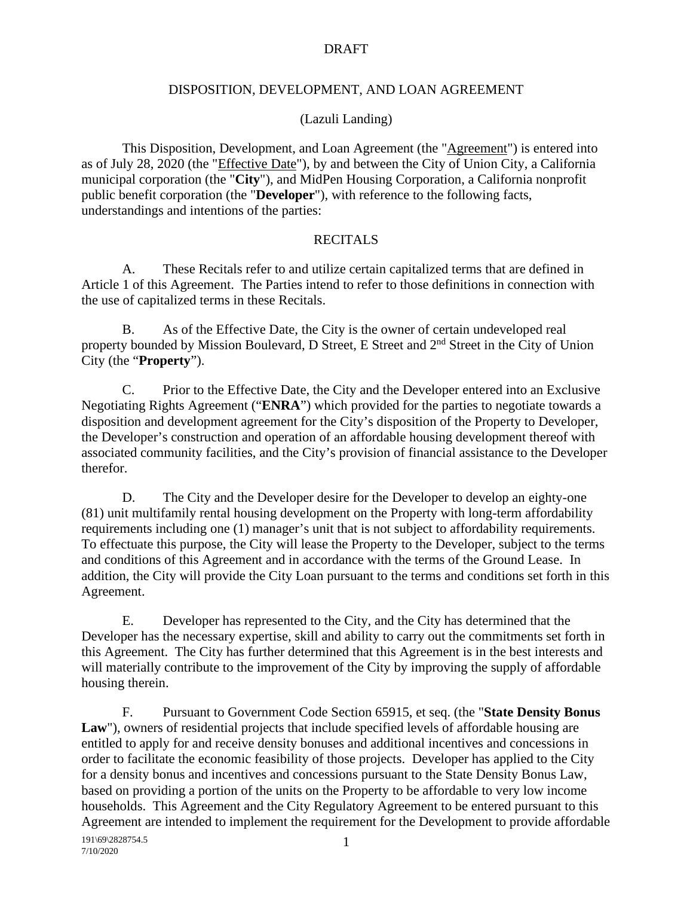#### DISPOSITION, DEVELOPMENT, AND LOAN AGREEMENT

#### (Lazuli Landing)

This Disposition, Development, and Loan Agreement (the "Agreement") is entered into as of July 28, 2020 (the "Effective Date"), by and between the City of Union City, a California municipal corporation (the "**City**"), and MidPen Housing Corporation, a California nonprofit public benefit corporation (the "**Developer**"), with reference to the following facts, understandings and intentions of the parties:

#### **RECITALS**

A. These Recitals refer to and utilize certain capitalized terms that are defined in Article 1 of this Agreement. The Parties intend to refer to those definitions in connection with the use of capitalized terms in these Recitals.

B. As of the Effective Date, the City is the owner of certain undeveloped real property bounded by Mission Boulevard, D Street, E Street and 2<sup>nd</sup> Street in the City of Union City (the "**Property**").

C. Prior to the Effective Date, the City and the Developer entered into an Exclusive Negotiating Rights Agreement ("**ENRA**") which provided for the parties to negotiate towards a disposition and development agreement for the City's disposition of the Property to Developer, the Developer's construction and operation of an affordable housing development thereof with associated community facilities, and the City's provision of financial assistance to the Developer therefor.

D. The City and the Developer desire for the Developer to develop an eighty-one (81) unit multifamily rental housing development on the Property with long-term affordability requirements including one (1) manager's unit that is not subject to affordability requirements. To effectuate this purpose, the City will lease the Property to the Developer, subject to the terms and conditions of this Agreement and in accordance with the terms of the Ground Lease. In addition, the City will provide the City Loan pursuant to the terms and conditions set forth in this Agreement.

E. Developer has represented to the City, and the City has determined that the Developer has the necessary expertise, skill and ability to carry out the commitments set forth in this Agreement. The City has further determined that this Agreement is in the best interests and will materially contribute to the improvement of the City by improving the supply of affordable housing therein.

F. Pursuant to Government Code Section 65915, et seq. (the "**State Density Bonus**  Law"), owners of residential projects that include specified levels of affordable housing are entitled to apply for and receive density bonuses and additional incentives and concessions in order to facilitate the economic feasibility of those projects. Developer has applied to the City for a density bonus and incentives and concessions pursuant to the State Density Bonus Law, based on providing a portion of the units on the Property to be affordable to very low income households. This Agreement and the City Regulatory Agreement to be entered pursuant to this Agreement are intended to implement the requirement for the Development to provide affordable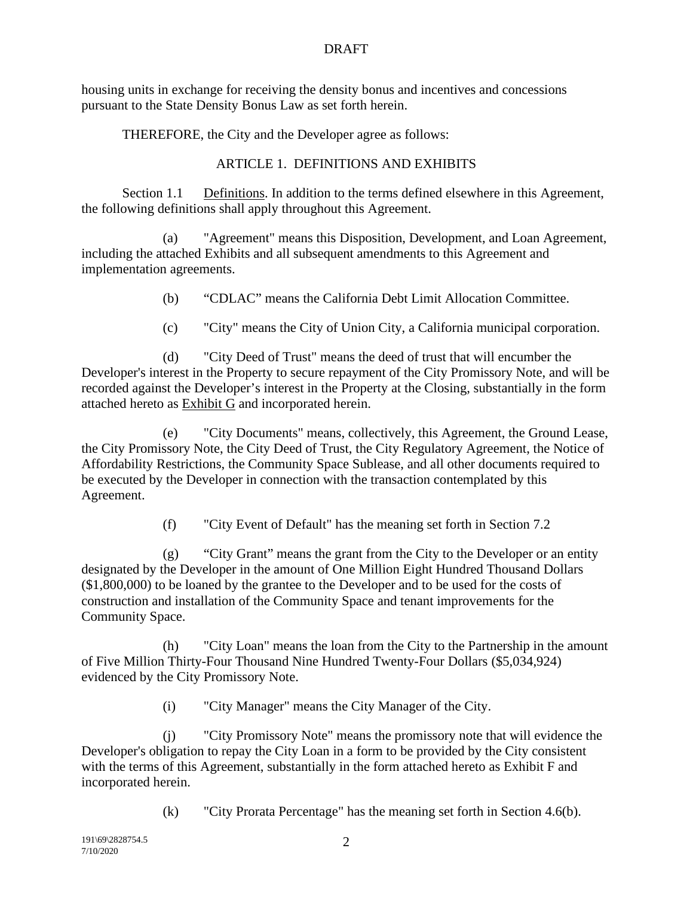housing units in exchange for receiving the density bonus and incentives and concessions pursuant to the State Density Bonus Law as set forth herein.

THEREFORE, the City and the Developer agree as follows:

#### ARTICLE 1. DEFINITIONS AND EXHIBITS

Section 1.1 Definitions. In addition to the terms defined elsewhere in this Agreement, the following definitions shall apply throughout this Agreement.

(a) "Agreement" means this Disposition, Development, and Loan Agreement, including the attached Exhibits and all subsequent amendments to this Agreement and implementation agreements.

- (b) "CDLAC" means the California Debt Limit Allocation Committee.
- (c) "City" means the City of Union City, a California municipal corporation.

(d) "City Deed of Trust" means the deed of trust that will encumber the Developer's interest in the Property to secure repayment of the City Promissory Note, and will be recorded against the Developer's interest in the Property at the Closing, substantially in the form attached hereto as Exhibit G and incorporated herein.

(e) "City Documents" means, collectively, this Agreement, the Ground Lease, the City Promissory Note, the City Deed of Trust, the City Regulatory Agreement, the Notice of Affordability Restrictions, the Community Space Sublease, and all other documents required to be executed by the Developer in connection with the transaction contemplated by this Agreement.

(f) "City Event of Default" has the meaning set forth in Section 7.2

(g) "City Grant" means the grant from the City to the Developer or an entity designated by the Developer in the amount of One Million Eight Hundred Thousand Dollars (\$1,800,000) to be loaned by the grantee to the Developer and to be used for the costs of construction and installation of the Community Space and tenant improvements for the Community Space.

(h) "City Loan" means the loan from the City to the Partnership in the amount of Five Million Thirty-Four Thousand Nine Hundred Twenty-Four Dollars (\$5,034,924) evidenced by the City Promissory Note.

(i) "City Manager" means the City Manager of the City.

(j) "City Promissory Note" means the promissory note that will evidence the Developer's obligation to repay the City Loan in a form to be provided by the City consistent with the terms of this Agreement, substantially in the form attached hereto as Exhibit F and incorporated herein.

(k) "City Prorata Percentage" has the meaning set forth in Section 4.6(b).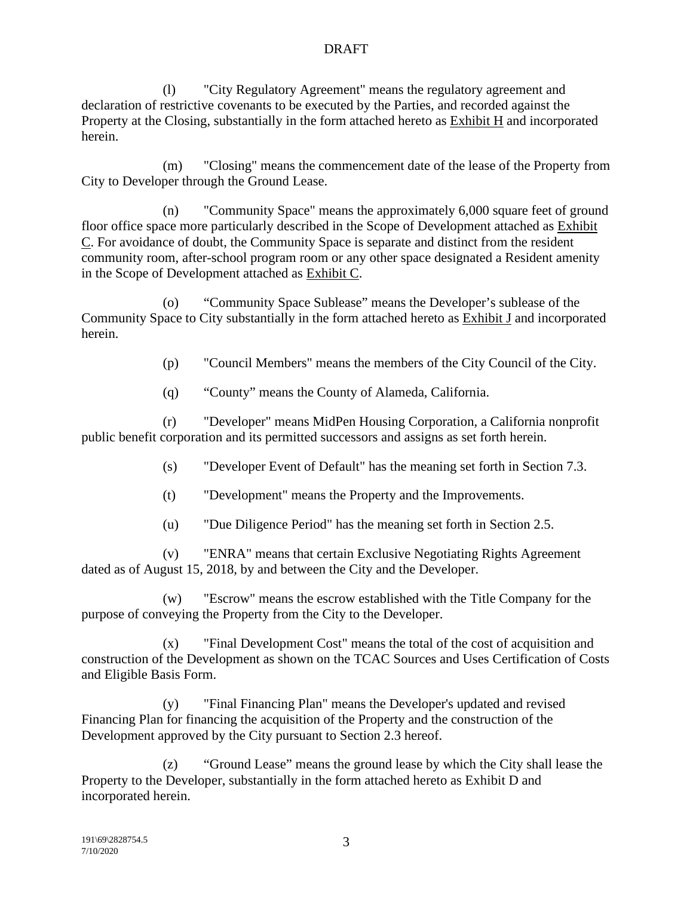(l) "City Regulatory Agreement" means the regulatory agreement and declaration of restrictive covenants to be executed by the Parties, and recorded against the Property at the Closing, substantially in the form attached hereto as Exhibit H and incorporated herein.

(m) "Closing" means the commencement date of the lease of the Property from City to Developer through the Ground Lease.

(n) "Community Space" means the approximately 6,000 square feet of ground floor office space more particularly described in the Scope of Development attached as Exhibit C. For avoidance of doubt, the Community Space is separate and distinct from the resident community room, after-school program room or any other space designated a Resident amenity in the Scope of Development attached as Exhibit C.

(o) "Community Space Sublease" means the Developer's sublease of the Community Space to City substantially in the form attached hereto as Exhibit J and incorporated herein.

(p) "Council Members" means the members of the City Council of the City.

(q) "County" means the County of Alameda, California.

(r) "Developer" means MidPen Housing Corporation, a California nonprofit public benefit corporation and its permitted successors and assigns as set forth herein.

(s) "Developer Event of Default" has the meaning set forth in Section 7.3.

- (t) "Development" means the Property and the Improvements.
- (u) "Due Diligence Period" has the meaning set forth in Section 2.5.

(v) "ENRA" means that certain Exclusive Negotiating Rights Agreement dated as of August 15, 2018, by and between the City and the Developer.

(w) "Escrow" means the escrow established with the Title Company for the purpose of conveying the Property from the City to the Developer.

(x) "Final Development Cost" means the total of the cost of acquisition and construction of the Development as shown on the TCAC Sources and Uses Certification of Costs and Eligible Basis Form.

(y) "Final Financing Plan" means the Developer's updated and revised Financing Plan for financing the acquisition of the Property and the construction of the Development approved by the City pursuant to Section 2.3 hereof.

(z) "Ground Lease" means the ground lease by which the City shall lease the Property to the Developer, substantially in the form attached hereto as Exhibit D and incorporated herein.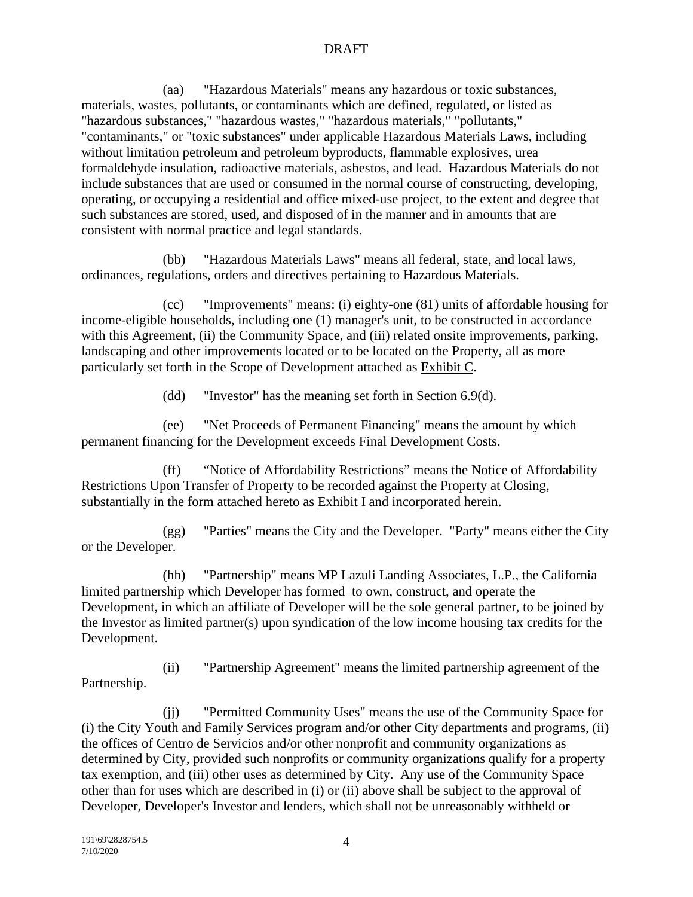(aa) "Hazardous Materials" means any hazardous or toxic substances, materials, wastes, pollutants, or contaminants which are defined, regulated, or listed as "hazardous substances," "hazardous wastes," "hazardous materials," "pollutants," "contaminants," or "toxic substances" under applicable Hazardous Materials Laws, including without limitation petroleum and petroleum byproducts, flammable explosives, urea formaldehyde insulation, radioactive materials, asbestos, and lead. Hazardous Materials do not include substances that are used or consumed in the normal course of constructing, developing, operating, or occupying a residential and office mixed-use project, to the extent and degree that such substances are stored, used, and disposed of in the manner and in amounts that are consistent with normal practice and legal standards.

(bb) "Hazardous Materials Laws" means all federal, state, and local laws, ordinances, regulations, orders and directives pertaining to Hazardous Materials.

(cc) "Improvements" means: (i) eighty-one (81) units of affordable housing for income-eligible households, including one (1) manager's unit, to be constructed in accordance with this Agreement, (ii) the Community Space, and (iii) related onsite improvements, parking, landscaping and other improvements located or to be located on the Property, all as more particularly set forth in the Scope of Development attached as Exhibit C.

(dd) "Investor" has the meaning set forth in Section 6.9(d).

(ee) "Net Proceeds of Permanent Financing" means the amount by which permanent financing for the Development exceeds Final Development Costs.

(ff) "Notice of Affordability Restrictions" means the Notice of Affordability Restrictions Upon Transfer of Property to be recorded against the Property at Closing, substantially in the form attached hereto as Exhibit I and incorporated herein.

(gg) "Parties" means the City and the Developer. "Party" means either the City or the Developer.

(hh) "Partnership" means MP Lazuli Landing Associates, L.P., the California limited partnership which Developer has formed to own, construct, and operate the Development, in which an affiliate of Developer will be the sole general partner, to be joined by the Investor as limited partner(s) upon syndication of the low income housing tax credits for the Development.

(ii) "Partnership Agreement" means the limited partnership agreement of the Partnership.

(jj) "Permitted Community Uses" means the use of the Community Space for (i) the City Youth and Family Services program and/or other City departments and programs, (ii) the offices of Centro de Servicios and/or other nonprofit and community organizations as determined by City, provided such nonprofits or community organizations qualify for a property tax exemption, and (iii) other uses as determined by City. Any use of the Community Space other than for uses which are described in (i) or (ii) above shall be subject to the approval of Developer, Developer's Investor and lenders, which shall not be unreasonably withheld or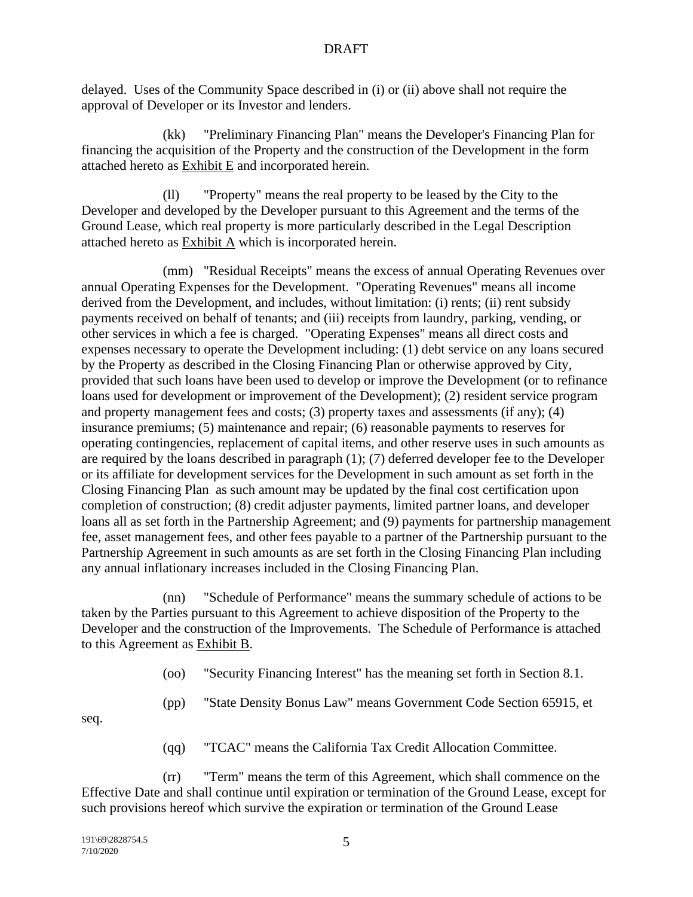delayed. Uses of the Community Space described in (i) or (ii) above shall not require the approval of Developer or its Investor and lenders.

(kk) "Preliminary Financing Plan" means the Developer's Financing Plan for financing the acquisition of the Property and the construction of the Development in the form attached hereto as Exhibit E and incorporated herein.

(ll) "Property" means the real property to be leased by the City to the Developer and developed by the Developer pursuant to this Agreement and the terms of the Ground Lease, which real property is more particularly described in the Legal Description attached hereto as Exhibit A which is incorporated herein.

(mm) "Residual Receipts" means the excess of annual Operating Revenues over annual Operating Expenses for the Development. "Operating Revenues" means all income derived from the Development, and includes, without limitation: (i) rents; (ii) rent subsidy payments received on behalf of tenants; and (iii) receipts from laundry, parking, vending, or other services in which a fee is charged. "Operating Expenses" means all direct costs and expenses necessary to operate the Development including: (1) debt service on any loans secured by the Property as described in the Closing Financing Plan or otherwise approved by City, provided that such loans have been used to develop or improve the Development (or to refinance loans used for development or improvement of the Development); (2) resident service program and property management fees and costs; (3) property taxes and assessments (if any); (4) insurance premiums; (5) maintenance and repair; (6) reasonable payments to reserves for operating contingencies, replacement of capital items, and other reserve uses in such amounts as are required by the loans described in paragraph (1); (7) deferred developer fee to the Developer or its affiliate for development services for the Development in such amount as set forth in the Closing Financing Plan as such amount may be updated by the final cost certification upon completion of construction; (8) credit adjuster payments, limited partner loans, and developer loans all as set forth in the Partnership Agreement; and (9) payments for partnership management fee, asset management fees, and other fees payable to a partner of the Partnership pursuant to the Partnership Agreement in such amounts as are set forth in the Closing Financing Plan including any annual inflationary increases included in the Closing Financing Plan.

(nn) "Schedule of Performance" means the summary schedule of actions to be taken by the Parties pursuant to this Agreement to achieve disposition of the Property to the Developer and the construction of the Improvements. The Schedule of Performance is attached to this Agreement as Exhibit B.

(oo) "Security Financing Interest" has the meaning set forth in Section 8.1.

(pp) "State Density Bonus Law" means Government Code Section 65915, et

seq.

(qq) "TCAC" means the California Tax Credit Allocation Committee.

(rr) "Term" means the term of this Agreement, which shall commence on the Effective Date and shall continue until expiration or termination of the Ground Lease, except for such provisions hereof which survive the expiration or termination of the Ground Lease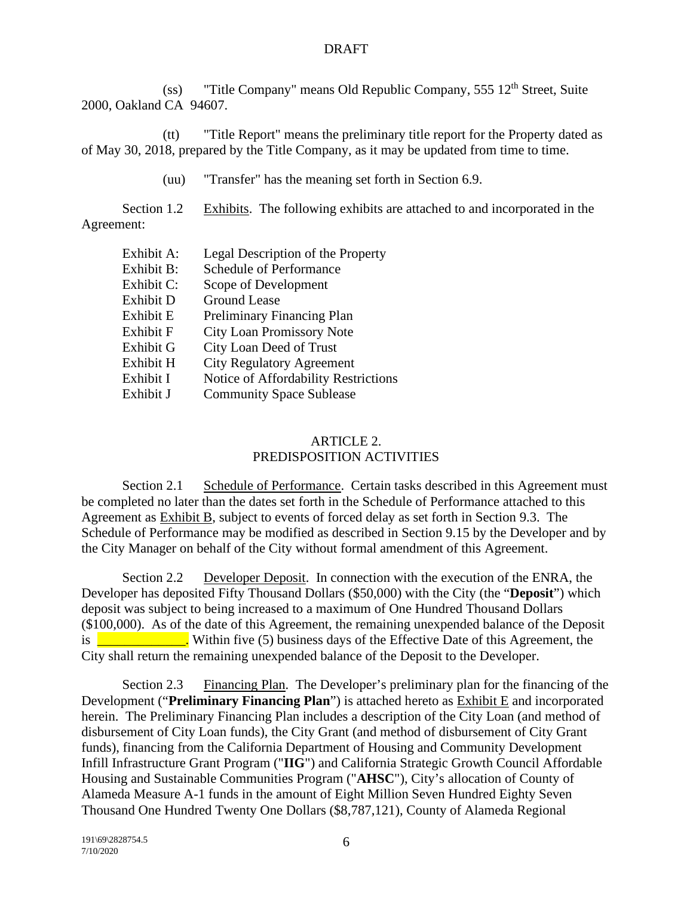(ss) "Title Company" means Old Republic Company,  $555\,12^{th}$  Street, Suite 2000, Oakland CA 94607.

(tt) "Title Report" means the preliminary title report for the Property dated as of May 30, 2018, prepared by the Title Company, as it may be updated from time to time.

(uu) "Transfer" has the meaning set forth in Section 6.9.

Section 1.2 Exhibits. The following exhibits are attached to and incorporated in the Agreement:

| Exhibit A:       | Legal Description of the Property    |
|------------------|--------------------------------------|
| Exhibit B:       | <b>Schedule of Performance</b>       |
| Exhibit C:       | Scope of Development                 |
| Exhibit D        | <b>Ground Lease</b>                  |
| Exhibit E        | Preliminary Financing Plan           |
| <b>Exhibit F</b> | <b>City Loan Promissory Note</b>     |
| Exhibit G        | City Loan Deed of Trust              |
| Exhibit H        | <b>City Regulatory Agreement</b>     |
| Exhibit I        | Notice of Affordability Restrictions |
| Exhibit J        | <b>Community Space Sublease</b>      |

## ARTICLE 2. PREDISPOSITION ACTIVITIES

Section 2.1 Schedule of Performance. Certain tasks described in this Agreement must be completed no later than the dates set forth in the Schedule of Performance attached to this Agreement as Exhibit B, subject to events of forced delay as set forth in Section 9.3. The Schedule of Performance may be modified as described in Section 9.15 by the Developer and by the City Manager on behalf of the City without formal amendment of this Agreement.

Section 2.2 Developer Deposit. In connection with the execution of the ENRA, the Developer has deposited Fifty Thousand Dollars (\$50,000) with the City (the "**Deposit**") which deposit was subject to being increased to a maximum of One Hundred Thousand Dollars (\$100,000). As of the date of this Agreement, the remaining unexpended balance of the Deposit is  $\blacksquare$  Within five (5) business days of the Effective Date of this Agreement, the City shall return the remaining unexpended balance of the Deposit to the Developer.

Section 2.3 Financing Plan. The Developer's preliminary plan for the financing of the Development ("**Preliminary Financing Plan**") is attached hereto as Exhibit E and incorporated herein. The Preliminary Financing Plan includes a description of the City Loan (and method of disbursement of City Loan funds), the City Grant (and method of disbursement of City Grant funds), financing from the California Department of Housing and Community Development Infill Infrastructure Grant Program ("**IIG**") and California Strategic Growth Council Affordable Housing and Sustainable Communities Program ("**AHSC**"), City's allocation of County of Alameda Measure A-1 funds in the amount of Eight Million Seven Hundred Eighty Seven Thousand One Hundred Twenty One Dollars (\$8,787,121), County of Alameda Regional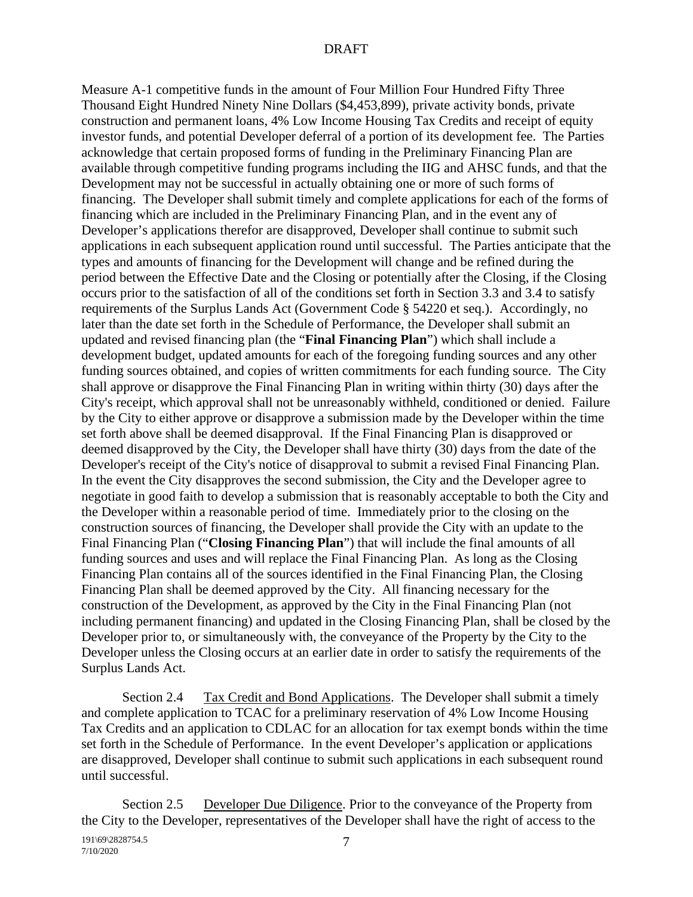Measure A-1 competitive funds in the amount of Four Million Four Hundred Fifty Three Thousand Eight Hundred Ninety Nine Dollars (\$4,453,899), private activity bonds, private construction and permanent loans, 4% Low Income Housing Tax Credits and receipt of equity investor funds, and potential Developer deferral of a portion of its development fee. The Parties acknowledge that certain proposed forms of funding in the Preliminary Financing Plan are available through competitive funding programs including the IIG and AHSC funds, and that the Development may not be successful in actually obtaining one or more of such forms of financing. The Developer shall submit timely and complete applications for each of the forms of financing which are included in the Preliminary Financing Plan, and in the event any of Developer's applications therefor are disapproved, Developer shall continue to submit such applications in each subsequent application round until successful. The Parties anticipate that the types and amounts of financing for the Development will change and be refined during the period between the Effective Date and the Closing or potentially after the Closing, if the Closing occurs prior to the satisfaction of all of the conditions set forth in Section 3.3 and 3.4 to satisfy requirements of the Surplus Lands Act (Government Code § 54220 et seq.). Accordingly, no later than the date set forth in the Schedule of Performance, the Developer shall submit an updated and revised financing plan (the "**Final Financing Plan**") which shall include a development budget, updated amounts for each of the foregoing funding sources and any other funding sources obtained, and copies of written commitments for each funding source. The City shall approve or disapprove the Final Financing Plan in writing within thirty (30) days after the City's receipt, which approval shall not be unreasonably withheld, conditioned or denied. Failure by the City to either approve or disapprove a submission made by the Developer within the time set forth above shall be deemed disapproval. If the Final Financing Plan is disapproved or deemed disapproved by the City, the Developer shall have thirty (30) days from the date of the Developer's receipt of the City's notice of disapproval to submit a revised Final Financing Plan. In the event the City disapproves the second submission, the City and the Developer agree to negotiate in good faith to develop a submission that is reasonably acceptable to both the City and the Developer within a reasonable period of time. Immediately prior to the closing on the construction sources of financing, the Developer shall provide the City with an update to the Final Financing Plan ("**Closing Financing Plan**") that will include the final amounts of all funding sources and uses and will replace the Final Financing Plan. As long as the Closing Financing Plan contains all of the sources identified in the Final Financing Plan, the Closing Financing Plan shall be deemed approved by the City. All financing necessary for the construction of the Development, as approved by the City in the Final Financing Plan (not including permanent financing) and updated in the Closing Financing Plan, shall be closed by the Developer prior to, or simultaneously with, the conveyance of the Property by the City to the Developer unless the Closing occurs at an earlier date in order to satisfy the requirements of the Surplus Lands Act.

Section 2.4 Tax Credit and Bond Applications. The Developer shall submit a timely and complete application to TCAC for a preliminary reservation of 4% Low Income Housing Tax Credits and an application to CDLAC for an allocation for tax exempt bonds within the time set forth in the Schedule of Performance. In the event Developer's application or applications are disapproved, Developer shall continue to submit such applications in each subsequent round until successful.

Section 2.5 Developer Due Diligence. Prior to the conveyance of the Property from the City to the Developer, representatives of the Developer shall have the right of access to the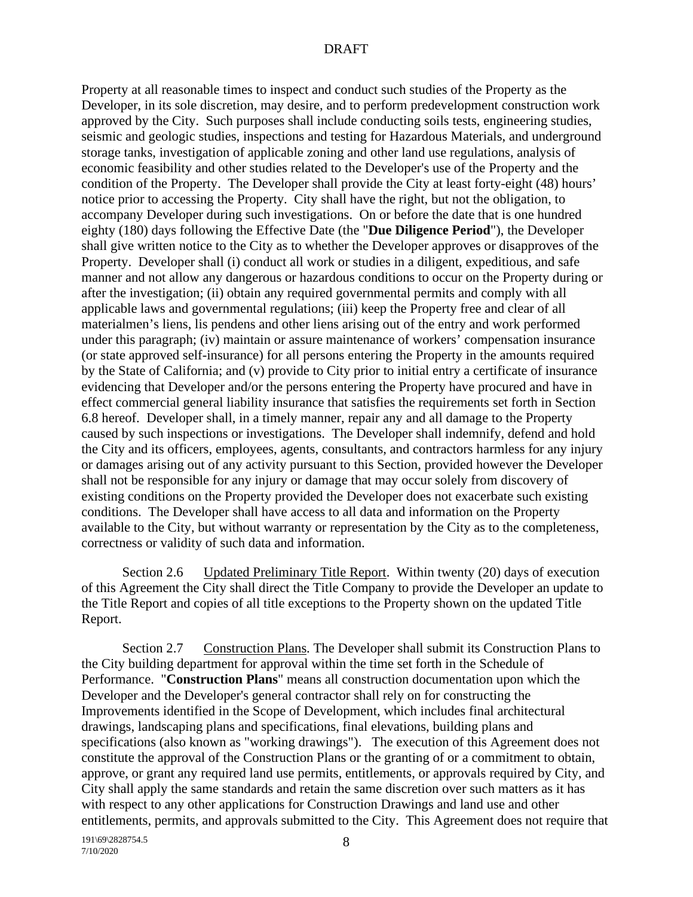Property at all reasonable times to inspect and conduct such studies of the Property as the Developer, in its sole discretion, may desire, and to perform predevelopment construction work approved by the City. Such purposes shall include conducting soils tests, engineering studies, seismic and geologic studies, inspections and testing for Hazardous Materials, and underground storage tanks, investigation of applicable zoning and other land use regulations, analysis of economic feasibility and other studies related to the Developer's use of the Property and the condition of the Property. The Developer shall provide the City at least forty-eight (48) hours' notice prior to accessing the Property. City shall have the right, but not the obligation, to accompany Developer during such investigations. On or before the date that is one hundred eighty (180) days following the Effective Date (the "**Due Diligence Period**"), the Developer shall give written notice to the City as to whether the Developer approves or disapproves of the Property. Developer shall (i) conduct all work or studies in a diligent, expeditious, and safe manner and not allow any dangerous or hazardous conditions to occur on the Property during or after the investigation; (ii) obtain any required governmental permits and comply with all applicable laws and governmental regulations; (iii) keep the Property free and clear of all materialmen's liens, lis pendens and other liens arising out of the entry and work performed under this paragraph; (iv) maintain or assure maintenance of workers' compensation insurance (or state approved self-insurance) for all persons entering the Property in the amounts required by the State of California; and (v) provide to City prior to initial entry a certificate of insurance evidencing that Developer and/or the persons entering the Property have procured and have in effect commercial general liability insurance that satisfies the requirements set forth in Section 6.8 hereof. Developer shall, in a timely manner, repair any and all damage to the Property caused by such inspections or investigations. The Developer shall indemnify, defend and hold the City and its officers, employees, agents, consultants, and contractors harmless for any injury or damages arising out of any activity pursuant to this Section, provided however the Developer shall not be responsible for any injury or damage that may occur solely from discovery of existing conditions on the Property provided the Developer does not exacerbate such existing conditions. The Developer shall have access to all data and information on the Property available to the City, but without warranty or representation by the City as to the completeness, correctness or validity of such data and information.

Section 2.6 Updated Preliminary Title Report. Within twenty (20) days of execution of this Agreement the City shall direct the Title Company to provide the Developer an update to the Title Report and copies of all title exceptions to the Property shown on the updated Title Report.

Section 2.7 Construction Plans. The Developer shall submit its Construction Plans to the City building department for approval within the time set forth in the Schedule of Performance. "**Construction Plans**" means all construction documentation upon which the Developer and the Developer's general contractor shall rely on for constructing the Improvements identified in the Scope of Development, which includes final architectural drawings, landscaping plans and specifications, final elevations, building plans and specifications (also known as "working drawings"). The execution of this Agreement does not constitute the approval of the Construction Plans or the granting of or a commitment to obtain, approve, or grant any required land use permits, entitlements, or approvals required by City, and City shall apply the same standards and retain the same discretion over such matters as it has with respect to any other applications for Construction Drawings and land use and other entitlements, permits, and approvals submitted to the City. This Agreement does not require that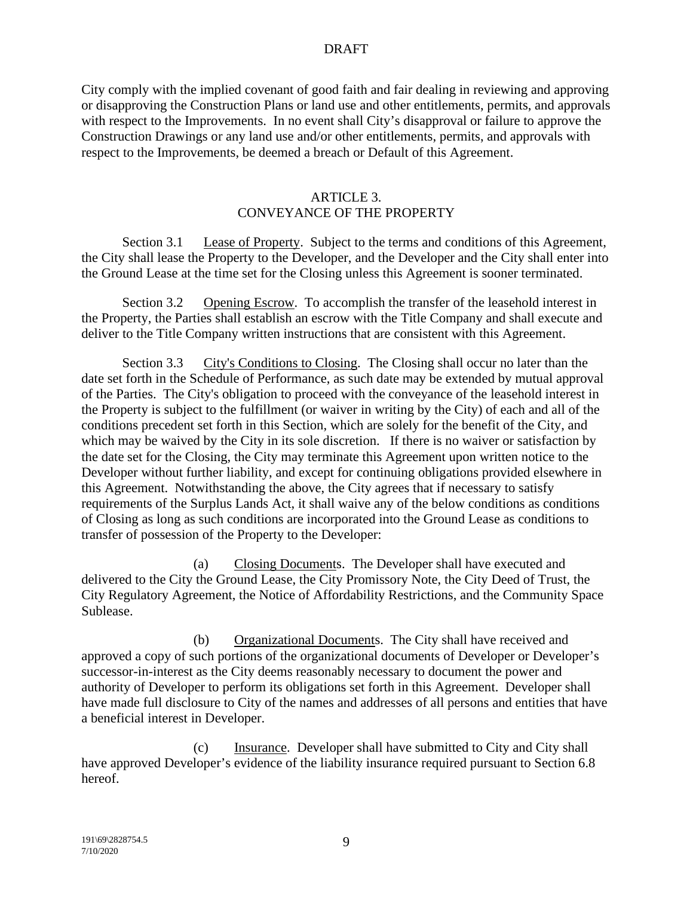City comply with the implied covenant of good faith and fair dealing in reviewing and approving or disapproving the Construction Plans or land use and other entitlements, permits, and approvals with respect to the Improvements. In no event shall City's disapproval or failure to approve the Construction Drawings or any land use and/or other entitlements, permits, and approvals with respect to the Improvements, be deemed a breach or Default of this Agreement.

#### ARTICLE 3.

## CONVEYANCE OF THE PROPERTY

Section 3.1 Lease of Property. Subject to the terms and conditions of this Agreement, the City shall lease the Property to the Developer, and the Developer and the City shall enter into the Ground Lease at the time set for the Closing unless this Agreement is sooner terminated.

Section 3.2 Opening Escrow. To accomplish the transfer of the leasehold interest in the Property, the Parties shall establish an escrow with the Title Company and shall execute and deliver to the Title Company written instructions that are consistent with this Agreement.

Section 3.3 City's Conditions to Closing. The Closing shall occur no later than the date set forth in the Schedule of Performance, as such date may be extended by mutual approval of the Parties. The City's obligation to proceed with the conveyance of the leasehold interest in the Property is subject to the fulfillment (or waiver in writing by the City) of each and all of the conditions precedent set forth in this Section, which are solely for the benefit of the City, and which may be waived by the City in its sole discretion. If there is no waiver or satisfaction by the date set for the Closing, the City may terminate this Agreement upon written notice to the Developer without further liability, and except for continuing obligations provided elsewhere in this Agreement. Notwithstanding the above, the City agrees that if necessary to satisfy requirements of the Surplus Lands Act, it shall waive any of the below conditions as conditions of Closing as long as such conditions are incorporated into the Ground Lease as conditions to transfer of possession of the Property to the Developer:

(a) Closing Documents. The Developer shall have executed and delivered to the City the Ground Lease, the City Promissory Note, the City Deed of Trust, the City Regulatory Agreement, the Notice of Affordability Restrictions, and the Community Space Sublease.

(b) Organizational Documents. The City shall have received and approved a copy of such portions of the organizational documents of Developer or Developer's successor-in-interest as the City deems reasonably necessary to document the power and authority of Developer to perform its obligations set forth in this Agreement. Developer shall have made full disclosure to City of the names and addresses of all persons and entities that have a beneficial interest in Developer.

(c) Insurance. Developer shall have submitted to City and City shall have approved Developer's evidence of the liability insurance required pursuant to Section 6.8 hereof.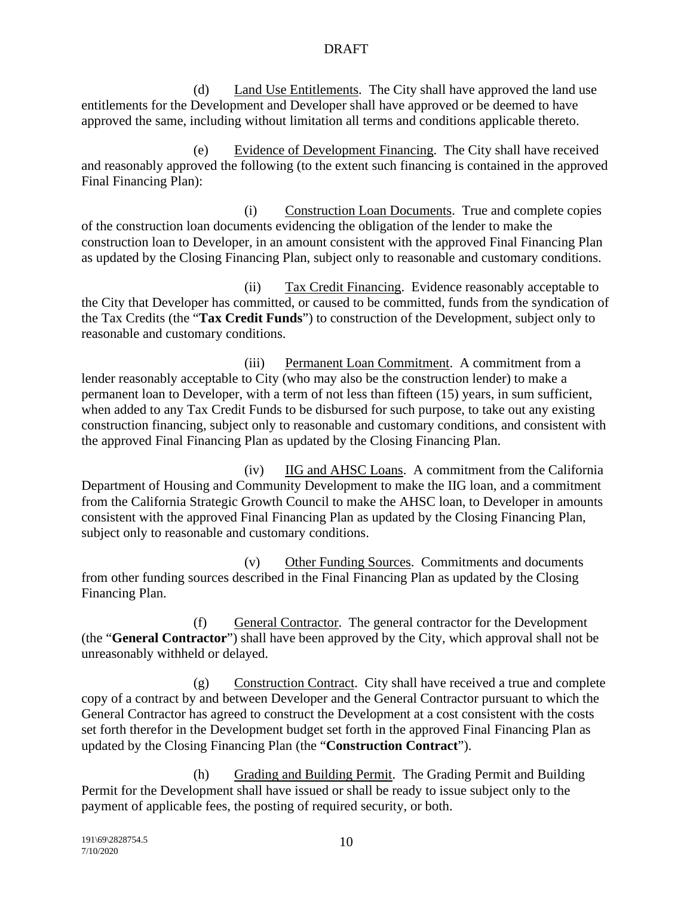(d) Land Use Entitlements. The City shall have approved the land use entitlements for the Development and Developer shall have approved or be deemed to have approved the same, including without limitation all terms and conditions applicable thereto.

(e) Evidence of Development Financing. The City shall have received and reasonably approved the following (to the extent such financing is contained in the approved Final Financing Plan):

(i) Construction Loan Documents. True and complete copies of the construction loan documents evidencing the obligation of the lender to make the construction loan to Developer, in an amount consistent with the approved Final Financing Plan as updated by the Closing Financing Plan, subject only to reasonable and customary conditions.

(ii) Tax Credit Financing. Evidence reasonably acceptable to the City that Developer has committed, or caused to be committed, funds from the syndication of the Tax Credits (the "**Tax Credit Funds**") to construction of the Development, subject only to reasonable and customary conditions.

(iii) Permanent Loan Commitment. A commitment from a lender reasonably acceptable to City (who may also be the construction lender) to make a permanent loan to Developer, with a term of not less than fifteen (15) years, in sum sufficient, when added to any Tax Credit Funds to be disbursed for such purpose, to take out any existing construction financing, subject only to reasonable and customary conditions, and consistent with the approved Final Financing Plan as updated by the Closing Financing Plan.

(iv) IIG and AHSC Loans. A commitment from the California Department of Housing and Community Development to make the IIG loan, and a commitment from the California Strategic Growth Council to make the AHSC loan, to Developer in amounts consistent with the approved Final Financing Plan as updated by the Closing Financing Plan, subject only to reasonable and customary conditions.

(v) Other Funding Sources. Commitments and documents from other funding sources described in the Final Financing Plan as updated by the Closing Financing Plan.

(f) General Contractor. The general contractor for the Development (the "**General Contractor**") shall have been approved by the City, which approval shall not be unreasonably withheld or delayed.

(g) Construction Contract. City shall have received a true and complete copy of a contract by and between Developer and the General Contractor pursuant to which the General Contractor has agreed to construct the Development at a cost consistent with the costs set forth therefor in the Development budget set forth in the approved Final Financing Plan as updated by the Closing Financing Plan (the "**Construction Contract**").

(h) Grading and Building Permit. The Grading Permit and Building Permit for the Development shall have issued or shall be ready to issue subject only to the payment of applicable fees, the posting of required security, or both.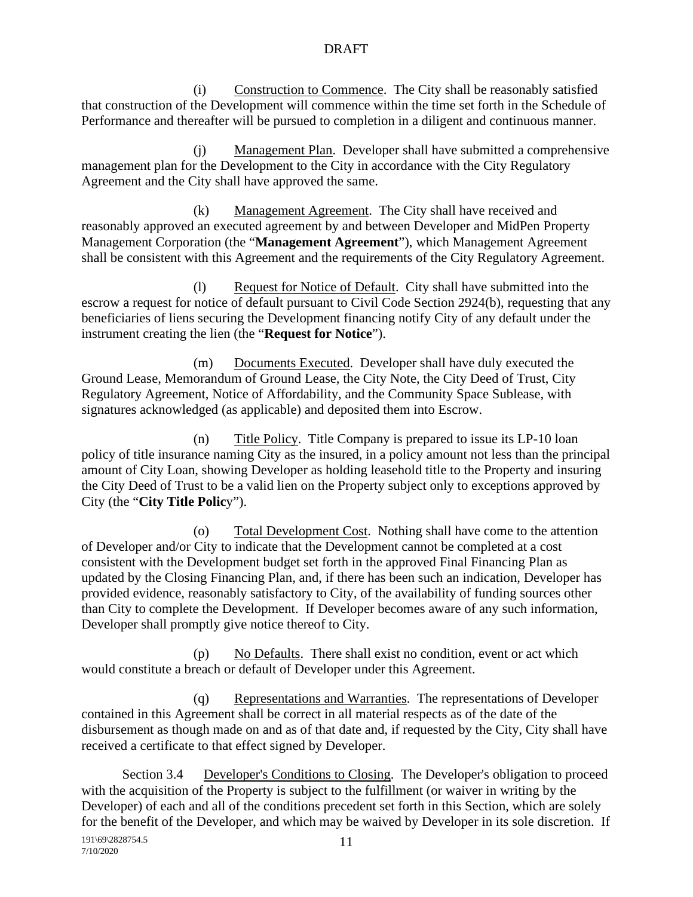(i) Construction to Commence. The City shall be reasonably satisfied that construction of the Development will commence within the time set forth in the Schedule of Performance and thereafter will be pursued to completion in a diligent and continuous manner.

(j) Management Plan. Developer shall have submitted a comprehensive management plan for the Development to the City in accordance with the City Regulatory Agreement and the City shall have approved the same.

(k) Management Agreement. The City shall have received and reasonably approved an executed agreement by and between Developer and MidPen Property Management Corporation (the "**Management Agreement**"), which Management Agreement shall be consistent with this Agreement and the requirements of the City Regulatory Agreement.

(l) Request for Notice of Default. City shall have submitted into the escrow a request for notice of default pursuant to Civil Code Section 2924(b), requesting that any beneficiaries of liens securing the Development financing notify City of any default under the instrument creating the lien (the "**Request for Notice**").

(m) Documents Executed. Developer shall have duly executed the Ground Lease, Memorandum of Ground Lease, the City Note, the City Deed of Trust, City Regulatory Agreement, Notice of Affordability, and the Community Space Sublease, with signatures acknowledged (as applicable) and deposited them into Escrow.

(n) Title Policy. Title Company is prepared to issue its LP-10 loan policy of title insurance naming City as the insured, in a policy amount not less than the principal amount of City Loan, showing Developer as holding leasehold title to the Property and insuring the City Deed of Trust to be a valid lien on the Property subject only to exceptions approved by City (the "**City Title Polic**y").

(o) Total Development Cost. Nothing shall have come to the attention of Developer and/or City to indicate that the Development cannot be completed at a cost consistent with the Development budget set forth in the approved Final Financing Plan as updated by the Closing Financing Plan, and, if there has been such an indication, Developer has provided evidence, reasonably satisfactory to City, of the availability of funding sources other than City to complete the Development. If Developer becomes aware of any such information, Developer shall promptly give notice thereof to City.

(p) No Defaults. There shall exist no condition, event or act which would constitute a breach or default of Developer under this Agreement.

(q) Representations and Warranties. The representations of Developer contained in this Agreement shall be correct in all material respects as of the date of the disbursement as though made on and as of that date and, if requested by the City, City shall have received a certificate to that effect signed by Developer.

Section 3.4 Developer's Conditions to Closing. The Developer's obligation to proceed with the acquisition of the Property is subject to the fulfillment (or waiver in writing by the Developer) of each and all of the conditions precedent set forth in this Section, which are solely for the benefit of the Developer, and which may be waived by Developer in its sole discretion. If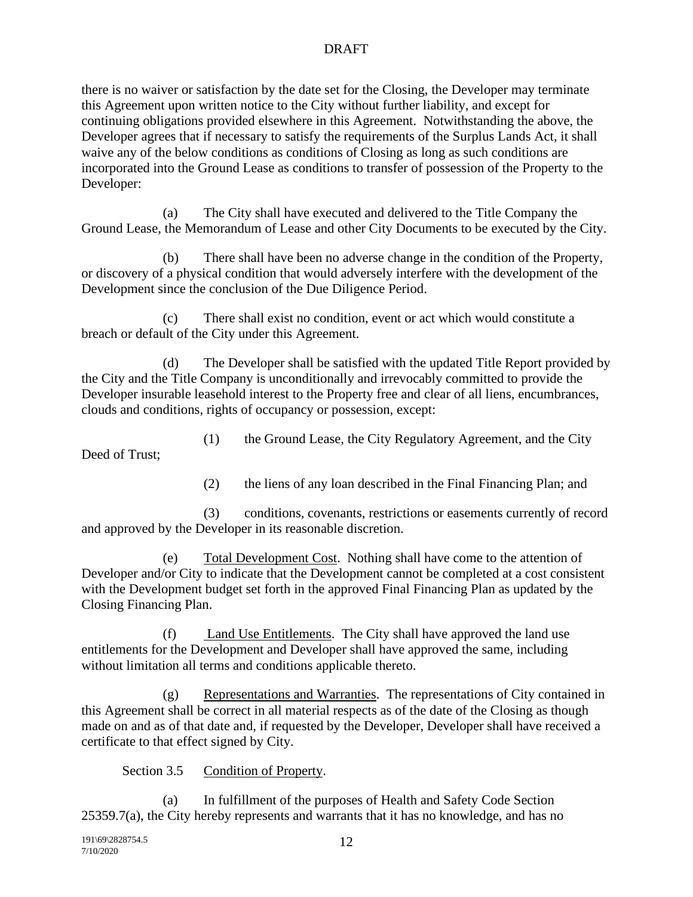there is no waiver or satisfaction by the date set for the Closing, the Developer may terminate this Agreement upon written notice to the City without further liability, and except for continuing obligations provided elsewhere in this Agreement. Notwithstanding the above, the Developer agrees that if necessary to satisfy the requirements of the Surplus Lands Act, it shall waive any of the below conditions as conditions of Closing as long as such conditions are incorporated into the Ground Lease as conditions to transfer of possession of the Property to the Developer:

(a) The City shall have executed and delivered to the Title Company the Ground Lease, the Memorandum of Lease and other City Documents to be executed by the City.

There shall have been no adverse change in the condition of the Property, or discovery of a physical condition that would adversely interfere with the development of the Development since the conclusion of the Due Diligence Period.

(c) There shall exist no condition, event or act which would constitute a breach or default of the City under this Agreement.

(d) The Developer shall be satisfied with the updated Title Report provided by the City and the Title Company is unconditionally and irrevocably committed to provide the Developer insurable leasehold interest to the Property free and clear of all liens, encumbrances, clouds and conditions, rights of occupancy or possession, except:

(1) the Ground Lease, the City Regulatory Agreement, and the City

Deed of Trust;

(2) the liens of any loan described in the Final Financing Plan; and

(3) conditions, covenants, restrictions or easements currently of record and approved by the Developer in its reasonable discretion.

(e) Total Development Cost. Nothing shall have come to the attention of Developer and/or City to indicate that the Development cannot be completed at a cost consistent with the Development budget set forth in the approved Final Financing Plan as updated by the Closing Financing Plan.

(f) Land Use Entitlements. The City shall have approved the land use entitlements for the Development and Developer shall have approved the same, including without limitation all terms and conditions applicable thereto.

(g) Representations and Warranties. The representations of City contained in this Agreement shall be correct in all material respects as of the date of the Closing as though made on and as of that date and, if requested by the Developer, Developer shall have received a certificate to that effect signed by City.

Section 3.5 Condition of Property.

(a) In fulfillment of the purposes of Health and Safety Code Section 25359.7(a), the City hereby represents and warrants that it has no knowledge, and has no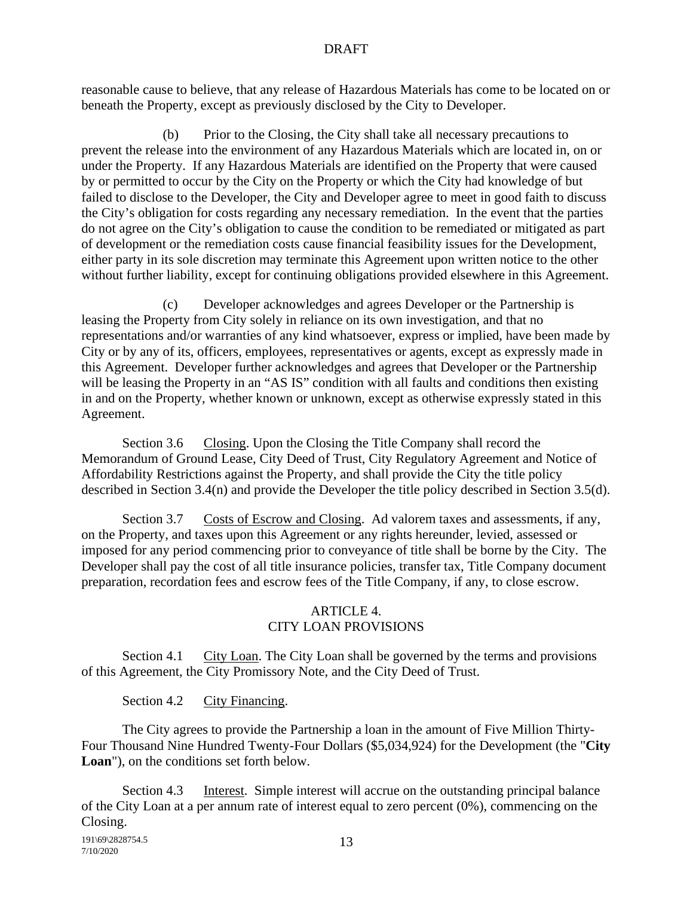reasonable cause to believe, that any release of Hazardous Materials has come to be located on or beneath the Property, except as previously disclosed by the City to Developer.

(b) Prior to the Closing, the City shall take all necessary precautions to prevent the release into the environment of any Hazardous Materials which are located in, on or under the Property. If any Hazardous Materials are identified on the Property that were caused by or permitted to occur by the City on the Property or which the City had knowledge of but failed to disclose to the Developer, the City and Developer agree to meet in good faith to discuss the City's obligation for costs regarding any necessary remediation. In the event that the parties do not agree on the City's obligation to cause the condition to be remediated or mitigated as part of development or the remediation costs cause financial feasibility issues for the Development, either party in its sole discretion may terminate this Agreement upon written notice to the other without further liability, except for continuing obligations provided elsewhere in this Agreement.

(c) Developer acknowledges and agrees Developer or the Partnership is leasing the Property from City solely in reliance on its own investigation, and that no representations and/or warranties of any kind whatsoever, express or implied, have been made by City or by any of its, officers, employees, representatives or agents, except as expressly made in this Agreement. Developer further acknowledges and agrees that Developer or the Partnership will be leasing the Property in an "AS IS" condition with all faults and conditions then existing in and on the Property, whether known or unknown, except as otherwise expressly stated in this Agreement.

Section 3.6 Closing. Upon the Closing the Title Company shall record the Memorandum of Ground Lease, City Deed of Trust, City Regulatory Agreement and Notice of Affordability Restrictions against the Property, and shall provide the City the title policy described in Section 3.4(n) and provide the Developer the title policy described in Section 3.5(d).

Section 3.7 Costs of Escrow and Closing. Ad valorem taxes and assessments, if any, on the Property, and taxes upon this Agreement or any rights hereunder, levied, assessed or imposed for any period commencing prior to conveyance of title shall be borne by the City. The Developer shall pay the cost of all title insurance policies, transfer tax, Title Company document preparation, recordation fees and escrow fees of the Title Company, if any, to close escrow.

# ARTICLE 4. CITY LOAN PROVISIONS

Section 4.1 City Loan. The City Loan shall be governed by the terms and provisions of this Agreement, the City Promissory Note, and the City Deed of Trust.

Section 4.2 City Financing.

The City agrees to provide the Partnership a loan in the amount of Five Million Thirty-Four Thousand Nine Hundred Twenty-Four Dollars (\$5,034,924) for the Development (the "**City Loan**"), on the conditions set forth below.

Section 4.3 Interest. Simple interest will accrue on the outstanding principal balance of the City Loan at a per annum rate of interest equal to zero percent (0%), commencing on the Closing.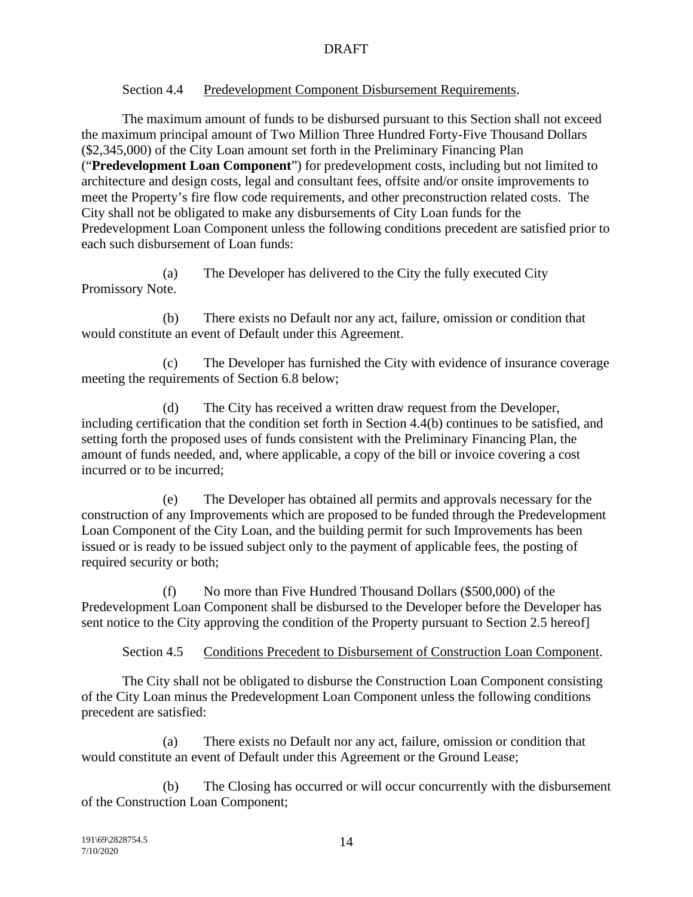## Section 4.4 Predevelopment Component Disbursement Requirements.

The maximum amount of funds to be disbursed pursuant to this Section shall not exceed the maximum principal amount of Two Million Three Hundred Forty-Five Thousand Dollars (\$2,345,000) of the City Loan amount set forth in the Preliminary Financing Plan ("**Predevelopment Loan Component**") for predevelopment costs, including but not limited to architecture and design costs, legal and consultant fees, offsite and/or onsite improvements to meet the Property's fire flow code requirements, and other preconstruction related costs. The City shall not be obligated to make any disbursements of City Loan funds for the Predevelopment Loan Component unless the following conditions precedent are satisfied prior to each such disbursement of Loan funds:

(a) The Developer has delivered to the City the fully executed City Promissory Note.

(b) There exists no Default nor any act, failure, omission or condition that would constitute an event of Default under this Agreement.

(c) The Developer has furnished the City with evidence of insurance coverage meeting the requirements of Section 6.8 below;

(d) The City has received a written draw request from the Developer, including certification that the condition set forth in Section 4.4(b) continues to be satisfied, and setting forth the proposed uses of funds consistent with the Preliminary Financing Plan, the amount of funds needed, and, where applicable, a copy of the bill or invoice covering a cost incurred or to be incurred;

(e) The Developer has obtained all permits and approvals necessary for the construction of any Improvements which are proposed to be funded through the Predevelopment Loan Component of the City Loan, and the building permit for such Improvements has been issued or is ready to be issued subject only to the payment of applicable fees, the posting of required security or both;

(f) No more than Five Hundred Thousand Dollars (\$500,000) of the Predevelopment Loan Component shall be disbursed to the Developer before the Developer has sent notice to the City approving the condition of the Property pursuant to Section 2.5 hereof]

Section 4.5 Conditions Precedent to Disbursement of Construction Loan Component.

The City shall not be obligated to disburse the Construction Loan Component consisting of the City Loan minus the Predevelopment Loan Component unless the following conditions precedent are satisfied:

(a) There exists no Default nor any act, failure, omission or condition that would constitute an event of Default under this Agreement or the Ground Lease;

(b) The Closing has occurred or will occur concurrently with the disbursement of the Construction Loan Component;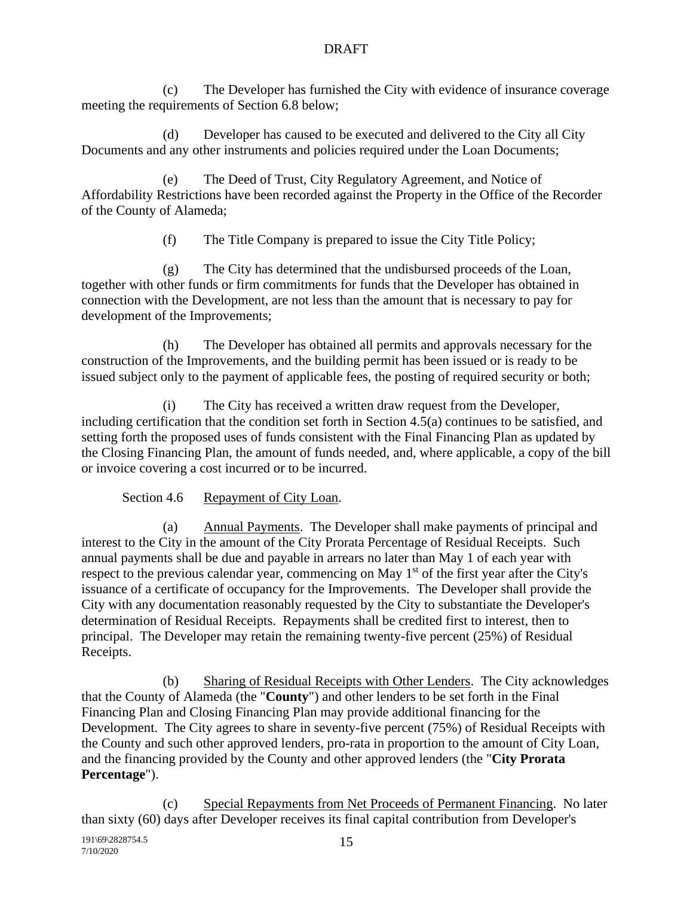(c) The Developer has furnished the City with evidence of insurance coverage meeting the requirements of Section 6.8 below;

(d) Developer has caused to be executed and delivered to the City all City Documents and any other instruments and policies required under the Loan Documents;

(e) The Deed of Trust, City Regulatory Agreement, and Notice of Affordability Restrictions have been recorded against the Property in the Office of the Recorder of the County of Alameda;

(f) The Title Company is prepared to issue the City Title Policy;

(g) The City has determined that the undisbursed proceeds of the Loan, together with other funds or firm commitments for funds that the Developer has obtained in connection with the Development, are not less than the amount that is necessary to pay for development of the Improvements;

(h) The Developer has obtained all permits and approvals necessary for the construction of the Improvements, and the building permit has been issued or is ready to be issued subject only to the payment of applicable fees, the posting of required security or both;

(i) The City has received a written draw request from the Developer, including certification that the condition set forth in Section 4.5(a) continues to be satisfied, and setting forth the proposed uses of funds consistent with the Final Financing Plan as updated by the Closing Financing Plan, the amount of funds needed, and, where applicable, a copy of the bill or invoice covering a cost incurred or to be incurred.

Section 4.6 Repayment of City Loan.

(a) Annual Payments. The Developer shall make payments of principal and interest to the City in the amount of the City Prorata Percentage of Residual Receipts. Such annual payments shall be due and payable in arrears no later than May 1 of each year with respect to the previous calendar year, commencing on May 1<sup>st</sup> of the first year after the City's issuance of a certificate of occupancy for the Improvements. The Developer shall provide the City with any documentation reasonably requested by the City to substantiate the Developer's determination of Residual Receipts. Repayments shall be credited first to interest, then to principal. The Developer may retain the remaining twenty-five percent (25%) of Residual Receipts.

(b) Sharing of Residual Receipts with Other Lenders. The City acknowledges that the County of Alameda (the "**County**") and other lenders to be set forth in the Final Financing Plan and Closing Financing Plan may provide additional financing for the Development. The City agrees to share in seventy-five percent (75%) of Residual Receipts with the County and such other approved lenders, pro-rata in proportion to the amount of City Loan, and the financing provided by the County and other approved lenders (the "**City Prorata Percentage**").

(c) Special Repayments from Net Proceeds of Permanent Financing. No later than sixty (60) days after Developer receives its final capital contribution from Developer's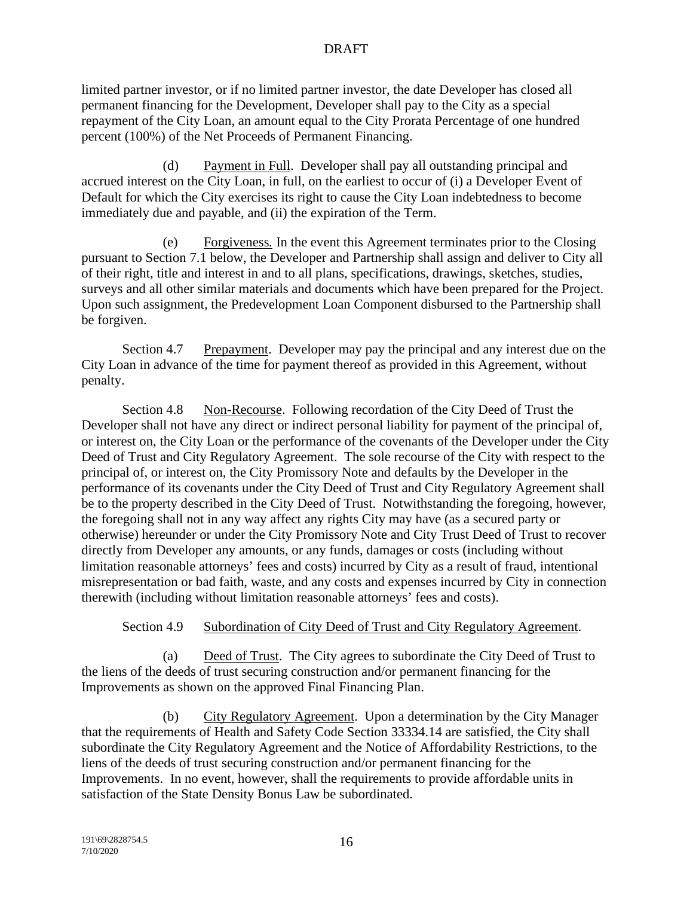limited partner investor, or if no limited partner investor, the date Developer has closed all permanent financing for the Development, Developer shall pay to the City as a special repayment of the City Loan, an amount equal to the City Prorata Percentage of one hundred percent (100%) of the Net Proceeds of Permanent Financing.

(d) Payment in Full. Developer shall pay all outstanding principal and accrued interest on the City Loan, in full, on the earliest to occur of (i) a Developer Event of Default for which the City exercises its right to cause the City Loan indebtedness to become immediately due and payable, and (ii) the expiration of the Term.

(e) Forgiveness*.* In the event this Agreement terminates prior to the Closing pursuant to Section 7.1 below, the Developer and Partnership shall assign and deliver to City all of their right, title and interest in and to all plans, specifications, drawings, sketches, studies, surveys and all other similar materials and documents which have been prepared for the Project. Upon such assignment, the Predevelopment Loan Component disbursed to the Partnership shall be forgiven.

Section 4.7 Prepayment. Developer may pay the principal and any interest due on the City Loan in advance of the time for payment thereof as provided in this Agreement, without penalty.

Section 4.8 Non-Recourse. Following recordation of the City Deed of Trust the Developer shall not have any direct or indirect personal liability for payment of the principal of, or interest on, the City Loan or the performance of the covenants of the Developer under the City Deed of Trust and City Regulatory Agreement. The sole recourse of the City with respect to the principal of, or interest on, the City Promissory Note and defaults by the Developer in the performance of its covenants under the City Deed of Trust and City Regulatory Agreement shall be to the property described in the City Deed of Trust. Notwithstanding the foregoing, however, the foregoing shall not in any way affect any rights City may have (as a secured party or otherwise) hereunder or under the City Promissory Note and City Trust Deed of Trust to recover directly from Developer any amounts, or any funds, damages or costs (including without limitation reasonable attorneys' fees and costs) incurred by City as a result of fraud, intentional misrepresentation or bad faith, waste, and any costs and expenses incurred by City in connection therewith (including without limitation reasonable attorneys' fees and costs).

# Section 4.9 Subordination of City Deed of Trust and City Regulatory Agreement.

(a) Deed of Trust. The City agrees to subordinate the City Deed of Trust to the liens of the deeds of trust securing construction and/or permanent financing for the Improvements as shown on the approved Final Financing Plan.

(b) City Regulatory Agreement. Upon a determination by the City Manager that the requirements of Health and Safety Code Section 33334.14 are satisfied, the City shall subordinate the City Regulatory Agreement and the Notice of Affordability Restrictions, to the liens of the deeds of trust securing construction and/or permanent financing for the Improvements. In no event, however, shall the requirements to provide affordable units in satisfaction of the State Density Bonus Law be subordinated.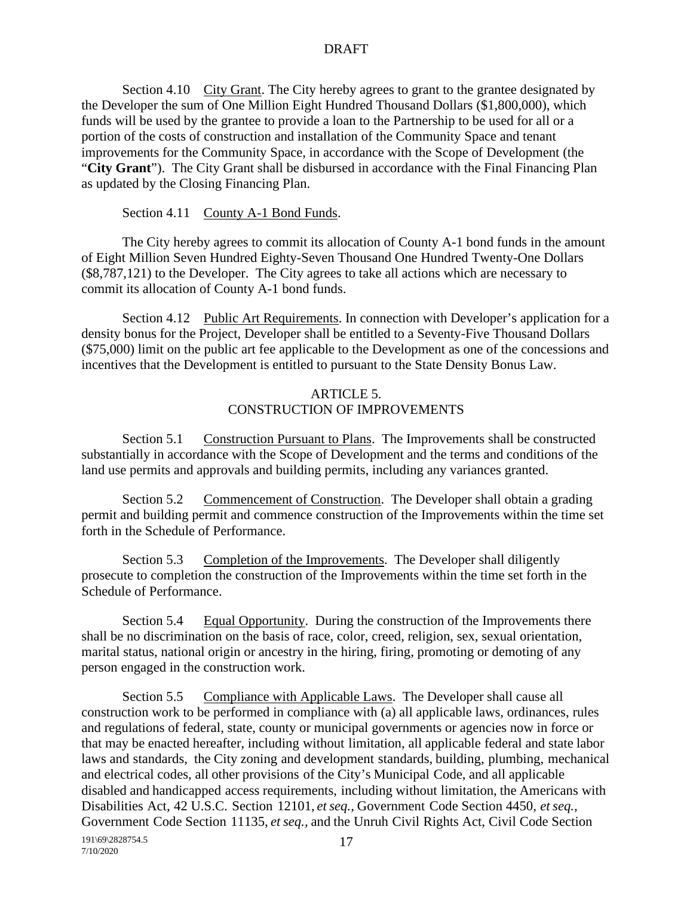Section 4.10 City Grant. The City hereby agrees to grant to the grantee designated by the Developer the sum of One Million Eight Hundred Thousand Dollars (\$1,800,000), which funds will be used by the grantee to provide a loan to the Partnership to be used for all or a portion of the costs of construction and installation of the Community Space and tenant improvements for the Community Space, in accordance with the Scope of Development (the "**City Grant**"). The City Grant shall be disbursed in accordance with the Final Financing Plan as updated by the Closing Financing Plan.

Section 4.11 County A-1 Bond Funds.

The City hereby agrees to commit its allocation of County A-1 bond funds in the amount of Eight Million Seven Hundred Eighty-Seven Thousand One Hundred Twenty-One Dollars (\$8,787,121) to the Developer. The City agrees to take all actions which are necessary to commit its allocation of County A-1 bond funds.

Section 4.12 Public Art Requirements. In connection with Developer's application for a density bonus for the Project, Developer shall be entitled to a Seventy-Five Thousand Dollars (\$75,000) limit on the public art fee applicable to the Development as one of the concessions and incentives that the Development is entitled to pursuant to the State Density Bonus Law.

# ARTICLE 5. CONSTRUCTION OF IMPROVEMENTS

Section 5.1 Construction Pursuant to Plans. The Improvements shall be constructed substantially in accordance with the Scope of Development and the terms and conditions of the land use permits and approvals and building permits, including any variances granted.

Section 5.2 Commencement of Construction. The Developer shall obtain a grading permit and building permit and commence construction of the Improvements within the time set forth in the Schedule of Performance.

Section 5.3 Completion of the Improvements. The Developer shall diligently prosecute to completion the construction of the Improvements within the time set forth in the Schedule of Performance.

Section 5.4 Equal Opportunity. During the construction of the Improvements there shall be no discrimination on the basis of race, color, creed, religion, sex, sexual orientation, marital status, national origin or ancestry in the hiring, firing, promoting or demoting of any person engaged in the construction work.

Section 5.5 Compliance with Applicable Laws. The Developer shall cause all construction work to be performed in compliance with (a) all applicable laws, ordinances, rules and regulations of federal, state, county or municipal governments or agencies now in force or that may be enacted hereafter, including without limitation, all applicable federal and state labor laws and standards, the City zoning and development standards, building, plumbing, mechanical and electrical codes, all other provisions of the City's Municipal Code, and all applicable disabled and handicapped access requirements, including without limitation, the Americans with Disabilities Act, 42 U.S.C. Section 12101, *etseq.,* Government Code Section 4450, *et seq.,* Government Code Section 11135, *et seq.,* and the Unruh Civil Rights Act, Civil Code Section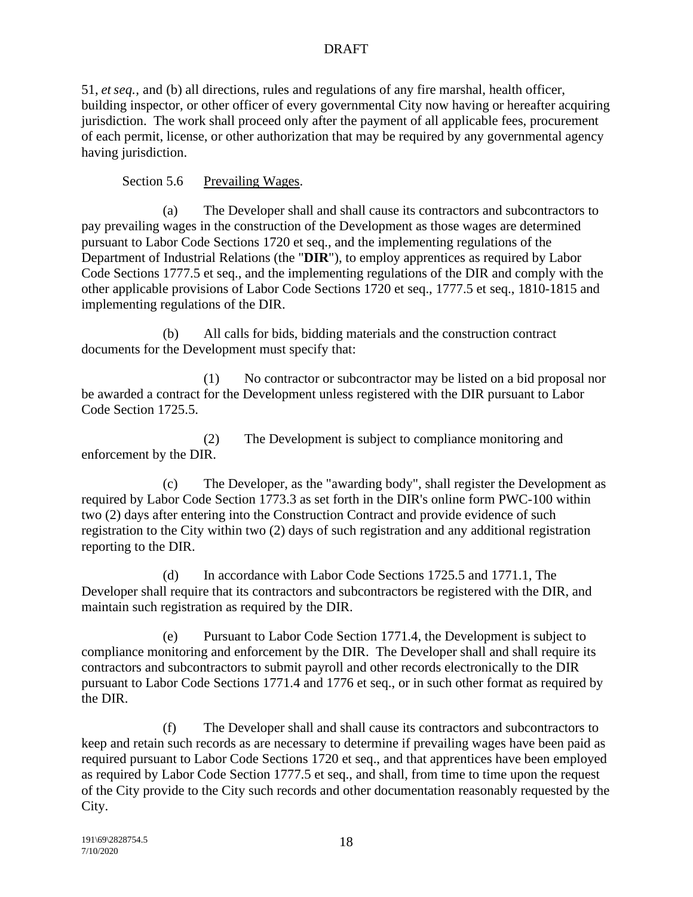51, *et seq.,* and (b) all directions, rules and regulations of any fire marshal, health officer, building inspector, or other officer of every governmental City now having or hereafter acquiring jurisdiction. The work shall proceed only after the payment of all applicable fees, procurement of each permit, license, or other authorization that may be required by any governmental agency having jurisdiction.

Section 5.6 Prevailing Wages.

(a) The Developer shall and shall cause its contractors and subcontractors to pay prevailing wages in the construction of the Development as those wages are determined pursuant to Labor Code Sections 1720 et seq., and the implementing regulations of the Department of Industrial Relations (the "**DIR**"), to employ apprentices as required by Labor Code Sections 1777.5 et seq., and the implementing regulations of the DIR and comply with the other applicable provisions of Labor Code Sections 1720 et seq., 1777.5 et seq., 1810-1815 and implementing regulations of the DIR.

(b) All calls for bids, bidding materials and the construction contract documents for the Development must specify that:

(1) No contractor or subcontractor may be listed on a bid proposal nor be awarded a contract for the Development unless registered with the DIR pursuant to Labor Code Section 1725.5.

(2) The Development is subject to compliance monitoring and enforcement by the DIR.

(c) The Developer, as the "awarding body", shall register the Development as required by Labor Code Section 1773.3 as set forth in the DIR's online form PWC-100 within two (2) days after entering into the Construction Contract and provide evidence of such registration to the City within two (2) days of such registration and any additional registration reporting to the DIR.

(d) In accordance with Labor Code Sections 1725.5 and 1771.1, The Developer shall require that its contractors and subcontractors be registered with the DIR, and maintain such registration as required by the DIR.

(e) Pursuant to Labor Code Section 1771.4, the Development is subject to compliance monitoring and enforcement by the DIR. The Developer shall and shall require its contractors and subcontractors to submit payroll and other records electronically to the DIR pursuant to Labor Code Sections 1771.4 and 1776 et seq., or in such other format as required by the DIR.

(f) The Developer shall and shall cause its contractors and subcontractors to keep and retain such records as are necessary to determine if prevailing wages have been paid as required pursuant to Labor Code Sections 1720 et seq., and that apprentices have been employed as required by Labor Code Section 1777.5 et seq., and shall, from time to time upon the request of the City provide to the City such records and other documentation reasonably requested by the City.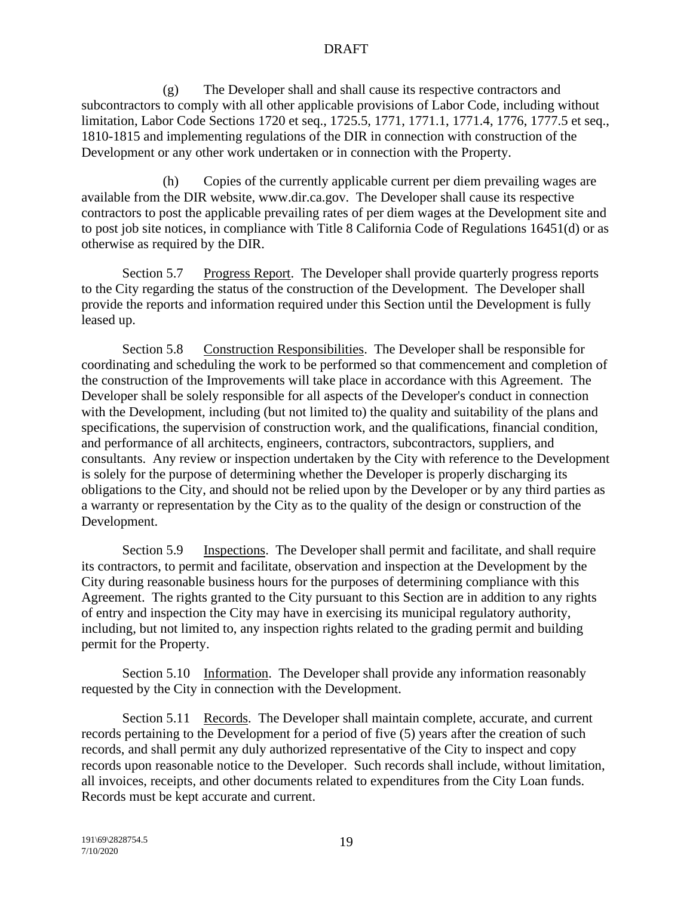(g) The Developer shall and shall cause its respective contractors and subcontractors to comply with all other applicable provisions of Labor Code, including without limitation, Labor Code Sections 1720 et seq., 1725.5, 1771, 1771.1, 1771.4, 1776, 1777.5 et seq., 1810-1815 and implementing regulations of the DIR in connection with construction of the Development or any other work undertaken or in connection with the Property.

(h) Copies of the currently applicable current per diem prevailing wages are available from the DIR website, www.dir.ca.gov. The Developer shall cause its respective contractors to post the applicable prevailing rates of per diem wages at the Development site and to post job site notices, in compliance with Title 8 California Code of Regulations 16451(d) or as otherwise as required by the DIR.

Section 5.7 Progress Report. The Developer shall provide quarterly progress reports to the City regarding the status of the construction of the Development. The Developer shall provide the reports and information required under this Section until the Development is fully leased up.

Section 5.8 Construction Responsibilities. The Developer shall be responsible for coordinating and scheduling the work to be performed so that commencement and completion of the construction of the Improvements will take place in accordance with this Agreement. The Developer shall be solely responsible for all aspects of the Developer's conduct in connection with the Development, including (but not limited to) the quality and suitability of the plans and specifications, the supervision of construction work, and the qualifications, financial condition, and performance of all architects, engineers, contractors, subcontractors, suppliers, and consultants. Any review or inspection undertaken by the City with reference to the Development is solely for the purpose of determining whether the Developer is properly discharging its obligations to the City, and should not be relied upon by the Developer or by any third parties as a warranty or representation by the City as to the quality of the design or construction of the Development.

Section 5.9 Inspections. The Developer shall permit and facilitate, and shall require its contractors, to permit and facilitate, observation and inspection at the Development by the City during reasonable business hours for the purposes of determining compliance with this Agreement. The rights granted to the City pursuant to this Section are in addition to any rights of entry and inspection the City may have in exercising its municipal regulatory authority, including, but not limited to, any inspection rights related to the grading permit and building permit for the Property.

Section 5.10 Information. The Developer shall provide any information reasonably requested by the City in connection with the Development.

Section 5.11 Records. The Developer shall maintain complete, accurate, and current records pertaining to the Development for a period of five (5) years after the creation of such records, and shall permit any duly authorized representative of the City to inspect and copy records upon reasonable notice to the Developer. Such records shall include, without limitation, all invoices, receipts, and other documents related to expenditures from the City Loan funds. Records must be kept accurate and current.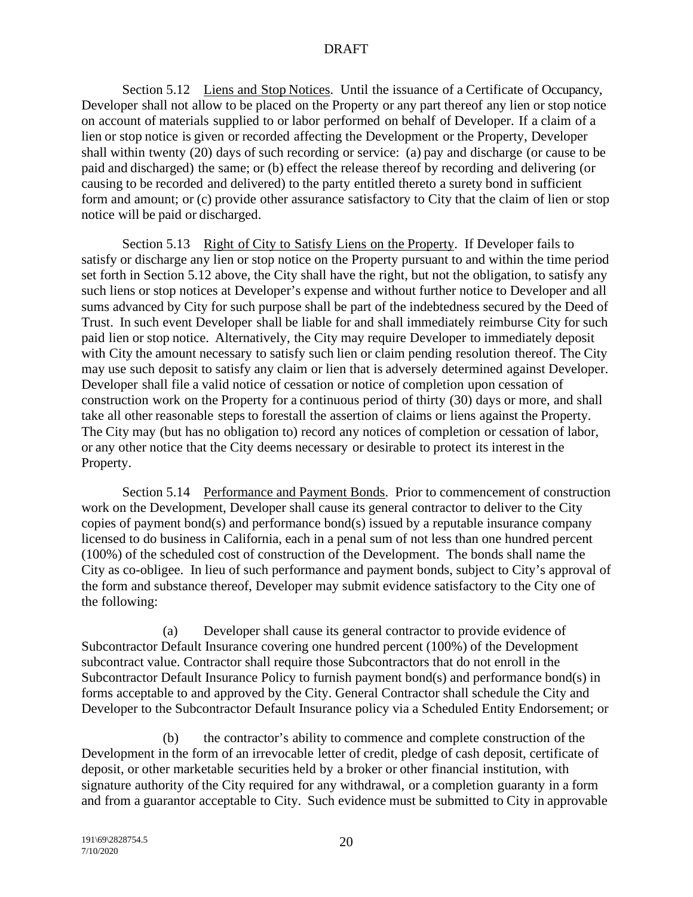Section 5.12 Liens and Stop Notices. Until the issuance of a Certificate of Occupancy, Developer shall not allow to be placed on the Property or any part thereof any lien or stop notice on account of materials supplied to or labor performed on behalf of Developer. If a claim of a lien or stop notice is given or recorded affecting the Development or the Property, Developer shall within twenty (20) days of such recording or service: (a) pay and discharge (or cause to be paid and discharged) the same; or (b) effect the release thereof by recording and delivering (or causing to be recorded and delivered) to the party entitled thereto a surety bond in sufficient form and amount; or (c) provide other assurance satisfactory to City that the claim of lien or stop notice will be paid or discharged.

Section 5.13 Right of City to Satisfy Liens on the Property. If Developer fails to satisfy or discharge any lien or stop notice on the Property pursuant to and within the time period set forth in Section 5.12 above, the City shall have the right, but not the obligation, to satisfy any such liens or stop notices at Developer's expense and without further notice to Developer and all sums advanced by City for such purpose shall be part of the indebtedness secured by the Deed of Trust. In such event Developer shall be liable for and shall immediately reimburse City for such paid lien or stop notice. Alternatively, the City may require Developer to immediately deposit with City the amount necessary to satisfy such lien or claim pending resolution thereof. The City may use such deposit to satisfy any claim or lien that is adversely determined against Developer. Developer shall file a valid notice of cessation or notice of completion upon cessation of construction work on the Property for a continuous period of thirty (30) days or more, and shall take all other reasonable steps to forestall the assertion of claims or liens against the Property. The City may (but has no obligation to) record any notices of completion or cessation of labor, or any other notice that the City deems necessary or desirable to protect its interest in the Property.

Section 5.14 Performance and Payment Bonds. Prior to commencement of construction work on the Development, Developer shall cause its general contractor to deliver to the City copies of payment bond(s) and performance bond(s) issued by a reputable insurance company licensed to do business in California, each in a penal sum of not less than one hundred percent (100%) of the scheduled cost of construction of the Development. The bonds shall name the City as co-obligee. In lieu of such performance and payment bonds, subject to City's approval of the form and substance thereof, Developer may submit evidence satisfactory to the City one of the following:

(a) Developer shall cause its general contractor to provide evidence of Subcontractor Default Insurance covering one hundred percent (100%) of the Development subcontract value. Contractor shall require those Subcontractors that do not enroll in the Subcontractor Default Insurance Policy to furnish payment bond(s) and performance bond(s) in forms acceptable to and approved by the City. General Contractor shall schedule the City and Developer to the Subcontractor Default Insurance policy via a Scheduled Entity Endorsement; or

(b) the contractor's ability to commence and complete construction of the Development in the form of an irrevocable letter of credit, pledge of cash deposit, certificate of deposit, or other marketable securities held by a broker or other financial institution, with signature authority of the City required for any withdrawal, or a completion guaranty in a form and from a guarantor acceptable to City. Such evidence must be submitted to City in approvable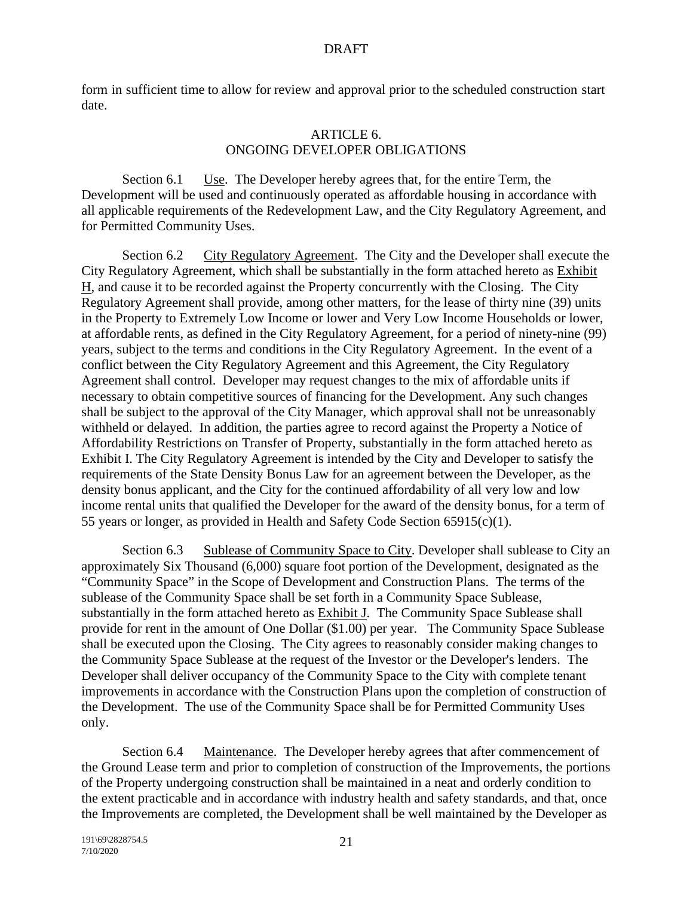form in sufficient time to allow for review and approval prior to the scheduled construction start date.

#### ARTICLE 6. ONGOING DEVELOPER OBLIGATIONS

Section 6.1 Use. The Developer hereby agrees that, for the entire Term, the Development will be used and continuously operated as affordable housing in accordance with all applicable requirements of the Redevelopment Law, and the City Regulatory Agreement, and for Permitted Community Uses.

Section 6.2 City Regulatory Agreement. The City and the Developer shall execute the City Regulatory Agreement, which shall be substantially in the form attached hereto as Exhibit H, and cause it to be recorded against the Property concurrently with the Closing. The City Regulatory Agreement shall provide, among other matters, for the lease of thirty nine (39) units in the Property to Extremely Low Income or lower and Very Low Income Households or lower, at affordable rents, as defined in the City Regulatory Agreement, for a period of ninety-nine (99) years, subject to the terms and conditions in the City Regulatory Agreement. In the event of a conflict between the City Regulatory Agreement and this Agreement, the City Regulatory Agreement shall control. Developer may request changes to the mix of affordable units if necessary to obtain competitive sources of financing for the Development. Any such changes shall be subject to the approval of the City Manager, which approval shall not be unreasonably withheld or delayed. In addition, the parties agree to record against the Property a Notice of Affordability Restrictions on Transfer of Property, substantially in the form attached hereto as Exhibit I. The City Regulatory Agreement is intended by the City and Developer to satisfy the requirements of the State Density Bonus Law for an agreement between the Developer, as the density bonus applicant, and the City for the continued affordability of all very low and low income rental units that qualified the Developer for the award of the density bonus, for a term of 55 years or longer, as provided in Health and Safety Code Section 65915(c)(1).

Section 6.3 Sublease of Community Space to City. Developer shall sublease to City an approximately Six Thousand (6,000) square foot portion of the Development, designated as the "Community Space" in the Scope of Development and Construction Plans. The terms of the sublease of the Community Space shall be set forth in a Community Space Sublease, substantially in the form attached hereto as Exhibit J. The Community Space Sublease shall provide for rent in the amount of One Dollar (\$1.00) per year. The Community Space Sublease shall be executed upon the Closing. The City agrees to reasonably consider making changes to the Community Space Sublease at the request of the Investor or the Developer's lenders. The Developer shall deliver occupancy of the Community Space to the City with complete tenant improvements in accordance with the Construction Plans upon the completion of construction of the Development. The use of the Community Space shall be for Permitted Community Uses only.

Section 6.4 Maintenance. The Developer hereby agrees that after commencement of the Ground Lease term and prior to completion of construction of the Improvements, the portions of the Property undergoing construction shall be maintained in a neat and orderly condition to the extent practicable and in accordance with industry health and safety standards, and that, once the Improvements are completed, the Development shall be well maintained by the Developer as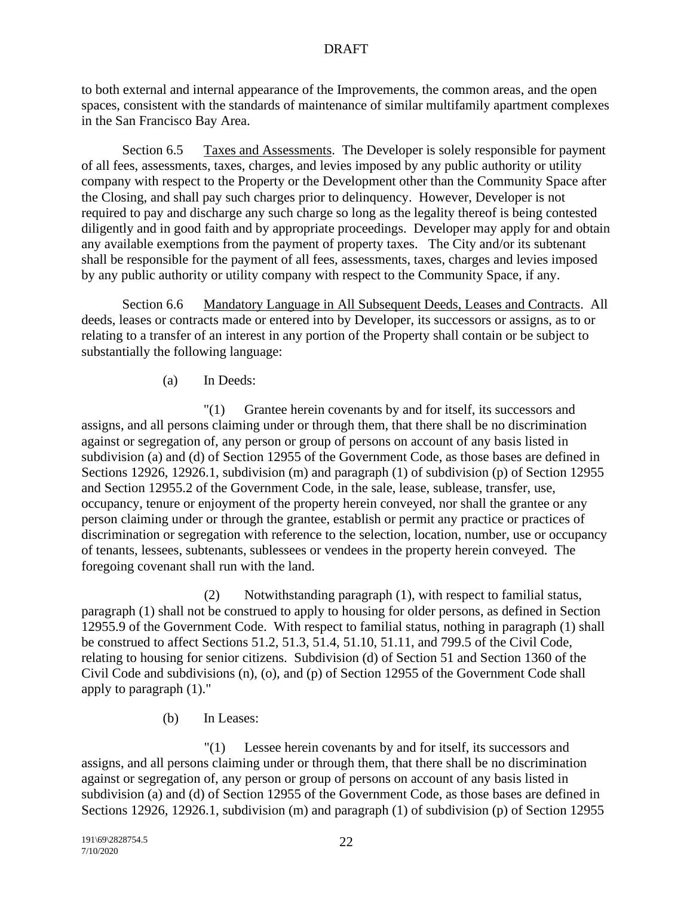to both external and internal appearance of the Improvements, the common areas, and the open spaces, consistent with the standards of maintenance of similar multifamily apartment complexes in the San Francisco Bay Area.

Section 6.5 Taxes and Assessments. The Developer is solely responsible for payment of all fees, assessments, taxes, charges, and levies imposed by any public authority or utility company with respect to the Property or the Development other than the Community Space after the Closing, and shall pay such charges prior to delinquency. However, Developer is not required to pay and discharge any such charge so long as the legality thereof is being contested diligently and in good faith and by appropriate proceedings. Developer may apply for and obtain any available exemptions from the payment of property taxes. The City and/or its subtenant shall be responsible for the payment of all fees, assessments, taxes, charges and levies imposed by any public authority or utility company with respect to the Community Space, if any.

Section 6.6 Mandatory Language in All Subsequent Deeds, Leases and Contracts. All deeds, leases or contracts made or entered into by Developer, its successors or assigns, as to or relating to a transfer of an interest in any portion of the Property shall contain or be subject to substantially the following language:

# (a) In Deeds:

"(1) Grantee herein covenants by and for itself, its successors and assigns, and all persons claiming under or through them, that there shall be no discrimination against or segregation of, any person or group of persons on account of any basis listed in subdivision (a) and (d) of Section 12955 of the Government Code, as those bases are defined in Sections 12926, 12926.1, subdivision (m) and paragraph (1) of subdivision (p) of Section 12955 and Section 12955.2 of the Government Code, in the sale, lease, sublease, transfer, use, occupancy, tenure or enjoyment of the property herein conveyed, nor shall the grantee or any person claiming under or through the grantee, establish or permit any practice or practices of discrimination or segregation with reference to the selection, location, number, use or occupancy of tenants, lessees, subtenants, sublessees or vendees in the property herein conveyed. The foregoing covenant shall run with the land.

(2) Notwithstanding paragraph (1), with respect to familial status, paragraph (1) shall not be construed to apply to housing for older persons, as defined in Section 12955.9 of the Government Code. With respect to familial status, nothing in paragraph (1) shall be construed to affect Sections 51.2, 51.3, 51.4, 51.10, 51.11, and 799.5 of the Civil Code, relating to housing for senior citizens. Subdivision (d) of Section 51 and Section 1360 of the Civil Code and subdivisions (n), (o), and (p) of Section 12955 of the Government Code shall apply to paragraph (1)."

(b) In Leases:

"(1) Lessee herein covenants by and for itself, its successors and assigns, and all persons claiming under or through them, that there shall be no discrimination against or segregation of, any person or group of persons on account of any basis listed in subdivision (a) and (d) of Section 12955 of the Government Code, as those bases are defined in Sections 12926, 12926.1, subdivision (m) and paragraph (1) of subdivision (p) of Section 12955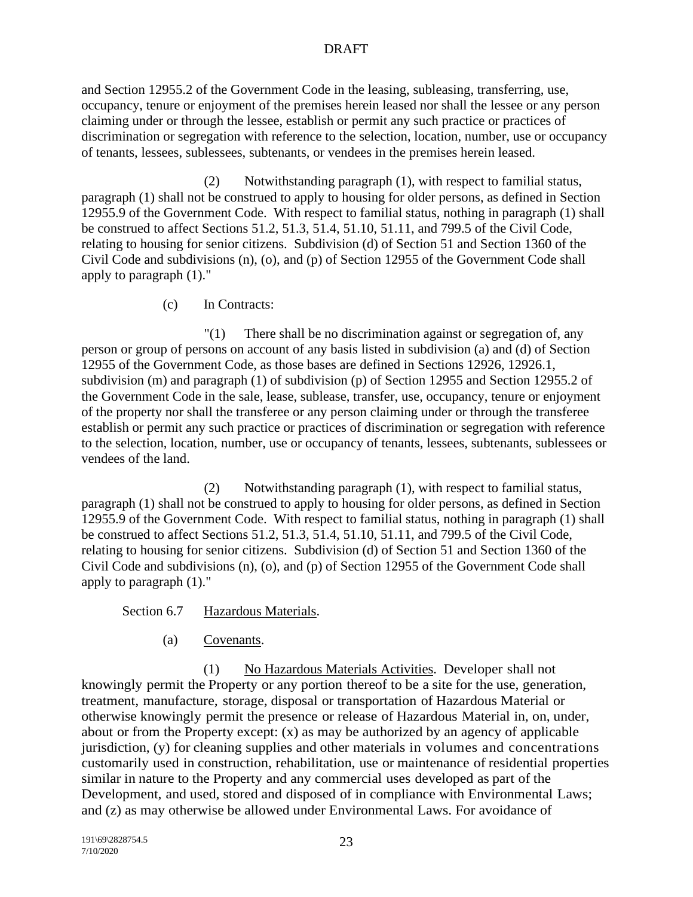and Section 12955.2 of the Government Code in the leasing, subleasing, transferring, use, occupancy, tenure or enjoyment of the premises herein leased nor shall the lessee or any person claiming under or through the lessee, establish or permit any such practice or practices of discrimination or segregation with reference to the selection, location, number, use or occupancy of tenants, lessees, sublessees, subtenants, or vendees in the premises herein leased.

(2) Notwithstanding paragraph (1), with respect to familial status, paragraph (1) shall not be construed to apply to housing for older persons, as defined in Section 12955.9 of the Government Code. With respect to familial status, nothing in paragraph (1) shall be construed to affect Sections 51.2, 51.3, 51.4, 51.10, 51.11, and 799.5 of the Civil Code, relating to housing for senior citizens. Subdivision (d) of Section 51 and Section 1360 of the Civil Code and subdivisions (n), (o), and (p) of Section 12955 of the Government Code shall apply to paragraph (1)."

(c) In Contracts:

"(1) There shall be no discrimination against or segregation of, any person or group of persons on account of any basis listed in subdivision (a) and (d) of Section 12955 of the Government Code, as those bases are defined in Sections 12926, 12926.1, subdivision (m) and paragraph (1) of subdivision (p) of Section 12955 and Section 12955.2 of the Government Code in the sale, lease, sublease, transfer, use, occupancy, tenure or enjoyment of the property nor shall the transferee or any person claiming under or through the transferee establish or permit any such practice or practices of discrimination or segregation with reference to the selection, location, number, use or occupancy of tenants, lessees, subtenants, sublessees or vendees of the land.

(2) Notwithstanding paragraph (1), with respect to familial status, paragraph (1) shall not be construed to apply to housing for older persons, as defined in Section 12955.9 of the Government Code. With respect to familial status, nothing in paragraph (1) shall be construed to affect Sections 51.2, 51.3, 51.4, 51.10, 51.11, and 799.5 of the Civil Code, relating to housing for senior citizens. Subdivision (d) of Section 51 and Section 1360 of the Civil Code and subdivisions (n), (o), and (p) of Section 12955 of the Government Code shall apply to paragraph (1)."

Section 6.7 Hazardous Materials.

(a) Covenants.

(1) No Hazardous Materials Activities. Developer shall not knowingly permit the Property or any portion thereof to be a site for the use, generation, treatment, manufacture, storage, disposal or transportation of Hazardous Material or otherwise knowingly permit the presence or release of Hazardous Material in, on, under, about or from the Property except: (x) as may be authorized by an agency of applicable jurisdiction, (y) for cleaning supplies and other materials in volumes and concentrations customarily used in construction, rehabilitation, use or maintenance of residential properties similar in nature to the Property and any commercial uses developed as part of the Development, and used, stored and disposed of in compliance with Environmental Laws; and (z) as may otherwise be allowed under Environmental Laws. For avoidance of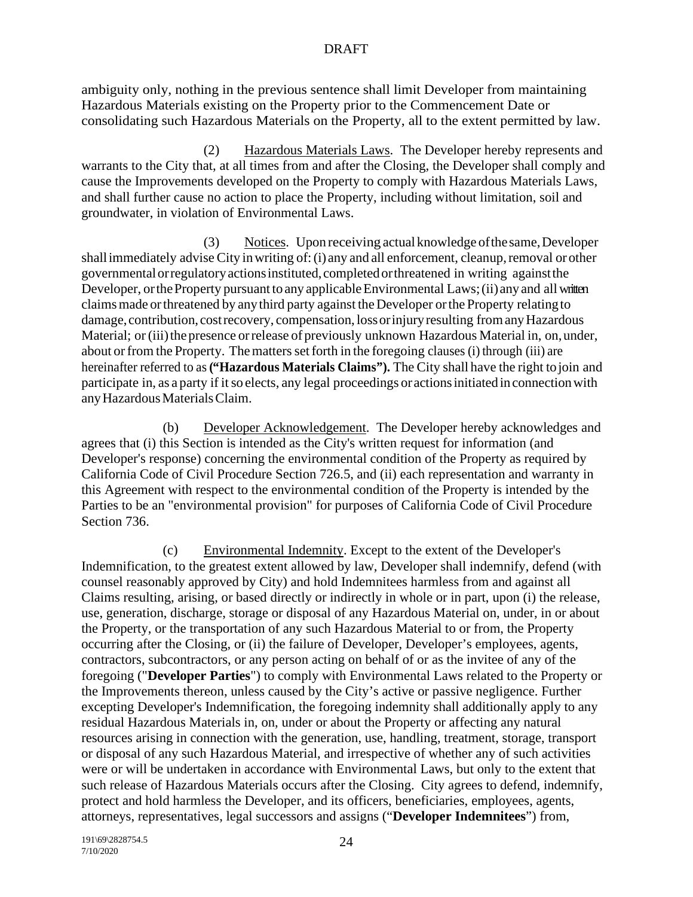ambiguity only, nothing in the previous sentence shall limit Developer from maintaining Hazardous Materials existing on the Property prior to the Commencement Date or consolidating such Hazardous Materials on the Property, all to the extent permitted by law.

(2) Hazardous Materials Laws. The Developer hereby represents and warrants to the City that, at all times from and after the Closing, the Developer shall comply and cause the Improvements developed on the Property to comply with Hazardous Materials Laws, and shall further cause no action to place the Property, including without limitation, soil and groundwater, in violation of Environmental Laws.

(3) Notices. Upon receiving actual knowledge ofthesame,Developer shall immediately advise City in writing of: (i) any and all enforcement, cleanup, removal or other governmentalorregulatoryactionsinstituted,completedorthreatened in writing againstthe Developer, or the Property pursuant to any applicable Environmental Laws; (ii) any and all written claimsmade orthreatened by anythird party against theDeveloper orthe Property relatingto damage, contribution, cost recovery, compensation, loss or injury resulting from any Hazardous Material; or (iii) the presence or release of previously unknown Hazardous Material in, on, under, about or from the Property. The matters set forth in the foregoing clauses (i) through (iii) are hereinafter referred to as **("Hazardous Materials Claims").** The City shall have the right tojoin and participate in, as a party if it so elects, any legal proceedings or actions initiated in connection with any Hazardous Materials Claim.

(b) Developer Acknowledgement. The Developer hereby acknowledges and agrees that (i) this Section is intended as the City's written request for information (and Developer's response) concerning the environmental condition of the Property as required by California Code of Civil Procedure Section 726.5, and (ii) each representation and warranty in this Agreement with respect to the environmental condition of the Property is intended by the Parties to be an "environmental provision" for purposes of California Code of Civil Procedure Section 736.

(c) Environmental Indemnity. Except to the extent of the Developer's Indemnification, to the greatest extent allowed by law, Developer shall indemnify, defend (with counsel reasonably approved by City) and hold Indemnitees harmless from and against all Claims resulting, arising, or based directly or indirectly in whole or in part, upon (i) the release, use, generation, discharge, storage or disposal of any Hazardous Material on, under, in or about the Property, or the transportation of any such Hazardous Material to or from, the Property occurring after the Closing, or (ii) the failure of Developer, Developer's employees, agents, contractors, subcontractors, or any person acting on behalf of or as the invitee of any of the foregoing ("**Developer Parties**") to comply with Environmental Laws related to the Property or the Improvements thereon, unless caused by the City's active or passive negligence. Further excepting Developer's Indemnification, the foregoing indemnity shall additionally apply to any residual Hazardous Materials in, on, under or about the Property or affecting any natural resources arising in connection with the generation, use, handling, treatment, storage, transport or disposal of any such Hazardous Material, and irrespective of whether any of such activities were or will be undertaken in accordance with Environmental Laws, but only to the extent that such release of Hazardous Materials occurs after the Closing. City agrees to defend, indemnify, protect and hold harmless the Developer, and its officers, beneficiaries, employees, agents, attorneys, representatives, legal successors and assigns ("**Developer Indemnitees**") from,

191\69\2828754.5 7/10/2020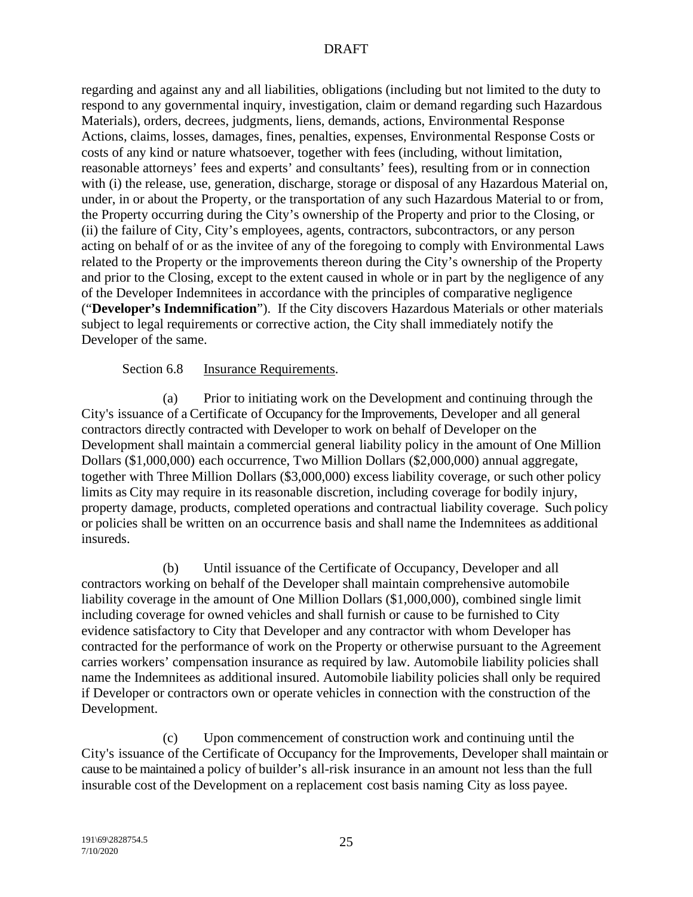regarding and against any and all liabilities, obligations (including but not limited to the duty to respond to any governmental inquiry, investigation, claim or demand regarding such Hazardous Materials), orders, decrees, judgments, liens, demands, actions, Environmental Response Actions, claims, losses, damages, fines, penalties, expenses, Environmental Response Costs or costs of any kind or nature whatsoever, together with fees (including, without limitation, reasonable attorneys' fees and experts' and consultants' fees), resulting from or in connection with (i) the release, use, generation, discharge, storage or disposal of any Hazardous Material on, under, in or about the Property, or the transportation of any such Hazardous Material to or from, the Property occurring during the City's ownership of the Property and prior to the Closing, or (ii) the failure of City, City's employees, agents, contractors, subcontractors, or any person acting on behalf of or as the invitee of any of the foregoing to comply with Environmental Laws related to the Property or the improvements thereon during the City's ownership of the Property and prior to the Closing, except to the extent caused in whole or in part by the negligence of any of the Developer Indemnitees in accordance with the principles of comparative negligence ("**Developer's Indemnification**"). If the City discovers Hazardous Materials or other materials subject to legal requirements or corrective action, the City shall immediately notify the Developer of the same.

#### Section 6.8 Insurance Requirements.

(a) Prior to initiating work on the Development and continuing through the City's issuance of a Certificate of Occupancy for the Improvements, Developer and all general contractors directly contracted with Developer to work on behalf of Developer on the Development shall maintain a commercial general liability policy in the amount of One Million Dollars (\$1,000,000) each occurrence, Two Million Dollars (\$2,000,000) annual aggregate, together with Three Million Dollars (\$3,000,000) excess liability coverage, or such other policy limits as City may require in its reasonable discretion, including coverage for bodily injury, property damage, products, completed operations and contractual liability coverage. Such policy or policies shall be written on an occurrence basis and shall name the Indemnitees as additional insureds.

(b) Until issuance of the Certificate of Occupancy, Developer and all contractors working on behalf of the Developer shall maintain comprehensive automobile liability coverage in the amount of One Million Dollars (\$1,000,000), combined single limit including coverage for owned vehicles and shall furnish or cause to be furnished to City evidence satisfactory to City that Developer and any contractor with whom Developer has contracted for the performance of work on the Property or otherwise pursuant to the Agreement carries workers' compensation insurance as required by law. Automobile liability policies shall name the Indemnitees as additional insured. Automobile liability policies shall only be required if Developer or contractors own or operate vehicles in connection with the construction of the Development.

(c) Upon commencement of construction work and continuing until the City's issuance of the Certificate of Occupancy for the Improvements, Developer shall maintain or cause to be maintained a policy of builder's all-risk insurance in an amount not less than the full insurable cost of the Development on a replacement cost basis naming City as loss payee.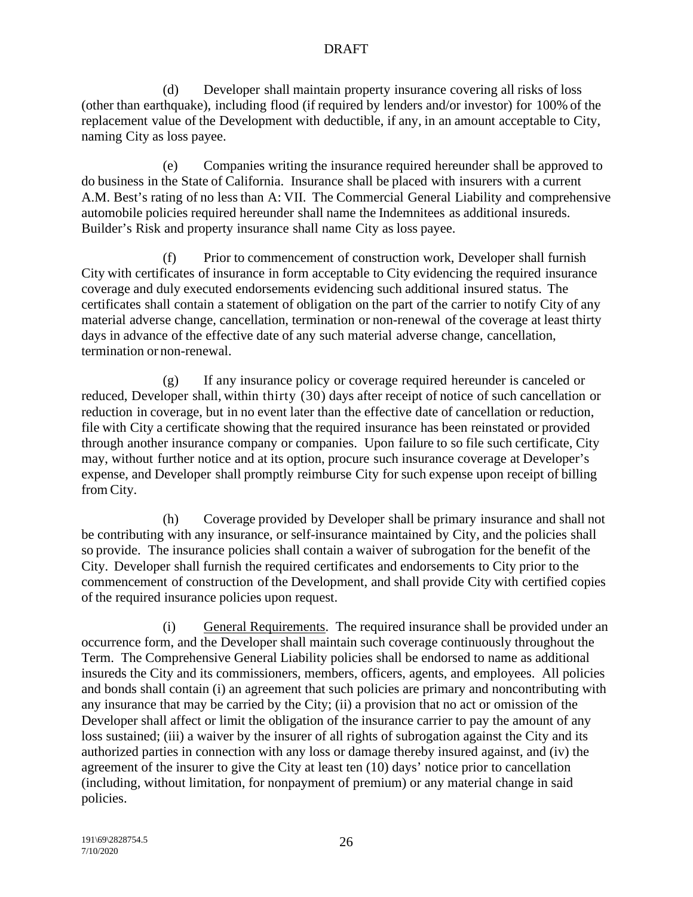(d) Developer shall maintain property insurance covering all risks of loss (other than earthquake), including flood (if required by lenders and/or investor) for 100% of the replacement value of the Development with deductible, if any, in an amount acceptable to City, naming City as loss payee.

(e) Companies writing the insurance required hereunder shall be approved to do business in the State of California. Insurance shall be placed with insurers with a current A.M. Best's rating of no less than A: VII. The Commercial General Liability and comprehensive automobile policies required hereunder shall name the Indemnitees as additional insureds. Builder's Risk and property insurance shall name City as loss payee.

(f) Prior to commencement of construction work, Developer shall furnish City with certificates of insurance in form acceptable to City evidencing the required insurance coverage and duly executed endorsements evidencing such additional insured status. The certificates shall contain a statement of obligation on the part of the carrier to notify City of any material adverse change, cancellation, termination or non-renewal of the coverage at least thirty days in advance of the effective date of any such material adverse change, cancellation, termination or non-renewal.

(g) If any insurance policy or coverage required hereunder is canceled or reduced, Developer shall, within thirty (30) days after receipt of notice of such cancellation or reduction in coverage, but in no event later than the effective date of cancellation or reduction, file with City a certificate showing that the required insurance has been reinstated or provided through another insurance company or companies. Upon failure to so file such certificate, City may, without further notice and at its option, procure such insurance coverage at Developer's expense, and Developer shall promptly reimburse City for such expense upon receipt of billing from City.

(h) Coverage provided by Developer shall be primary insurance and shall not be contributing with any insurance, or self-insurance maintained by City, and the policies shall so provide. The insurance policies shall contain a waiver of subrogation for the benefit of the City. Developer shall furnish the required certificates and endorsements to City prior to the commencement of construction of the Development, and shall provide City with certified copies of the required insurance policies upon request.

(i) General Requirements. The required insurance shall be provided under an occurrence form, and the Developer shall maintain such coverage continuously throughout the Term. The Comprehensive General Liability policies shall be endorsed to name as additional insureds the City and its commissioners, members, officers, agents, and employees. All policies and bonds shall contain (i) an agreement that such policies are primary and noncontributing with any insurance that may be carried by the City; (ii) a provision that no act or omission of the Developer shall affect or limit the obligation of the insurance carrier to pay the amount of any loss sustained; (iii) a waiver by the insurer of all rights of subrogation against the City and its authorized parties in connection with any loss or damage thereby insured against, and (iv) the agreement of the insurer to give the City at least ten (10) days' notice prior to cancellation (including, without limitation, for nonpayment of premium) or any material change in said policies.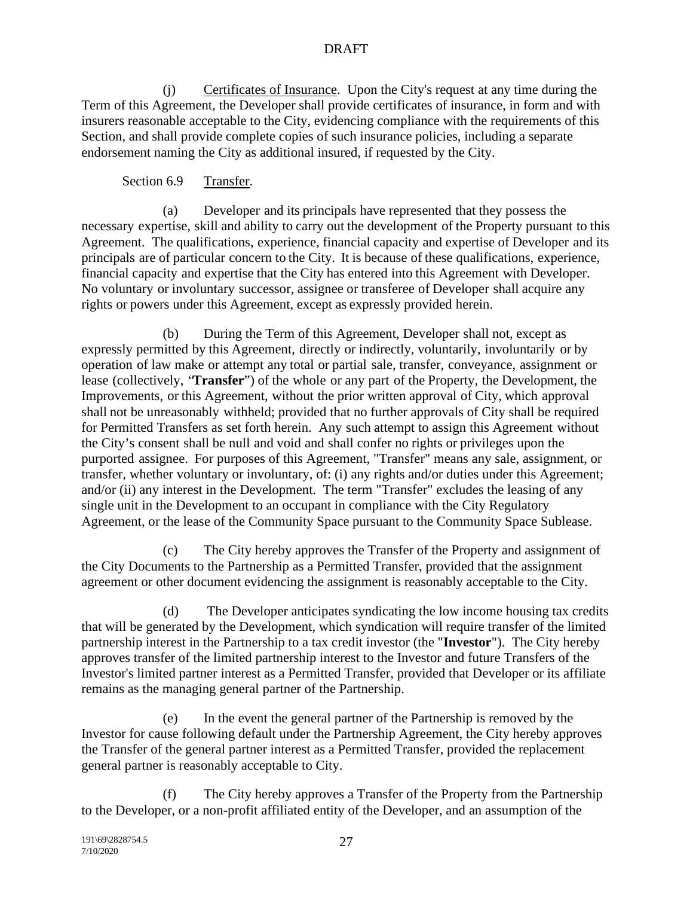(j) Certificates of Insurance. Upon the City's request at any time during the Term of this Agreement, the Developer shall provide certificates of insurance, in form and with insurers reasonable acceptable to the City, evidencing compliance with the requirements of this Section, and shall provide complete copies of such insurance policies, including a separate endorsement naming the City as additional insured, if requested by the City.

## Section 6.9 Transfer.

(a) Developer and its principals have represented that they possess the necessary expertise, skill and ability to carry out the development of the Property pursuant to this Agreement. The qualifications, experience, financial capacity and expertise of Developer and its principals are of particular concern to the City. It is because of these qualifications, experience, financial capacity and expertise that the City has entered into this Agreement with Developer. No voluntary or involuntary successor, assignee or transferee of Developer shall acquire any rights or powers under this Agreement, except as expressly provided herein.

(b) During the Term of this Agreement, Developer shall not, except as expressly permitted by this Agreement, directly or indirectly, voluntarily, involuntarily or by operation of law make or attempt any total or partial sale, transfer, conveyance, assignment or lease (collectively, "**Transfer**") of the whole or any part of the Property, the Development, the Improvements, or this Agreement, without the prior written approval of City, which approval shall not be unreasonably withheld; provided that no further approvals of City shall be required for Permitted Transfers as set forth herein. Any such attempt to assign this Agreement without the City's consent shall be null and void and shall confer no rights or privileges upon the purported assignee. For purposes of this Agreement, "Transfer" means any sale, assignment, or transfer, whether voluntary or involuntary, of: (i) any rights and/or duties under this Agreement; and/or (ii) any interest in the Development. The term "Transfer" excludes the leasing of any single unit in the Development to an occupant in compliance with the City Regulatory Agreement, or the lease of the Community Space pursuant to the Community Space Sublease.

(c) The City hereby approves the Transfer of the Property and assignment of the City Documents to the Partnership as a Permitted Transfer, provided that the assignment agreement or other document evidencing the assignment is reasonably acceptable to the City.

(d) The Developer anticipates syndicating the low income housing tax credits that will be generated by the Development, which syndication will require transfer of the limited partnership interest in the Partnership to a tax credit investor (the "**Investor**"). The City hereby approves transfer of the limited partnership interest to the Investor and future Transfers of the Investor's limited partner interest as a Permitted Transfer, provided that Developer or its affiliate remains as the managing general partner of the Partnership.

(e) In the event the general partner of the Partnership is removed by the Investor for cause following default under the Partnership Agreement, the City hereby approves the Transfer of the general partner interest as a Permitted Transfer, provided the replacement general partner is reasonably acceptable to City.

(f) The City hereby approves a Transfer of the Property from the Partnership to the Developer, or a non-profit affiliated entity of the Developer, and an assumption of the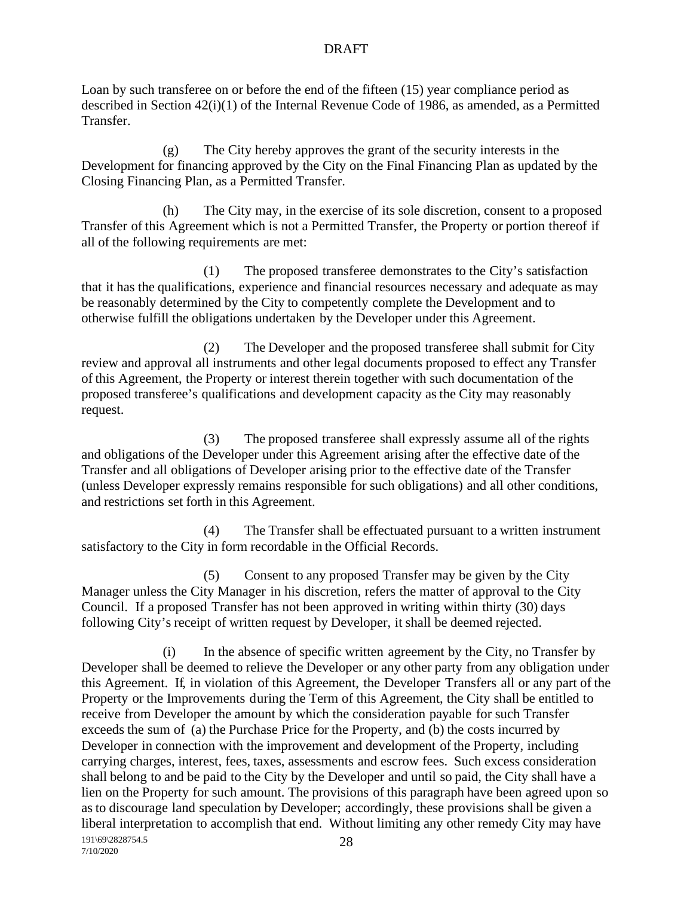Loan by such transferee on or before the end of the fifteen (15) year compliance period as described in Section 42(i)(1) of the Internal Revenue Code of 1986, as amended, as a Permitted Transfer.

(g) The City hereby approves the grant of the security interests in the Development for financing approved by the City on the Final Financing Plan as updated by the Closing Financing Plan, as a Permitted Transfer.

(h) The City may, in the exercise of its sole discretion, consent to a proposed Transfer of this Agreement which is not a Permitted Transfer, the Property or portion thereof if all of the following requirements are met:

(1) The proposed transferee demonstrates to the City's satisfaction that it has the qualifications, experience and financial resources necessary and adequate as may be reasonably determined by the City to competently complete the Development and to otherwise fulfill the obligations undertaken by the Developer under this Agreement.

(2) The Developer and the proposed transferee shall submit for City review and approval all instruments and other legal documents proposed to effect any Transfer of this Agreement, the Property or interest therein together with such documentation of the proposed transferee's qualifications and development capacity as the City may reasonably request.

(3) The proposed transferee shall expressly assume all of the rights and obligations of the Developer under this Agreement arising after the effective date of the Transfer and all obligations of Developer arising prior to the effective date of the Transfer (unless Developer expressly remains responsible for such obligations) and all other conditions, and restrictions set forth in this Agreement.

(4) The Transfer shall be effectuated pursuant to a written instrument satisfactory to the City in form recordable in the Official Records.

(5) Consent to any proposed Transfer may be given by the City Manager unless the City Manager in his discretion, refers the matter of approval to the City Council. If a proposed Transfer has not been approved in writing within thirty (30) days following City's receipt of written request by Developer, it shall be deemed rejected.

191\69\2828754.5 7/10/2020 28 (i) In the absence of specific written agreement by the City, no Transfer by Developer shall be deemed to relieve the Developer or any other party from any obligation under this Agreement. If, in violation of this Agreement, the Developer Transfers all or any part of the Property or the Improvements during the Term of this Agreement, the City shall be entitled to receive from Developer the amount by which the consideration payable for such Transfer exceeds the sum of (a) the Purchase Price for the Property, and (b) the costs incurred by Developer in connection with the improvement and development of the Property, including carrying charges, interest, fees, taxes, assessments and escrow fees. Such excess consideration shall belong to and be paid to the City by the Developer and until so paid, the City shall have a lien on the Property for such amount. The provisions of this paragraph have been agreed upon so as to discourage land speculation by Developer; accordingly, these provisions shall be given a liberal interpretation to accomplish that end. Without limiting any other remedy City may have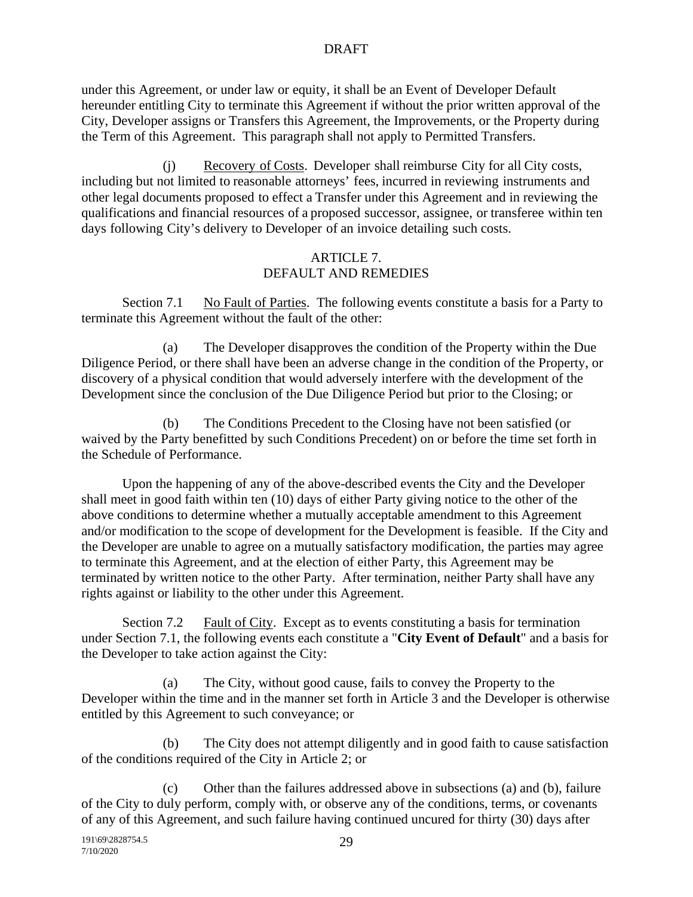under this Agreement, or under law or equity, it shall be an Event of Developer Default hereunder entitling City to terminate this Agreement if without the prior written approval of the City, Developer assigns or Transfers this Agreement, the Improvements, or the Property during the Term of this Agreement. This paragraph shall not apply to Permitted Transfers.

(j) Recovery of Costs. Developer shall reimburse City for all City costs, including but not limited to reasonable attorneys' fees, incurred in reviewing instruments and other legal documents proposed to effect a Transfer under this Agreement and in reviewing the qualifications and financial resources of a proposed successor, assignee, or transferee within ten days following City's delivery to Developer of an invoice detailing such costs.

## ARTICLE 7. DEFAULT AND REMEDIES

Section 7.1 No Fault of Parties. The following events constitute a basis for a Party to terminate this Agreement without the fault of the other:

(a) The Developer disapproves the condition of the Property within the Due Diligence Period, or there shall have been an adverse change in the condition of the Property, or discovery of a physical condition that would adversely interfere with the development of the Development since the conclusion of the Due Diligence Period but prior to the Closing; or

(b) The Conditions Precedent to the Closing have not been satisfied (or waived by the Party benefitted by such Conditions Precedent) on or before the time set forth in the Schedule of Performance.

Upon the happening of any of the above-described events the City and the Developer shall meet in good faith within ten (10) days of either Party giving notice to the other of the above conditions to determine whether a mutually acceptable amendment to this Agreement and/or modification to the scope of development for the Development is feasible. If the City and the Developer are unable to agree on a mutually satisfactory modification, the parties may agree to terminate this Agreement, and at the election of either Party, this Agreement may be terminated by written notice to the other Party. After termination, neither Party shall have any rights against or liability to the other under this Agreement.

Section 7.2 Fault of City. Except as to events constituting a basis for termination under Section 7.1, the following events each constitute a "**City Event of Default**" and a basis for the Developer to take action against the City:

(a) The City, without good cause, fails to convey the Property to the Developer within the time and in the manner set forth in Article 3 and the Developer is otherwise entitled by this Agreement to such conveyance; or

(b) The City does not attempt diligently and in good faith to cause satisfaction of the conditions required of the City in Article 2; or

(c) Other than the failures addressed above in subsections (a) and (b), failure of the City to duly perform, comply with, or observe any of the conditions, terms, or covenants of any of this Agreement, and such failure having continued uncured for thirty (30) days after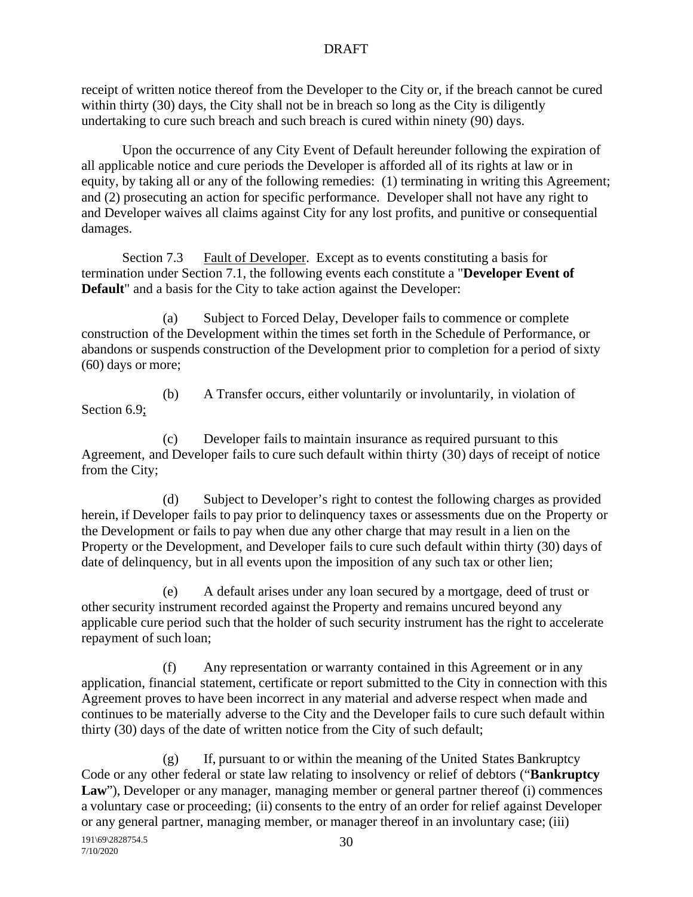receipt of written notice thereof from the Developer to the City or, if the breach cannot be cured within thirty (30) days, the City shall not be in breach so long as the City is diligently undertaking to cure such breach and such breach is cured within ninety (90) days.

Upon the occurrence of any City Event of Default hereunder following the expiration of all applicable notice and cure periods the Developer is afforded all of its rights at law or in equity, by taking all or any of the following remedies: (1) terminating in writing this Agreement; and (2) prosecuting an action for specific performance. Developer shall not have any right to and Developer waives all claims against City for any lost profits, and punitive or consequential damages.

Section 7.3 Fault of Developer. Except as to events constituting a basis for termination under Section 7.1, the following events each constitute a "**Developer Event of Default**" and a basis for the City to take action against the Developer:

(a) Subject to Forced Delay, Developer fails to commence or complete construction of the Development within the times set forth in the Schedule of Performance, or abandons or suspends construction of the Development prior to completion for a period of sixty (60) days or more;

Section 6.9;

(b) A Transfer occurs, either voluntarily or involuntarily, in violation of

(c) Developer fails to maintain insurance as required pursuant to this Agreement, and Developer fails to cure such default within thirty (30) days of receipt of notice from the City;

(d) Subject to Developer's right to contest the following charges as provided herein, if Developer fails to pay prior to delinquency taxes or assessments due on the Property or the Development or fails to pay when due any other charge that may result in a lien on the Property or the Development, and Developer fails to cure such default within thirty (30) days of date of delinquency, but in all events upon the imposition of any such tax or other lien;

(e) A default arises under any loan secured by a mortgage, deed of trust or other security instrument recorded against the Property and remains uncured beyond any applicable cure period such that the holder of such security instrument has the right to accelerate repayment of such loan;

(f) Any representation or warranty contained in this Agreement or in any application, financial statement, certificate or report submitted to the City in connection with this Agreement proves to have been incorrect in any material and adverse respect when made and continues to be materially adverse to the City and the Developer fails to cure such default within thirty (30) days of the date of written notice from the City of such default;

(g) If, pursuant to or within the meaning of the United States Bankruptcy Code or any other federal or state law relating to insolvency or relief of debtors ("**Bankruptcy** Law"), Developer or any manager, managing member or general partner thereof (i) commences a voluntary case or proceeding; (ii) consents to the entry of an order for relief against Developer or any general partner, managing member, or manager thereof in an involuntary case; (iii)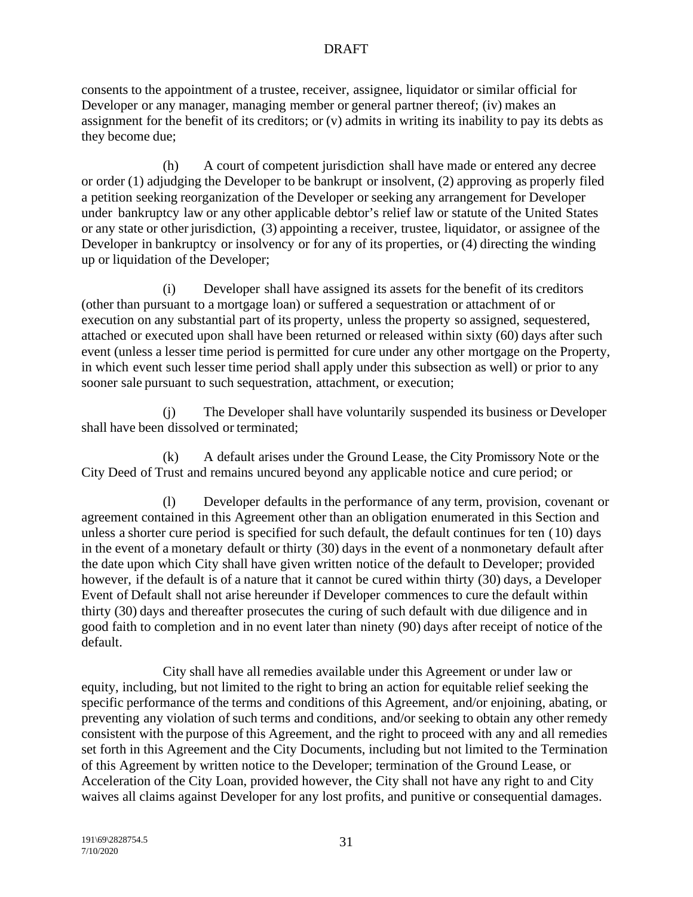consents to the appointment of a trustee, receiver, assignee, liquidator or similar official for Developer or any manager, managing member or general partner thereof; (iv) makes an assignment for the benefit of its creditors; or (v) admits in writing its inability to pay its debts as they become due;

(h) A court of competent jurisdiction shall have made or entered any decree or order (1) adjudging the Developer to be bankrupt or insolvent, (2) approving as properly filed a petition seeking reorganization of the Developer or seeking any arrangement for Developer under bankruptcy law or any other applicable debtor's relief law or statute of the United States or any state or other jurisdiction, (3) appointing a receiver, trustee, liquidator, or assignee of the Developer in bankruptcy or insolvency or for any of its properties, or (4) directing the winding up or liquidation of the Developer;

(i) Developer shall have assigned its assets for the benefit of its creditors (other than pursuant to a mortgage loan) or suffered a sequestration or attachment of or execution on any substantial part of its property, unless the property so assigned, sequestered, attached or executed upon shall have been returned or released within sixty (60) days after such event (unless a lesser time period is permitted for cure under any other mortgage on the Property, in which event such lesser time period shall apply under this subsection as well) or prior to any sooner sale pursuant to such sequestration, attachment, or execution;

(j) The Developer shall have voluntarily suspended its business or Developer shall have been dissolved or terminated;

(k) A default arises under the Ground Lease, the City Promissory Note or the City Deed of Trust and remains uncured beyond any applicable notice and cure period; or

(l) Developer defaults in the performance of any term, provision, covenant or agreement contained in this Agreement other than an obligation enumerated in this Section and unless a shorter cure period is specified for such default, the default continues for ten (10) days in the event of a monetary default or thirty (30) days in the event of a nonmonetary default after the date upon which City shall have given written notice of the default to Developer; provided however, if the default is of a nature that it cannot be cured within thirty (30) days, a Developer Event of Default shall not arise hereunder if Developer commences to cure the default within thirty (30) days and thereafter prosecutes the curing of such default with due diligence and in good faith to completion and in no event later than ninety (90) days after receipt of notice of the default.

City shall have all remedies available under this Agreement or under law or equity, including, but not limited to the right to bring an action for equitable relief seeking the specific performance of the terms and conditions of this Agreement, and/or enjoining, abating, or preventing any violation of such terms and conditions, and/or seeking to obtain any other remedy consistent with the purpose of this Agreement, and the right to proceed with any and all remedies set forth in this Agreement and the City Documents, including but not limited to the Termination of this Agreement by written notice to the Developer; termination of the Ground Lease, or Acceleration of the City Loan, provided however, the City shall not have any right to and City waives all claims against Developer for any lost profits, and punitive or consequential damages.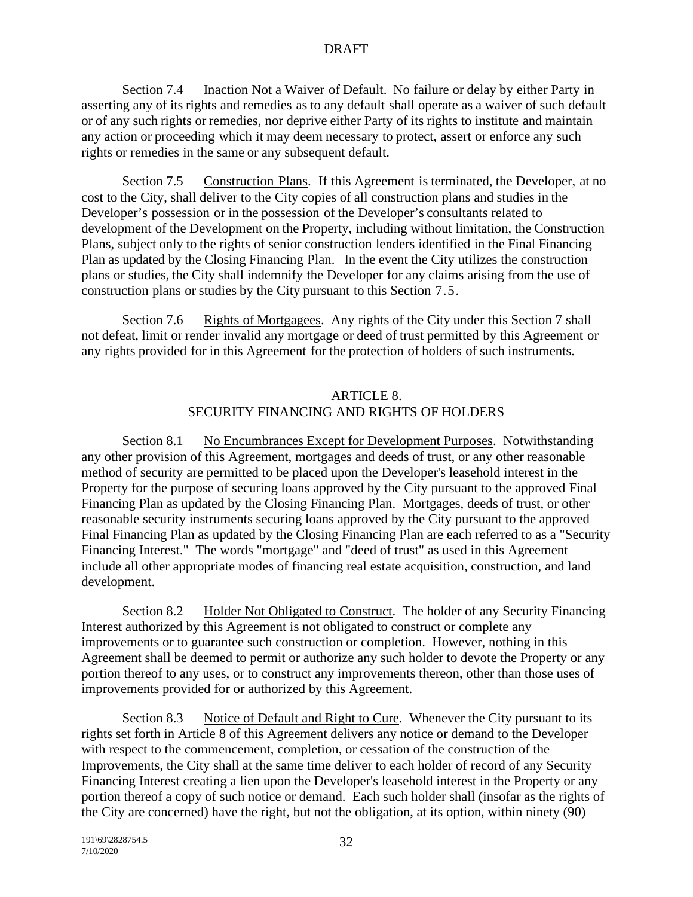Section 7.4 Inaction Not a Waiver of Default. No failure or delay by either Party in asserting any of its rights and remedies as to any default shall operate as a waiver of such default or of any such rights or remedies, nor deprive either Party of its rights to institute and maintain any action or proceeding which it may deem necessary to protect, assert or enforce any such rights or remedies in the same or any subsequent default.

Section 7.5 Construction Plans. If this Agreement is terminated, the Developer, at no cost to the City, shall deliver to the City copies of all construction plans and studies in the Developer's possession or in the possession of the Developer's consultants related to development of the Development on the Property, including without limitation, the Construction Plans, subject only to the rights of senior construction lenders identified in the Final Financing Plan as updated by the Closing Financing Plan. In the event the City utilizes the construction plans or studies, the City shall indemnify the Developer for any claims arising from the use of construction plans or studies by the City pursuant to this Section 7.5.

Section 7.6 Rights of Mortgagees. Any rights of the City under this Section 7 shall not defeat, limit or render invalid any mortgage or deed of trust permitted by this Agreement or any rights provided for in this Agreement for the protection of holders of such instruments.

# ARTICLE 8. SECURITY FINANCING AND RIGHTS OF HOLDERS

Section 8.1 No Encumbrances Except for Development Purposes. Notwithstanding any other provision of this Agreement, mortgages and deeds of trust, or any other reasonable method of security are permitted to be placed upon the Developer's leasehold interest in the Property for the purpose of securing loans approved by the City pursuant to the approved Final Financing Plan as updated by the Closing Financing Plan. Mortgages, deeds of trust, or other reasonable security instruments securing loans approved by the City pursuant to the approved Final Financing Plan as updated by the Closing Financing Plan are each referred to as a "Security Financing Interest." The words "mortgage" and "deed of trust" as used in this Agreement include all other appropriate modes of financing real estate acquisition, construction, and land development.

Section 8.2 Holder Not Obligated to Construct. The holder of any Security Financing Interest authorized by this Agreement is not obligated to construct or complete any improvements or to guarantee such construction or completion. However, nothing in this Agreement shall be deemed to permit or authorize any such holder to devote the Property or any portion thereof to any uses, or to construct any improvements thereon, other than those uses of improvements provided for or authorized by this Agreement.

Section 8.3 Notice of Default and Right to Cure. Whenever the City pursuant to its rights set forth in Article 8 of this Agreement delivers any notice or demand to the Developer with respect to the commencement, completion, or cessation of the construction of the Improvements, the City shall at the same time deliver to each holder of record of any Security Financing Interest creating a lien upon the Developer's leasehold interest in the Property or any portion thereof a copy of such notice or demand. Each such holder shall (insofar as the rights of the City are concerned) have the right, but not the obligation, at its option, within ninety (90)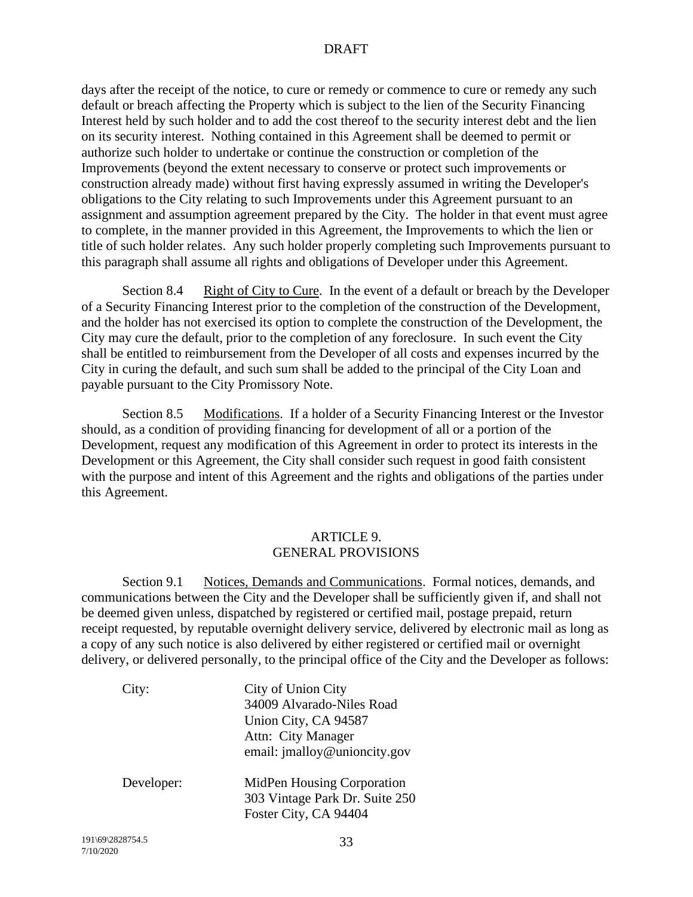days after the receipt of the notice, to cure or remedy or commence to cure or remedy any such default or breach affecting the Property which is subject to the lien of the Security Financing Interest held by such holder and to add the cost thereof to the security interest debt and the lien on its security interest. Nothing contained in this Agreement shall be deemed to permit or authorize such holder to undertake or continue the construction or completion of the Improvements (beyond the extent necessary to conserve or protect such improvements or construction already made) without first having expressly assumed in writing the Developer's obligations to the City relating to such Improvements under this Agreement pursuant to an assignment and assumption agreement prepared by the City. The holder in that event must agree to complete, in the manner provided in this Agreement, the Improvements to which the lien or title of such holder relates. Any such holder properly completing such Improvements pursuant to this paragraph shall assume all rights and obligations of Developer under this Agreement.

Section 8.4 Right of City to Cure. In the event of a default or breach by the Developer of a Security Financing Interest prior to the completion of the construction of the Development, and the holder has not exercised its option to complete the construction of the Development, the City may cure the default, prior to the completion of any foreclosure. In such event the City shall be entitled to reimbursement from the Developer of all costs and expenses incurred by the City in curing the default, and such sum shall be added to the principal of the City Loan and payable pursuant to the City Promissory Note.

Section 8.5 Modifications. If a holder of a Security Financing Interest or the Investor should, as a condition of providing financing for development of all or a portion of the Development, request any modification of this Agreement in order to protect its interests in the Development or this Agreement, the City shall consider such request in good faith consistent with the purpose and intent of this Agreement and the rights and obligations of the parties under this Agreement.

### ARTICLE 9. GENERAL PROVISIONS

Section 9.1 Notices, Demands and Communications. Formal notices, demands, and communications between the City and the Developer shall be sufficiently given if, and shall not be deemed given unless, dispatched by registered or certified mail, postage prepaid, return receipt requested, by reputable overnight delivery service, delivered by electronic mail as long as a copy of any such notice is also delivered by either registered or certified mail or overnight delivery, or delivered personally, to the principal office of the City and the Developer as follows:

| City:      | City of Union City             |
|------------|--------------------------------|
|            | 34009 Alvarado-Niles Road      |
|            | Union City, CA 94587           |
|            | Attn: City Manager             |
|            | email: jmalloy@unioncity.gov   |
| Developer: | MidPen Housing Corporation     |
|            | 303 Vintage Park Dr. Suite 250 |
|            | Foster City, CA 94404          |
|            |                                |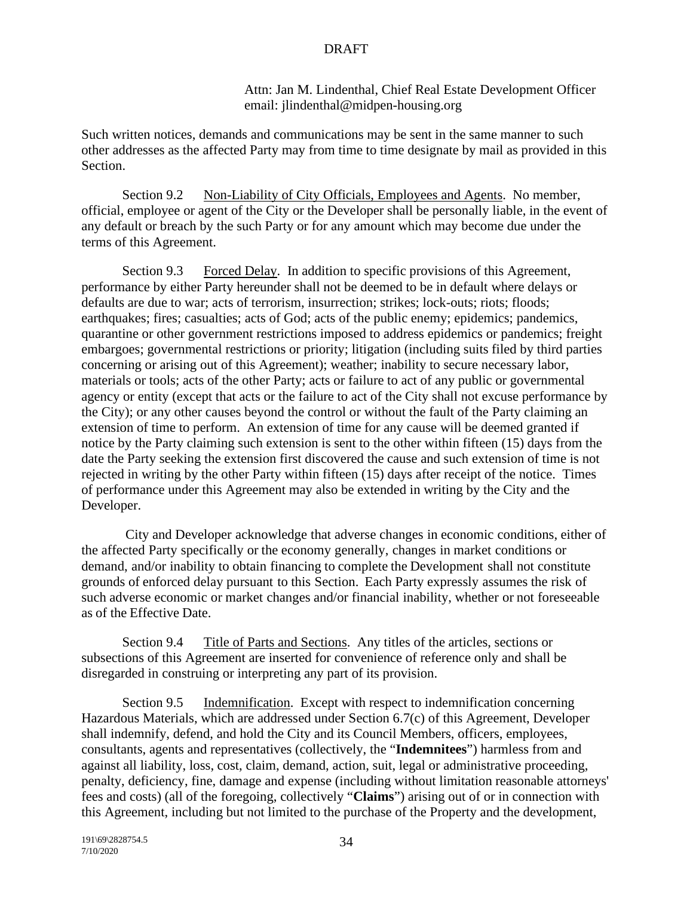Attn: Jan M. Lindenthal, Chief Real Estate Development Officer email: jlindenthal@midpen-housing.org

Such written notices, demands and communications may be sent in the same manner to such other addresses as the affected Party may from time to time designate by mail as provided in this Section.

Section 9.2 Non-Liability of City Officials, Employees and Agents. No member, official, employee or agent of the City or the Developer shall be personally liable, in the event of any default or breach by the such Party or for any amount which may become due under the terms of this Agreement.

Section 9.3 Forced Delay. In addition to specific provisions of this Agreement, performance by either Party hereunder shall not be deemed to be in default where delays or defaults are due to war; acts of terrorism, insurrection; strikes; lock-outs; riots; floods; earthquakes; fires; casualties; acts of God; acts of the public enemy; epidemics; pandemics, quarantine or other government restrictions imposed to address epidemics or pandemics; freight embargoes; governmental restrictions or priority; litigation (including suits filed by third parties concerning or arising out of this Agreement); weather; inability to secure necessary labor, materials or tools; acts of the other Party; acts or failure to act of any public or governmental agency or entity (except that acts or the failure to act of the City shall not excuse performance by the City); or any other causes beyond the control or without the fault of the Party claiming an extension of time to perform. An extension of time for any cause will be deemed granted if notice by the Party claiming such extension is sent to the other within fifteen (15) days from the date the Party seeking the extension first discovered the cause and such extension of time is not rejected in writing by the other Party within fifteen (15) days after receipt of the notice. Times of performance under this Agreement may also be extended in writing by the City and the Developer.

City and Developer acknowledge that adverse changes in economic conditions, either of the affected Party specifically or the economy generally, changes in market conditions or demand, and/or inability to obtain financing to complete the Development shall not constitute grounds of enforced delay pursuant to this Section. Each Party expressly assumes the risk of such adverse economic or market changes and/or financial inability, whether or not foreseeable as of the Effective Date.

Section 9.4 Title of Parts and Sections. Any titles of the articles, sections or subsections of this Agreement are inserted for convenience of reference only and shall be disregarded in construing or interpreting any part of its provision.

Section 9.5 Indemnification. Except with respect to indemnification concerning Hazardous Materials, which are addressed under Section 6.7(c) of this Agreement, Developer shall indemnify, defend, and hold the City and its Council Members, officers, employees, consultants, agents and representatives (collectively, the "**Indemnitees**") harmless from and against all liability, loss, cost, claim, demand, action, suit, legal or administrative proceeding, penalty, deficiency, fine, damage and expense (including without limitation reasonable attorneys' fees and costs) (all of the foregoing, collectively "**Claims**") arising out of or in connection with this Agreement, including but not limited to the purchase of the Property and the development,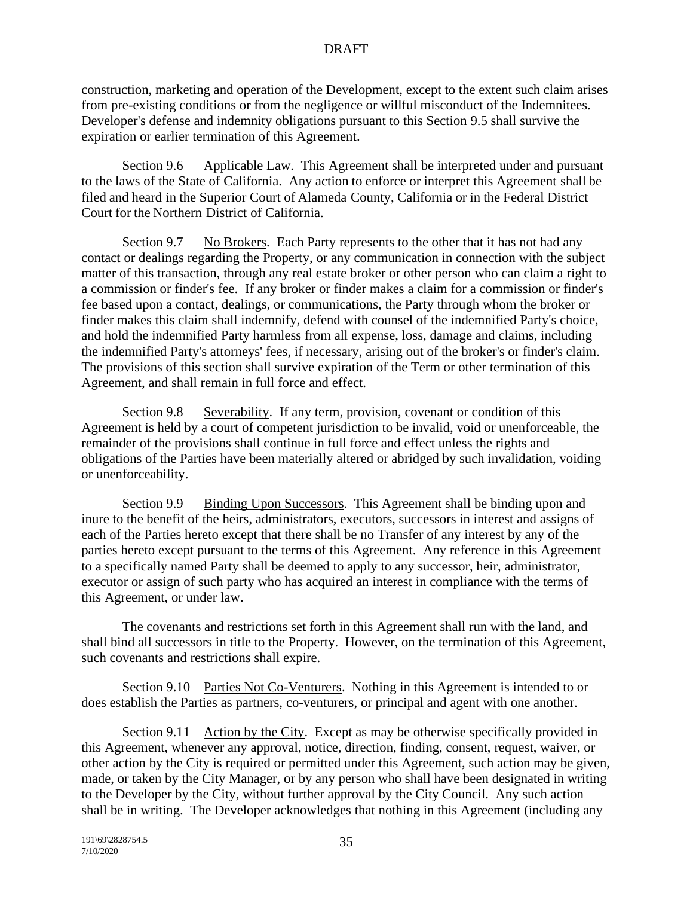construction, marketing and operation of the Development, except to the extent such claim arises from pre-existing conditions or from the negligence or willful misconduct of the Indemnitees. Developer's defense and indemnity obligations pursuant to this Section 9.5 shall survive the expiration or earlier termination of this Agreement.

Section 9.6 Applicable Law. This Agreement shall be interpreted under and pursuant to the laws of the State of California. Any action to enforce or interpret this Agreement shall be filed and heard in the Superior Court of Alameda County, California or in the Federal District Court for the Northern District of California.

Section 9.7 No Brokers. Each Party represents to the other that it has not had any contact or dealings regarding the Property, or any communication in connection with the subject matter of this transaction, through any real estate broker or other person who can claim a right to a commission or finder's fee. If any broker or finder makes a claim for a commission or finder's fee based upon a contact, dealings, or communications, the Party through whom the broker or finder makes this claim shall indemnify, defend with counsel of the indemnified Party's choice, and hold the indemnified Party harmless from all expense, loss, damage and claims, including the indemnified Party's attorneys' fees, if necessary, arising out of the broker's or finder's claim. The provisions of this section shall survive expiration of the Term or other termination of this Agreement, and shall remain in full force and effect.

Section 9.8 Severability. If any term, provision, covenant or condition of this Agreement is held by a court of competent jurisdiction to be invalid, void or unenforceable, the remainder of the provisions shall continue in full force and effect unless the rights and obligations of the Parties have been materially altered or abridged by such invalidation, voiding or unenforceability.

Section 9.9 Binding Upon Successors. This Agreement shall be binding upon and inure to the benefit of the heirs, administrators, executors, successors in interest and assigns of each of the Parties hereto except that there shall be no Transfer of any interest by any of the parties hereto except pursuant to the terms of this Agreement. Any reference in this Agreement to a specifically named Party shall be deemed to apply to any successor, heir, administrator, executor or assign of such party who has acquired an interest in compliance with the terms of this Agreement, or under law.

The covenants and restrictions set forth in this Agreement shall run with the land, and shall bind all successors in title to the Property. However, on the termination of this Agreement, such covenants and restrictions shall expire.

Section 9.10 Parties Not Co-Venturers. Nothing in this Agreement is intended to or does establish the Parties as partners, co-venturers, or principal and agent with one another.

Section 9.11 Action by the City. Except as may be otherwise specifically provided in this Agreement, whenever any approval, notice, direction, finding, consent, request, waiver, or other action by the City is required or permitted under this Agreement, such action may be given, made, or taken by the City Manager, or by any person who shall have been designated in writing to the Developer by the City, without further approval by the City Council. Any such action shall be in writing. The Developer acknowledges that nothing in this Agreement (including any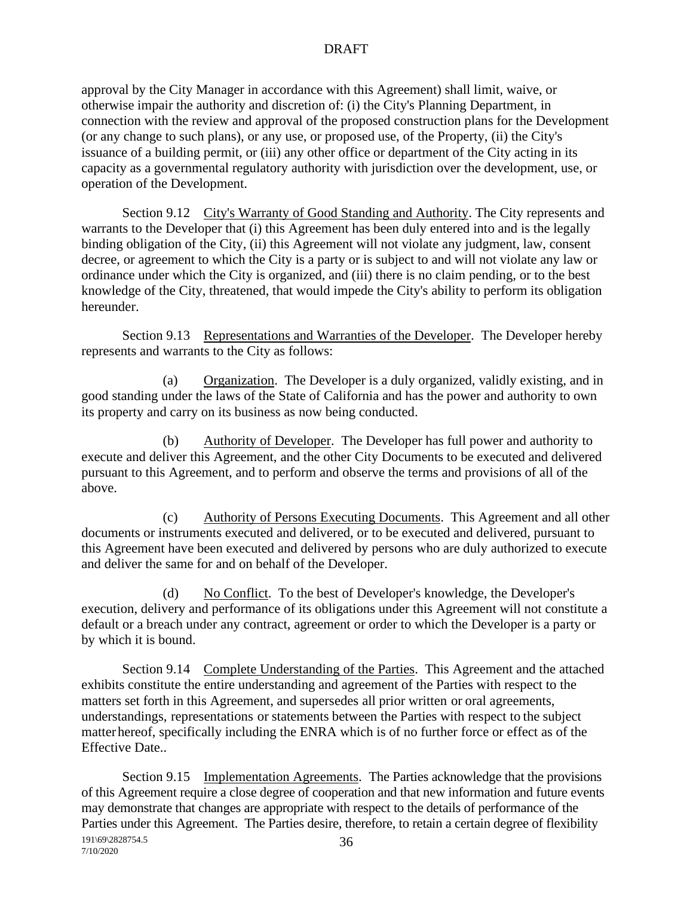approval by the City Manager in accordance with this Agreement) shall limit, waive, or otherwise impair the authority and discretion of: (i) the City's Planning Department, in connection with the review and approval of the proposed construction plans for the Development (or any change to such plans), or any use, or proposed use, of the Property, (ii) the City's issuance of a building permit, or (iii) any other office or department of the City acting in its capacity as a governmental regulatory authority with jurisdiction over the development, use, or operation of the Development.

Section 9.12 City's Warranty of Good Standing and Authority. The City represents and warrants to the Developer that (i) this Agreement has been duly entered into and is the legally binding obligation of the City, (ii) this Agreement will not violate any judgment, law, consent decree, or agreement to which the City is a party or is subject to and will not violate any law or ordinance under which the City is organized, and (iii) there is no claim pending, or to the best knowledge of the City, threatened, that would impede the City's ability to perform its obligation hereunder.

Section 9.13 Representations and Warranties of the Developer. The Developer hereby represents and warrants to the City as follows:

(a) Organization. The Developer is a duly organized, validly existing, and in good standing under the laws of the State of California and has the power and authority to own its property and carry on its business as now being conducted.

(b) Authority of Developer. The Developer has full power and authority to execute and deliver this Agreement, and the other City Documents to be executed and delivered pursuant to this Agreement, and to perform and observe the terms and provisions of all of the above.

(c) Authority of Persons Executing Documents. This Agreement and all other documents or instruments executed and delivered, or to be executed and delivered, pursuant to this Agreement have been executed and delivered by persons who are duly authorized to execute and deliver the same for and on behalf of the Developer.

(d) No Conflict. To the best of Developer's knowledge, the Developer's execution, delivery and performance of its obligations under this Agreement will not constitute a default or a breach under any contract, agreement or order to which the Developer is a party or by which it is bound.

Section 9.14 Complete Understanding of the Parties. This Agreement and the attached exhibits constitute the entire understanding and agreement of the Parties with respect to the matters set forth in this Agreement, and supersedes all prior written or oral agreements, understandings, representations or statements between the Parties with respect to the subject matterhereof, specifically including the ENRA which is of no further force or effect as of the Effective Date..

191\69\2828754.5 7/10/2020 36 Section 9.15 Implementation Agreements. The Parties acknowledge that the provisions of this Agreement require a close degree of cooperation and that new information and future events may demonstrate that changes are appropriate with respect to the details of performance of the Parties under this Agreement. The Parties desire, therefore, to retain a certain degree of flexibility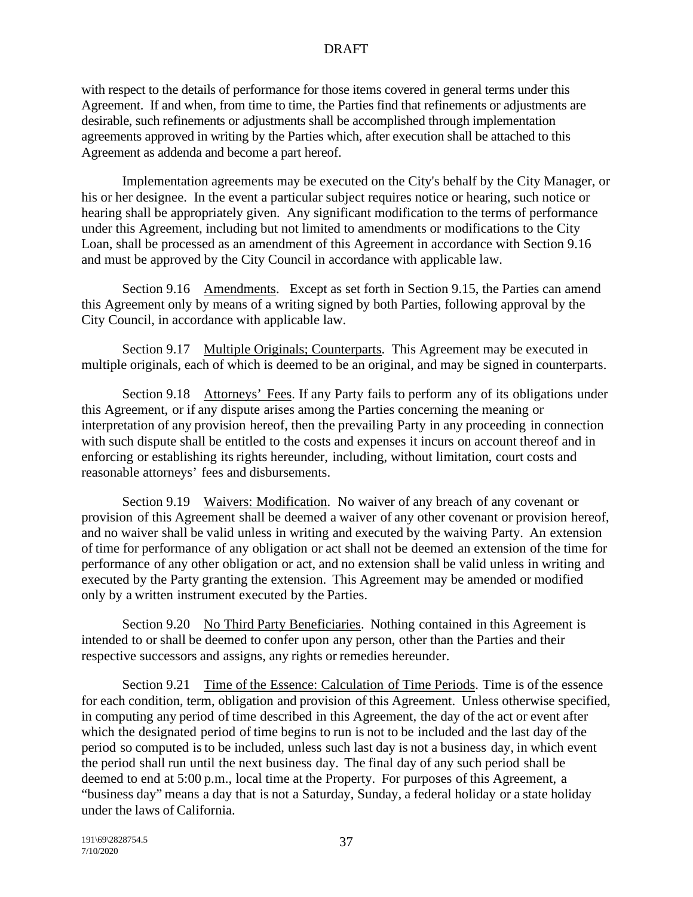with respect to the details of performance for those items covered in general terms under this Agreement. If and when, from time to time, the Parties find that refinements or adjustments are desirable, such refinements or adjustments shall be accomplished through implementation agreements approved in writing by the Parties which, after execution shall be attached to this Agreement as addenda and become a part hereof.

Implementation agreements may be executed on the City's behalf by the City Manager, or his or her designee. In the event a particular subject requires notice or hearing, such notice or hearing shall be appropriately given. Any significant modification to the terms of performance under this Agreement, including but not limited to amendments or modifications to the City Loan, shall be processed as an amendment of this Agreement in accordance with Section 9.16 and must be approved by the City Council in accordance with applicable law.

Section 9.16 Amendments. Except as set forth in Section 9.15, the Parties can amend this Agreement only by means of a writing signed by both Parties, following approval by the City Council, in accordance with applicable law.

Section 9.17 Multiple Originals; Counterparts. This Agreement may be executed in multiple originals, each of which is deemed to be an original, and may be signed in counterparts.

Section 9.18 Attorneys' Fees. If any Party fails to perform any of its obligations under this Agreement, or if any dispute arises among the Parties concerning the meaning or interpretation of any provision hereof, then the prevailing Party in any proceeding in connection with such dispute shall be entitled to the costs and expenses it incurs on account thereof and in enforcing or establishing its rights hereunder, including, without limitation, court costs and reasonable attorneys' fees and disbursements.

Section 9.19 Waivers: Modification. No waiver of any breach of any covenant or provision of this Agreement shall be deemed a waiver of any other covenant or provision hereof, and no waiver shall be valid unless in writing and executed by the waiving Party. An extension of time for performance of any obligation or act shall not be deemed an extension of the time for performance of any other obligation or act, and no extension shall be valid unless in writing and executed by the Party granting the extension. This Agreement may be amended or modified only by a written instrument executed by the Parties.

Section 9.20 No Third Party Beneficiaries. Nothing contained in this Agreement is intended to or shall be deemed to confer upon any person, other than the Parties and their respective successors and assigns, any rights or remedies hereunder.

Section 9.21 Time of the Essence: Calculation of Time Periods. Time is of the essence for each condition, term, obligation and provision of this Agreement. Unless otherwise specified, in computing any period of time described in this Agreement, the day of the act or event after which the designated period of time begins to run is not to be included and the last day of the period so computed isto be included, unless such last day is not a business day, in which event the period shall run until the next business day. The final day of any such period shall be deemed to end at 5:00 p.m., local time at the Property. For purposes of this Agreement, a "business day" means a day that is not a Saturday, Sunday, a federal holiday or a state holiday under the laws of California.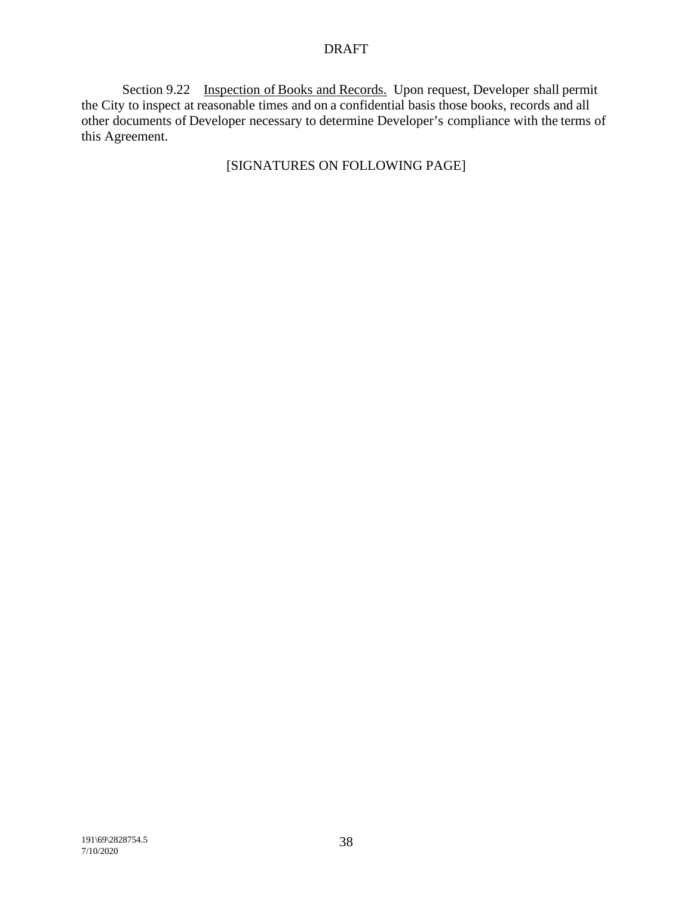Section 9.22 Inspection of Books and Records. Upon request, Developer shall permit the City to inspect at reasonable times and on a confidential basis those books, records and all other documents of Developer necessary to determine Developer's compliance with the terms of this Agreement.

# [SIGNATURES ON FOLLOWING PAGE]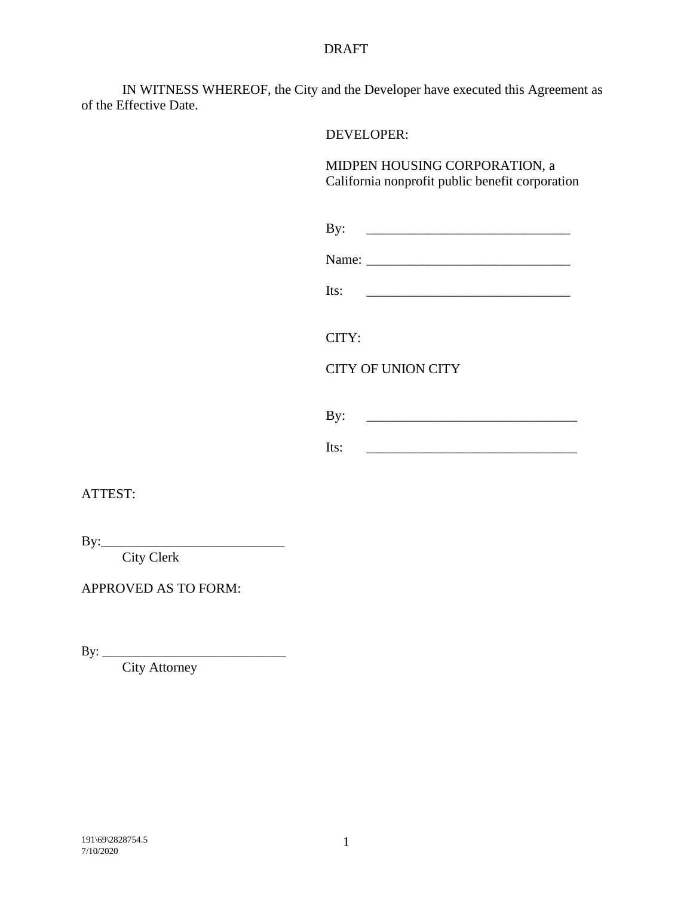IN WITNESS WHEREOF, the City and the Developer have executed this Agreement as of the Effective Date.

DEVELOPER:

MIDPEN HOUSING CORPORATION, a California nonprofit public benefit corporation

| Ð |  |
|---|--|
|   |  |

| Name: |  |
|-------|--|
|       |  |

CITY:

# CITY OF UNION CITY

By: \_\_\_\_\_\_\_\_\_\_\_\_\_\_\_\_\_\_\_\_\_\_\_\_\_\_\_\_\_\_\_

Its:  $\qquad \qquad$ 

ATTEST:

By:\_\_\_\_\_\_\_\_\_\_\_\_\_\_\_\_\_\_\_\_\_\_\_\_\_\_\_

City Clerk

APPROVED AS TO FORM:

By: \_\_\_\_\_\_\_\_\_\_\_\_\_\_\_\_\_\_\_\_\_\_\_\_\_\_\_

City Attorney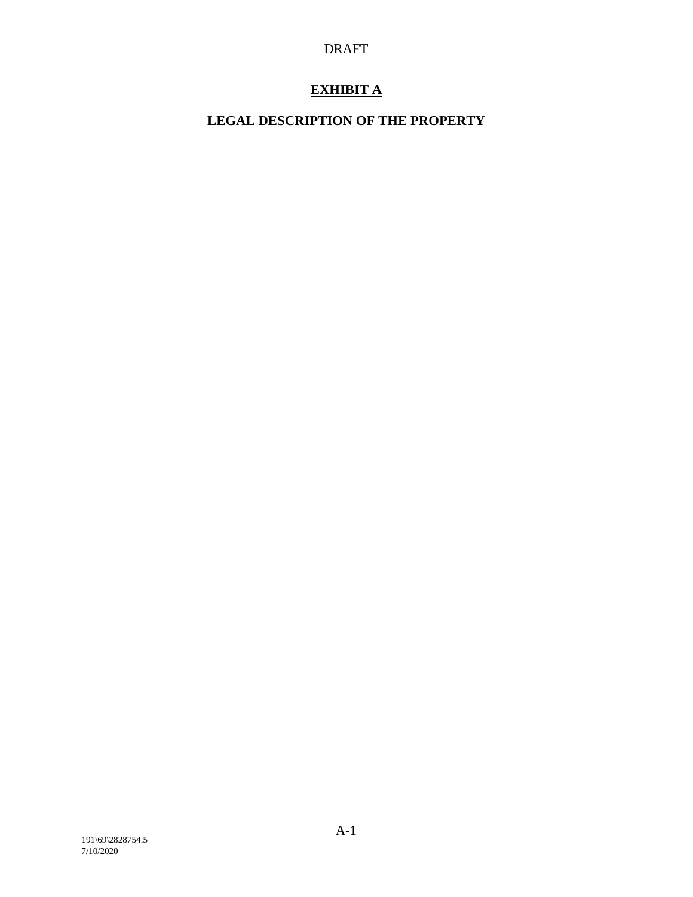# **EXHIBIT A**

# **LEGAL DESCRIPTION OF THE PROPERTY**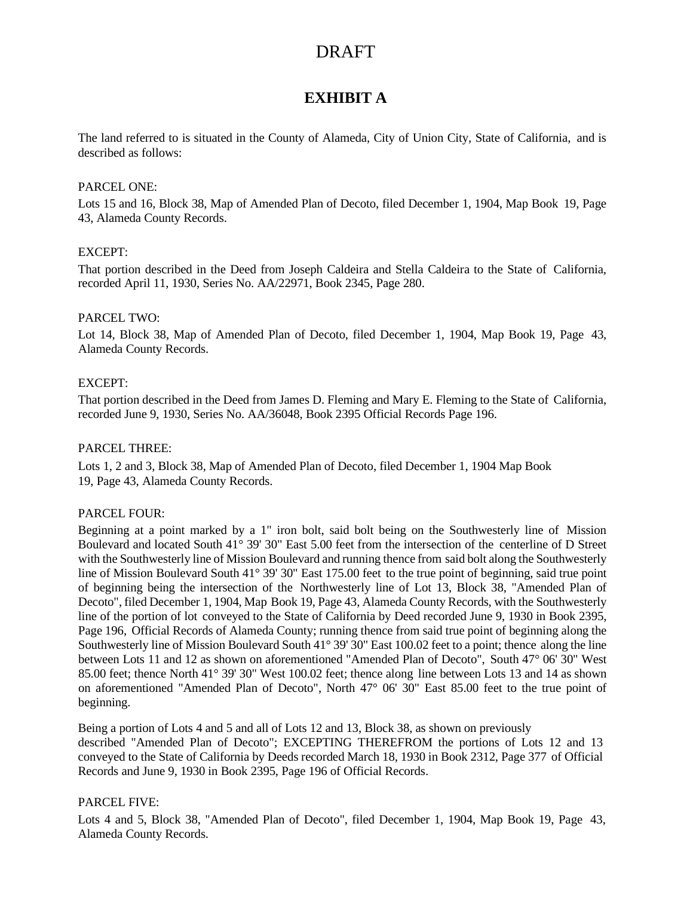# **EXHIBIT A**

The land referred to is situated in the County of Alameda, City of Union City, State of California, and is described as follows:

#### PARCEL ONE:

Lots 15 and 16, Block 38, Map of Amended Plan of Decoto, filed December 1, 1904, Map [Book](http://webdocs.ortc.com/RD/GetDTreeDocs.aspx?DocId=44953380-75E4-487F-A040-C7D17361ED11) 19, [Page](http://webdocs.ortc.com/RD/GetDTreeDocs.aspx?DocId=44953380-75E4-487F-A040-C7D17361ED11) [43,](http://webdocs.ortc.com/RD/GetDTreeDocs.aspx?DocId=44953380-75E4-487F-A040-C7D17361ED11) Alameda County Records.

#### EXCEPT:

That portion described in the Deed from Joseph Caldeira and Stella Caldeira to the State of California, recorded April 11, 1930, Series No. AA/22971, Book [2345,](http://webdocs.ortc.com/RD/GetTripinDocs.aspx?PTH=lnkupload&DocName=55A7DD7F-C23E-4E02-8026-193F6CC8F0DC&ON=1117019245) Page 280.

#### PARCEL TWO:

Lot 14, Block 38, Map of Amended Plan of Decoto, filed December 1, 1904, Map Book 19, Page 43, Alameda County Records.

#### EXCEPT:

That portion described in the Deed from James D. Fleming and Mary E. Fleming to the State of California, recorded June 9, 1930, Series No. AA/36048, Book 2395 Official [Records](http://webdocs.ortc.com/RD/GetTripinDocs.aspx?PTH=lnkupload&DocName=906A48EA-E602-47F5-827F-41106535771B&ON=1117019245) Page 196.

#### PARCEL THREE:

Lots 1, 2 and 3, Block 38, Map of Amended Plan of Decoto, filed December 1, 1904 Map Book 19, Page 43, Alameda County Records.

#### PARCEL FOUR:

Beginning at a point marked by a 1" iron bolt, said bolt being on the Southwesterly line of Mission Boulevard and located South 41° 39' 30" East 5.00 feet from the intersection of the centerline of D Street with the Southwesterly line of Mission Boulevard and running thence from said bolt along the Southwesterly line of Mission Boulevard South 41° 39' 30" East 175.00 feet to the true point of beginning, said true point of beginning being the intersection of the Northwesterly line of Lot 13, Block 38, "Amended Plan of Decoto", filed December 1, 1904, Map Book 19, Page 43, Alameda County Records, with the Southwesterly line of the portion of lot conveyed to the State of California by Deed recorded June 9, 1930 in Book 2395, Page 196, Official Records of Alameda County; running thence from said true point of beginning along the Southwesterly line of Mission Boulevard South 41° 39' 30" East 100.02 feet to a point; thence along the line between Lots 11 and 12 as shown on aforementioned "Amended Plan of Decoto", South 47° 06' 30" West 85.00 feet; thence North 41° 39' 30" West 100.02 feet; thence along line between Lots 13 and 14 as shown on aforementioned "Amended Plan of Decoto", North 47° 06' 30" East 85.00 feet to the true point of beginning.

Being a portion of Lots 4 and 5 and all of Lots 12 and 13, Block 38, as shown on previously described "Amended Plan of Decoto"; EXCEPTING THEREFROM the portions of Lots 12 and 13 conveyed to the State of California by Deeds recorded March 18, 1930 in Book 2312, Page 377 of Official Records and June 9, 1930 in Book 2395, Page 196 of Official Records.

#### PARCEL FIVE:

Lots 4 and 5, Block 38, "Amended Plan of Decoto", filed December 1, 1904, Map Book 19, Page 43, Alameda County Records.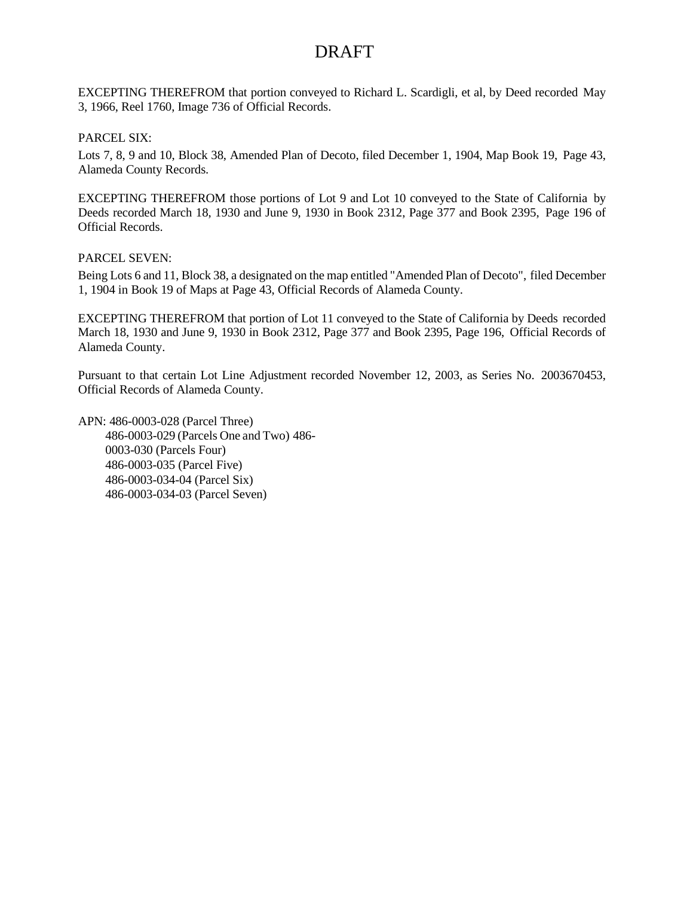EXCEPTING THEREFROM that portion conveyed to Richard L. Scardigli, et al, by Deed recorded May 3, 1966, [Reel 1760, Image 736](http://webdocs.ortc.com/RD/GetDTreeDocs.aspx?DocId=BDED210A-5D8D-4520-BE15-7672F2595DEB) of Official Records.

#### PARCEL SIX:

Lots 7, 8, 9 and 10, Block 38, Amended Plan of Decoto, filed December 1, 1904, Map Book 19, Page 43, Alameda County Records.

EXCEPTING THEREFROM those portions of Lot 9 and Lot 10 conveyed to the State of California by Deeds recorded March 18, 1930 and June 9, 1930 in Book 2312, Page 377 and Book 2395, Page 196 of Official Records.

#### PARCEL SEVEN:

Being Lots 6 and 11, Block 38, a designated on the map entitled "Amended Plan of Decoto", filed December 1, 1904 in Book 19 of Maps at Page 43, Official Records of Alameda County.

EXCEPTING THEREFROM that portion of Lot 11 conveyed to the State of California by Deeds recorded March 18, 1930 and June 9, 1930 in Book 2312, Page 377 and Book 2395, Page 196, Official Records of Alameda County.

Pursuant to that certain Lot Line Adjustment recorded November 12, 2003, as Series No. [2003670453,](http://webdocs.ortc.com/RD/GetDTreeDocs.aspx?DocId=07106E29-8DBE-46F9-B3E8-A9A0777ECEEE) Official Records of Alameda County.

APN: 486-0003-028 (Parcel Three) 486-0003-029 (Parcels One and Two) 486- 0003-030 (Parcels Four) 486-0003-035 (Parcel Five) 486-0003-034-04 (Parcel Six) 486-0003-034-03 (Parcel Seven)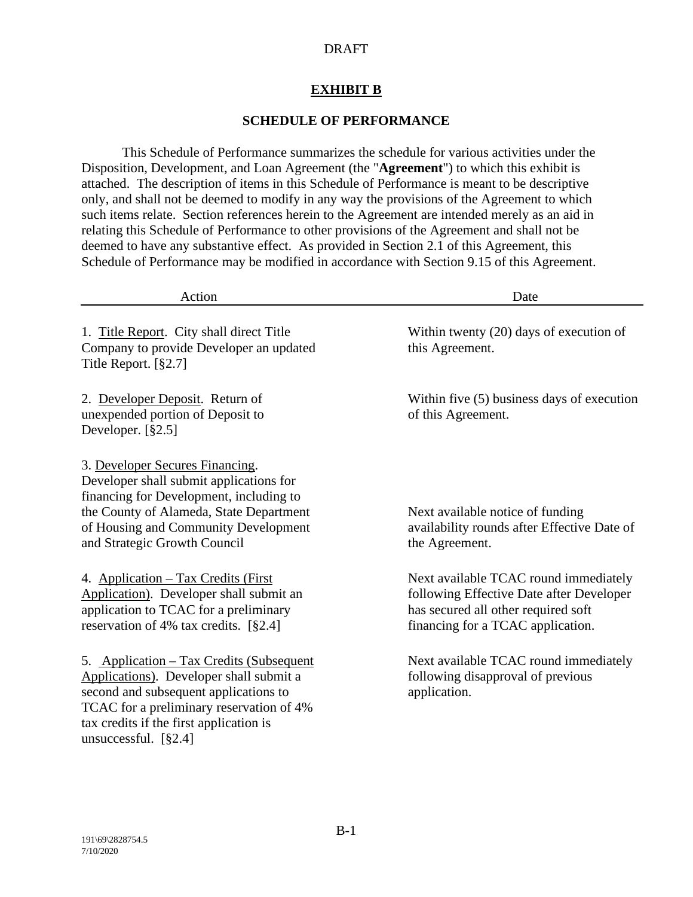# **EXHIBIT B**

### **SCHEDULE OF PERFORMANCE**

This Schedule of Performance summarizes the schedule for various activities under the Disposition, Development, and Loan Agreement (the "**Agreement**") to which this exhibit is attached. The description of items in this Schedule of Performance is meant to be descriptive only, and shall not be deemed to modify in any way the provisions of the Agreement to which such items relate. Section references herein to the Agreement are intended merely as an aid in relating this Schedule of Performance to other provisions of the Agreement and shall not be deemed to have any substantive effect. As provided in Section 2.1 of this Agreement, this Schedule of Performance may be modified in accordance with Section 9.15 of this Agreement.

| Action                                                                                                                                                                                                                                      | Date                                                                                                                                                          |
|---------------------------------------------------------------------------------------------------------------------------------------------------------------------------------------------------------------------------------------------|---------------------------------------------------------------------------------------------------------------------------------------------------------------|
| 1. Title Report. City shall direct Title<br>Company to provide Developer an updated<br>Title Report. [§2.7]                                                                                                                                 | Within twenty $(20)$ days of execution of<br>this Agreement.                                                                                                  |
| 2. Developer Deposit. Return of<br>unexpended portion of Deposit to<br>Developer. [§2.5]                                                                                                                                                    | Within five $(5)$ business days of execution<br>of this Agreement.                                                                                            |
| 3. Developer Secures Financing.<br>Developer shall submit applications for<br>financing for Development, including to<br>the County of Alameda, State Department<br>of Housing and Community Development<br>and Strategic Growth Council    | Next available notice of funding<br>availability rounds after Effective Date of<br>the Agreement.                                                             |
| 4. Application – Tax Credits (First<br>Application). Developer shall submit an<br>application to TCAC for a preliminary<br>reservation of 4% tax credits. $[§2.4]$                                                                          | Next available TCAC round immediately<br>following Effective Date after Developer<br>has secured all other required soft<br>financing for a TCAC application. |
| 5. Application – Tax Credits (Subsequent<br>Applications). Developer shall submit a<br>second and subsequent applications to<br>TCAC for a preliminary reservation of 4%<br>tax credits if the first application is<br>unsuccessful. [§2.4] | Next available TCAC round immediately<br>following disapproval of previous<br>application.                                                                    |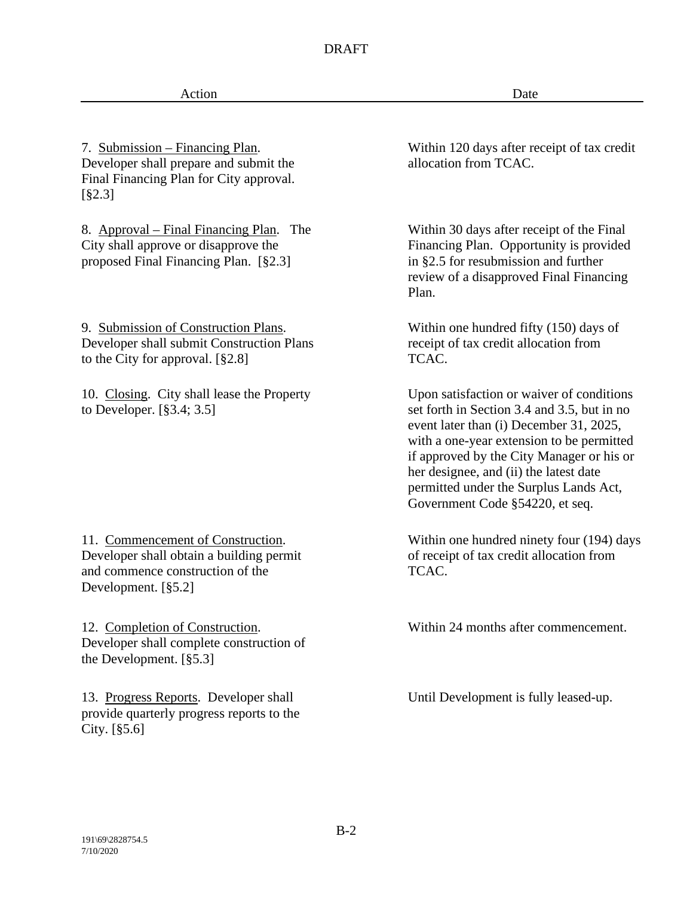Action Date

7. Submission – Financing Plan. Developer shall prepare and submit the Final Financing Plan for City approval. [§2.3]

8. Approval – Final Financing Plan. The City shall approve or disapprove the proposed Final Financing Plan. [§2.3]

9. Submission of Construction Plans. Developer shall submit Construction Plans to the City for approval. [§2.8]

10. Closing. City shall lease the Property to Developer. [§3.4; 3.5]

11. Commencement of Construction. Developer shall obtain a building permit and commence construction of the Development. [§5.2]

12. Completion of Construction. Developer shall complete construction of the Development. [§5.3]

13. Progress Reports. Developer shall provide quarterly progress reports to the City. [§5.6]

Within 120 days after receipt of tax credit allocation from TCAC.

Within 30 days after receipt of the Final Financing Plan. Opportunity is provided in §2.5 for resubmission and further review of a disapproved Final Financing Plan.

Within one hundred fifty (150) days of receipt of tax credit allocation from TCAC.

Upon satisfaction or waiver of conditions set forth in Section 3.4 and 3.5, but in no event later than (i) December 31, 2025, with a one-year extension to be permitted if approved by the City Manager or his or her designee, and (ii) the latest date permitted under the Surplus Lands Act, Government Code §54220, et seq.

Within one hundred ninety four (194) days of receipt of tax credit allocation from TCAC.

Within 24 months after commencement.

Until Development is fully leased-up.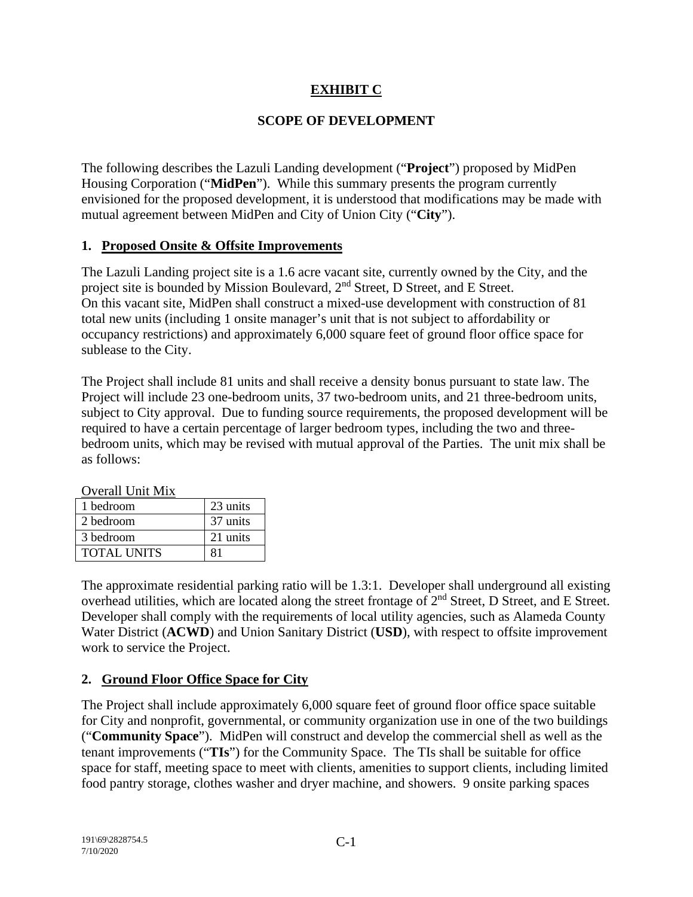# **EXHIBIT C**

# **SCOPE OF DEVELOPMENT**

The following describes the Lazuli Landing development ("**Project**") proposed by MidPen Housing Corporation ("**MidPen**"). While this summary presents the program currently envisioned for the proposed development, it is understood that modifications may be made with mutual agreement between MidPen and City of Union City ("**City**").

# **1. Proposed Onsite & Offsite Improvements**

The Lazuli Landing project site is a 1.6 acre vacant site, currently owned by the City, and the project site is bounded by Mission Boulevard, 2nd Street, D Street, and E Street. On this vacant site, MidPen shall construct a mixed-use development with construction of 81 total new units (including 1 onsite manager's unit that is not subject to affordability or occupancy restrictions) and approximately 6,000 square feet of ground floor office space for sublease to the City.

The Project shall include 81 units and shall receive a density bonus pursuant to state law. The Project will include 23 one-bedroom units, 37 two-bedroom units, and 21 three-bedroom units, subject to City approval. Due to funding source requirements, the proposed development will be required to have a certain percentage of larger bedroom types, including the two and threebedroom units, which may be revised with mutual approval of the Parties. The unit mix shall be as follows:

| Overali Uliit iyiix |          |
|---------------------|----------|
| 1 bedroom           | 23 units |
| 2 bedroom           | 37 units |
| 3 bedroom           | 21 units |
| <b>TOTAL UNITS</b>  | 81       |

 $O<sub>Y</sub>$  and  $U<sub>Y</sub>$  Unit  $M<sub>Y</sub>$ 

The approximate residential parking ratio will be 1.3:1. Developer shall underground all existing overhead utilities, which are located along the street frontage of  $2<sup>nd</sup>$  Street, D Street, and E Street. Developer shall comply with the requirements of local utility agencies, such as Alameda County Water District (**ACWD**) and Union Sanitary District (**USD**), with respect to offsite improvement work to service the Project.

# **2. Ground Floor Office Space for City**

The Project shall include approximately 6,000 square feet of ground floor office space suitable for City and nonprofit, governmental, or community organization use in one of the two buildings ("**Community Space**"). MidPen will construct and develop the commercial shell as well as the tenant improvements ("**TIs**") for the Community Space. The TIs shall be suitable for office space for staff, meeting space to meet with clients, amenities to support clients, including limited food pantry storage, clothes washer and dryer machine, and showers. 9 onsite parking spaces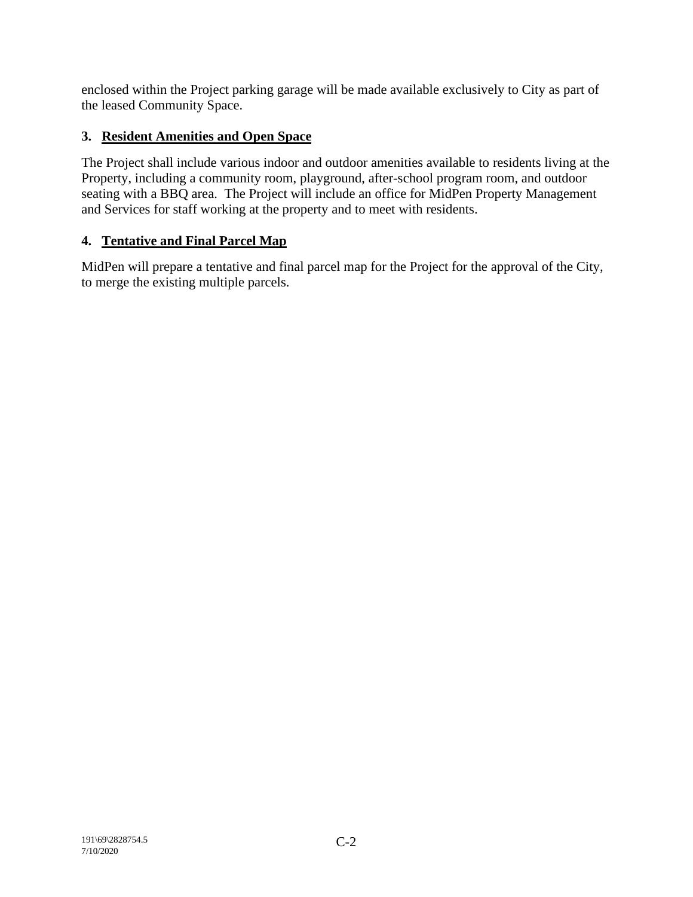enclosed within the Project parking garage will be made available exclusively to City as part of the leased Community Space.

# **3. Resident Amenities and Open Space**

The Project shall include various indoor and outdoor amenities available to residents living at the Property, including a community room, playground, after-school program room, and outdoor seating with a BBQ area. The Project will include an office for MidPen Property Management and Services for staff working at the property and to meet with residents.

# **4. Tentative and Final Parcel Map**

MidPen will prepare a tentative and final parcel map for the Project for the approval of the City, to merge the existing multiple parcels.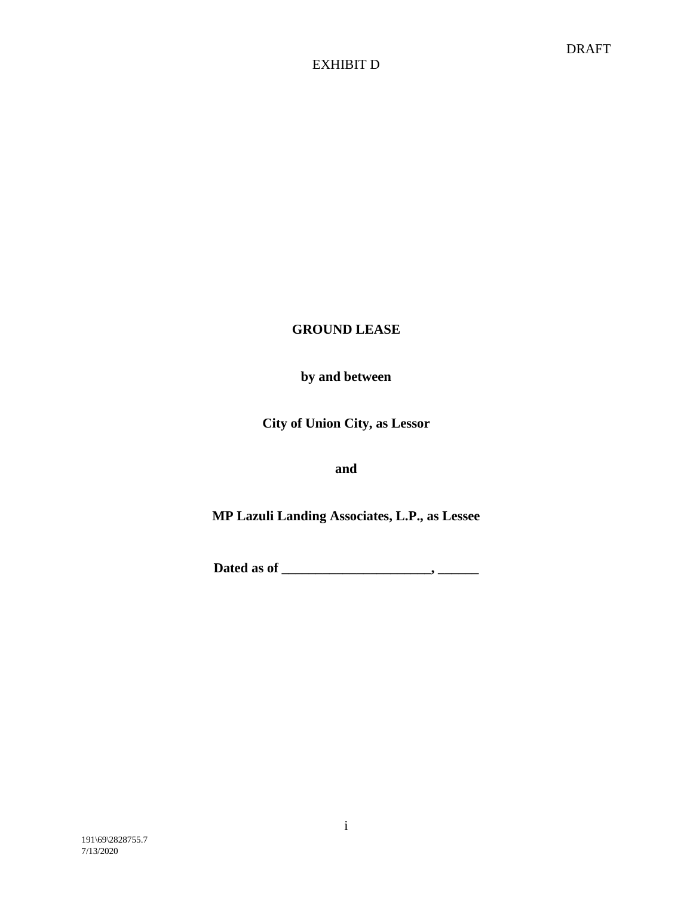# **GROUND LEASE**

# **by and between**

**City of Union City, as Lessor**

**and**

**MP Lazuli Landing Associates, L.P., as Lessee**

**Dated as of \_\_\_\_\_\_\_\_\_\_\_\_\_\_\_\_\_\_\_\_\_\_, \_\_\_\_\_\_**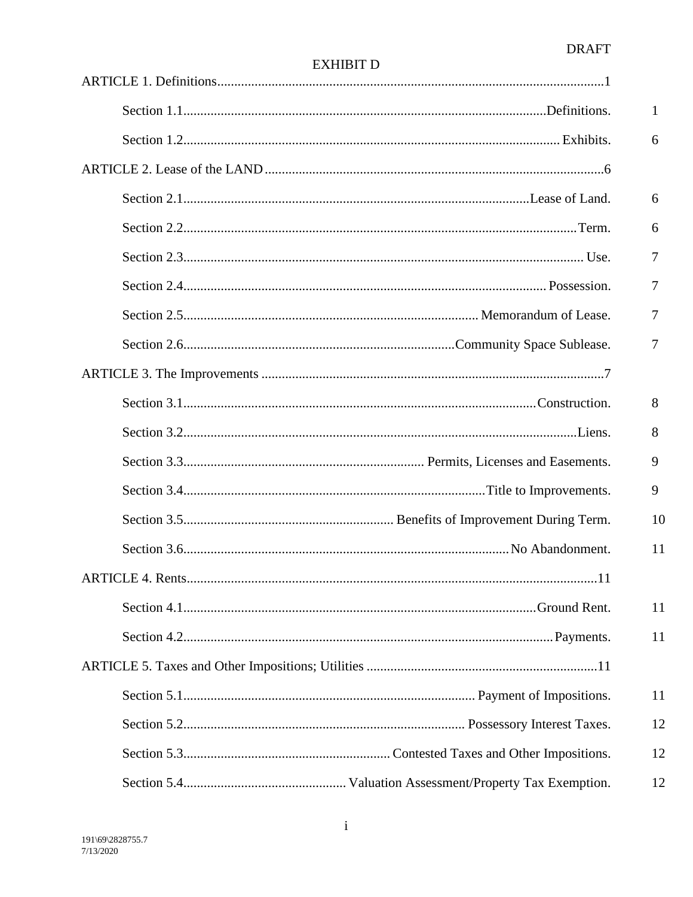|                                            | 1  |
|--------------------------------------------|----|
|                                            | 6  |
|                                            |    |
|                                            | 6  |
|                                            | 6  |
|                                            | 7  |
|                                            | 7  |
|                                            | 7  |
|                                            | 7  |
|                                            |    |
|                                            | 8  |
|                                            | 8  |
|                                            | 9  |
|                                            | 9  |
|                                            | 10 |
|                                            | 11 |
| <b>ARTICLE 4. Rents</b><br>$\overline{11}$ |    |
|                                            | 11 |
|                                            | 11 |
|                                            |    |
|                                            | 11 |
|                                            | 12 |
|                                            | 12 |
|                                            | 12 |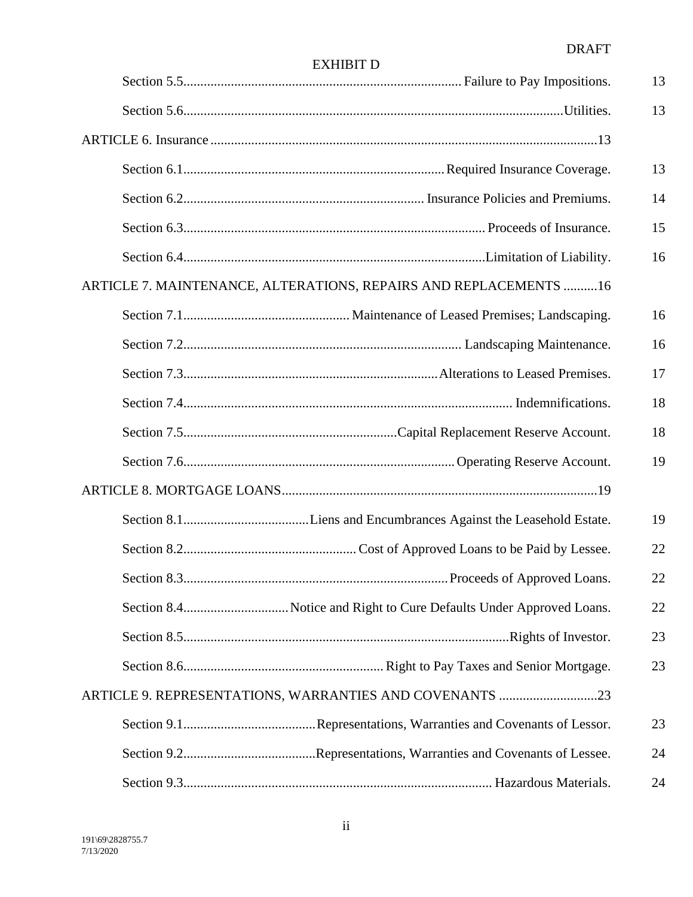|                                                                   | 13 |
|-------------------------------------------------------------------|----|
|                                                                   | 13 |
|                                                                   |    |
|                                                                   | 13 |
|                                                                   | 14 |
|                                                                   | 15 |
|                                                                   | 16 |
| ARTICLE 7. MAINTENANCE, ALTERATIONS, REPAIRS AND REPLACEMENTS  16 |    |
|                                                                   | 16 |
|                                                                   | 16 |
|                                                                   | 17 |
|                                                                   | 18 |
|                                                                   | 18 |
|                                                                   | 19 |
|                                                                   |    |
|                                                                   | 19 |
|                                                                   | 22 |
|                                                                   | 22 |
|                                                                   | 22 |
|                                                                   | 23 |
|                                                                   | 23 |
| ARTICLE 9. REPRESENTATIONS, WARRANTIES AND COVENANTS 23           |    |
|                                                                   | 23 |
|                                                                   | 24 |
|                                                                   | 24 |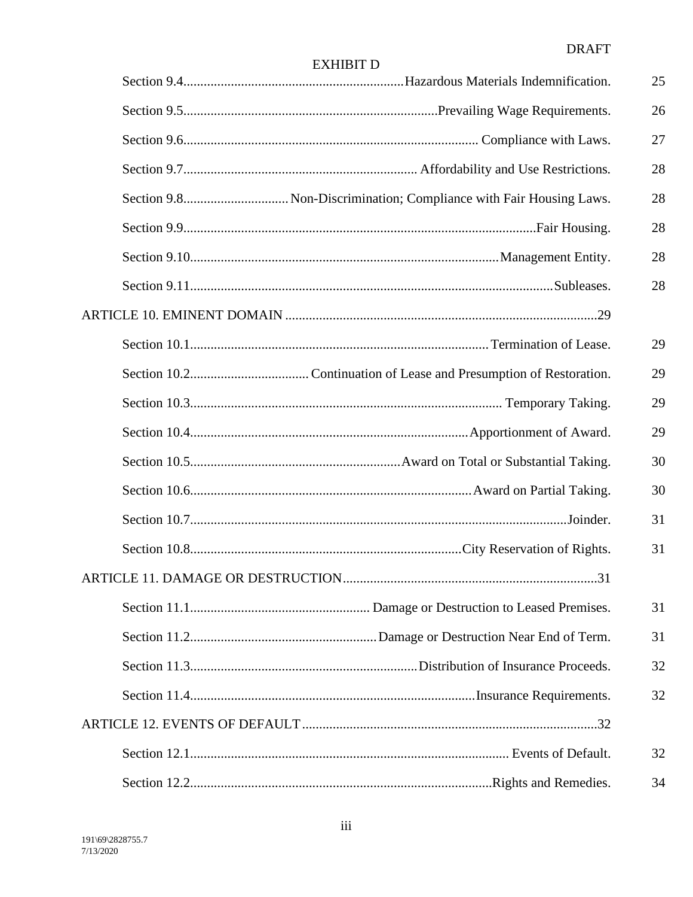|    | 25 |
|----|----|
|    | 26 |
| 27 |    |
|    | 28 |
|    | 28 |
| 28 |    |
|    | 28 |
|    | 28 |
|    |    |
|    | 29 |
|    | 29 |
|    | 29 |
|    | 29 |
|    | 30 |
|    | 30 |
| 31 |    |
| 31 |    |
|    |    |
| 31 |    |
| 31 |    |
|    | 32 |
|    | 32 |
|    |    |
|    | 32 |
|    | 34 |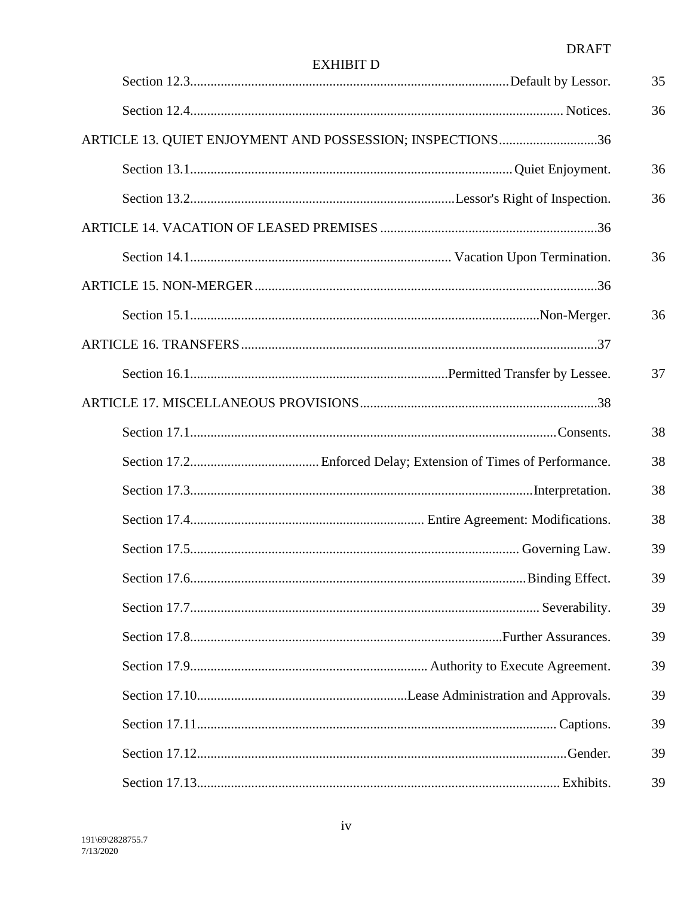| EXHIBIT |  |
|---------|--|
|         |  |

|                                                           | 35 |
|-----------------------------------------------------------|----|
|                                                           | 36 |
| ARTICLE 13. QUIET ENJOYMENT AND POSSESSION; INSPECTIONS36 |    |
|                                                           | 36 |
|                                                           | 36 |
|                                                           |    |
|                                                           | 36 |
|                                                           |    |
|                                                           | 36 |
|                                                           |    |
|                                                           | 37 |
|                                                           |    |
|                                                           | 38 |
|                                                           | 38 |
|                                                           | 38 |
|                                                           | 38 |
|                                                           | 39 |
|                                                           | 39 |
|                                                           | 39 |
|                                                           | 39 |
|                                                           | 39 |
|                                                           | 39 |
|                                                           | 39 |
|                                                           | 39 |
|                                                           | 39 |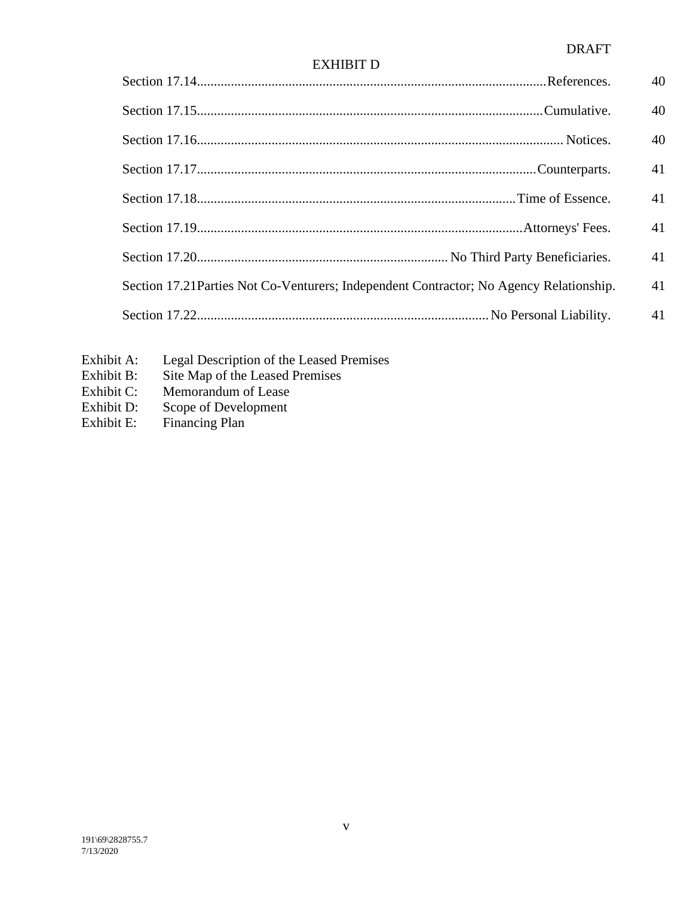|                                                                                         | 40 |
|-----------------------------------------------------------------------------------------|----|
|                                                                                         | 40 |
|                                                                                         | 40 |
|                                                                                         | 41 |
|                                                                                         | 41 |
|                                                                                         | 41 |
|                                                                                         | 41 |
| Section 17.21 Parties Not Co-Venturers; Independent Contractor; No Agency Relationship. | 41 |
|                                                                                         | 41 |
|                                                                                         |    |

- Exhibit A: Legal Description of the Leased Premises
- Exhibit B: Site Map of the Leased Premises
- Exhibit C: Memorandum of Lease<br>Exhibit D: Scope of Development
- Exhibit D: Scope of Development<br>Exhibit E: Financing Plan
- Financing Plan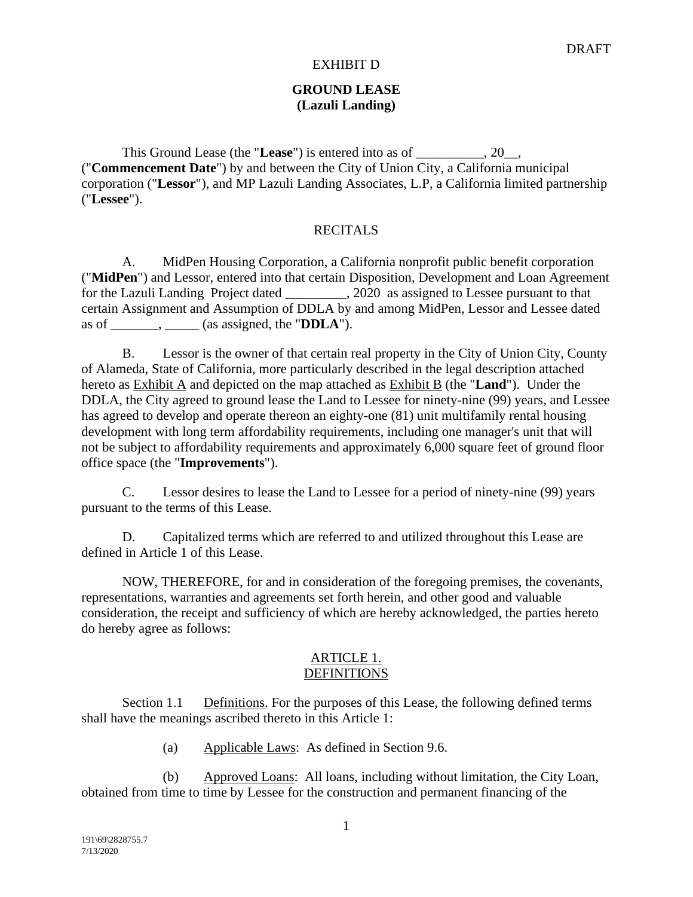### **GROUND LEASE (Lazuli Landing)**

This Ground Lease (the "Lease") is entered into as of \_\_\_\_\_\_\_\_\_\_, 20\_\_, ("**Commencement Date**") by and between the City of Union City, a California municipal corporation ("**Lessor**"), and MP Lazuli Landing Associates, L.P, a California limited partnership ("**Lessee**").

### **RECITALS**

A. MidPen Housing Corporation, a California nonprofit public benefit corporation ("**MidPen**") and Lessor, entered into that certain Disposition, Development and Loan Agreement for the Lazuli Landing Project dated \_\_\_\_\_\_\_\_\_, 2020 as assigned to Lessee pursuant to that certain Assignment and Assumption of DDLA by and among MidPen, Lessor and Lessee dated as of \_\_\_\_\_\_\_, \_\_\_\_\_ (as assigned, the "**DDLA**").

B. Lessor is the owner of that certain real property in the City of Union City, County of Alameda, State of California, more particularly described in the legal description attached hereto as Exhibit A and depicted on the map attached as Exhibit B (the "**Land**"). Under the DDLA, the City agreed to ground lease the Land to Lessee for ninety-nine (99) years, and Lessee has agreed to develop and operate thereon an eighty-one (81) unit multifamily rental housing development with long term affordability requirements, including one manager's unit that will not be subject to affordability requirements and approximately 6,000 square feet of ground floor office space (the "**Improvements**").

C. Lessor desires to lease the Land to Lessee for a period of ninety-nine (99) years pursuant to the terms of this Lease.

D. Capitalized terms which are referred to and utilized throughout this Lease are defined in Article 1 of this Lease.

NOW, THEREFORE, for and in consideration of the foregoing premises, the covenants, representations, warranties and agreements set forth herein, and other good and valuable consideration, the receipt and sufficiency of which are hereby acknowledged, the parties hereto do hereby agree as follows:

#### ARTICLE 1. DEFINITIONS

Section 1.1 Definitions. For the purposes of this Lease, the following defined terms shall have the meanings ascribed thereto in this Article 1:

(a) Applicable Laws: As defined in Section 9.6.

(b) Approved Loans: All loans, including without limitation, the City Loan, obtained from time to time by Lessee for the construction and permanent financing of the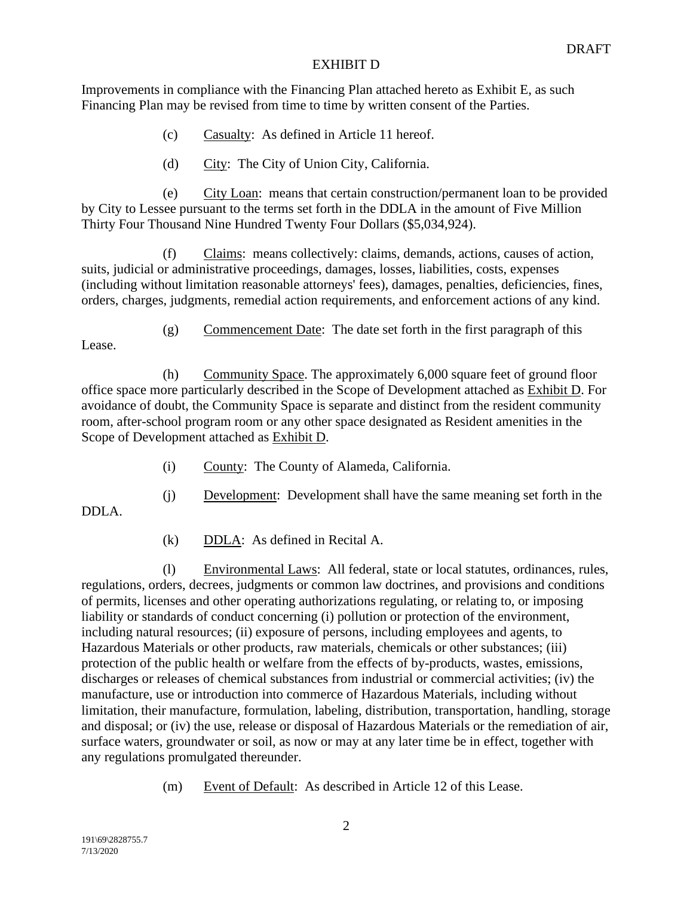Improvements in compliance with the Financing Plan attached hereto as Exhibit E, as such Financing Plan may be revised from time to time by written consent of the Parties.

- (c) Casualty: As defined in Article 11 hereof.
- (d) City: The City of Union City, California.

(e) City Loan: means that certain construction/permanent loan to be provided by City to Lessee pursuant to the terms set forth in the DDLA in the amount of Five Million Thirty Four Thousand Nine Hundred Twenty Four Dollars (\$5,034,924).

(f) Claims: means collectively: claims, demands, actions, causes of action, suits, judicial or administrative proceedings, damages, losses, liabilities, costs, expenses (including without limitation reasonable attorneys' fees), damages, penalties, deficiencies, fines, orders, charges, judgments, remedial action requirements, and enforcement actions of any kind.

Lease.

DDLA.

(g) Commencement Date: The date set forth in the first paragraph of this

(h) Community Space. The approximately 6,000 square feet of ground floor office space more particularly described in the Scope of Development attached as Exhibit D. For avoidance of doubt, the Community Space is separate and distinct from the resident community room, after-school program room or any other space designated as Resident amenities in the Scope of Development attached as Exhibit D.

- (i) County: The County of Alameda, California.
- (j) Development: Development shall have the same meaning set forth in the
- (k) DDLA: As defined in Recital A.

(l) Environmental Laws: All federal, state or local statutes, ordinances, rules, regulations, orders, decrees, judgments or common law doctrines, and provisions and conditions of permits, licenses and other operating authorizations regulating, or relating to, or imposing liability or standards of conduct concerning (i) pollution or protection of the environment, including natural resources; (ii) exposure of persons, including employees and agents, to Hazardous Materials or other products, raw materials, chemicals or other substances; (iii) protection of the public health or welfare from the effects of by-products, wastes, emissions, discharges or releases of chemical substances from industrial or commercial activities; (iv) the manufacture, use or introduction into commerce of Hazardous Materials, including without limitation, their manufacture, formulation, labeling, distribution, transportation, handling, storage and disposal; or (iv) the use, release or disposal of Hazardous Materials or the remediation of air, surface waters, groundwater or soil, as now or may at any later time be in effect, together with any regulations promulgated thereunder.

(m) Event of Default: As described in Article 12 of this Lease.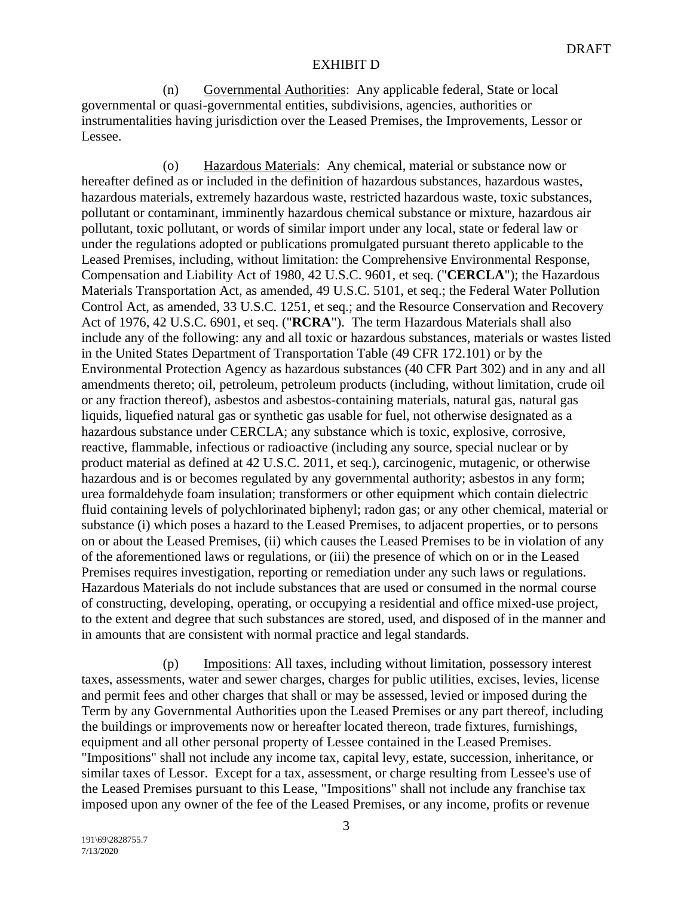(n) Governmental Authorities: Any applicable federal, State or local governmental or quasi-governmental entities, subdivisions, agencies, authorities or instrumentalities having jurisdiction over the Leased Premises, the Improvements, Lessor or Lessee.

(o) Hazardous Materials: Any chemical, material or substance now or hereafter defined as or included in the definition of hazardous substances, hazardous wastes, hazardous materials, extremely hazardous waste, restricted hazardous waste, toxic substances, pollutant or contaminant, imminently hazardous chemical substance or mixture, hazardous air pollutant, toxic pollutant, or words of similar import under any local, state or federal law or under the regulations adopted or publications promulgated pursuant thereto applicable to the Leased Premises, including, without limitation: the Comprehensive Environmental Response, Compensation and Liability Act of 1980, 42 U.S.C. 9601, et seq. ("**CERCLA**"); the Hazardous Materials Transportation Act, as amended, 49 U.S.C. 5101, et seq.; the Federal Water Pollution Control Act, as amended, 33 U.S.C. 1251, et seq.; and the Resource Conservation and Recovery Act of 1976, 42 U.S.C. 6901, et seq. ("**RCRA**"). The term Hazardous Materials shall also include any of the following: any and all toxic or hazardous substances, materials or wastes listed in the United States Department of Transportation Table (49 CFR 172.101) or by the Environmental Protection Agency as hazardous substances (40 CFR Part 302) and in any and all amendments thereto; oil, petroleum, petroleum products (including, without limitation, crude oil or any fraction thereof), asbestos and asbestos-containing materials, natural gas, natural gas liquids, liquefied natural gas or synthetic gas usable for fuel, not otherwise designated as a hazardous substance under CERCLA; any substance which is toxic, explosive, corrosive, reactive, flammable, infectious or radioactive (including any source, special nuclear or by product material as defined at 42 U.S.C. 2011, et seq.), carcinogenic, mutagenic, or otherwise hazardous and is or becomes regulated by any governmental authority; asbestos in any form; urea formaldehyde foam insulation; transformers or other equipment which contain dielectric fluid containing levels of polychlorinated biphenyl; radon gas; or any other chemical, material or substance (i) which poses a hazard to the Leased Premises, to adjacent properties, or to persons on or about the Leased Premises, (ii) which causes the Leased Premises to be in violation of any of the aforementioned laws or regulations, or (iii) the presence of which on or in the Leased Premises requires investigation, reporting or remediation under any such laws or regulations. Hazardous Materials do not include substances that are used or consumed in the normal course of constructing, developing, operating, or occupying a residential and office mixed-use project, to the extent and degree that such substances are stored, used, and disposed of in the manner and in amounts that are consistent with normal practice and legal standards.

(p) Impositions: All taxes, including without limitation, possessory interest taxes, assessments, water and sewer charges, charges for public utilities, excises, levies, license and permit fees and other charges that shall or may be assessed, levied or imposed during the Term by any Governmental Authorities upon the Leased Premises or any part thereof, including the buildings or improvements now or hereafter located thereon, trade fixtures, furnishings, equipment and all other personal property of Lessee contained in the Leased Premises. "Impositions" shall not include any income tax, capital levy, estate, succession, inheritance, or similar taxes of Lessor. Except for a tax, assessment, or charge resulting from Lessee's use of the Leased Premises pursuant to this Lease, "Impositions" shall not include any franchise tax imposed upon any owner of the fee of the Leased Premises, or any income, profits or revenue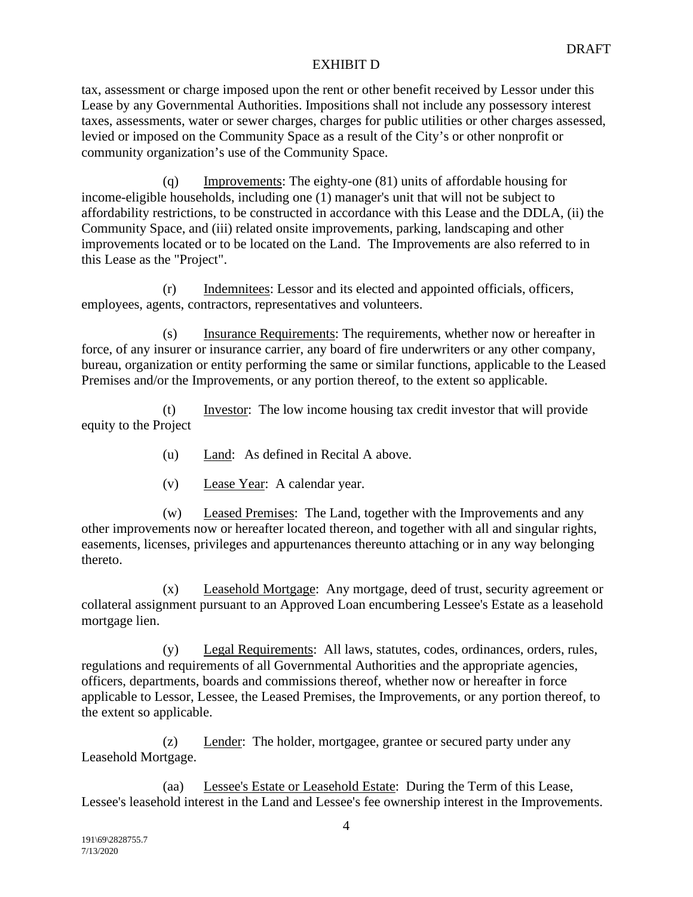tax, assessment or charge imposed upon the rent or other benefit received by Lessor under this Lease by any Governmental Authorities. Impositions shall not include any possessory interest taxes, assessments, water or sewer charges, charges for public utilities or other charges assessed, levied or imposed on the Community Space as a result of the City's or other nonprofit or community organization's use of the Community Space.

(q) Improvements: The eighty-one (81) units of affordable housing for income-eligible households, including one (1) manager's unit that will not be subject to affordability restrictions, to be constructed in accordance with this Lease and the DDLA, (ii) the Community Space, and (iii) related onsite improvements, parking, landscaping and other improvements located or to be located on the Land. The Improvements are also referred to in this Lease as the "Project".

(r) Indemnitees: Lessor and its elected and appointed officials, officers, employees, agents, contractors, representatives and volunteers.

(s) Insurance Requirements: The requirements, whether now or hereafter in force, of any insurer or insurance carrier, any board of fire underwriters or any other company, bureau, organization or entity performing the same or similar functions, applicable to the Leased Premises and/or the Improvements, or any portion thereof, to the extent so applicable.

(t) Investor: The low income housing tax credit investor that will provide equity to the Project

- (u) Land: As defined in Recital A above.
- (v) Lease Year: A calendar year.

(w) Leased Premises: The Land, together with the Improvements and any other improvements now or hereafter located thereon, and together with all and singular rights, easements, licenses, privileges and appurtenances thereunto attaching or in any way belonging thereto.

(x) Leasehold Mortgage: Any mortgage, deed of trust, security agreement or collateral assignment pursuant to an Approved Loan encumbering Lessee's Estate as a leasehold mortgage lien.

(y) Legal Requirements: All laws, statutes, codes, ordinances, orders, rules, regulations and requirements of all Governmental Authorities and the appropriate agencies, officers, departments, boards and commissions thereof, whether now or hereafter in force applicable to Lessor, Lessee, the Leased Premises, the Improvements, or any portion thereof, to the extent so applicable.

(z) Lender: The holder, mortgagee, grantee or secured party under any Leasehold Mortgage.

(aa) Lessee's Estate or Leasehold Estate: During the Term of this Lease, Lessee's leasehold interest in the Land and Lessee's fee ownership interest in the Improvements.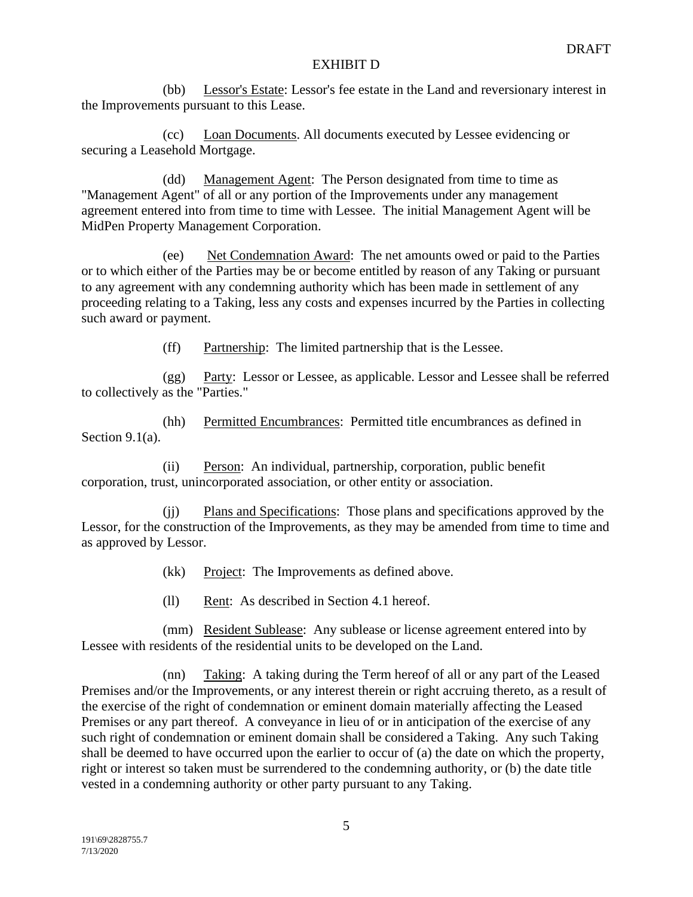(bb) Lessor's Estate: Lessor's fee estate in the Land and reversionary interest in the Improvements pursuant to this Lease.

(cc) Loan Documents. All documents executed by Lessee evidencing or securing a Leasehold Mortgage.

(dd) Management Agent: The Person designated from time to time as "Management Agent" of all or any portion of the Improvements under any management agreement entered into from time to time with Lessee. The initial Management Agent will be MidPen Property Management Corporation.

(ee) Net Condemnation Award: The net amounts owed or paid to the Parties or to which either of the Parties may be or become entitled by reason of any Taking or pursuant to any agreement with any condemning authority which has been made in settlement of any proceeding relating to a Taking, less any costs and expenses incurred by the Parties in collecting such award or payment.

(ff) Partnership: The limited partnership that is the Lessee.

(gg) Party: Lessor or Lessee, as applicable. Lessor and Lessee shall be referred to collectively as the "Parties."

(hh) Permitted Encumbrances: Permitted title encumbrances as defined in Section 9.1(a).

(ii) Person: An individual, partnership, corporation, public benefit corporation, trust, unincorporated association, or other entity or association.

(jj) Plans and Specifications: Those plans and specifications approved by the Lessor, for the construction of the Improvements, as they may be amended from time to time and as approved by Lessor.

(kk) Project: The Improvements as defined above.

(ll) Rent: As described in Section 4.1 hereof.

(mm) Resident Sublease: Any sublease or license agreement entered into by Lessee with residents of the residential units to be developed on the Land.

(nn) Taking: A taking during the Term hereof of all or any part of the Leased Premises and/or the Improvements, or any interest therein or right accruing thereto, as a result of the exercise of the right of condemnation or eminent domain materially affecting the Leased Premises or any part thereof. A conveyance in lieu of or in anticipation of the exercise of any such right of condemnation or eminent domain shall be considered a Taking. Any such Taking shall be deemed to have occurred upon the earlier to occur of (a) the date on which the property, right or interest so taken must be surrendered to the condemning authority, or (b) the date title vested in a condemning authority or other party pursuant to any Taking.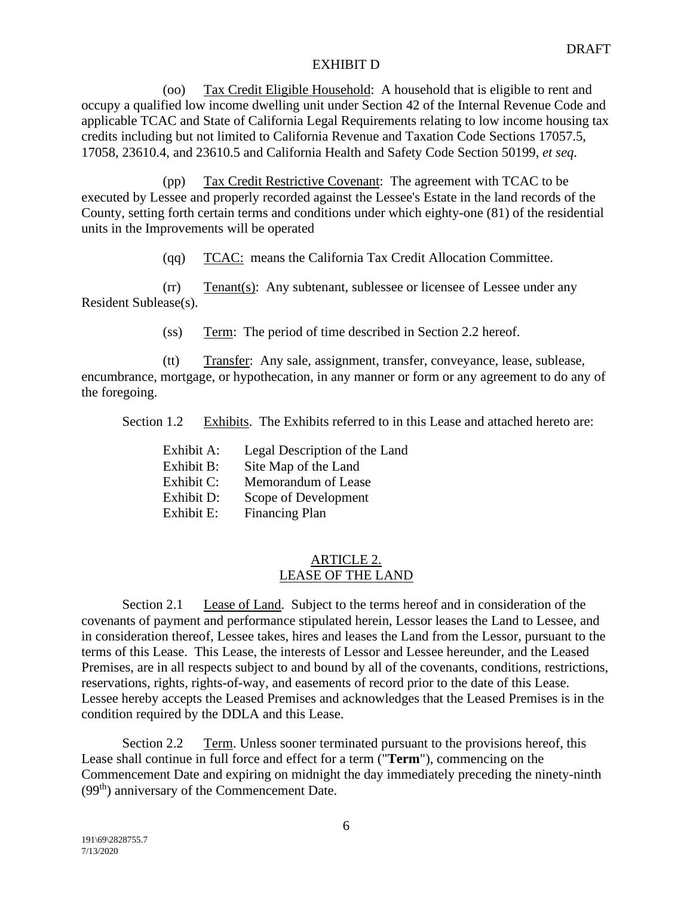(oo) Tax Credit Eligible Household: A household that is eligible to rent and occupy a qualified low income dwelling unit under Section 42 of the Internal Revenue Code and applicable TCAC and State of California Legal Requirements relating to low income housing tax credits including but not limited to California Revenue and Taxation Code Sections 17057.5, 17058, 23610.4, and 23610.5 and California Health and Safety Code Section 50199, *et seq*.

(pp) Tax Credit Restrictive Covenant: The agreement with TCAC to be executed by Lessee and properly recorded against the Lessee's Estate in the land records of the County, setting forth certain terms and conditions under which eighty-one (81) of the residential units in the Improvements will be operated

(qq) TCAC: means the California Tax Credit Allocation Committee.

(rr) Tenant(s): Any subtenant, sublessee or licensee of Lessee under any Resident Sublease(s).

(ss) Term: The period of time described in Section 2.2 hereof.

(tt) Transfer: Any sale, assignment, transfer, conveyance, lease, sublease, encumbrance, mortgage, or hypothecation, in any manner or form or any agreement to do any of the foregoing.

Section 1.2 Exhibits. The Exhibits referred to in this Lease and attached hereto are:

| Exhibit A: | Legal Description of the Land |
|------------|-------------------------------|
| Exhibit B: | Site Map of the Land          |
| Exhibit C: | Memorandum of Lease           |
| Exhibit D: | Scope of Development          |
| Exhibit E: | <b>Financing Plan</b>         |

## ARTICLE 2. LEASE OF THE LAND

Section 2.1 Lease of Land. Subject to the terms hereof and in consideration of the covenants of payment and performance stipulated herein, Lessor leases the Land to Lessee, and in consideration thereof, Lessee takes, hires and leases the Land from the Lessor, pursuant to the terms of this Lease. This Lease, the interests of Lessor and Lessee hereunder, and the Leased Premises, are in all respects subject to and bound by all of the covenants, conditions, restrictions, reservations, rights, rights-of-way, and easements of record prior to the date of this Lease. Lessee hereby accepts the Leased Premises and acknowledges that the Leased Premises is in the condition required by the DDLA and this Lease.

Section 2.2 Term. Unless sooner terminated pursuant to the provisions hereof, this Lease shall continue in full force and effect for a term ("**Term**"), commencing on the Commencement Date and expiring on midnight the day immediately preceding the ninety-ninth (99<sup>th</sup>) anniversary of the Commencement Date.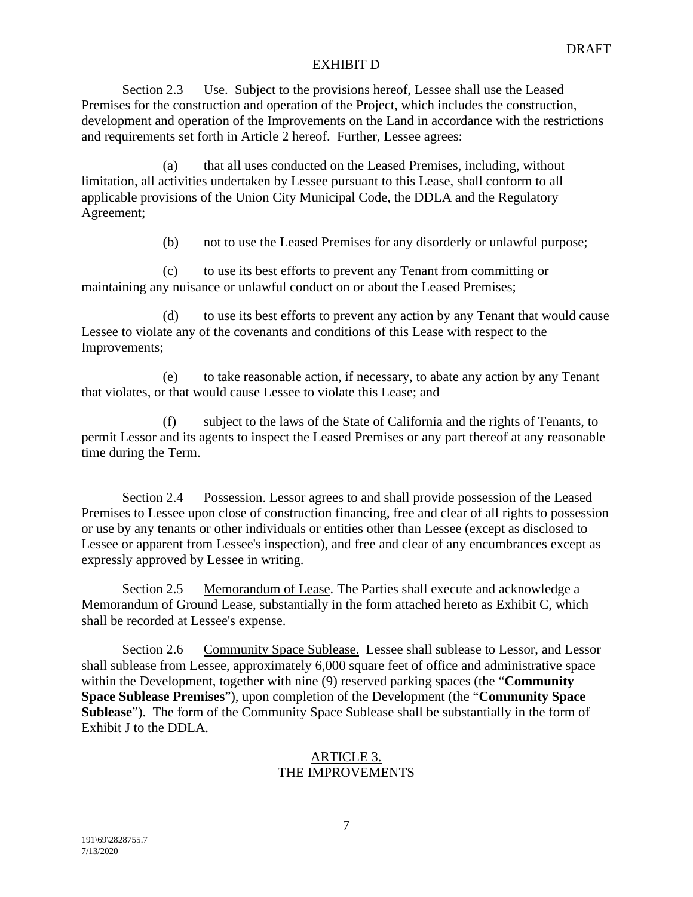Section 2.3 Use. Subject to the provisions hereof, Lessee shall use the Leased Premises for the construction and operation of the Project, which includes the construction, development and operation of the Improvements on the Land in accordance with the restrictions and requirements set forth in Article 2 hereof. Further, Lessee agrees:

(a) that all uses conducted on the Leased Premises, including, without limitation, all activities undertaken by Lessee pursuant to this Lease, shall conform to all applicable provisions of the Union City Municipal Code, the DDLA and the Regulatory Agreement;

(b) not to use the Leased Premises for any disorderly or unlawful purpose;

(c) to use its best efforts to prevent any Tenant from committing or maintaining any nuisance or unlawful conduct on or about the Leased Premises;

(d) to use its best efforts to prevent any action by any Tenant that would cause Lessee to violate any of the covenants and conditions of this Lease with respect to the Improvements;

(e) to take reasonable action, if necessary, to abate any action by any Tenant that violates, or that would cause Lessee to violate this Lease; and

(f) subject to the laws of the State of California and the rights of Tenants, to permit Lessor and its agents to inspect the Leased Premises or any part thereof at any reasonable time during the Term.

Section 2.4 Possession. Lessor agrees to and shall provide possession of the Leased Premises to Lessee upon close of construction financing, free and clear of all rights to possession or use by any tenants or other individuals or entities other than Lessee (except as disclosed to Lessee or apparent from Lessee's inspection), and free and clear of any encumbrances except as expressly approved by Lessee in writing.

Section 2.5 Memorandum of Lease. The Parties shall execute and acknowledge a Memorandum of Ground Lease, substantially in the form attached hereto as Exhibit C, which shall be recorded at Lessee's expense.

Section 2.6 Community Space Sublease. Lessee shall sublease to Lessor, and Lessor shall sublease from Lessee, approximately 6,000 square feet of office and administrative space within the Development, together with nine (9) reserved parking spaces (the "**Community Space Sublease Premises**"), upon completion of the Development (the "**Community Space Sublease**"). The form of the Community Space Sublease shall be substantially in the form of Exhibit J to the DDLA.

## ARTICLE 3. THE IMPROVEMENTS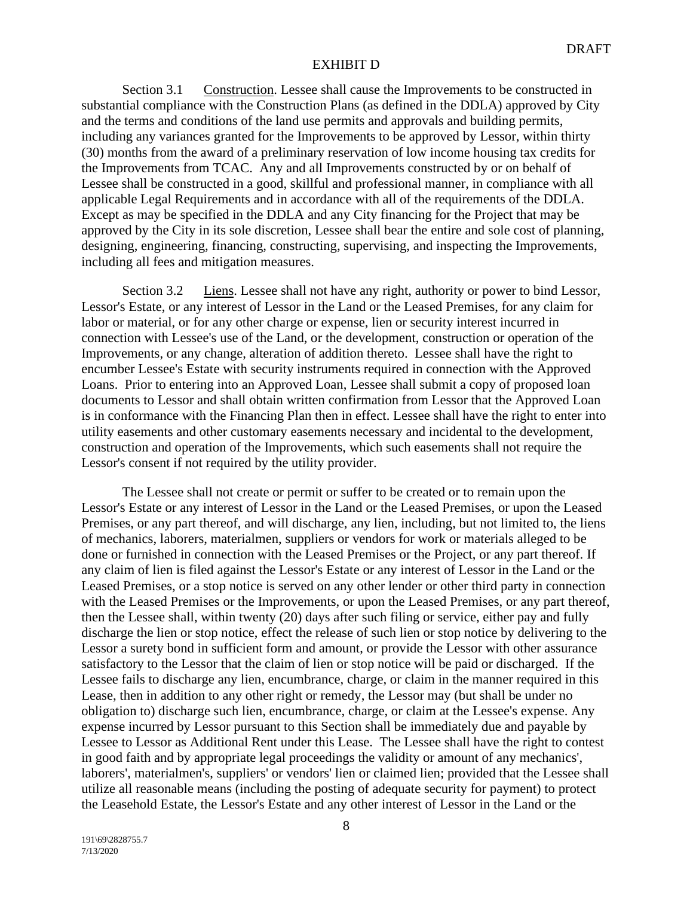Section 3.1 Construction. Lessee shall cause the Improvements to be constructed in substantial compliance with the Construction Plans (as defined in the DDLA) approved by City and the terms and conditions of the land use permits and approvals and building permits, including any variances granted for the Improvements to be approved by Lessor, within thirty (30) months from the award of a preliminary reservation of low income housing tax credits for the Improvements from TCAC. Any and all Improvements constructed by or on behalf of Lessee shall be constructed in a good, skillful and professional manner, in compliance with all applicable Legal Requirements and in accordance with all of the requirements of the DDLA. Except as may be specified in the DDLA and any City financing for the Project that may be approved by the City in its sole discretion, Lessee shall bear the entire and sole cost of planning, designing, engineering, financing, constructing, supervising, and inspecting the Improvements, including all fees and mitigation measures.

Section 3.2 Liens. Lessee shall not have any right, authority or power to bind Lessor, Lessor's Estate, or any interest of Lessor in the Land or the Leased Premises, for any claim for labor or material, or for any other charge or expense, lien or security interest incurred in connection with Lessee's use of the Land, or the development, construction or operation of the Improvements, or any change, alteration of addition thereto. Lessee shall have the right to encumber Lessee's Estate with security instruments required in connection with the Approved Loans. Prior to entering into an Approved Loan, Lessee shall submit a copy of proposed loan documents to Lessor and shall obtain written confirmation from Lessor that the Approved Loan is in conformance with the Financing Plan then in effect. Lessee shall have the right to enter into utility easements and other customary easements necessary and incidental to the development, construction and operation of the Improvements, which such easements shall not require the Lessor's consent if not required by the utility provider.

The Lessee shall not create or permit or suffer to be created or to remain upon the Lessor's Estate or any interest of Lessor in the Land or the Leased Premises, or upon the Leased Premises, or any part thereof, and will discharge, any lien, including, but not limited to, the liens of mechanics, laborers, materialmen, suppliers or vendors for work or materials alleged to be done or furnished in connection with the Leased Premises or the Project, or any part thereof. If any claim of lien is filed against the Lessor's Estate or any interest of Lessor in the Land or the Leased Premises, or a stop notice is served on any other lender or other third party in connection with the Leased Premises or the Improvements, or upon the Leased Premises, or any part thereof, then the Lessee shall, within twenty (20) days after such filing or service, either pay and fully discharge the lien or stop notice, effect the release of such lien or stop notice by delivering to the Lessor a surety bond in sufficient form and amount, or provide the Lessor with other assurance satisfactory to the Lessor that the claim of lien or stop notice will be paid or discharged. If the Lessee fails to discharge any lien, encumbrance, charge, or claim in the manner required in this Lease, then in addition to any other right or remedy, the Lessor may (but shall be under no obligation to) discharge such lien, encumbrance, charge, or claim at the Lessee's expense. Any expense incurred by Lessor pursuant to this Section shall be immediately due and payable by Lessee to Lessor as Additional Rent under this Lease. The Lessee shall have the right to contest in good faith and by appropriate legal proceedings the validity or amount of any mechanics', laborers', materialmen's, suppliers' or vendors' lien or claimed lien; provided that the Lessee shall utilize all reasonable means (including the posting of adequate security for payment) to protect the Leasehold Estate, the Lessor's Estate and any other interest of Lessor in the Land or the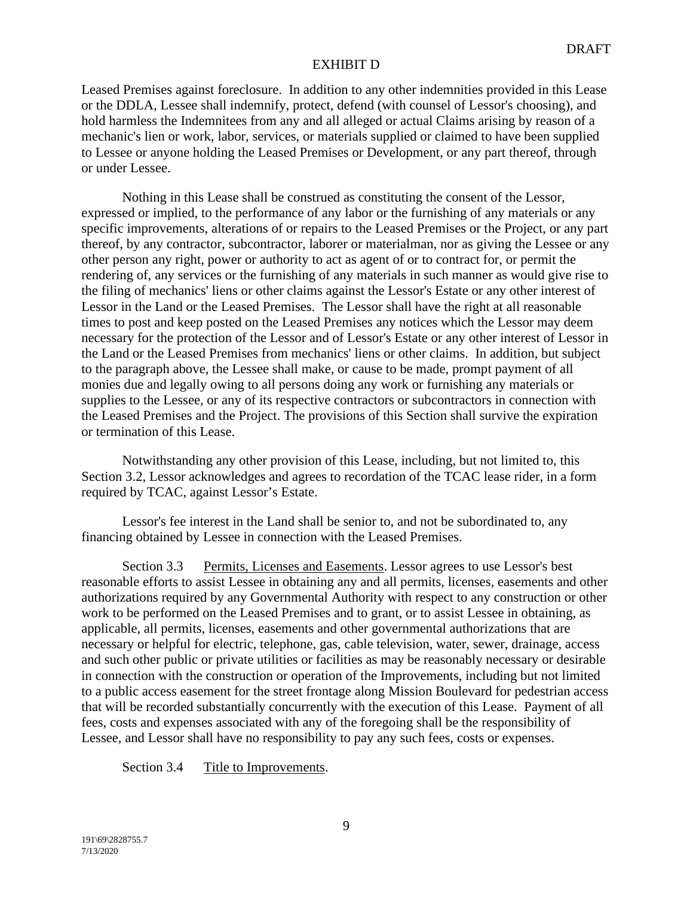Leased Premises against foreclosure. In addition to any other indemnities provided in this Lease or the DDLA, Lessee shall indemnify, protect, defend (with counsel of Lessor's choosing), and hold harmless the Indemnitees from any and all alleged or actual Claims arising by reason of a mechanic's lien or work, labor, services, or materials supplied or claimed to have been supplied to Lessee or anyone holding the Leased Premises or Development, or any part thereof, through or under Lessee.

Nothing in this Lease shall be construed as constituting the consent of the Lessor, expressed or implied, to the performance of any labor or the furnishing of any materials or any specific improvements, alterations of or repairs to the Leased Premises or the Project, or any part thereof, by any contractor, subcontractor, laborer or materialman, nor as giving the Lessee or any other person any right, power or authority to act as agent of or to contract for, or permit the rendering of, any services or the furnishing of any materials in such manner as would give rise to the filing of mechanics' liens or other claims against the Lessor's Estate or any other interest of Lessor in the Land or the Leased Premises. The Lessor shall have the right at all reasonable times to post and keep posted on the Leased Premises any notices which the Lessor may deem necessary for the protection of the Lessor and of Lessor's Estate or any other interest of Lessor in the Land or the Leased Premises from mechanics' liens or other claims. In addition, but subject to the paragraph above, the Lessee shall make, or cause to be made, prompt payment of all monies due and legally owing to all persons doing any work or furnishing any materials or supplies to the Lessee, or any of its respective contractors or subcontractors in connection with the Leased Premises and the Project. The provisions of this Section shall survive the expiration or termination of this Lease.

Notwithstanding any other provision of this Lease, including, but not limited to, this Section 3.2, Lessor acknowledges and agrees to recordation of the TCAC lease rider, in a form required by TCAC, against Lessor's Estate.

Lessor's fee interest in the Land shall be senior to, and not be subordinated to, any financing obtained by Lessee in connection with the Leased Premises.

Section 3.3 Permits, Licenses and Easements. Lessor agrees to use Lessor's best reasonable efforts to assist Lessee in obtaining any and all permits, licenses, easements and other authorizations required by any Governmental Authority with respect to any construction or other work to be performed on the Leased Premises and to grant, or to assist Lessee in obtaining, as applicable, all permits, licenses, easements and other governmental authorizations that are necessary or helpful for electric, telephone, gas, cable television, water, sewer, drainage, access and such other public or private utilities or facilities as may be reasonably necessary or desirable in connection with the construction or operation of the Improvements, including but not limited to a public access easement for the street frontage along Mission Boulevard for pedestrian access that will be recorded substantially concurrently with the execution of this Lease. Payment of all fees, costs and expenses associated with any of the foregoing shall be the responsibility of Lessee, and Lessor shall have no responsibility to pay any such fees, costs or expenses.

Section 3.4 Title to Improvements.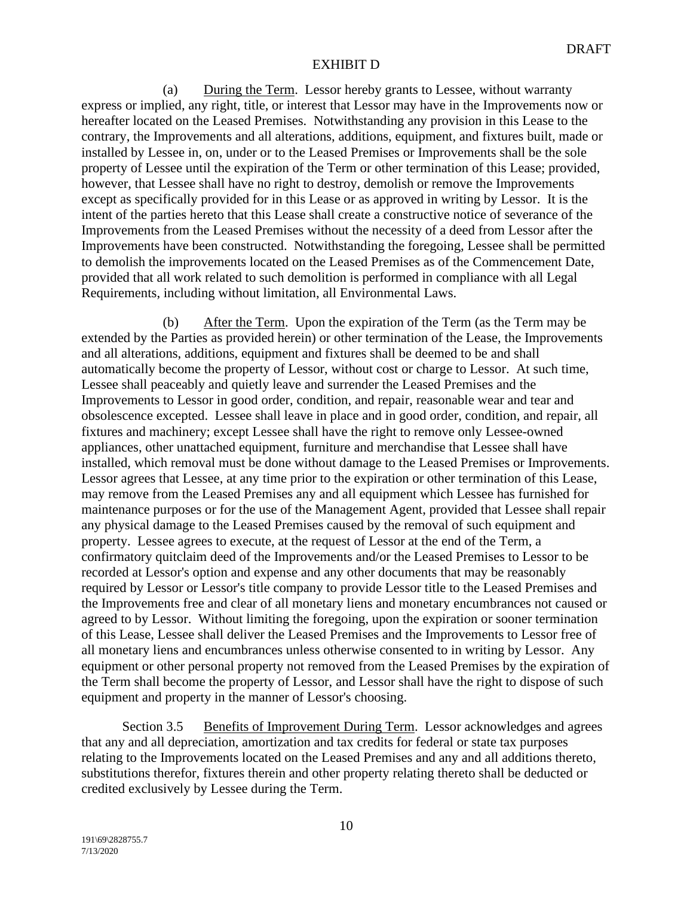(a) During the Term. Lessor hereby grants to Lessee, without warranty express or implied, any right, title, or interest that Lessor may have in the Improvements now or hereafter located on the Leased Premises. Notwithstanding any provision in this Lease to the contrary, the Improvements and all alterations, additions, equipment, and fixtures built, made or installed by Lessee in, on, under or to the Leased Premises or Improvements shall be the sole property of Lessee until the expiration of the Term or other termination of this Lease; provided, however, that Lessee shall have no right to destroy, demolish or remove the Improvements except as specifically provided for in this Lease or as approved in writing by Lessor. It is the intent of the parties hereto that this Lease shall create a constructive notice of severance of the Improvements from the Leased Premises without the necessity of a deed from Lessor after the Improvements have been constructed. Notwithstanding the foregoing, Lessee shall be permitted to demolish the improvements located on the Leased Premises as of the Commencement Date, provided that all work related to such demolition is performed in compliance with all Legal Requirements, including without limitation, all Environmental Laws.

(b) After the Term. Upon the expiration of the Term (as the Term may be extended by the Parties as provided herein) or other termination of the Lease, the Improvements and all alterations, additions, equipment and fixtures shall be deemed to be and shall automatically become the property of Lessor, without cost or charge to Lessor. At such time, Lessee shall peaceably and quietly leave and surrender the Leased Premises and the Improvements to Lessor in good order, condition, and repair, reasonable wear and tear and obsolescence excepted. Lessee shall leave in place and in good order, condition, and repair, all fixtures and machinery; except Lessee shall have the right to remove only Lessee-owned appliances, other unattached equipment, furniture and merchandise that Lessee shall have installed, which removal must be done without damage to the Leased Premises or Improvements. Lessor agrees that Lessee, at any time prior to the expiration or other termination of this Lease, may remove from the Leased Premises any and all equipment which Lessee has furnished for maintenance purposes or for the use of the Management Agent, provided that Lessee shall repair any physical damage to the Leased Premises caused by the removal of such equipment and property. Lessee agrees to execute, at the request of Lessor at the end of the Term, a confirmatory quitclaim deed of the Improvements and/or the Leased Premises to Lessor to be recorded at Lessor's option and expense and any other documents that may be reasonably required by Lessor or Lessor's title company to provide Lessor title to the Leased Premises and the Improvements free and clear of all monetary liens and monetary encumbrances not caused or agreed to by Lessor. Without limiting the foregoing, upon the expiration or sooner termination of this Lease, Lessee shall deliver the Leased Premises and the Improvements to Lessor free of all monetary liens and encumbrances unless otherwise consented to in writing by Lessor. Any equipment or other personal property not removed from the Leased Premises by the expiration of the Term shall become the property of Lessor, and Lessor shall have the right to dispose of such equipment and property in the manner of Lessor's choosing.

Section 3.5 Benefits of Improvement During Term. Lessor acknowledges and agrees that any and all depreciation, amortization and tax credits for federal or state tax purposes relating to the Improvements located on the Leased Premises and any and all additions thereto, substitutions therefor, fixtures therein and other property relating thereto shall be deducted or credited exclusively by Lessee during the Term.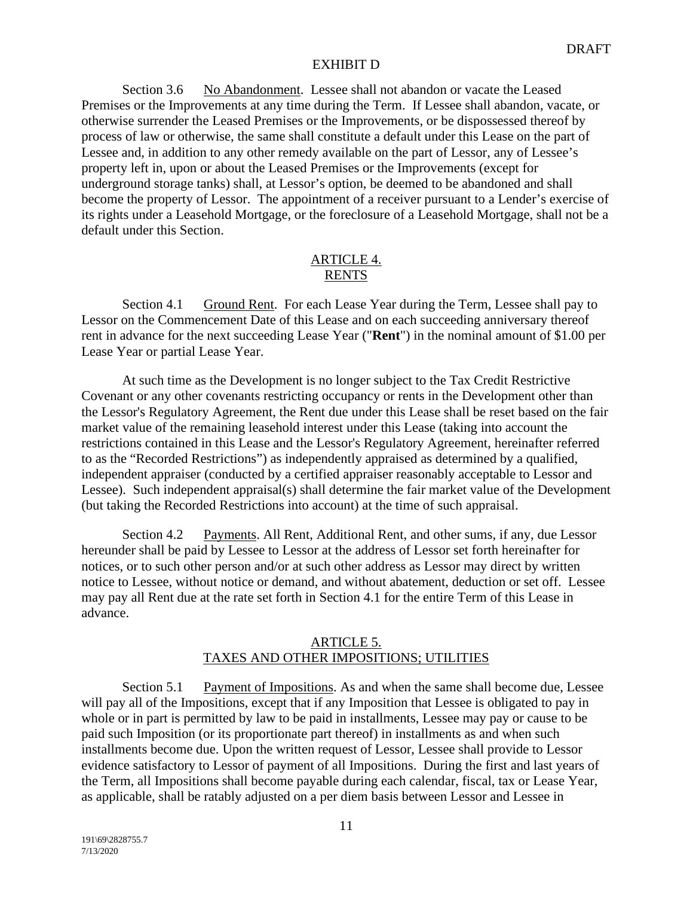Section 3.6 No Abandonment. Lessee shall not abandon or vacate the Leased Premises or the Improvements at any time during the Term. If Lessee shall abandon, vacate, or otherwise surrender the Leased Premises or the Improvements, or be dispossessed thereof by process of law or otherwise, the same shall constitute a default under this Lease on the part of Lessee and, in addition to any other remedy available on the part of Lessor, any of Lessee's property left in, upon or about the Leased Premises or the Improvements (except for underground storage tanks) shall, at Lessor's option, be deemed to be abandoned and shall become the property of Lessor. The appointment of a receiver pursuant to a Lender's exercise of its rights under a Leasehold Mortgage, or the foreclosure of a Leasehold Mortgage, shall not be a default under this Section.

### ARTICLE 4. RENTS

Section 4.1 Ground Rent. For each Lease Year during the Term, Lessee shall pay to Lessor on the Commencement Date of this Lease and on each succeeding anniversary thereof rent in advance for the next succeeding Lease Year ("**Rent**") in the nominal amount of \$1.00 per Lease Year or partial Lease Year.

At such time as the Development is no longer subject to the Tax Credit Restrictive Covenant or any other covenants restricting occupancy or rents in the Development other than the Lessor's Regulatory Agreement, the Rent due under this Lease shall be reset based on the fair market value of the remaining leasehold interest under this Lease (taking into account the restrictions contained in this Lease and the Lessor's Regulatory Agreement, hereinafter referred to as the "Recorded Restrictions") as independently appraised as determined by a qualified, independent appraiser (conducted by a certified appraiser reasonably acceptable to Lessor and Lessee). Such independent appraisal(s) shall determine the fair market value of the Development (but taking the Recorded Restrictions into account) at the time of such appraisal.

Section 4.2 Payments. All Rent, Additional Rent, and other sums, if any, due Lessor hereunder shall be paid by Lessee to Lessor at the address of Lessor set forth hereinafter for notices, or to such other person and/or at such other address as Lessor may direct by written notice to Lessee, without notice or demand, and without abatement, deduction or set off. Lessee may pay all Rent due at the rate set forth in Section 4.1 for the entire Term of this Lease in advance.

#### ARTICLE 5. TAXES AND OTHER IMPOSITIONS; UTILITIES

Section 5.1 Payment of Impositions. As and when the same shall become due, Lessee will pay all of the Impositions, except that if any Imposition that Lessee is obligated to pay in whole or in part is permitted by law to be paid in installments, Lessee may pay or cause to be paid such Imposition (or its proportionate part thereof) in installments as and when such installments become due. Upon the written request of Lessor, Lessee shall provide to Lessor evidence satisfactory to Lessor of payment of all Impositions. During the first and last years of the Term, all Impositions shall become payable during each calendar, fiscal, tax or Lease Year, as applicable, shall be ratably adjusted on a per diem basis between Lessor and Lessee in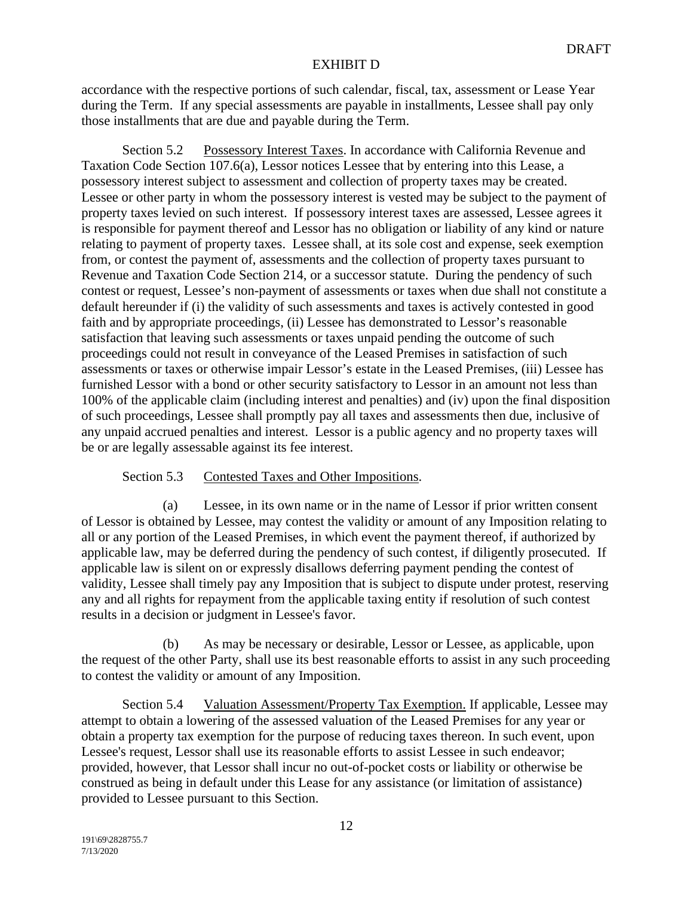accordance with the respective portions of such calendar, fiscal, tax, assessment or Lease Year during the Term. If any special assessments are payable in installments, Lessee shall pay only those installments that are due and payable during the Term.

Section 5.2 Possessory Interest Taxes. In accordance with California Revenue and Taxation Code Section 107.6(a), Lessor notices Lessee that by entering into this Lease, a possessory interest subject to assessment and collection of property taxes may be created. Lessee or other party in whom the possessory interest is vested may be subject to the payment of property taxes levied on such interest. If possessory interest taxes are assessed, Lessee agrees it is responsible for payment thereof and Lessor has no obligation or liability of any kind or nature relating to payment of property taxes. Lessee shall, at its sole cost and expense, seek exemption from, or contest the payment of, assessments and the collection of property taxes pursuant to Revenue and Taxation Code Section 214, or a successor statute. During the pendency of such contest or request, Lessee's non-payment of assessments or taxes when due shall not constitute a default hereunder if (i) the validity of such assessments and taxes is actively contested in good faith and by appropriate proceedings, (ii) Lessee has demonstrated to Lessor's reasonable satisfaction that leaving such assessments or taxes unpaid pending the outcome of such proceedings could not result in conveyance of the Leased Premises in satisfaction of such assessments or taxes or otherwise impair Lessor's estate in the Leased Premises, (iii) Lessee has furnished Lessor with a bond or other security satisfactory to Lessor in an amount not less than 100% of the applicable claim (including interest and penalties) and (iv) upon the final disposition of such proceedings, Lessee shall promptly pay all taxes and assessments then due, inclusive of any unpaid accrued penalties and interest. Lessor is a public agency and no property taxes will be or are legally assessable against its fee interest.

### Section 5.3 Contested Taxes and Other Impositions.

(a) Lessee, in its own name or in the name of Lessor if prior written consent of Lessor is obtained by Lessee, may contest the validity or amount of any Imposition relating to all or any portion of the Leased Premises, in which event the payment thereof, if authorized by applicable law, may be deferred during the pendency of such contest, if diligently prosecuted. If applicable law is silent on or expressly disallows deferring payment pending the contest of validity, Lessee shall timely pay any Imposition that is subject to dispute under protest, reserving any and all rights for repayment from the applicable taxing entity if resolution of such contest results in a decision or judgment in Lessee's favor.

(b) As may be necessary or desirable, Lessor or Lessee, as applicable, upon the request of the other Party, shall use its best reasonable efforts to assist in any such proceeding to contest the validity or amount of any Imposition.

Section 5.4 Valuation Assessment/Property Tax Exemption. If applicable, Lessee may attempt to obtain a lowering of the assessed valuation of the Leased Premises for any year or obtain a property tax exemption for the purpose of reducing taxes thereon. In such event, upon Lessee's request, Lessor shall use its reasonable efforts to assist Lessee in such endeavor; provided, however, that Lessor shall incur no out-of-pocket costs or liability or otherwise be construed as being in default under this Lease for any assistance (or limitation of assistance) provided to Lessee pursuant to this Section.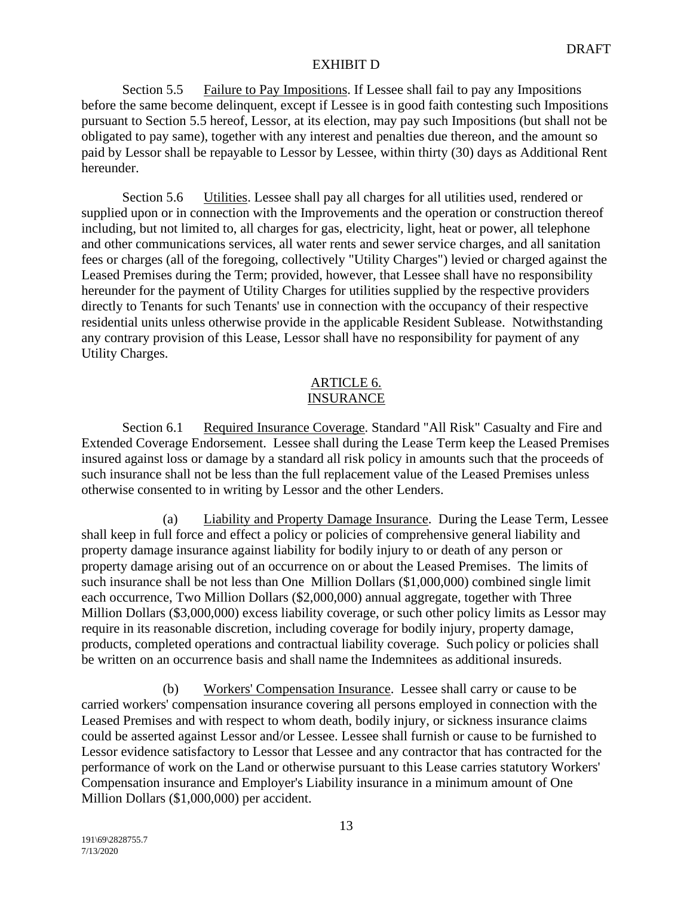Section 5.5 Failure to Pay Impositions. If Lessee shall fail to pay any Impositions before the same become delinquent, except if Lessee is in good faith contesting such Impositions pursuant to Section 5.5 hereof, Lessor, at its election, may pay such Impositions (but shall not be obligated to pay same), together with any interest and penalties due thereon, and the amount so paid by Lessor shall be repayable to Lessor by Lessee, within thirty (30) days as Additional Rent hereunder.

Section 5.6 Utilities. Lessee shall pay all charges for all utilities used, rendered or supplied upon or in connection with the Improvements and the operation or construction thereof including, but not limited to, all charges for gas, electricity, light, heat or power, all telephone and other communications services, all water rents and sewer service charges, and all sanitation fees or charges (all of the foregoing, collectively "Utility Charges") levied or charged against the Leased Premises during the Term; provided, however, that Lessee shall have no responsibility hereunder for the payment of Utility Charges for utilities supplied by the respective providers directly to Tenants for such Tenants' use in connection with the occupancy of their respective residential units unless otherwise provide in the applicable Resident Sublease. Notwithstanding any contrary provision of this Lease, Lessor shall have no responsibility for payment of any Utility Charges.

## ARTICLE 6. **INSURANCE**

Section 6.1 Required Insurance Coverage. Standard "All Risk" Casualty and Fire and Extended Coverage Endorsement. Lessee shall during the Lease Term keep the Leased Premises insured against loss or damage by a standard all risk policy in amounts such that the proceeds of such insurance shall not be less than the full replacement value of the Leased Premises unless otherwise consented to in writing by Lessor and the other Lenders.

(a) Liability and Property Damage Insurance. During the Lease Term, Lessee shall keep in full force and effect a policy or policies of comprehensive general liability and property damage insurance against liability for bodily injury to or death of any person or property damage arising out of an occurrence on or about the Leased Premises. The limits of such insurance shall be not less than One Million Dollars (\$1,000,000) combined single limit each occurrence, Two Million Dollars (\$2,000,000) annual aggregate, together with Three Million Dollars (\$3,000,000) excess liability coverage, or such other policy limits as Lessor may require in its reasonable discretion, including coverage for bodily injury, property damage, products, completed operations and contractual liability coverage. Such policy or policies shall be written on an occurrence basis and shall name the Indemnitees as additional insureds.

(b) Workers' Compensation Insurance. Lessee shall carry or cause to be carried workers' compensation insurance covering all persons employed in connection with the Leased Premises and with respect to whom death, bodily injury, or sickness insurance claims could be asserted against Lessor and/or Lessee. Lessee shall furnish or cause to be furnished to Lessor evidence satisfactory to Lessor that Lessee and any contractor that has contracted for the performance of work on the Land or otherwise pursuant to this Lease carries statutory Workers' Compensation insurance and Employer's Liability insurance in a minimum amount of One Million Dollars (\$1,000,000) per accident.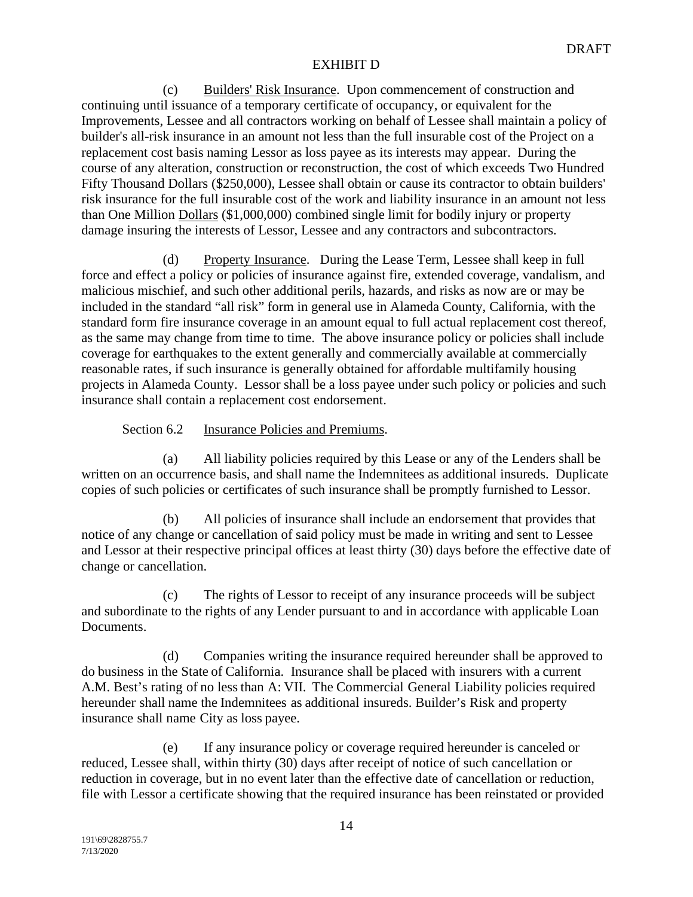(c) Builders' Risk Insurance. Upon commencement of construction and continuing until issuance of a temporary certificate of occupancy, or equivalent for the Improvements, Lessee and all contractors working on behalf of Lessee shall maintain a policy of builder's all-risk insurance in an amount not less than the full insurable cost of the Project on a replacement cost basis naming Lessor as loss payee as its interests may appear. During the course of any alteration, construction or reconstruction, the cost of which exceeds Two Hundred Fifty Thousand Dollars (\$250,000), Lessee shall obtain or cause its contractor to obtain builders' risk insurance for the full insurable cost of the work and liability insurance in an amount not less than One Million Dollars (\$1,000,000) combined single limit for bodily injury or property damage insuring the interests of Lessor, Lessee and any contractors and subcontractors.

Property Insurance. During the Lease Term, Lessee shall keep in full force and effect a policy or policies of insurance against fire, extended coverage, vandalism, and malicious mischief, and such other additional perils, hazards, and risks as now are or may be included in the standard "all risk" form in general use in Alameda County, California, with the standard form fire insurance coverage in an amount equal to full actual replacement cost thereof, as the same may change from time to time. The above insurance policy or policies shall include coverage for earthquakes to the extent generally and commercially available at commercially reasonable rates, if such insurance is generally obtained for affordable multifamily housing projects in Alameda County. Lessor shall be a loss payee under such policy or policies and such insurance shall contain a replacement cost endorsement.

Section 6.2 Insurance Policies and Premiums.

(a) All liability policies required by this Lease or any of the Lenders shall be written on an occurrence basis, and shall name the Indemnitees as additional insureds. Duplicate copies of such policies or certificates of such insurance shall be promptly furnished to Lessor.

(b) All policies of insurance shall include an endorsement that provides that notice of any change or cancellation of said policy must be made in writing and sent to Lessee and Lessor at their respective principal offices at least thirty (30) days before the effective date of change or cancellation.

(c) The rights of Lessor to receipt of any insurance proceeds will be subject and subordinate to the rights of any Lender pursuant to and in accordance with applicable Loan Documents.

(d) Companies writing the insurance required hereunder shall be approved to do business in the State of California. Insurance shall be placed with insurers with a current A.M. Best's rating of no less than A: VII. The Commercial General Liability policies required hereunder shall name the Indemnitees as additional insureds. Builder's Risk and property insurance shall name City as loss payee.

(e) If any insurance policy or coverage required hereunder is canceled or reduced, Lessee shall, within thirty (30) days after receipt of notice of such cancellation or reduction in coverage, but in no event later than the effective date of cancellation or reduction, file with Lessor a certificate showing that the required insurance has been reinstated or provided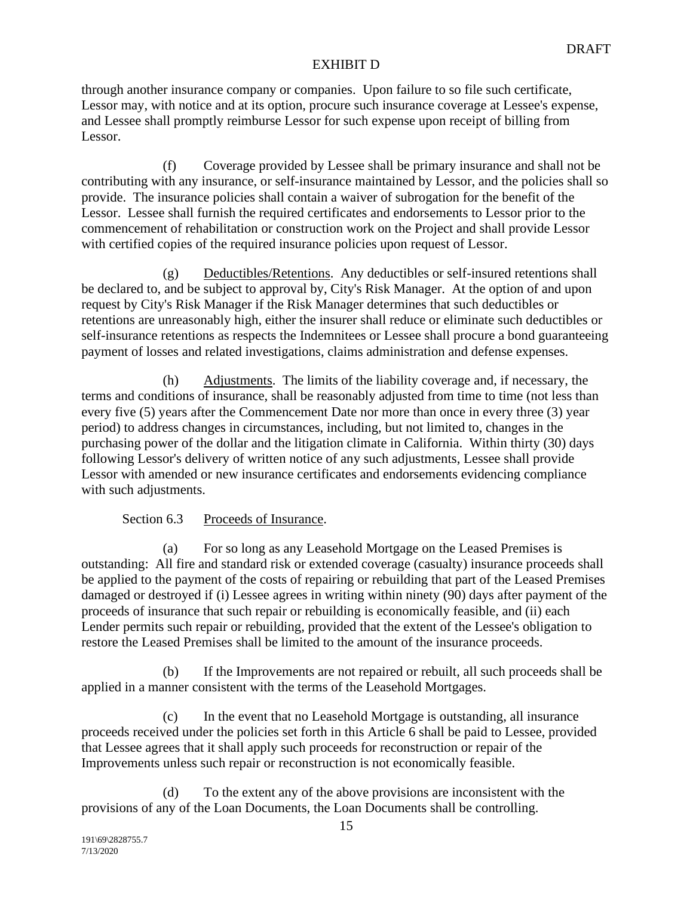through another insurance company or companies. Upon failure to so file such certificate, Lessor may, with notice and at its option, procure such insurance coverage at Lessee's expense, and Lessee shall promptly reimburse Lessor for such expense upon receipt of billing from Lessor.

(f) Coverage provided by Lessee shall be primary insurance and shall not be contributing with any insurance, or self-insurance maintained by Lessor, and the policies shall so provide. The insurance policies shall contain a waiver of subrogation for the benefit of the Lessor. Lessee shall furnish the required certificates and endorsements to Lessor prior to the commencement of rehabilitation or construction work on the Project and shall provide Lessor with certified copies of the required insurance policies upon request of Lessor.

(g) Deductibles/Retentions. Any deductibles or self-insured retentions shall be declared to, and be subject to approval by, City's Risk Manager. At the option of and upon request by City's Risk Manager if the Risk Manager determines that such deductibles or retentions are unreasonably high, either the insurer shall reduce or eliminate such deductibles or self-insurance retentions as respects the Indemnitees or Lessee shall procure a bond guaranteeing payment of losses and related investigations, claims administration and defense expenses.

(h) Adjustments. The limits of the liability coverage and, if necessary, the terms and conditions of insurance, shall be reasonably adjusted from time to time (not less than every five (5) years after the Commencement Date nor more than once in every three (3) year period) to address changes in circumstances, including, but not limited to, changes in the purchasing power of the dollar and the litigation climate in California. Within thirty (30) days following Lessor's delivery of written notice of any such adjustments, Lessee shall provide Lessor with amended or new insurance certificates and endorsements evidencing compliance with such adjustments.

Section 6.3 Proceeds of Insurance.

(a) For so long as any Leasehold Mortgage on the Leased Premises is outstanding: All fire and standard risk or extended coverage (casualty) insurance proceeds shall be applied to the payment of the costs of repairing or rebuilding that part of the Leased Premises damaged or destroyed if (i) Lessee agrees in writing within ninety (90) days after payment of the proceeds of insurance that such repair or rebuilding is economically feasible, and (ii) each Lender permits such repair or rebuilding, provided that the extent of the Lessee's obligation to restore the Leased Premises shall be limited to the amount of the insurance proceeds.

(b) If the Improvements are not repaired or rebuilt, all such proceeds shall be applied in a manner consistent with the terms of the Leasehold Mortgages.

(c) In the event that no Leasehold Mortgage is outstanding, all insurance proceeds received under the policies set forth in this Article 6 shall be paid to Lessee, provided that Lessee agrees that it shall apply such proceeds for reconstruction or repair of the Improvements unless such repair or reconstruction is not economically feasible.

(d) To the extent any of the above provisions are inconsistent with the provisions of any of the Loan Documents, the Loan Documents shall be controlling.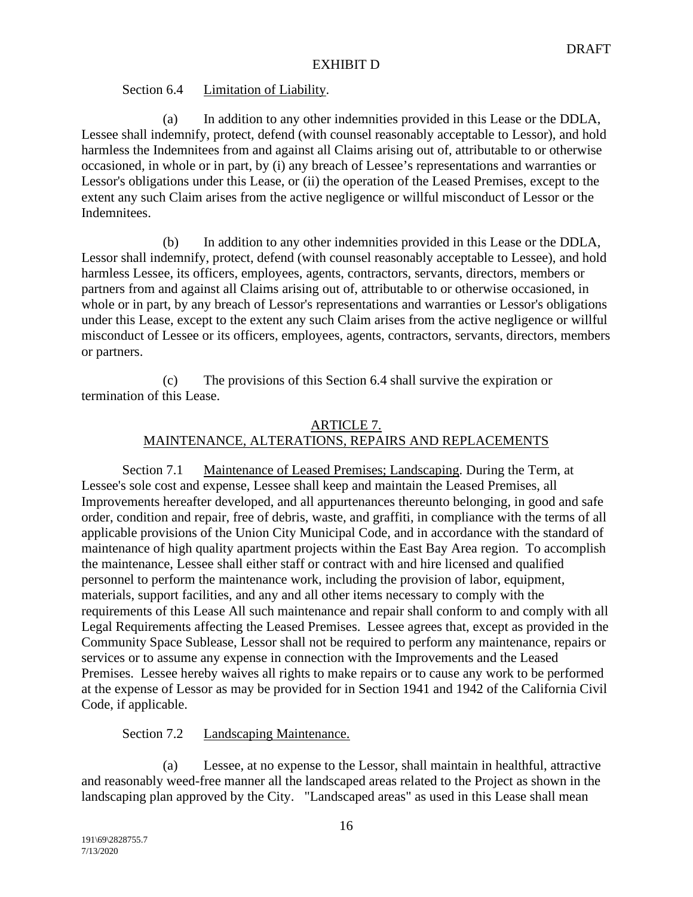## Section 6.4 Limitation of Liability.

(a) In addition to any other indemnities provided in this Lease or the DDLA, Lessee shall indemnify, protect, defend (with counsel reasonably acceptable to Lessor), and hold harmless the Indemnitees from and against all Claims arising out of, attributable to or otherwise occasioned, in whole or in part, by (i) any breach of Lessee's representations and warranties or Lessor's obligations under this Lease, or (ii) the operation of the Leased Premises, except to the extent any such Claim arises from the active negligence or willful misconduct of Lessor or the Indemnitees.

(b) In addition to any other indemnities provided in this Lease or the DDLA, Lessor shall indemnify, protect, defend (with counsel reasonably acceptable to Lessee), and hold harmless Lessee, its officers, employees, agents, contractors, servants, directors, members or partners from and against all Claims arising out of, attributable to or otherwise occasioned, in whole or in part, by any breach of Lessor's representations and warranties or Lessor's obligations under this Lease, except to the extent any such Claim arises from the active negligence or willful misconduct of Lessee or its officers, employees, agents, contractors, servants, directors, members or partners.

(c) The provisions of this Section 6.4 shall survive the expiration or termination of this Lease.

# ARTICLE 7. MAINTENANCE, ALTERATIONS, REPAIRS AND REPLACEMENTS

Section 7.1 Maintenance of Leased Premises; Landscaping. During the Term, at Lessee's sole cost and expense, Lessee shall keep and maintain the Leased Premises, all Improvements hereafter developed, and all appurtenances thereunto belonging, in good and safe order, condition and repair, free of debris, waste, and graffiti, in compliance with the terms of all applicable provisions of the Union City Municipal Code, and in accordance with the standard of maintenance of high quality apartment projects within the East Bay Area region. To accomplish the maintenance, Lessee shall either staff or contract with and hire licensed and qualified personnel to perform the maintenance work, including the provision of labor, equipment, materials, support facilities, and any and all other items necessary to comply with the requirements of this Lease All such maintenance and repair shall conform to and comply with all Legal Requirements affecting the Leased Premises. Lessee agrees that, except as provided in the Community Space Sublease, Lessor shall not be required to perform any maintenance, repairs or services or to assume any expense in connection with the Improvements and the Leased Premises. Lessee hereby waives all rights to make repairs or to cause any work to be performed at the expense of Lessor as may be provided for in Section 1941 and 1942 of the California Civil Code, if applicable.

# Section 7.2 Landscaping Maintenance.

(a) Lessee, at no expense to the Lessor, shall maintain in healthful, attractive and reasonably weed-free manner all the landscaped areas related to the Project as shown in the landscaping plan approved by the City. "Landscaped areas" as used in this Lease shall mean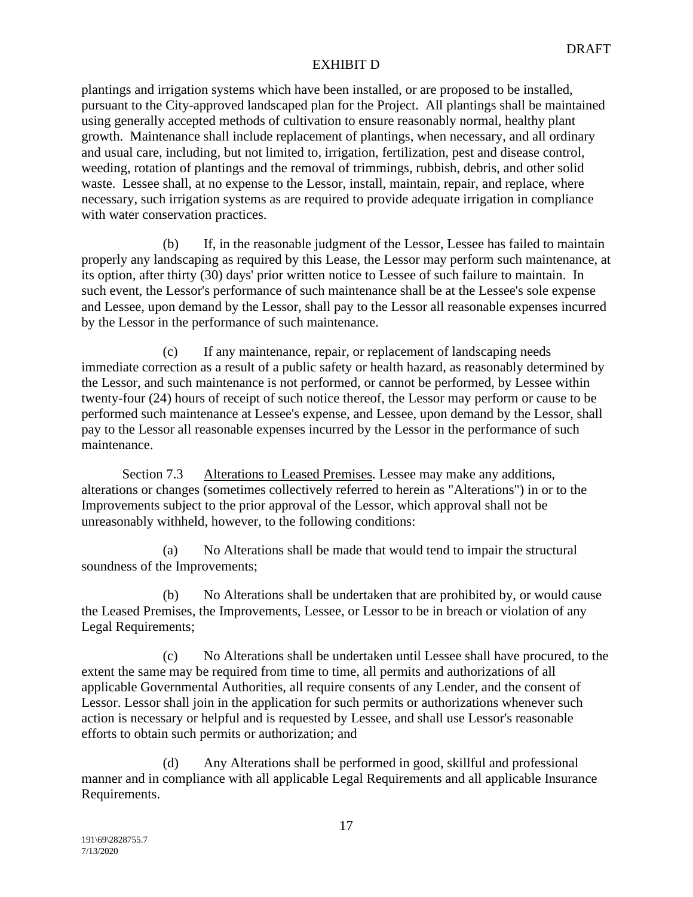plantings and irrigation systems which have been installed, or are proposed to be installed, pursuant to the City-approved landscaped plan for the Project. All plantings shall be maintained using generally accepted methods of cultivation to ensure reasonably normal, healthy plant growth. Maintenance shall include replacement of plantings, when necessary, and all ordinary and usual care, including, but not limited to, irrigation, fertilization, pest and disease control, weeding, rotation of plantings and the removal of trimmings, rubbish, debris, and other solid waste. Lessee shall, at no expense to the Lessor, install, maintain, repair, and replace, where necessary, such irrigation systems as are required to provide adequate irrigation in compliance with water conservation practices.

(b) If, in the reasonable judgment of the Lessor, Lessee has failed to maintain properly any landscaping as required by this Lease, the Lessor may perform such maintenance, at its option, after thirty (30) days' prior written notice to Lessee of such failure to maintain. In such event, the Lessor's performance of such maintenance shall be at the Lessee's sole expense and Lessee, upon demand by the Lessor, shall pay to the Lessor all reasonable expenses incurred by the Lessor in the performance of such maintenance.

(c) If any maintenance, repair, or replacement of landscaping needs immediate correction as a result of a public safety or health hazard, as reasonably determined by the Lessor, and such maintenance is not performed, or cannot be performed, by Lessee within twenty-four (24) hours of receipt of such notice thereof, the Lessor may perform or cause to be performed such maintenance at Lessee's expense, and Lessee, upon demand by the Lessor, shall pay to the Lessor all reasonable expenses incurred by the Lessor in the performance of such maintenance.

Section 7.3 Alterations to Leased Premises. Lessee may make any additions, alterations or changes (sometimes collectively referred to herein as "Alterations") in or to the Improvements subject to the prior approval of the Lessor, which approval shall not be unreasonably withheld, however, to the following conditions:

(a) No Alterations shall be made that would tend to impair the structural soundness of the Improvements;

(b) No Alterations shall be undertaken that are prohibited by, or would cause the Leased Premises, the Improvements, Lessee, or Lessor to be in breach or violation of any Legal Requirements;

(c) No Alterations shall be undertaken until Lessee shall have procured, to the extent the same may be required from time to time, all permits and authorizations of all applicable Governmental Authorities, all require consents of any Lender, and the consent of Lessor. Lessor shall join in the application for such permits or authorizations whenever such action is necessary or helpful and is requested by Lessee, and shall use Lessor's reasonable efforts to obtain such permits or authorization; and

(d) Any Alterations shall be performed in good, skillful and professional manner and in compliance with all applicable Legal Requirements and all applicable Insurance Requirements.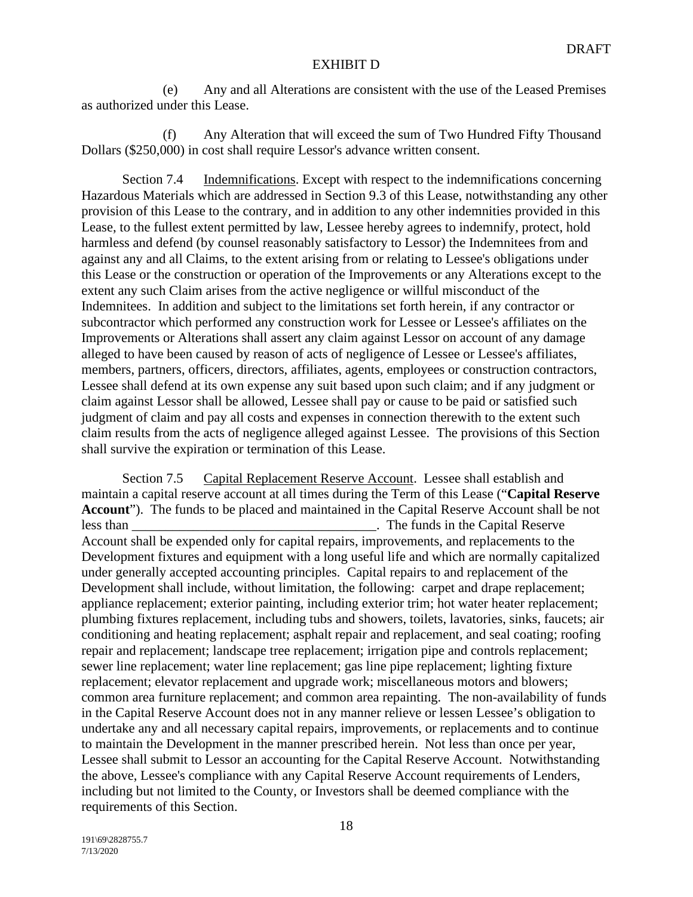(e) Any and all Alterations are consistent with the use of the Leased Premises as authorized under this Lease.

(f) Any Alteration that will exceed the sum of Two Hundred Fifty Thousand Dollars (\$250,000) in cost shall require Lessor's advance written consent.

Section 7.4 Indemnifications. Except with respect to the indemnifications concerning Hazardous Materials which are addressed in Section 9.3 of this Lease, notwithstanding any other provision of this Lease to the contrary, and in addition to any other indemnities provided in this Lease, to the fullest extent permitted by law, Lessee hereby agrees to indemnify, protect, hold harmless and defend (by counsel reasonably satisfactory to Lessor) the Indemnitees from and against any and all Claims, to the extent arising from or relating to Lessee's obligations under this Lease or the construction or operation of the Improvements or any Alterations except to the extent any such Claim arises from the active negligence or willful misconduct of the Indemnitees. In addition and subject to the limitations set forth herein, if any contractor or subcontractor which performed any construction work for Lessee or Lessee's affiliates on the Improvements or Alterations shall assert any claim against Lessor on account of any damage alleged to have been caused by reason of acts of negligence of Lessee or Lessee's affiliates, members, partners, officers, directors, affiliates, agents, employees or construction contractors, Lessee shall defend at its own expense any suit based upon such claim; and if any judgment or claim against Lessor shall be allowed, Lessee shall pay or cause to be paid or satisfied such judgment of claim and pay all costs and expenses in connection therewith to the extent such claim results from the acts of negligence alleged against Lessee. The provisions of this Section shall survive the expiration or termination of this Lease.

Section 7.5 Capital Replacement Reserve Account. Lessee shall establish and maintain a capital reserve account at all times during the Term of this Lease ("**Capital Reserve Account**"). The funds to be placed and maintained in the Capital Reserve Account shall be not less than \_\_\_\_\_\_\_\_\_\_\_\_\_\_\_\_\_\_\_\_\_\_\_\_\_\_\_\_\_\_\_\_\_\_\_\_. The funds in the Capital Reserve Account shall be expended only for capital repairs, improvements, and replacements to the Development fixtures and equipment with a long useful life and which are normally capitalized under generally accepted accounting principles. Capital repairs to and replacement of the Development shall include, without limitation, the following: carpet and drape replacement; appliance replacement; exterior painting, including exterior trim; hot water heater replacement; plumbing fixtures replacement, including tubs and showers, toilets, lavatories, sinks, faucets; air conditioning and heating replacement; asphalt repair and replacement, and seal coating; roofing repair and replacement; landscape tree replacement; irrigation pipe and controls replacement; sewer line replacement; water line replacement; gas line pipe replacement; lighting fixture replacement; elevator replacement and upgrade work; miscellaneous motors and blowers; common area furniture replacement; and common area repainting. The non-availability of funds in the Capital Reserve Account does not in any manner relieve or lessen Lessee's obligation to undertake any and all necessary capital repairs, improvements, or replacements and to continue to maintain the Development in the manner prescribed herein. Not less than once per year, Lessee shall submit to Lessor an accounting for the Capital Reserve Account. Notwithstanding the above, Lessee's compliance with any Capital Reserve Account requirements of Lenders, including but not limited to the County, or Investors shall be deemed compliance with the requirements of this Section.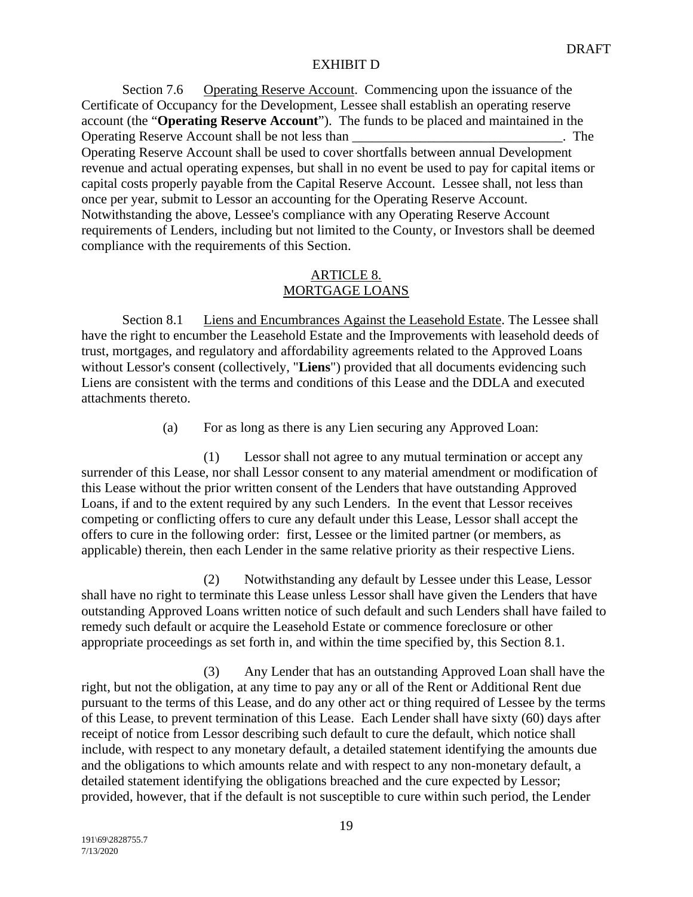Section 7.6 Operating Reserve Account. Commencing upon the issuance of the Certificate of Occupancy for the Development, Lessee shall establish an operating reserve account (the "**Operating Reserve Account**"). The funds to be placed and maintained in the Operating Reserve Account shall be not less than \_\_\_\_\_\_\_\_\_\_\_\_\_\_\_\_\_\_\_\_\_\_\_\_\_\_\_\_\_\_\_. The Operating Reserve Account shall be used to cover shortfalls between annual Development revenue and actual operating expenses, but shall in no event be used to pay for capital items or capital costs properly payable from the Capital Reserve Account. Lessee shall, not less than once per year, submit to Lessor an accounting for the Operating Reserve Account. Notwithstanding the above, Lessee's compliance with any Operating Reserve Account requirements of Lenders, including but not limited to the County, or Investors shall be deemed compliance with the requirements of this Section.

## ARTICLE 8. MORTGAGE LOANS

Section 8.1 Liens and Encumbrances Against the Leasehold Estate. The Lessee shall have the right to encumber the Leasehold Estate and the Improvements with leasehold deeds of trust, mortgages, and regulatory and affordability agreements related to the Approved Loans without Lessor's consent (collectively, "**Liens**") provided that all documents evidencing such Liens are consistent with the terms and conditions of this Lease and the DDLA and executed attachments thereto.

(a) For as long as there is any Lien securing any Approved Loan:

(1) Lessor shall not agree to any mutual termination or accept any surrender of this Lease, nor shall Lessor consent to any material amendment or modification of this Lease without the prior written consent of the Lenders that have outstanding Approved Loans, if and to the extent required by any such Lenders. In the event that Lessor receives competing or conflicting offers to cure any default under this Lease, Lessor shall accept the offers to cure in the following order: first, Lessee or the limited partner (or members, as applicable) therein, then each Lender in the same relative priority as their respective Liens.

(2) Notwithstanding any default by Lessee under this Lease, Lessor shall have no right to terminate this Lease unless Lessor shall have given the Lenders that have outstanding Approved Loans written notice of such default and such Lenders shall have failed to remedy such default or acquire the Leasehold Estate or commence foreclosure or other appropriate proceedings as set forth in, and within the time specified by, this Section 8.1.

(3) Any Lender that has an outstanding Approved Loan shall have the right, but not the obligation, at any time to pay any or all of the Rent or Additional Rent due pursuant to the terms of this Lease, and do any other act or thing required of Lessee by the terms of this Lease, to prevent termination of this Lease. Each Lender shall have sixty (60) days after receipt of notice from Lessor describing such default to cure the default, which notice shall include, with respect to any monetary default, a detailed statement identifying the amounts due and the obligations to which amounts relate and with respect to any non-monetary default, a detailed statement identifying the obligations breached and the cure expected by Lessor; provided, however, that if the default is not susceptible to cure within such period, the Lender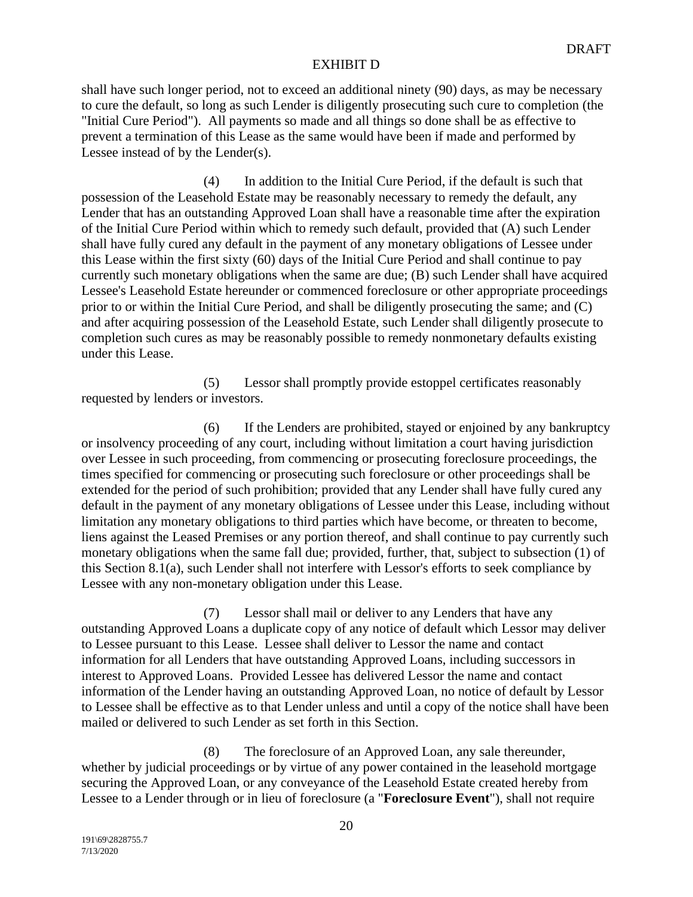shall have such longer period, not to exceed an additional ninety (90) days, as may be necessary to cure the default, so long as such Lender is diligently prosecuting such cure to completion (the "Initial Cure Period"). All payments so made and all things so done shall be as effective to prevent a termination of this Lease as the same would have been if made and performed by Lessee instead of by the Lender(s).

(4) In addition to the Initial Cure Period, if the default is such that possession of the Leasehold Estate may be reasonably necessary to remedy the default, any Lender that has an outstanding Approved Loan shall have a reasonable time after the expiration of the Initial Cure Period within which to remedy such default, provided that (A) such Lender shall have fully cured any default in the payment of any monetary obligations of Lessee under this Lease within the first sixty (60) days of the Initial Cure Period and shall continue to pay currently such monetary obligations when the same are due; (B) such Lender shall have acquired Lessee's Leasehold Estate hereunder or commenced foreclosure or other appropriate proceedings prior to or within the Initial Cure Period, and shall be diligently prosecuting the same; and (C) and after acquiring possession of the Leasehold Estate, such Lender shall diligently prosecute to completion such cures as may be reasonably possible to remedy nonmonetary defaults existing under this Lease.

(5) Lessor shall promptly provide estoppel certificates reasonably requested by lenders or investors.

(6) If the Lenders are prohibited, stayed or enjoined by any bankruptcy or insolvency proceeding of any court, including without limitation a court having jurisdiction over Lessee in such proceeding, from commencing or prosecuting foreclosure proceedings, the times specified for commencing or prosecuting such foreclosure or other proceedings shall be extended for the period of such prohibition; provided that any Lender shall have fully cured any default in the payment of any monetary obligations of Lessee under this Lease, including without limitation any monetary obligations to third parties which have become, or threaten to become, liens against the Leased Premises or any portion thereof, and shall continue to pay currently such monetary obligations when the same fall due; provided, further, that, subject to subsection (1) of this Section 8.1(a), such Lender shall not interfere with Lessor's efforts to seek compliance by Lessee with any non-monetary obligation under this Lease.

(7) Lessor shall mail or deliver to any Lenders that have any outstanding Approved Loans a duplicate copy of any notice of default which Lessor may deliver to Lessee pursuant to this Lease. Lessee shall deliver to Lessor the name and contact information for all Lenders that have outstanding Approved Loans, including successors in interest to Approved Loans. Provided Lessee has delivered Lessor the name and contact information of the Lender having an outstanding Approved Loan, no notice of default by Lessor to Lessee shall be effective as to that Lender unless and until a copy of the notice shall have been mailed or delivered to such Lender as set forth in this Section.

(8) The foreclosure of an Approved Loan, any sale thereunder, whether by judicial proceedings or by virtue of any power contained in the leasehold mortgage securing the Approved Loan, or any conveyance of the Leasehold Estate created hereby from Lessee to a Lender through or in lieu of foreclosure (a "**Foreclosure Event**"), shall not require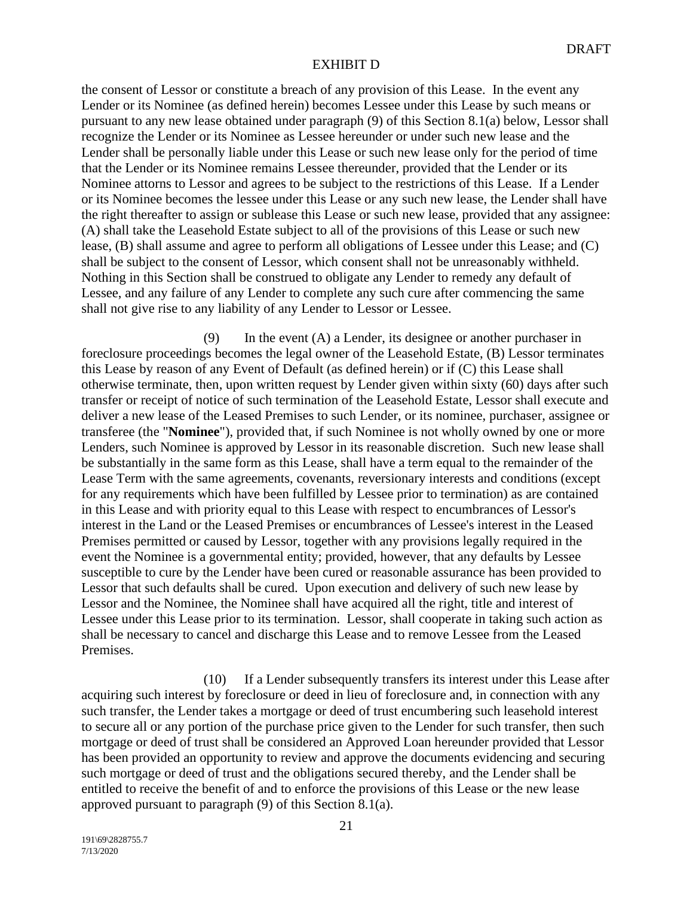the consent of Lessor or constitute a breach of any provision of this Lease. In the event any Lender or its Nominee (as defined herein) becomes Lessee under this Lease by such means or pursuant to any new lease obtained under paragraph (9) of this Section 8.1(a) below, Lessor shall recognize the Lender or its Nominee as Lessee hereunder or under such new lease and the Lender shall be personally liable under this Lease or such new lease only for the period of time that the Lender or its Nominee remains Lessee thereunder, provided that the Lender or its Nominee attorns to Lessor and agrees to be subject to the restrictions of this Lease. If a Lender or its Nominee becomes the lessee under this Lease or any such new lease, the Lender shall have the right thereafter to assign or sublease this Lease or such new lease, provided that any assignee: (A) shall take the Leasehold Estate subject to all of the provisions of this Lease or such new lease, (B) shall assume and agree to perform all obligations of Lessee under this Lease; and (C) shall be subject to the consent of Lessor, which consent shall not be unreasonably withheld. Nothing in this Section shall be construed to obligate any Lender to remedy any default of Lessee, and any failure of any Lender to complete any such cure after commencing the same shall not give rise to any liability of any Lender to Lessor or Lessee.

(9) In the event (A) a Lender, its designee or another purchaser in foreclosure proceedings becomes the legal owner of the Leasehold Estate, (B) Lessor terminates this Lease by reason of any Event of Default (as defined herein) or if (C) this Lease shall otherwise terminate, then, upon written request by Lender given within sixty (60) days after such transfer or receipt of notice of such termination of the Leasehold Estate, Lessor shall execute and deliver a new lease of the Leased Premises to such Lender, or its nominee, purchaser, assignee or transferee (the "**Nominee**"), provided that, if such Nominee is not wholly owned by one or more Lenders, such Nominee is approved by Lessor in its reasonable discretion. Such new lease shall be substantially in the same form as this Lease, shall have a term equal to the remainder of the Lease Term with the same agreements, covenants, reversionary interests and conditions (except for any requirements which have been fulfilled by Lessee prior to termination) as are contained in this Lease and with priority equal to this Lease with respect to encumbrances of Lessor's interest in the Land or the Leased Premises or encumbrances of Lessee's interest in the Leased Premises permitted or caused by Lessor, together with any provisions legally required in the event the Nominee is a governmental entity; provided, however, that any defaults by Lessee susceptible to cure by the Lender have been cured or reasonable assurance has been provided to Lessor that such defaults shall be cured. Upon execution and delivery of such new lease by Lessor and the Nominee, the Nominee shall have acquired all the right, title and interest of Lessee under this Lease prior to its termination. Lessor, shall cooperate in taking such action as shall be necessary to cancel and discharge this Lease and to remove Lessee from the Leased Premises.

(10) If a Lender subsequently transfers its interest under this Lease after acquiring such interest by foreclosure or deed in lieu of foreclosure and, in connection with any such transfer, the Lender takes a mortgage or deed of trust encumbering such leasehold interest to secure all or any portion of the purchase price given to the Lender for such transfer, then such mortgage or deed of trust shall be considered an Approved Loan hereunder provided that Lessor has been provided an opportunity to review and approve the documents evidencing and securing such mortgage or deed of trust and the obligations secured thereby, and the Lender shall be entitled to receive the benefit of and to enforce the provisions of this Lease or the new lease approved pursuant to paragraph (9) of this Section 8.1(a).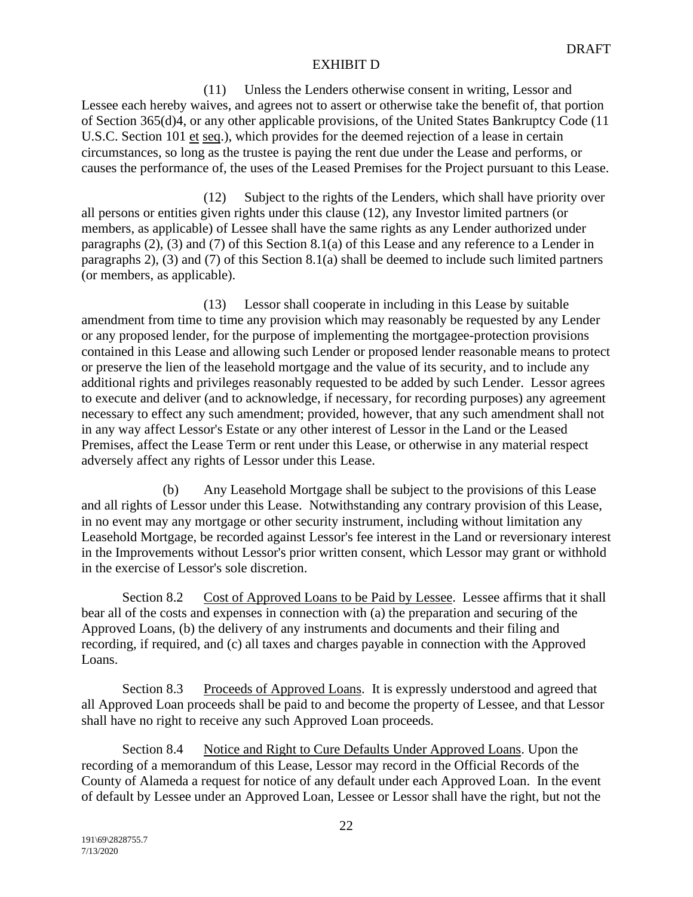(11) Unless the Lenders otherwise consent in writing, Lessor and Lessee each hereby waives, and agrees not to assert or otherwise take the benefit of, that portion of Section 365(d)4, or any other applicable provisions, of the United States Bankruptcy Code (11 U.S.C. Section 101 et seq.), which provides for the deemed rejection of a lease in certain circumstances, so long as the trustee is paying the rent due under the Lease and performs, or causes the performance of, the uses of the Leased Premises for the Project pursuant to this Lease.

(12) Subject to the rights of the Lenders, which shall have priority over all persons or entities given rights under this clause (12), any Investor limited partners (or members, as applicable) of Lessee shall have the same rights as any Lender authorized under paragraphs (2), (3) and (7) of this Section 8.1(a) of this Lease and any reference to a Lender in paragraphs 2), (3) and (7) of this Section 8.1(a) shall be deemed to include such limited partners (or members, as applicable).

(13) Lessor shall cooperate in including in this Lease by suitable amendment from time to time any provision which may reasonably be requested by any Lender or any proposed lender, for the purpose of implementing the mortgagee-protection provisions contained in this Lease and allowing such Lender or proposed lender reasonable means to protect or preserve the lien of the leasehold mortgage and the value of its security, and to include any additional rights and privileges reasonably requested to be added by such Lender. Lessor agrees to execute and deliver (and to acknowledge, if necessary, for recording purposes) any agreement necessary to effect any such amendment; provided, however, that any such amendment shall not in any way affect Lessor's Estate or any other interest of Lessor in the Land or the Leased Premises, affect the Lease Term or rent under this Lease, or otherwise in any material respect adversely affect any rights of Lessor under this Lease.

(b) Any Leasehold Mortgage shall be subject to the provisions of this Lease and all rights of Lessor under this Lease. Notwithstanding any contrary provision of this Lease, in no event may any mortgage or other security instrument, including without limitation any Leasehold Mortgage, be recorded against Lessor's fee interest in the Land or reversionary interest in the Improvements without Lessor's prior written consent, which Lessor may grant or withhold in the exercise of Lessor's sole discretion.

Section 8.2 Cost of Approved Loans to be Paid by Lessee. Lessee affirms that it shall bear all of the costs and expenses in connection with (a) the preparation and securing of the Approved Loans, (b) the delivery of any instruments and documents and their filing and recording, if required, and (c) all taxes and charges payable in connection with the Approved Loans.

Section 8.3 Proceeds of Approved Loans. It is expressly understood and agreed that all Approved Loan proceeds shall be paid to and become the property of Lessee, and that Lessor shall have no right to receive any such Approved Loan proceeds.

Section 8.4 Notice and Right to Cure Defaults Under Approved Loans. Upon the recording of a memorandum of this Lease, Lessor may record in the Official Records of the County of Alameda a request for notice of any default under each Approved Loan. In the event of default by Lessee under an Approved Loan, Lessee or Lessor shall have the right, but not the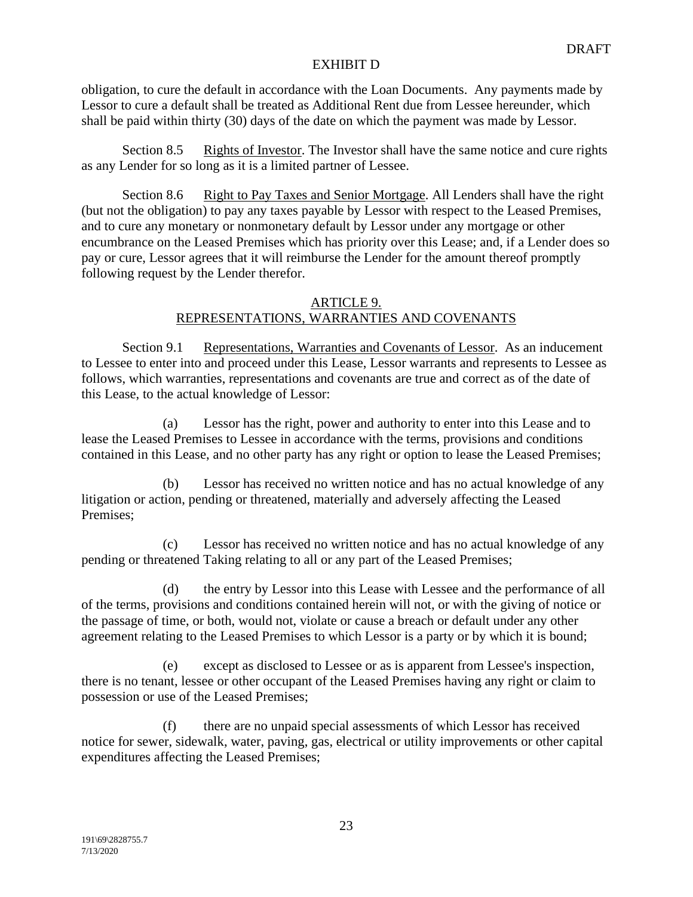obligation, to cure the default in accordance with the Loan Documents. Any payments made by Lessor to cure a default shall be treated as Additional Rent due from Lessee hereunder, which shall be paid within thirty (30) days of the date on which the payment was made by Lessor.

Section 8.5 Rights of Investor. The Investor shall have the same notice and cure rights as any Lender for so long as it is a limited partner of Lessee.

Section 8.6 Right to Pay Taxes and Senior Mortgage. All Lenders shall have the right (but not the obligation) to pay any taxes payable by Lessor with respect to the Leased Premises, and to cure any monetary or nonmonetary default by Lessor under any mortgage or other encumbrance on the Leased Premises which has priority over this Lease; and, if a Lender does so pay or cure, Lessor agrees that it will reimburse the Lender for the amount thereof promptly following request by the Lender therefor.

#### ARTICLE 9. REPRESENTATIONS, WARRANTIES AND COVENANTS

Section 9.1 Representations, Warranties and Covenants of Lessor. As an inducement to Lessee to enter into and proceed under this Lease, Lessor warrants and represents to Lessee as follows, which warranties, representations and covenants are true and correct as of the date of this Lease, to the actual knowledge of Lessor:

(a) Lessor has the right, power and authority to enter into this Lease and to lease the Leased Premises to Lessee in accordance with the terms, provisions and conditions contained in this Lease, and no other party has any right or option to lease the Leased Premises;

(b) Lessor has received no written notice and has no actual knowledge of any litigation or action, pending or threatened, materially and adversely affecting the Leased Premises;

(c) Lessor has received no written notice and has no actual knowledge of any pending or threatened Taking relating to all or any part of the Leased Premises;

(d) the entry by Lessor into this Lease with Lessee and the performance of all of the terms, provisions and conditions contained herein will not, or with the giving of notice or the passage of time, or both, would not, violate or cause a breach or default under any other agreement relating to the Leased Premises to which Lessor is a party or by which it is bound;

(e) except as disclosed to Lessee or as is apparent from Lessee's inspection, there is no tenant, lessee or other occupant of the Leased Premises having any right or claim to possession or use of the Leased Premises;

(f) there are no unpaid special assessments of which Lessor has received notice for sewer, sidewalk, water, paving, gas, electrical or utility improvements or other capital expenditures affecting the Leased Premises;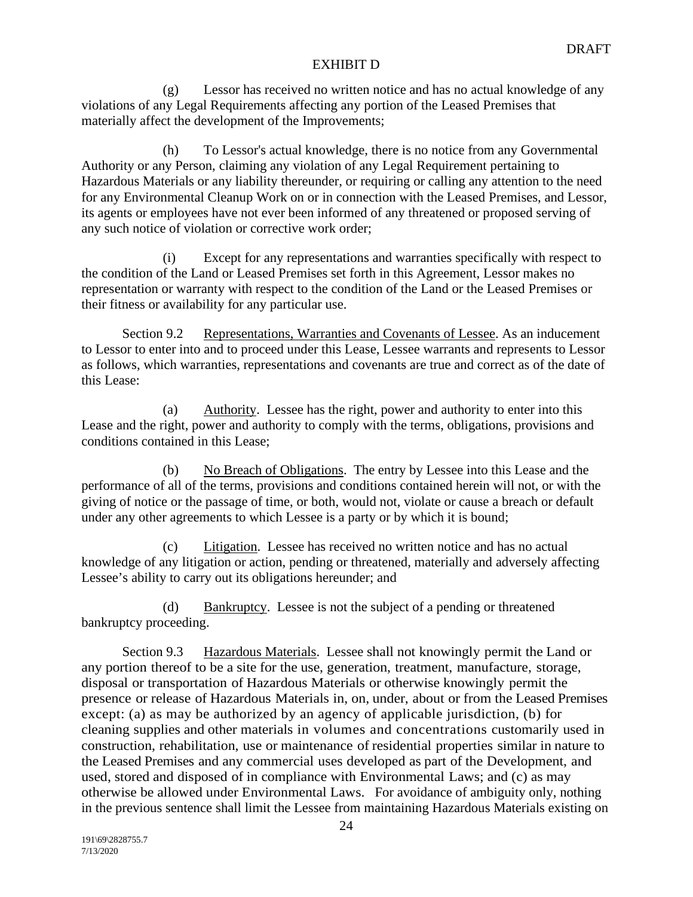(g) Lessor has received no written notice and has no actual knowledge of any violations of any Legal Requirements affecting any portion of the Leased Premises that materially affect the development of the Improvements;

(h) To Lessor's actual knowledge, there is no notice from any Governmental Authority or any Person, claiming any violation of any Legal Requirement pertaining to Hazardous Materials or any liability thereunder, or requiring or calling any attention to the need for any Environmental Cleanup Work on or in connection with the Leased Premises, and Lessor, its agents or employees have not ever been informed of any threatened or proposed serving of any such notice of violation or corrective work order;

(i) Except for any representations and warranties specifically with respect to the condition of the Land or Leased Premises set forth in this Agreement, Lessor makes no representation or warranty with respect to the condition of the Land or the Leased Premises or their fitness or availability for any particular use.

Section 9.2 Representations, Warranties and Covenants of Lessee. As an inducement to Lessor to enter into and to proceed under this Lease, Lessee warrants and represents to Lessor as follows, which warranties, representations and covenants are true and correct as of the date of this Lease:

(a) Authority. Lessee has the right, power and authority to enter into this Lease and the right, power and authority to comply with the terms, obligations, provisions and conditions contained in this Lease;

(b) No Breach of Obligations. The entry by Lessee into this Lease and the performance of all of the terms, provisions and conditions contained herein will not, or with the giving of notice or the passage of time, or both, would not, violate or cause a breach or default under any other agreements to which Lessee is a party or by which it is bound;

(c) Litigation. Lessee has received no written notice and has no actual knowledge of any litigation or action, pending or threatened, materially and adversely affecting Lessee's ability to carry out its obligations hereunder; and

(d) Bankruptcy. Lessee is not the subject of a pending or threatened bankruptcy proceeding.

Section 9.3 Hazardous Materials. Lessee shall not knowingly permit the Land or any portion thereof to be a site for the use, generation, treatment, manufacture, storage, disposal or transportation of Hazardous Materials or otherwise knowingly permit the presence or release of Hazardous Materials in, on, under, about or from the Leased Premises except: (a) as may be authorized by an agency of applicable jurisdiction, (b) for cleaning supplies and other materials in volumes and concentrations customarily used in construction, rehabilitation, use or maintenance of residential properties similar in nature to the Leased Premises and any commercial uses developed as part of the Development, and used, stored and disposed of in compliance with Environmental Laws; and (c) as may otherwise be allowed under Environmental Laws. For avoidance of ambiguity only, nothing in the previous sentence shall limit the Lessee from maintaining Hazardous Materials existing on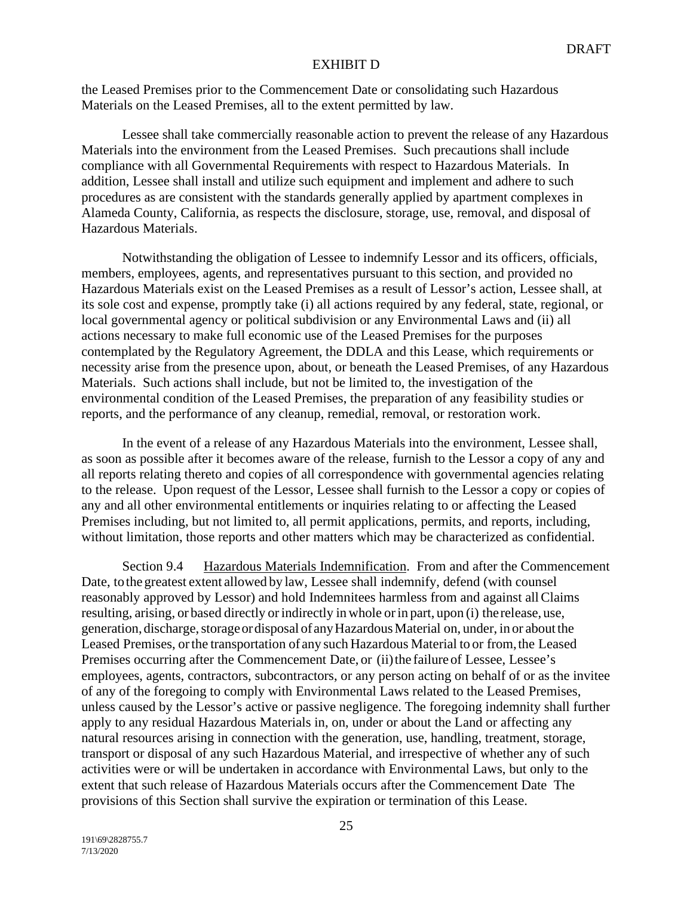the Leased Premises prior to the Commencement Date or consolidating such Hazardous Materials on the Leased Premises, all to the extent permitted by law.

Lessee shall take commercially reasonable action to prevent the release of any Hazardous Materials into the environment from the Leased Premises. Such precautions shall include compliance with all Governmental Requirements with respect to Hazardous Materials. In addition, Lessee shall install and utilize such equipment and implement and adhere to such procedures as are consistent with the standards generally applied by apartment complexes in Alameda County, California, as respects the disclosure, storage, use, removal, and disposal of Hazardous Materials.

Notwithstanding the obligation of Lessee to indemnify Lessor and its officers, officials, members, employees, agents, and representatives pursuant to this section, and provided no Hazardous Materials exist on the Leased Premises as a result of Lessor's action, Lessee shall, at its sole cost and expense, promptly take (i) all actions required by any federal, state, regional, or local governmental agency or political subdivision or any Environmental Laws and (ii) all actions necessary to make full economic use of the Leased Premises for the purposes contemplated by the Regulatory Agreement, the DDLA and this Lease, which requirements or necessity arise from the presence upon, about, or beneath the Leased Premises, of any Hazardous Materials. Such actions shall include, but not be limited to, the investigation of the environmental condition of the Leased Premises, the preparation of any feasibility studies or reports, and the performance of any cleanup, remedial, removal, or restoration work.

In the event of a release of any Hazardous Materials into the environment, Lessee shall, as soon as possible after it becomes aware of the release, furnish to the Lessor a copy of any and all reports relating thereto and copies of all correspondence with governmental agencies relating to the release. Upon request of the Lessor, Lessee shall furnish to the Lessor a copy or copies of any and all other environmental entitlements or inquiries relating to or affecting the Leased Premises including, but not limited to, all permit applications, permits, and reports, including, without limitation, those reports and other matters which may be characterized as confidential.

Section 9.4 Hazardous Materials Indemnification. From and after the Commencement Date, tothe greatest extent allowed by law, Lessee shall indemnify, defend (with counsel reasonably approved by Lessor) and hold Indemnitees harmless from and against allClaims resulting, arising, or based directly or indirectly in whole or in part, upon (i) the release, use, generation, discharge, storage or disposal of any Hazardous Material on, under, in or about the Leased Premises, orthe transportation of any such Hazardous Material to or from,the Leased Premises occurring after the Commencement Date, or (ii) the failure of Lessee, Lessee's employees, agents, contractors, subcontractors, or any person acting on behalf of or as the invitee of any of the foregoing to comply with Environmental Laws related to the Leased Premises, unless caused by the Lessor's active or passive negligence. The foregoing indemnity shall further apply to any residual Hazardous Materials in, on, under or about the Land or affecting any natural resources arising in connection with the generation, use, handling, treatment, storage, transport or disposal of any such Hazardous Material, and irrespective of whether any of such activities were or will be undertaken in accordance with Environmental Laws, but only to the extent that such release of Hazardous Materials occurs after the Commencement Date The provisions of this Section shall survive the expiration or termination of this Lease.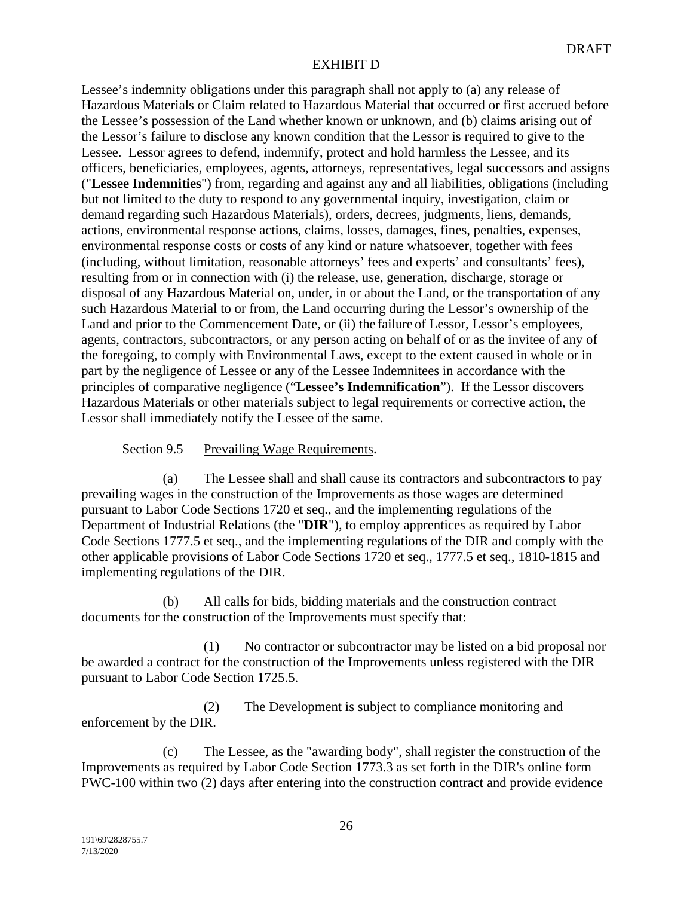Lessee's indemnity obligations under this paragraph shall not apply to (a) any release of Hazardous Materials or Claim related to Hazardous Material that occurred or first accrued before the Lessee's possession of the Land whether known or unknown, and (b) claims arising out of the Lessor's failure to disclose any known condition that the Lessor is required to give to the Lessee. Lessor agrees to defend, indemnify, protect and hold harmless the Lessee, and its officers, beneficiaries, employees, agents, attorneys, representatives, legal successors and assigns ("**Lessee Indemnities**") from, regarding and against any and all liabilities, obligations (including but not limited to the duty to respond to any governmental inquiry, investigation, claim or demand regarding such Hazardous Materials), orders, decrees, judgments, liens, demands, actions, environmental response actions, claims, losses, damages, fines, penalties, expenses, environmental response costs or costs of any kind or nature whatsoever, together with fees (including, without limitation, reasonable attorneys' fees and experts' and consultants' fees), resulting from or in connection with (i) the release, use, generation, discharge, storage or disposal of any Hazardous Material on, under, in or about the Land, or the transportation of any such Hazardous Material to or from, the Land occurring during the Lessor's ownership of the Land and prior to the Commencement Date, or (ii) the failure of Lessor, Lessor's employees, agents, contractors, subcontractors, or any person acting on behalf of or as the invitee of any of the foregoing, to comply with Environmental Laws, except to the extent caused in whole or in part by the negligence of Lessee or any of the Lessee Indemnitees in accordance with the principles of comparative negligence ("**Lessee's Indemnification**"). If the Lessor discovers Hazardous Materials or other materials subject to legal requirements or corrective action, the Lessor shall immediately notify the Lessee of the same.

Section 9.5 Prevailing Wage Requirements.

(a) The Lessee shall and shall cause its contractors and subcontractors to pay prevailing wages in the construction of the Improvements as those wages are determined pursuant to Labor Code Sections 1720 et seq., and the implementing regulations of the Department of Industrial Relations (the "**DIR**"), to employ apprentices as required by Labor Code Sections 1777.5 et seq., and the implementing regulations of the DIR and comply with the other applicable provisions of Labor Code Sections 1720 et seq., 1777.5 et seq., 1810-1815 and implementing regulations of the DIR.

(b) All calls for bids, bidding materials and the construction contract documents for the construction of the Improvements must specify that:

(1) No contractor or subcontractor may be listed on a bid proposal nor be awarded a contract for the construction of the Improvements unless registered with the DIR pursuant to Labor Code Section 1725.5.

(2) The Development is subject to compliance monitoring and enforcement by the DIR.

(c) The Lessee, as the "awarding body", shall register the construction of the Improvements as required by Labor Code Section 1773.3 as set forth in the DIR's online form PWC-100 within two (2) days after entering into the construction contract and provide evidence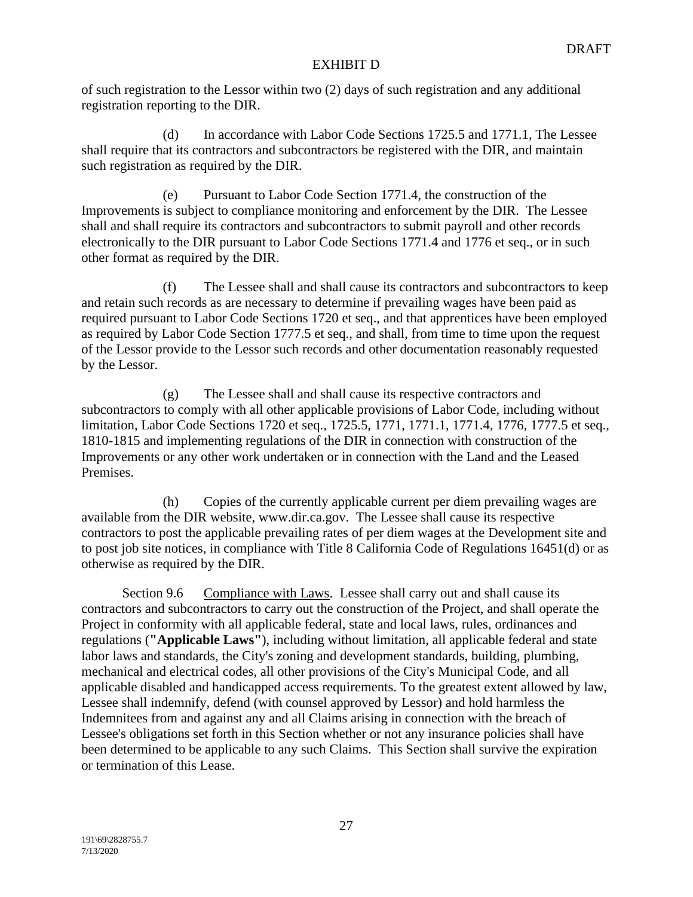of such registration to the Lessor within two (2) days of such registration and any additional registration reporting to the DIR.

(d) In accordance with Labor Code Sections 1725.5 and 1771.1, The Lessee shall require that its contractors and subcontractors be registered with the DIR, and maintain such registration as required by the DIR.

(e) Pursuant to Labor Code Section 1771.4, the construction of the Improvements is subject to compliance monitoring and enforcement by the DIR. The Lessee shall and shall require its contractors and subcontractors to submit payroll and other records electronically to the DIR pursuant to Labor Code Sections 1771.4 and 1776 et seq., or in such other format as required by the DIR.

(f) The Lessee shall and shall cause its contractors and subcontractors to keep and retain such records as are necessary to determine if prevailing wages have been paid as required pursuant to Labor Code Sections 1720 et seq., and that apprentices have been employed as required by Labor Code Section 1777.5 et seq., and shall, from time to time upon the request of the Lessor provide to the Lessor such records and other documentation reasonably requested by the Lessor.

(g) The Lessee shall and shall cause its respective contractors and subcontractors to comply with all other applicable provisions of Labor Code, including without limitation, Labor Code Sections 1720 et seq., 1725.5, 1771, 1771.1, 1771.4, 1776, 1777.5 et seq., 1810-1815 and implementing regulations of the DIR in connection with construction of the Improvements or any other work undertaken or in connection with the Land and the Leased Premises.

(h) Copies of the currently applicable current per diem prevailing wages are available from the DIR website, www.dir.ca.gov. The Lessee shall cause its respective contractors to post the applicable prevailing rates of per diem wages at the Development site and to post job site notices, in compliance with Title 8 California Code of Regulations 16451(d) or as otherwise as required by the DIR.

Section 9.6 Compliance with Laws. Lessee shall carry out and shall cause its contractors and subcontractors to carry out the construction of the Project, and shall operate the Project in conformity with all applicable federal, state and local laws, rules, ordinances and regulations (**"Applicable Laws"**), including without limitation, all applicable federal and state labor laws and standards, the City's zoning and development standards, building, plumbing, mechanical and electrical codes, all other provisions of the City's Municipal Code, and all applicable disabled and handicapped access requirements. To the greatest extent allowed by law, Lessee shall indemnify, defend (with counsel approved by Lessor) and hold harmless the Indemnitees from and against any and all Claims arising in connection with the breach of Lessee's obligations set forth in this Section whether or not any insurance policies shall have been determined to be applicable to any such Claims. This Section shall survive the expiration or termination of this Lease.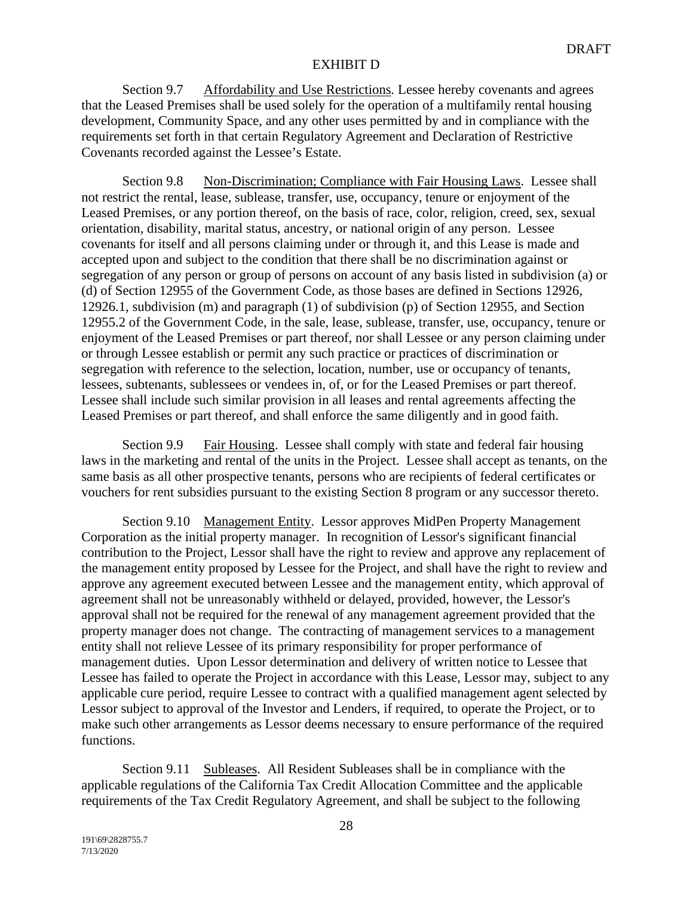Section 9.7 Affordability and Use Restrictions*.* Lessee hereby covenants and agrees that the Leased Premises shall be used solely for the operation of a multifamily rental housing development, Community Space, and any other uses permitted by and in compliance with the requirements set forth in that certain Regulatory Agreement and Declaration of Restrictive Covenants recorded against the Lessee's Estate.

Section 9.8 Non-Discrimination; Compliance with Fair Housing Laws. Lessee shall not restrict the rental, lease, sublease, transfer, use, occupancy, tenure or enjoyment of the Leased Premises, or any portion thereof, on the basis of race, color, religion, creed, sex, sexual orientation, disability, marital status, ancestry, or national origin of any person. Lessee covenants for itself and all persons claiming under or through it, and this Lease is made and accepted upon and subject to the condition that there shall be no discrimination against or segregation of any person or group of persons on account of any basis listed in subdivision (a) or (d) of Section 12955 of the Government Code, as those bases are defined in Sections 12926, 12926.1, subdivision (m) and paragraph (1) of subdivision (p) of Section 12955, and Section 12955.2 of the Government Code, in the sale, lease, sublease, transfer, use, occupancy, tenure or enjoyment of the Leased Premises or part thereof, nor shall Lessee or any person claiming under or through Lessee establish or permit any such practice or practices of discrimination or segregation with reference to the selection, location, number, use or occupancy of tenants, lessees, subtenants, sublessees or vendees in, of, or for the Leased Premises or part thereof. Lessee shall include such similar provision in all leases and rental agreements affecting the Leased Premises or part thereof, and shall enforce the same diligently and in good faith.

Section 9.9 Fair Housing. Lessee shall comply with state and federal fair housing laws in the marketing and rental of the units in the Project. Lessee shall accept as tenants, on the same basis as all other prospective tenants, persons who are recipients of federal certificates or vouchers for rent subsidies pursuant to the existing Section 8 program or any successor thereto.

Section 9.10 Management Entity. Lessor approves MidPen Property Management Corporation as the initial property manager. In recognition of Lessor's significant financial contribution to the Project, Lessor shall have the right to review and approve any replacement of the management entity proposed by Lessee for the Project, and shall have the right to review and approve any agreement executed between Lessee and the management entity, which approval of agreement shall not be unreasonably withheld or delayed, provided, however, the Lessor's approval shall not be required for the renewal of any management agreement provided that the property manager does not change. The contracting of management services to a management entity shall not relieve Lessee of its primary responsibility for proper performance of management duties. Upon Lessor determination and delivery of written notice to Lessee that Lessee has failed to operate the Project in accordance with this Lease, Lessor may, subject to any applicable cure period, require Lessee to contract with a qualified management agent selected by Lessor subject to approval of the Investor and Lenders, if required, to operate the Project, or to make such other arrangements as Lessor deems necessary to ensure performance of the required functions.

Section 9.11 Subleases. All Resident Subleases shall be in compliance with the applicable regulations of the California Tax Credit Allocation Committee and the applicable requirements of the Tax Credit Regulatory Agreement, and shall be subject to the following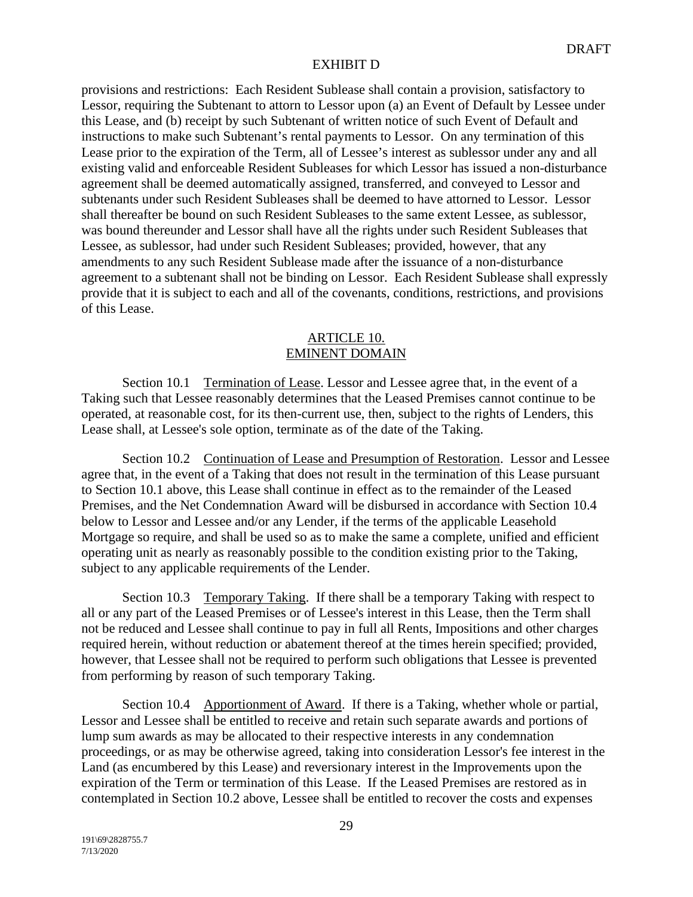provisions and restrictions: Each Resident Sublease shall contain a provision, satisfactory to Lessor, requiring the Subtenant to attorn to Lessor upon (a) an Event of Default by Lessee under this Lease, and (b) receipt by such Subtenant of written notice of such Event of Default and instructions to make such Subtenant's rental payments to Lessor. On any termination of this Lease prior to the expiration of the Term, all of Lessee's interest as sublessor under any and all existing valid and enforceable Resident Subleases for which Lessor has issued a non-disturbance agreement shall be deemed automatically assigned, transferred, and conveyed to Lessor and subtenants under such Resident Subleases shall be deemed to have attorned to Lessor. Lessor shall thereafter be bound on such Resident Subleases to the same extent Lessee, as sublessor, was bound thereunder and Lessor shall have all the rights under such Resident Subleases that Lessee, as sublessor, had under such Resident Subleases; provided, however, that any amendments to any such Resident Sublease made after the issuance of a non-disturbance agreement to a subtenant shall not be binding on Lessor. Each Resident Sublease shall expressly provide that it is subject to each and all of the covenants, conditions, restrictions, and provisions of this Lease.

### ARTICLE 10. EMINENT DOMAIN

Section 10.1 Termination of Lease. Lessor and Lessee agree that, in the event of a Taking such that Lessee reasonably determines that the Leased Premises cannot continue to be operated, at reasonable cost, for its then-current use, then, subject to the rights of Lenders, this Lease shall, at Lessee's sole option, terminate as of the date of the Taking.

Section 10.2 Continuation of Lease and Presumption of Restoration. Lessor and Lessee agree that, in the event of a Taking that does not result in the termination of this Lease pursuant to Section 10.1 above, this Lease shall continue in effect as to the remainder of the Leased Premises, and the Net Condemnation Award will be disbursed in accordance with Section 10.4 below to Lessor and Lessee and/or any Lender, if the terms of the applicable Leasehold Mortgage so require, and shall be used so as to make the same a complete, unified and efficient operating unit as nearly as reasonably possible to the condition existing prior to the Taking, subject to any applicable requirements of the Lender.

Section 10.3 Temporary Taking. If there shall be a temporary Taking with respect to all or any part of the Leased Premises or of Lessee's interest in this Lease, then the Term shall not be reduced and Lessee shall continue to pay in full all Rents, Impositions and other charges required herein, without reduction or abatement thereof at the times herein specified; provided, however, that Lessee shall not be required to perform such obligations that Lessee is prevented from performing by reason of such temporary Taking.

Section 10.4 Apportionment of Award. If there is a Taking, whether whole or partial, Lessor and Lessee shall be entitled to receive and retain such separate awards and portions of lump sum awards as may be allocated to their respective interests in any condemnation proceedings, or as may be otherwise agreed, taking into consideration Lessor's fee interest in the Land (as encumbered by this Lease) and reversionary interest in the Improvements upon the expiration of the Term or termination of this Lease. If the Leased Premises are restored as in contemplated in Section 10.2 above, Lessee shall be entitled to recover the costs and expenses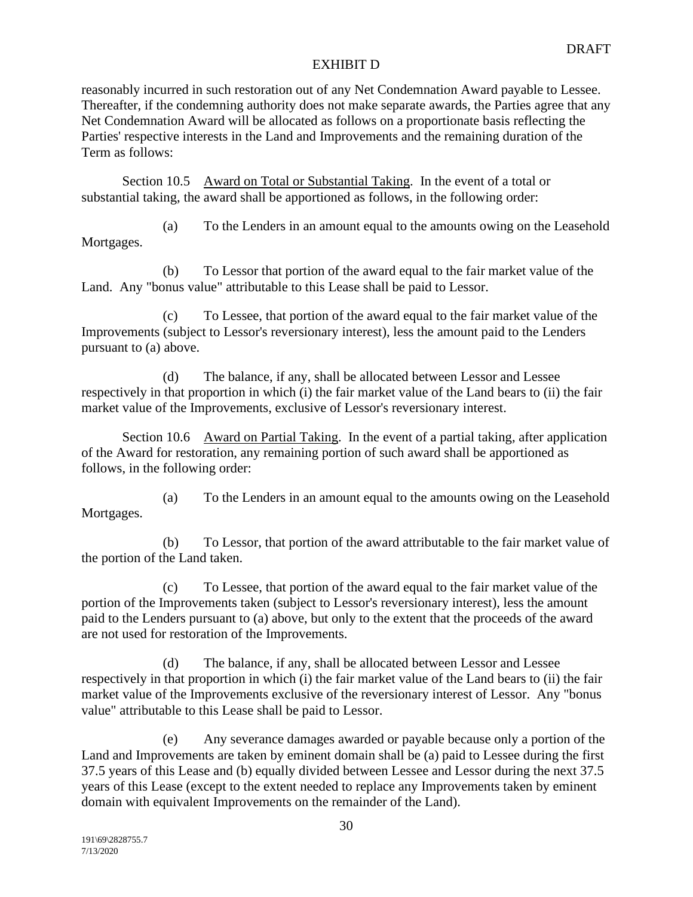reasonably incurred in such restoration out of any Net Condemnation Award payable to Lessee. Thereafter, if the condemning authority does not make separate awards, the Parties agree that any Net Condemnation Award will be allocated as follows on a proportionate basis reflecting the Parties' respective interests in the Land and Improvements and the remaining duration of the Term as follows:

Section 10.5 Award on Total or Substantial Taking. In the event of a total or substantial taking, the award shall be apportioned as follows, in the following order:

(a) To the Lenders in an amount equal to the amounts owing on the Leasehold Mortgages.

(b) To Lessor that portion of the award equal to the fair market value of the Land. Any "bonus value" attributable to this Lease shall be paid to Lessor.

(c) To Lessee, that portion of the award equal to the fair market value of the Improvements (subject to Lessor's reversionary interest), less the amount paid to the Lenders pursuant to (a) above.

(d) The balance, if any, shall be allocated between Lessor and Lessee respectively in that proportion in which (i) the fair market value of the Land bears to (ii) the fair market value of the Improvements, exclusive of Lessor's reversionary interest.

Section 10.6 Award on Partial Taking. In the event of a partial taking, after application of the Award for restoration, any remaining portion of such award shall be apportioned as follows, in the following order:

(a) To the Lenders in an amount equal to the amounts owing on the Leasehold Mortgages.

(b) To Lessor, that portion of the award attributable to the fair market value of the portion of the Land taken.

(c) To Lessee, that portion of the award equal to the fair market value of the portion of the Improvements taken (subject to Lessor's reversionary interest), less the amount paid to the Lenders pursuant to (a) above, but only to the extent that the proceeds of the award are not used for restoration of the Improvements.

(d) The balance, if any, shall be allocated between Lessor and Lessee respectively in that proportion in which (i) the fair market value of the Land bears to (ii) the fair market value of the Improvements exclusive of the reversionary interest of Lessor. Any "bonus value" attributable to this Lease shall be paid to Lessor.

(e) Any severance damages awarded or payable because only a portion of the Land and Improvements are taken by eminent domain shall be (a) paid to Lessee during the first 37.5 years of this Lease and (b) equally divided between Lessee and Lessor during the next 37.5 years of this Lease (except to the extent needed to replace any Improvements taken by eminent domain with equivalent Improvements on the remainder of the Land).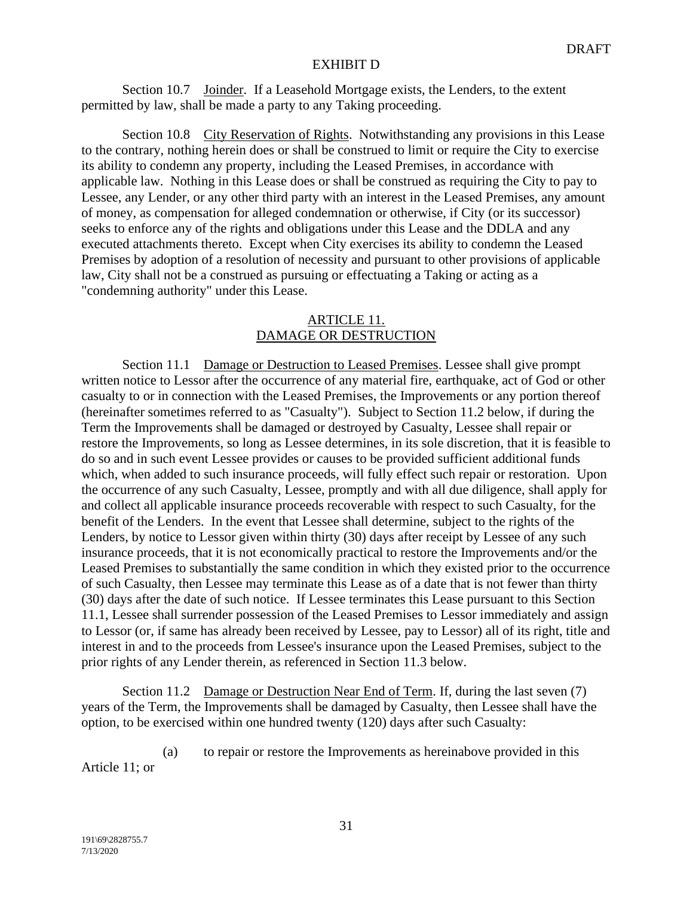Section 10.7 Joinder. If a Leasehold Mortgage exists, the Lenders, to the extent permitted by law, shall be made a party to any Taking proceeding.

Section 10.8 City Reservation of Rights. Notwithstanding any provisions in this Lease to the contrary, nothing herein does or shall be construed to limit or require the City to exercise its ability to condemn any property, including the Leased Premises, in accordance with applicable law. Nothing in this Lease does or shall be construed as requiring the City to pay to Lessee, any Lender, or any other third party with an interest in the Leased Premises, any amount of money, as compensation for alleged condemnation or otherwise, if City (or its successor) seeks to enforce any of the rights and obligations under this Lease and the DDLA and any executed attachments thereto. Except when City exercises its ability to condemn the Leased Premises by adoption of a resolution of necessity and pursuant to other provisions of applicable law, City shall not be a construed as pursuing or effectuating a Taking or acting as a "condemning authority" under this Lease.

## ARTICLE 11. DAMAGE OR DESTRUCTION

Section 11.1 Damage or Destruction to Leased Premises. Lessee shall give prompt written notice to Lessor after the occurrence of any material fire, earthquake, act of God or other casualty to or in connection with the Leased Premises, the Improvements or any portion thereof (hereinafter sometimes referred to as "Casualty"). Subject to Section 11.2 below, if during the Term the Improvements shall be damaged or destroyed by Casualty, Lessee shall repair or restore the Improvements, so long as Lessee determines, in its sole discretion, that it is feasible to do so and in such event Lessee provides or causes to be provided sufficient additional funds which, when added to such insurance proceeds, will fully effect such repair or restoration. Upon the occurrence of any such Casualty, Lessee, promptly and with all due diligence, shall apply for and collect all applicable insurance proceeds recoverable with respect to such Casualty, for the benefit of the Lenders. In the event that Lessee shall determine, subject to the rights of the Lenders, by notice to Lessor given within thirty (30) days after receipt by Lessee of any such insurance proceeds, that it is not economically practical to restore the Improvements and/or the Leased Premises to substantially the same condition in which they existed prior to the occurrence of such Casualty, then Lessee may terminate this Lease as of a date that is not fewer than thirty (30) days after the date of such notice. If Lessee terminates this Lease pursuant to this Section 11.1, Lessee shall surrender possession of the Leased Premises to Lessor immediately and assign to Lessor (or, if same has already been received by Lessee, pay to Lessor) all of its right, title and interest in and to the proceeds from Lessee's insurance upon the Leased Premises, subject to the prior rights of any Lender therein, as referenced in Section 11.3 below.

Section 11.2 Damage or Destruction Near End of Term. If, during the last seven (7) years of the Term, the Improvements shall be damaged by Casualty, then Lessee shall have the option, to be exercised within one hundred twenty (120) days after such Casualty:

(a) to repair or restore the Improvements as hereinabove provided in this Article 11; or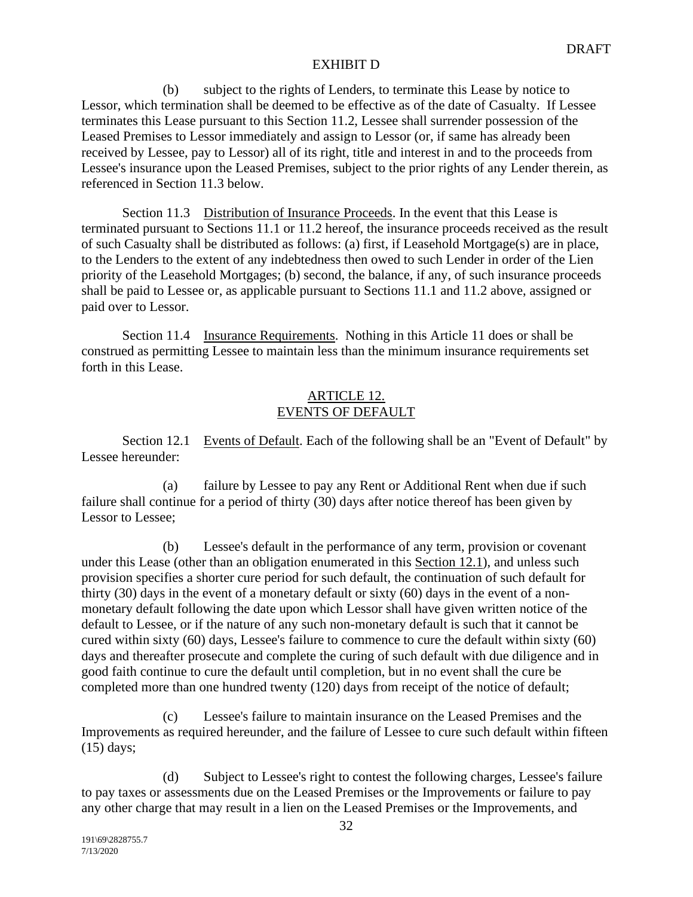(b) subject to the rights of Lenders, to terminate this Lease by notice to Lessor, which termination shall be deemed to be effective as of the date of Casualty. If Lessee terminates this Lease pursuant to this Section 11.2, Lessee shall surrender possession of the Leased Premises to Lessor immediately and assign to Lessor (or, if same has already been received by Lessee, pay to Lessor) all of its right, title and interest in and to the proceeds from Lessee's insurance upon the Leased Premises, subject to the prior rights of any Lender therein, as referenced in Section 11.3 below.

Section 11.3 Distribution of Insurance Proceeds. In the event that this Lease is terminated pursuant to Sections 11.1 or 11.2 hereof, the insurance proceeds received as the result of such Casualty shall be distributed as follows: (a) first, if Leasehold Mortgage(s) are in place, to the Lenders to the extent of any indebtedness then owed to such Lender in order of the Lien priority of the Leasehold Mortgages; (b) second, the balance, if any, of such insurance proceeds shall be paid to Lessee or, as applicable pursuant to Sections 11.1 and 11.2 above, assigned or paid over to Lessor.

Section 11.4 Insurance Requirements. Nothing in this Article 11 does or shall be construed as permitting Lessee to maintain less than the minimum insurance requirements set forth in this Lease.

## ARTICLE 12. EVENTS OF DEFAULT

Section 12.1 Events of Default. Each of the following shall be an "Event of Default" by Lessee hereunder:

(a) failure by Lessee to pay any Rent or Additional Rent when due if such failure shall continue for a period of thirty (30) days after notice thereof has been given by Lessor to Lessee;

(b) Lessee's default in the performance of any term, provision or covenant under this Lease (other than an obligation enumerated in this Section 12.1), and unless such provision specifies a shorter cure period for such default, the continuation of such default for thirty (30) days in the event of a monetary default or sixty (60) days in the event of a nonmonetary default following the date upon which Lessor shall have given written notice of the default to Lessee, or if the nature of any such non-monetary default is such that it cannot be cured within sixty (60) days, Lessee's failure to commence to cure the default within sixty (60) days and thereafter prosecute and complete the curing of such default with due diligence and in good faith continue to cure the default until completion, but in no event shall the cure be completed more than one hundred twenty (120) days from receipt of the notice of default;

(c) Lessee's failure to maintain insurance on the Leased Premises and the Improvements as required hereunder, and the failure of Lessee to cure such default within fifteen (15) days;

(d) Subject to Lessee's right to contest the following charges, Lessee's failure to pay taxes or assessments due on the Leased Premises or the Improvements or failure to pay any other charge that may result in a lien on the Leased Premises or the Improvements, and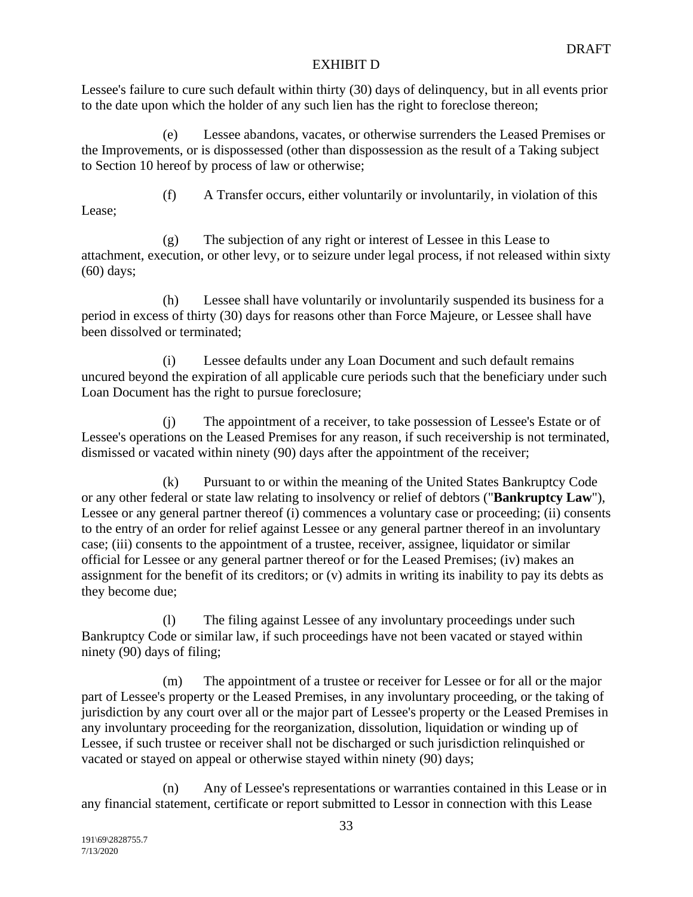Lessee's failure to cure such default within thirty (30) days of delinquency, but in all events prior to the date upon which the holder of any such lien has the right to foreclose thereon;

(e) Lessee abandons, vacates, or otherwise surrenders the Leased Premises or the Improvements, or is dispossessed (other than dispossession as the result of a Taking subject to Section 10 hereof by process of law or otherwise;

Lease;

(f) A Transfer occurs, either voluntarily or involuntarily, in violation of this

(g) The subjection of any right or interest of Lessee in this Lease to attachment, execution, or other levy, or to seizure under legal process, if not released within sixty (60) days;

(h) Lessee shall have voluntarily or involuntarily suspended its business for a period in excess of thirty (30) days for reasons other than Force Majeure, or Lessee shall have been dissolved or terminated;

(i) Lessee defaults under any Loan Document and such default remains uncured beyond the expiration of all applicable cure periods such that the beneficiary under such Loan Document has the right to pursue foreclosure;

(j) The appointment of a receiver, to take possession of Lessee's Estate or of Lessee's operations on the Leased Premises for any reason, if such receivership is not terminated, dismissed or vacated within ninety (90) days after the appointment of the receiver;

(k) Pursuant to or within the meaning of the United States Bankruptcy Code or any other federal or state law relating to insolvency or relief of debtors ("**Bankruptcy Law**"), Lessee or any general partner thereof (i) commences a voluntary case or proceeding; (ii) consents to the entry of an order for relief against Lessee or any general partner thereof in an involuntary case; (iii) consents to the appointment of a trustee, receiver, assignee, liquidator or similar official for Lessee or any general partner thereof or for the Leased Premises; (iv) makes an assignment for the benefit of its creditors; or (v) admits in writing its inability to pay its debts as they become due;

(l) The filing against Lessee of any involuntary proceedings under such Bankruptcy Code or similar law, if such proceedings have not been vacated or stayed within ninety (90) days of filing;

(m) The appointment of a trustee or receiver for Lessee or for all or the major part of Lessee's property or the Leased Premises, in any involuntary proceeding, or the taking of jurisdiction by any court over all or the major part of Lessee's property or the Leased Premises in any involuntary proceeding for the reorganization, dissolution, liquidation or winding up of Lessee, if such trustee or receiver shall not be discharged or such jurisdiction relinquished or vacated or stayed on appeal or otherwise stayed within ninety (90) days;

(n) Any of Lessee's representations or warranties contained in this Lease or in any financial statement, certificate or report submitted to Lessor in connection with this Lease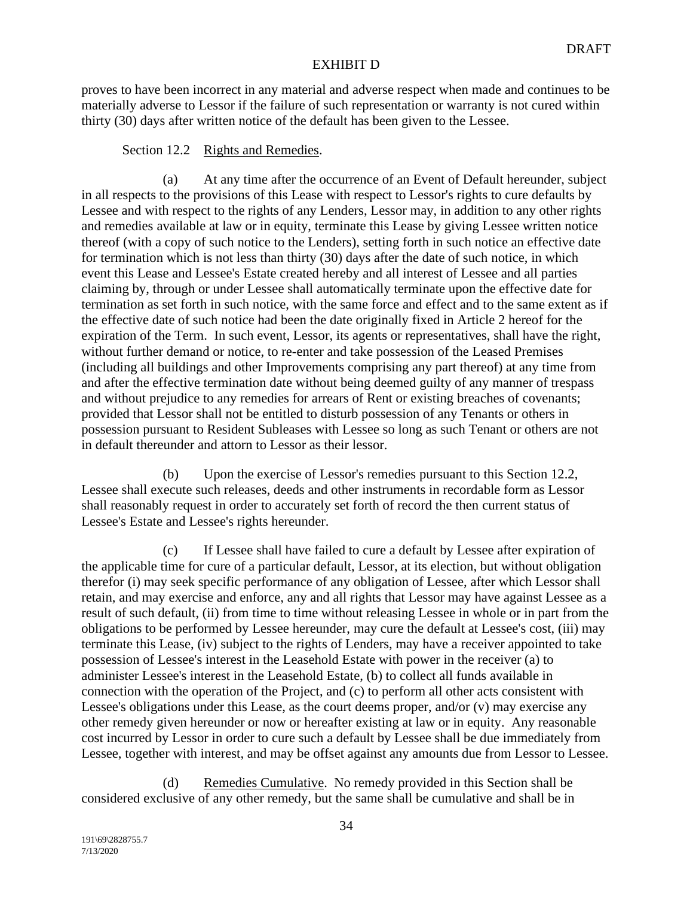proves to have been incorrect in any material and adverse respect when made and continues to be materially adverse to Lessor if the failure of such representation or warranty is not cured within thirty (30) days after written notice of the default has been given to the Lessee.

### Section 12.2 Rights and Remedies.

(a) At any time after the occurrence of an Event of Default hereunder, subject in all respects to the provisions of this Lease with respect to Lessor's rights to cure defaults by Lessee and with respect to the rights of any Lenders, Lessor may, in addition to any other rights and remedies available at law or in equity, terminate this Lease by giving Lessee written notice thereof (with a copy of such notice to the Lenders), setting forth in such notice an effective date for termination which is not less than thirty (30) days after the date of such notice, in which event this Lease and Lessee's Estate created hereby and all interest of Lessee and all parties claiming by, through or under Lessee shall automatically terminate upon the effective date for termination as set forth in such notice, with the same force and effect and to the same extent as if the effective date of such notice had been the date originally fixed in Article 2 hereof for the expiration of the Term. In such event, Lessor, its agents or representatives, shall have the right, without further demand or notice, to re-enter and take possession of the Leased Premises (including all buildings and other Improvements comprising any part thereof) at any time from and after the effective termination date without being deemed guilty of any manner of trespass and without prejudice to any remedies for arrears of Rent or existing breaches of covenants; provided that Lessor shall not be entitled to disturb possession of any Tenants or others in possession pursuant to Resident Subleases with Lessee so long as such Tenant or others are not in default thereunder and attorn to Lessor as their lessor.

(b) Upon the exercise of Lessor's remedies pursuant to this Section 12.2, Lessee shall execute such releases, deeds and other instruments in recordable form as Lessor shall reasonably request in order to accurately set forth of record the then current status of Lessee's Estate and Lessee's rights hereunder.

(c) If Lessee shall have failed to cure a default by Lessee after expiration of the applicable time for cure of a particular default, Lessor, at its election, but without obligation therefor (i) may seek specific performance of any obligation of Lessee, after which Lessor shall retain, and may exercise and enforce, any and all rights that Lessor may have against Lessee as a result of such default, (ii) from time to time without releasing Lessee in whole or in part from the obligations to be performed by Lessee hereunder, may cure the default at Lessee's cost, (iii) may terminate this Lease, (iv) subject to the rights of Lenders, may have a receiver appointed to take possession of Lessee's interest in the Leasehold Estate with power in the receiver (a) to administer Lessee's interest in the Leasehold Estate, (b) to collect all funds available in connection with the operation of the Project, and (c) to perform all other acts consistent with Lessee's obligations under this Lease, as the court deems proper, and/or (v) may exercise any other remedy given hereunder or now or hereafter existing at law or in equity. Any reasonable cost incurred by Lessor in order to cure such a default by Lessee shall be due immediately from Lessee, together with interest, and may be offset against any amounts due from Lessor to Lessee.

Remedies Cumulative. No remedy provided in this Section shall be considered exclusive of any other remedy, but the same shall be cumulative and shall be in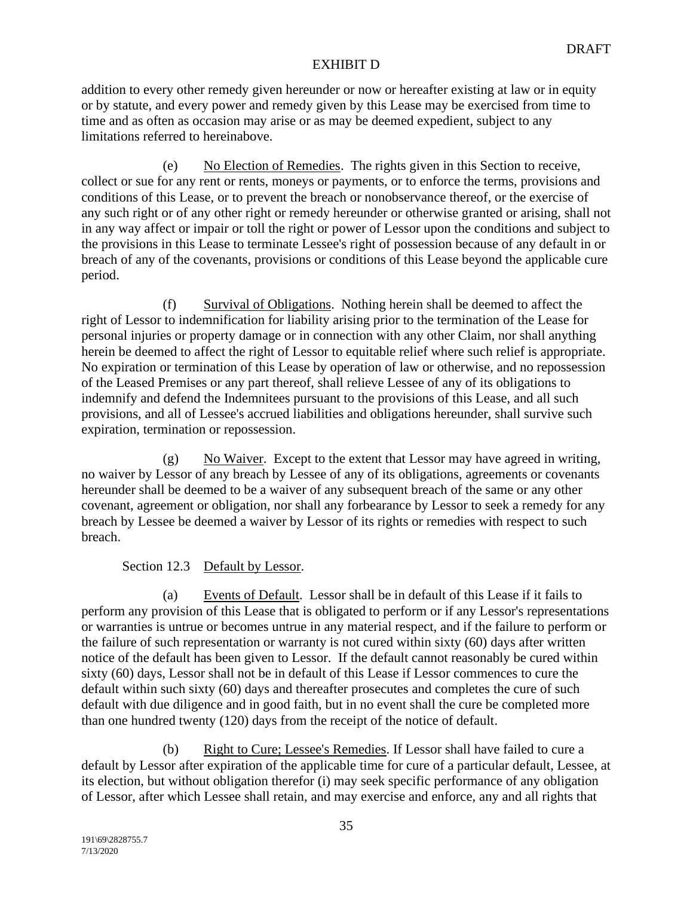addition to every other remedy given hereunder or now or hereafter existing at law or in equity or by statute, and every power and remedy given by this Lease may be exercised from time to time and as often as occasion may arise or as may be deemed expedient, subject to any limitations referred to hereinabove.

(e) No Election of Remedies. The rights given in this Section to receive, collect or sue for any rent or rents, moneys or payments, or to enforce the terms, provisions and conditions of this Lease, or to prevent the breach or nonobservance thereof, or the exercise of any such right or of any other right or remedy hereunder or otherwise granted or arising, shall not in any way affect or impair or toll the right or power of Lessor upon the conditions and subject to the provisions in this Lease to terminate Lessee's right of possession because of any default in or breach of any of the covenants, provisions or conditions of this Lease beyond the applicable cure period.

(f) Survival of Obligations. Nothing herein shall be deemed to affect the right of Lessor to indemnification for liability arising prior to the termination of the Lease for personal injuries or property damage or in connection with any other Claim, nor shall anything herein be deemed to affect the right of Lessor to equitable relief where such relief is appropriate. No expiration or termination of this Lease by operation of law or otherwise, and no repossession of the Leased Premises or any part thereof, shall relieve Lessee of any of its obligations to indemnify and defend the Indemnitees pursuant to the provisions of this Lease, and all such provisions, and all of Lessee's accrued liabilities and obligations hereunder, shall survive such expiration, termination or repossession.

(g) No Waiver. Except to the extent that Lessor may have agreed in writing, no waiver by Lessor of any breach by Lessee of any of its obligations, agreements or covenants hereunder shall be deemed to be a waiver of any subsequent breach of the same or any other covenant, agreement or obligation, nor shall any forbearance by Lessor to seek a remedy for any breach by Lessee be deemed a waiver by Lessor of its rights or remedies with respect to such breach.

## Section 12.3 Default by Lessor.

(a) Events of Default. Lessor shall be in default of this Lease if it fails to perform any provision of this Lease that is obligated to perform or if any Lessor's representations or warranties is untrue or becomes untrue in any material respect, and if the failure to perform or the failure of such representation or warranty is not cured within sixty (60) days after written notice of the default has been given to Lessor. If the default cannot reasonably be cured within sixty (60) days, Lessor shall not be in default of this Lease if Lessor commences to cure the default within such sixty (60) days and thereafter prosecutes and completes the cure of such default with due diligence and in good faith, but in no event shall the cure be completed more than one hundred twenty (120) days from the receipt of the notice of default.

(b) Right to Cure; Lessee's Remedies. If Lessor shall have failed to cure a default by Lessor after expiration of the applicable time for cure of a particular default, Lessee, at its election, but without obligation therefor (i) may seek specific performance of any obligation of Lessor, after which Lessee shall retain, and may exercise and enforce, any and all rights that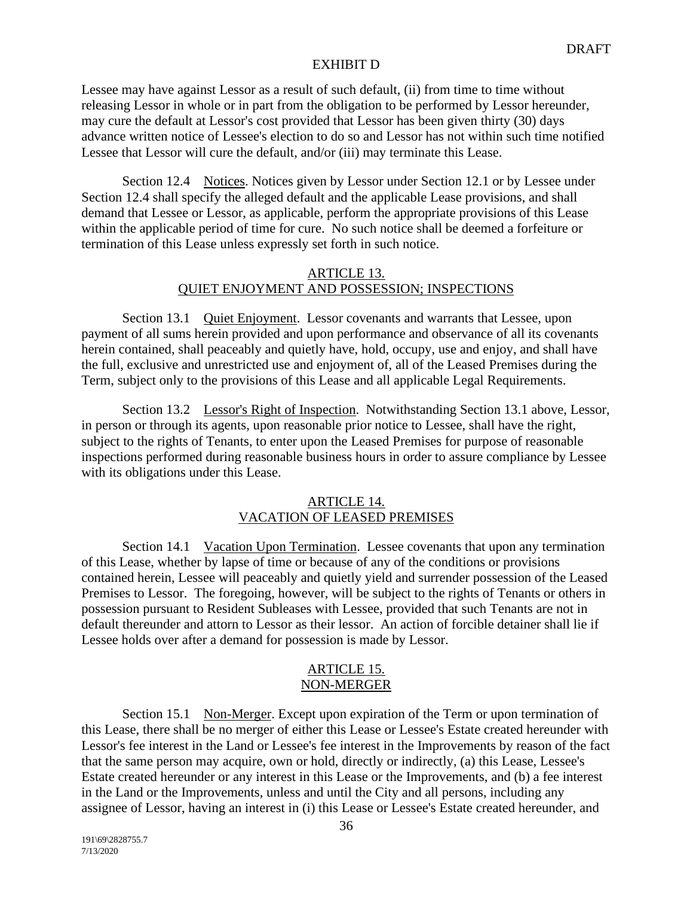Lessee may have against Lessor as a result of such default, (ii) from time to time without releasing Lessor in whole or in part from the obligation to be performed by Lessor hereunder, may cure the default at Lessor's cost provided that Lessor has been given thirty (30) days advance written notice of Lessee's election to do so and Lessor has not within such time notified Lessee that Lessor will cure the default, and/or (iii) may terminate this Lease.

Section 12.4 Notices. Notices given by Lessor under Section 12.1 or by Lessee under Section 12.4 shall specify the alleged default and the applicable Lease provisions, and shall demand that Lessee or Lessor, as applicable, perform the appropriate provisions of this Lease within the applicable period of time for cure. No such notice shall be deemed a forfeiture or termination of this Lease unless expressly set forth in such notice.

## ARTICLE 13. QUIET ENJOYMENT AND POSSESSION; INSPECTIONS

Section 13.1 Quiet Enjoyment. Lessor covenants and warrants that Lessee, upon payment of all sums herein provided and upon performance and observance of all its covenants herein contained, shall peaceably and quietly have, hold, occupy, use and enjoy, and shall have the full, exclusive and unrestricted use and enjoyment of, all of the Leased Premises during the Term, subject only to the provisions of this Lease and all applicable Legal Requirements.

Section 13.2 Lessor's Right of Inspection. Notwithstanding Section 13.1 above, Lessor, in person or through its agents, upon reasonable prior notice to Lessee, shall have the right, subject to the rights of Tenants, to enter upon the Leased Premises for purpose of reasonable inspections performed during reasonable business hours in order to assure compliance by Lessee with its obligations under this Lease.

#### ARTICLE 14. VACATION OF LEASED PREMISES

Section 14.1 Vacation Upon Termination. Lessee covenants that upon any termination of this Lease, whether by lapse of time or because of any of the conditions or provisions contained herein, Lessee will peaceably and quietly yield and surrender possession of the Leased Premises to Lessor. The foregoing, however, will be subject to the rights of Tenants or others in possession pursuant to Resident Subleases with Lessee, provided that such Tenants are not in default thereunder and attorn to Lessor as their lessor. An action of forcible detainer shall lie if Lessee holds over after a demand for possession is made by Lessor.

#### ARTICLE 15. NON-MERGER

Section 15.1 Non-Merger. Except upon expiration of the Term or upon termination of this Lease, there shall be no merger of either this Lease or Lessee's Estate created hereunder with Lessor's fee interest in the Land or Lessee's fee interest in the Improvements by reason of the fact that the same person may acquire, own or hold, directly or indirectly, (a) this Lease, Lessee's Estate created hereunder or any interest in this Lease or the Improvements, and (b) a fee interest in the Land or the Improvements, unless and until the City and all persons, including any assignee of Lessor, having an interest in (i) this Lease or Lessee's Estate created hereunder, and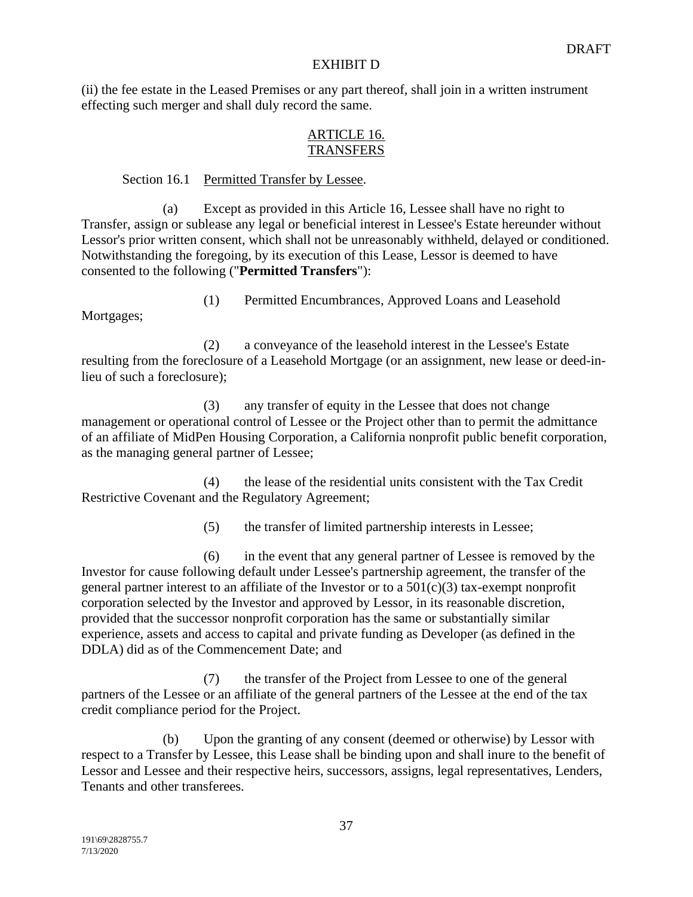(ii) the fee estate in the Leased Premises or any part thereof, shall join in a written instrument effecting such merger and shall duly record the same.

## ARTICLE 16. **TRANSFERS**

## Section 16.1 Permitted Transfer by Lessee.

(a) Except as provided in this Article 16, Lessee shall have no right to Transfer, assign or sublease any legal or beneficial interest in Lessee's Estate hereunder without Lessor's prior written consent, which shall not be unreasonably withheld, delayed or conditioned. Notwithstanding the foregoing, by its execution of this Lease, Lessor is deemed to have consented to the following ("**Permitted Transfers**"):

Mortgages;

(1) Permitted Encumbrances, Approved Loans and Leasehold

(2) a conveyance of the leasehold interest in the Lessee's Estate resulting from the foreclosure of a Leasehold Mortgage (or an assignment, new lease or deed-inlieu of such a foreclosure);

(3) any transfer of equity in the Lessee that does not change management or operational control of Lessee or the Project other than to permit the admittance of an affiliate of MidPen Housing Corporation, a California nonprofit public benefit corporation, as the managing general partner of Lessee;

(4) the lease of the residential units consistent with the Tax Credit Restrictive Covenant and the Regulatory Agreement;

(5) the transfer of limited partnership interests in Lessee;

(6) in the event that any general partner of Lessee is removed by the Investor for cause following default under Lessee's partnership agreement, the transfer of the general partner interest to an affiliate of the Investor or to a  $501(c)(3)$  tax-exempt nonprofit corporation selected by the Investor and approved by Lessor, in its reasonable discretion, provided that the successor nonprofit corporation has the same or substantially similar experience, assets and access to capital and private funding as Developer (as defined in the DDLA) did as of the Commencement Date; and

(7) the transfer of the Project from Lessee to one of the general partners of the Lessee or an affiliate of the general partners of the Lessee at the end of the tax credit compliance period for the Project.

(b) Upon the granting of any consent (deemed or otherwise) by Lessor with respect to a Transfer by Lessee, this Lease shall be binding upon and shall inure to the benefit of Lessor and Lessee and their respective heirs, successors, assigns, legal representatives, Lenders, Tenants and other transferees.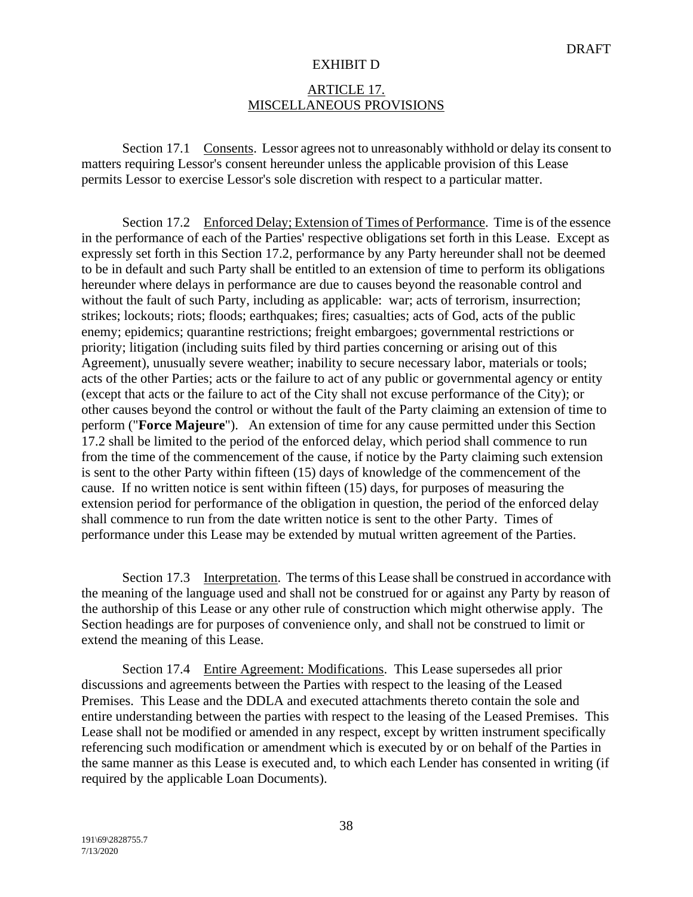#### ARTICLE 17. MISCELLANEOUS PROVISIONS

Section 17.1 Consents. Lessor agrees not to unreasonably withhold or delay its consent to matters requiring Lessor's consent hereunder unless the applicable provision of this Lease permits Lessor to exercise Lessor's sole discretion with respect to a particular matter.

Section 17.2 Enforced Delay; Extension of Times of Performance. Time is of the essence in the performance of each of the Parties' respective obligations set forth in this Lease. Except as expressly set forth in this Section 17.2, performance by any Party hereunder shall not be deemed to be in default and such Party shall be entitled to an extension of time to perform its obligations hereunder where delays in performance are due to causes beyond the reasonable control and without the fault of such Party, including as applicable: war; acts of terrorism, insurrection; strikes; lockouts; riots; floods; earthquakes; fires; casualties; acts of God, acts of the public enemy; epidemics; quarantine restrictions; freight embargoes; governmental restrictions or priority; litigation (including suits filed by third parties concerning or arising out of this Agreement), unusually severe weather; inability to secure necessary labor, materials or tools; acts of the other Parties; acts or the failure to act of any public or governmental agency or entity (except that acts or the failure to act of the City shall not excuse performance of the City); or other causes beyond the control or without the fault of the Party claiming an extension of time to perform ("**Force Majeure**"). An extension of time for any cause permitted under this Section 17.2 shall be limited to the period of the enforced delay, which period shall commence to run from the time of the commencement of the cause, if notice by the Party claiming such extension is sent to the other Party within fifteen (15) days of knowledge of the commencement of the cause. If no written notice is sent within fifteen (15) days, for purposes of measuring the extension period for performance of the obligation in question, the period of the enforced delay shall commence to run from the date written notice is sent to the other Party. Times of performance under this Lease may be extended by mutual written agreement of the Parties.

Section 17.3 Interpretation. The terms of this Lease shall be construed in accordance with the meaning of the language used and shall not be construed for or against any Party by reason of the authorship of this Lease or any other rule of construction which might otherwise apply. The Section headings are for purposes of convenience only, and shall not be construed to limit or extend the meaning of this Lease.

Section 17.4 Entire Agreement: Modifications. This Lease supersedes all prior discussions and agreements between the Parties with respect to the leasing of the Leased Premises. This Lease and the DDLA and executed attachments thereto contain the sole and entire understanding between the parties with respect to the leasing of the Leased Premises. This Lease shall not be modified or amended in any respect, except by written instrument specifically referencing such modification or amendment which is executed by or on behalf of the Parties in the same manner as this Lease is executed and, to which each Lender has consented in writing (if required by the applicable Loan Documents).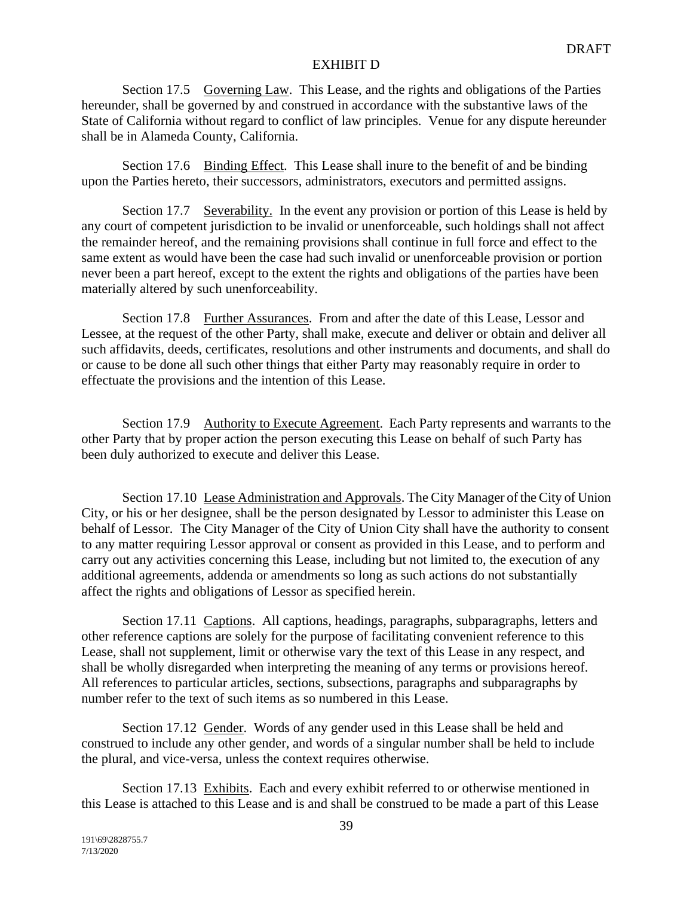Section 17.5 Governing Law. This Lease, and the rights and obligations of the Parties hereunder, shall be governed by and construed in accordance with the substantive laws of the State of California without regard to conflict of law principles. Venue for any dispute hereunder shall be in Alameda County, California.

Section 17.6 Binding Effect. This Lease shall inure to the benefit of and be binding upon the Parties hereto, their successors, administrators, executors and permitted assigns.

Section 17.7 Severability. In the event any provision or portion of this Lease is held by any court of competent jurisdiction to be invalid or unenforceable, such holdings shall not affect the remainder hereof, and the remaining provisions shall continue in full force and effect to the same extent as would have been the case had such invalid or unenforceable provision or portion never been a part hereof, except to the extent the rights and obligations of the parties have been materially altered by such unenforceability.

Section 17.8 Further Assurances. From and after the date of this Lease, Lessor and Lessee, at the request of the other Party, shall make, execute and deliver or obtain and deliver all such affidavits, deeds, certificates, resolutions and other instruments and documents, and shall do or cause to be done all such other things that either Party may reasonably require in order to effectuate the provisions and the intention of this Lease.

Section 17.9 Authority to Execute Agreement. Each Party represents and warrants to the other Party that by proper action the person executing this Lease on behalf of such Party has been duly authorized to execute and deliver this Lease.

Section 17.10 Lease Administration and Approvals. The City Manager of the City of Union City, or his or her designee, shall be the person designated by Lessor to administer this Lease on behalf of Lessor. The City Manager of the City of Union City shall have the authority to consent to any matter requiring Lessor approval or consent as provided in this Lease, and to perform and carry out any activities concerning this Lease, including but not limited to, the execution of any additional agreements, addenda or amendments so long as such actions do not substantially affect the rights and obligations of Lessor as specified herein.

Section 17.11 Captions. All captions, headings, paragraphs, subparagraphs, letters and other reference captions are solely for the purpose of facilitating convenient reference to this Lease, shall not supplement, limit or otherwise vary the text of this Lease in any respect, and shall be wholly disregarded when interpreting the meaning of any terms or provisions hereof. All references to particular articles, sections, subsections, paragraphs and subparagraphs by number refer to the text of such items as so numbered in this Lease.

Section 17.12 Gender. Words of any gender used in this Lease shall be held and construed to include any other gender, and words of a singular number shall be held to include the plural, and vice-versa, unless the context requires otherwise.

Section 17.13 Exhibits. Each and every exhibit referred to or otherwise mentioned in this Lease is attached to this Lease and is and shall be construed to be made a part of this Lease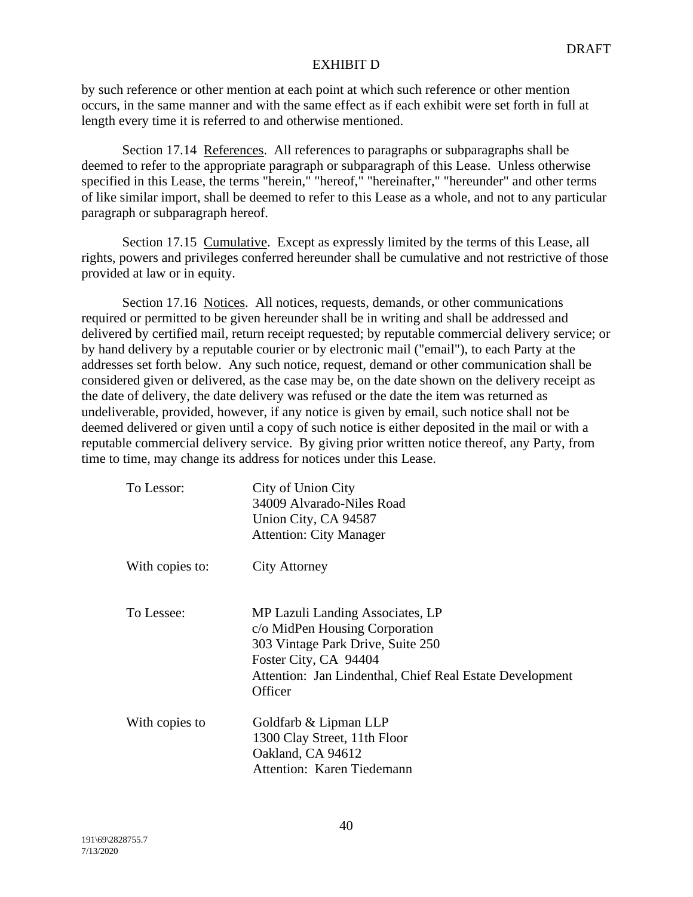by such reference or other mention at each point at which such reference or other mention occurs, in the same manner and with the same effect as if each exhibit were set forth in full at length every time it is referred to and otherwise mentioned.

Section 17.14 References. All references to paragraphs or subparagraphs shall be deemed to refer to the appropriate paragraph or subparagraph of this Lease. Unless otherwise specified in this Lease, the terms "herein," "hereof," "hereinafter," "hereunder" and other terms of like similar import, shall be deemed to refer to this Lease as a whole, and not to any particular paragraph or subparagraph hereof.

Section 17.15 Cumulative. Except as expressly limited by the terms of this Lease, all rights, powers and privileges conferred hereunder shall be cumulative and not restrictive of those provided at law or in equity.

Section 17.16 Notices. All notices, requests, demands, or other communications required or permitted to be given hereunder shall be in writing and shall be addressed and delivered by certified mail, return receipt requested; by reputable commercial delivery service; or by hand delivery by a reputable courier or by electronic mail ("email"), to each Party at the addresses set forth below. Any such notice, request, demand or other communication shall be considered given or delivered, as the case may be, on the date shown on the delivery receipt as the date of delivery, the date delivery was refused or the date the item was returned as undeliverable, provided, however, if any notice is given by email, such notice shall not be deemed delivered or given until a copy of such notice is either deposited in the mail or with a reputable commercial delivery service. By giving prior written notice thereof, any Party, from time to time, may change its address for notices under this Lease.

| To Lessor:      | City of Union City<br>34009 Alvarado-Niles Road<br>Union City, CA 94587<br><b>Attention: City Manager</b>                                                                                               |
|-----------------|---------------------------------------------------------------------------------------------------------------------------------------------------------------------------------------------------------|
| With copies to: | City Attorney                                                                                                                                                                                           |
| To Lessee:      | MP Lazuli Landing Associates, LP<br>c/o MidPen Housing Corporation<br>303 Vintage Park Drive, Suite 250<br>Foster City, CA 94404<br>Attention: Jan Lindenthal, Chief Real Estate Development<br>Officer |
| With copies to  | Goldfarb & Lipman LLP<br>1300 Clay Street, 11th Floor<br>Oakland, CA 94612<br>Attention: Karen Tiedemann                                                                                                |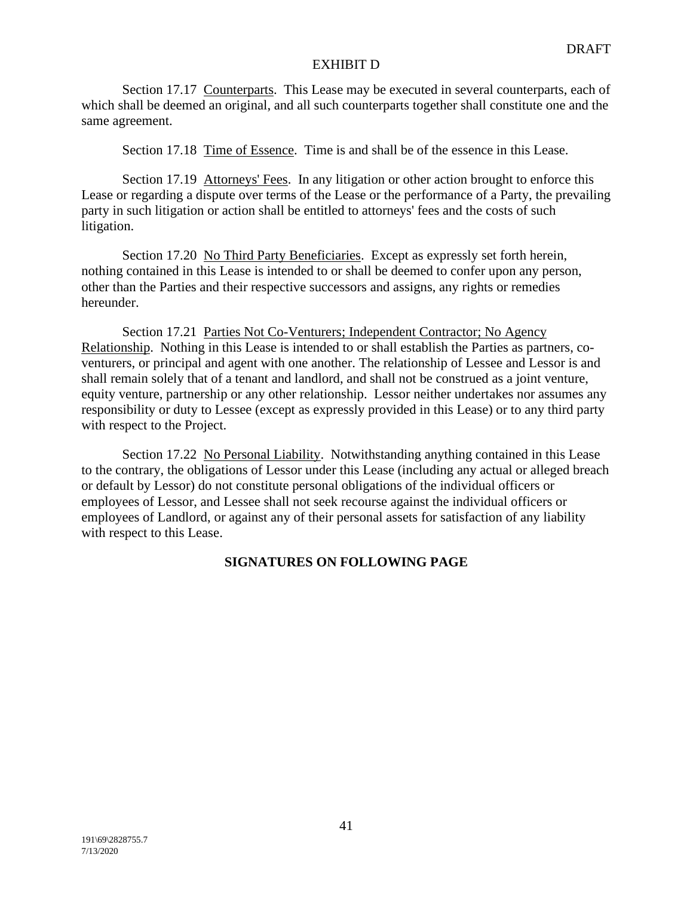Section 17.17 Counterparts. This Lease may be executed in several counterparts, each of which shall be deemed an original, and all such counterparts together shall constitute one and the same agreement.

Section 17.18 Time of Essence. Time is and shall be of the essence in this Lease.

Section 17.19 Attorneys' Fees. In any litigation or other action brought to enforce this Lease or regarding a dispute over terms of the Lease or the performance of a Party, the prevailing party in such litigation or action shall be entitled to attorneys' fees and the costs of such litigation.

Section 17.20 No Third Party Beneficiaries. Except as expressly set forth herein, nothing contained in this Lease is intended to or shall be deemed to confer upon any person, other than the Parties and their respective successors and assigns, any rights or remedies hereunder.

Section 17.21 Parties Not Co-Venturers; Independent Contractor; No Agency Relationship. Nothing in this Lease is intended to or shall establish the Parties as partners, coventurers, or principal and agent with one another. The relationship of Lessee and Lessor is and shall remain solely that of a tenant and landlord, and shall not be construed as a joint venture, equity venture, partnership or any other relationship. Lessor neither undertakes nor assumes any responsibility or duty to Lessee (except as expressly provided in this Lease) or to any third party with respect to the Project.

Section 17.22 No Personal Liability. Notwithstanding anything contained in this Lease to the contrary, the obligations of Lessor under this Lease (including any actual or alleged breach or default by Lessor) do not constitute personal obligations of the individual officers or employees of Lessor, and Lessee shall not seek recourse against the individual officers or employees of Landlord, or against any of their personal assets for satisfaction of any liability with respect to this Lease.

## **SIGNATURES ON FOLLOWING PAGE**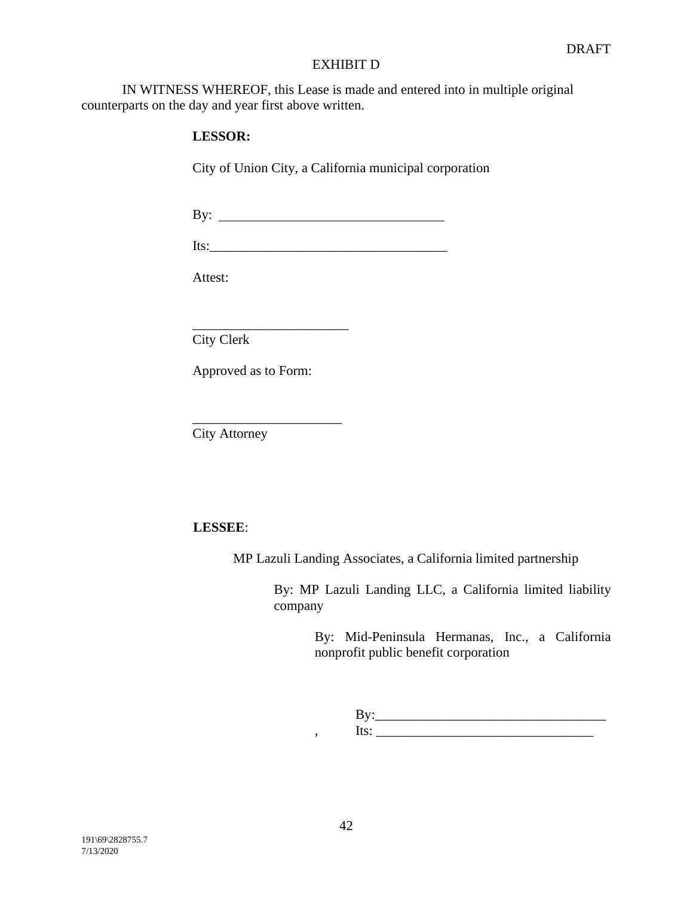IN WITNESS WHEREOF, this Lease is made and entered into in multiple original counterparts on the day and year first above written.

## **LESSOR:**

City of Union City, a California municipal corporation

By:

Its:\_\_\_\_\_\_\_\_\_\_\_\_\_\_\_\_\_\_\_\_\_\_\_\_\_\_\_\_\_\_\_\_\_\_\_

Attest:

\_\_\_\_\_\_\_\_\_\_\_\_\_\_\_\_\_\_\_\_\_\_\_ City Clerk

Approved as to Form:

\_\_\_\_\_\_\_\_\_\_\_\_\_\_\_\_\_\_\_\_\_\_

City Attorney

## **LESSEE**:

MP Lazuli Landing Associates, a California limited partnership

By: MP Lazuli Landing LLC, a California limited liability company

> By: Mid-Peninsula Hermanas, Inc., a California nonprofit public benefit corporation

By:\_\_\_\_\_\_\_\_\_\_\_\_\_\_\_\_\_\_\_\_\_\_\_\_\_\_\_\_\_\_\_\_\_\_  $\mathbf{y}$ , Its:  $\mathbf{y}$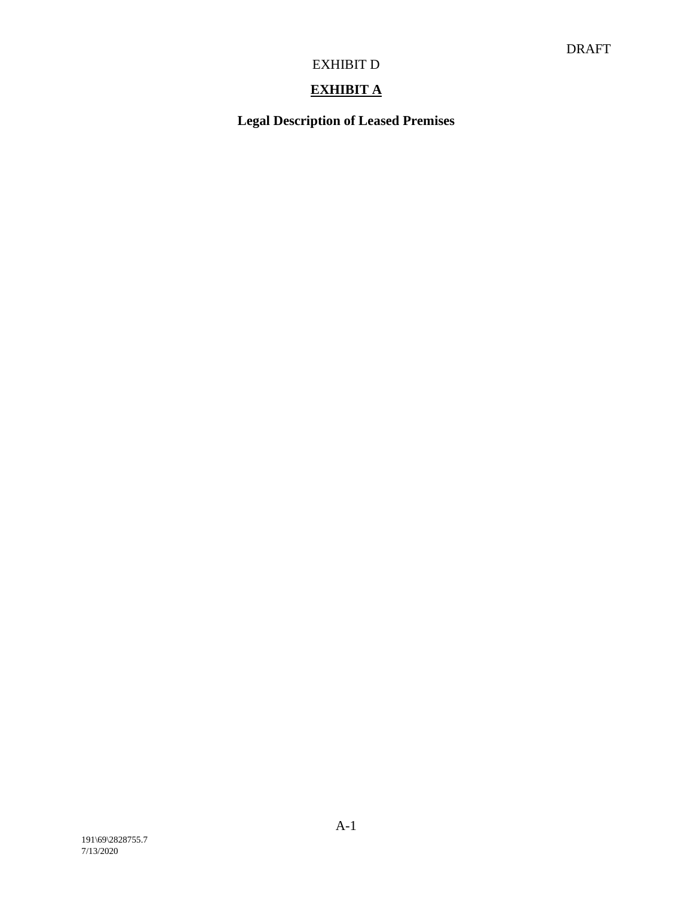# **EXHIBIT A**

**Legal Description of Leased Premises**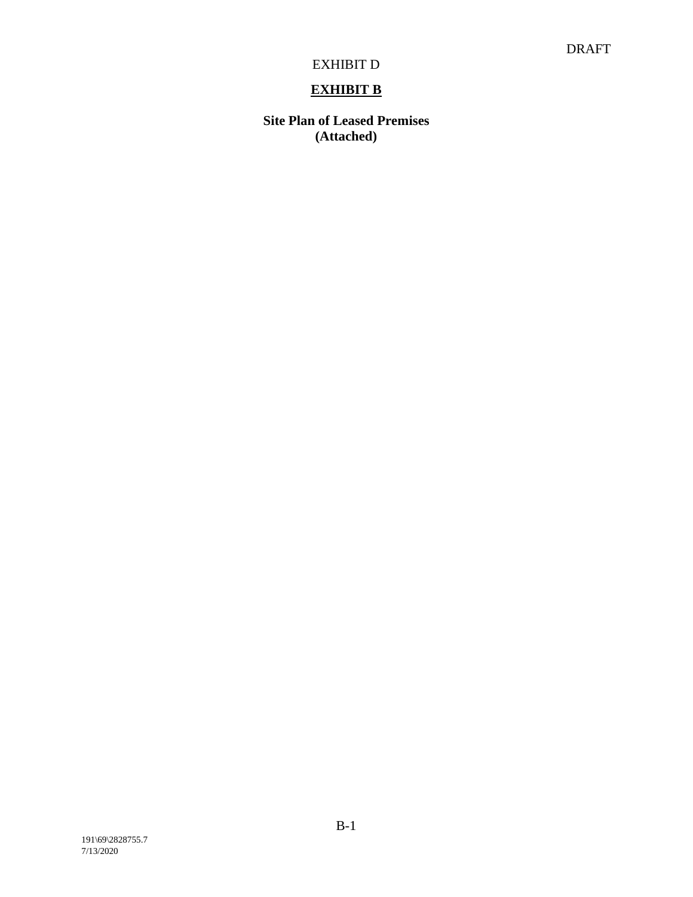# **EXHIBIT B**

**Site Plan of Leased Premises (Attached)**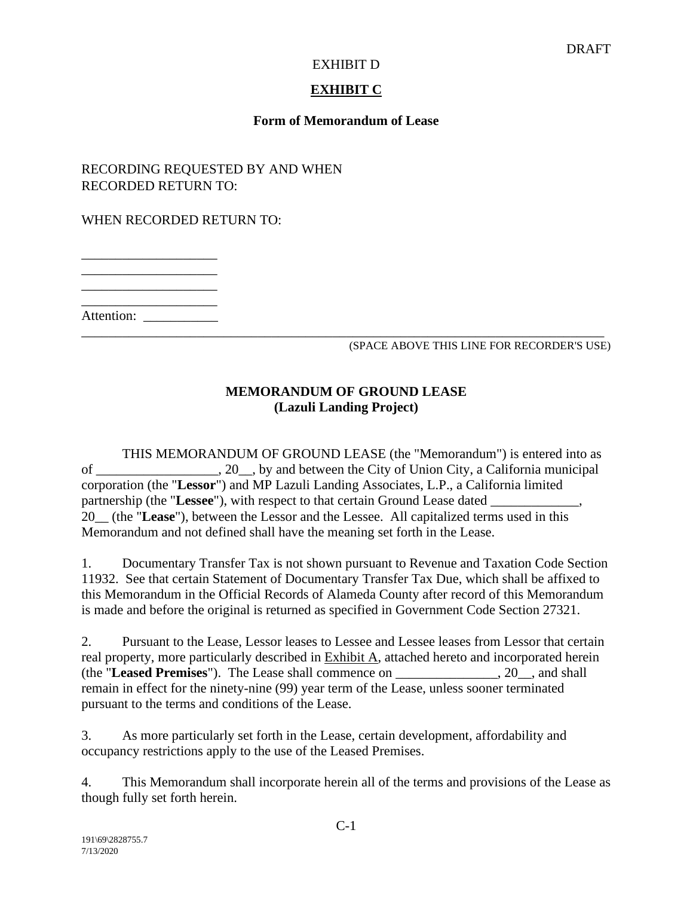## **EXHIBIT C**

## **Form of Memorandum of Lease**

RECORDING REQUESTED BY AND WHEN RECORDED RETURN TO:

WHEN RECORDED RETURN TO:

\_\_\_\_\_\_\_\_\_\_\_\_\_\_\_\_\_\_\_\_ \_\_\_\_\_\_\_\_\_\_\_\_\_\_\_\_\_\_\_\_

\_\_\_\_\_\_\_\_\_\_\_\_\_\_\_\_\_\_\_\_

\_\_\_\_\_\_\_\_\_\_\_\_\_\_\_\_\_\_\_\_

Attention:

\_\_\_\_\_\_\_\_\_\_\_\_\_\_\_\_\_\_\_\_\_\_\_\_\_\_\_\_\_\_\_\_\_\_\_\_\_\_\_\_\_\_\_\_\_\_\_\_\_\_\_\_\_\_\_\_\_\_\_\_\_\_\_\_\_\_\_\_\_\_\_\_\_\_\_\_\_ (SPACE ABOVE THIS LINE FOR RECORDER'S USE)

## **MEMORANDUM OF GROUND LEASE (Lazuli Landing Project)**

THIS MEMORANDUM OF GROUND LEASE (the "Memorandum") is entered into as of \_\_\_\_\_\_\_\_\_\_\_\_\_\_\_\_\_\_, 20\_\_, by and between the City of Union City, a California municipal corporation (the "**Lessor**") and MP Lazuli Landing Associates, L.P., a California limited partnership (the "Lessee"), with respect to that certain Ground Lease dated 20\_\_ (the "**Lease**"), between the Lessor and the Lessee. All capitalized terms used in this Memorandum and not defined shall have the meaning set forth in the Lease.

1. Documentary Transfer Tax is not shown pursuant to Revenue and Taxation Code Section 11932. See that certain Statement of Documentary Transfer Tax Due, which shall be affixed to this Memorandum in the Official Records of Alameda County after record of this Memorandum is made and before the original is returned as specified in Government Code Section 27321.

2. Pursuant to the Lease, Lessor leases to Lessee and Lessee leases from Lessor that certain real property, more particularly described in Exhibit A, attached hereto and incorporated herein (the "**Leased Premises**"). The Lease shall commence on \_\_\_\_\_\_\_\_\_\_\_\_\_\_\_, 20\_\_, and shall remain in effect for the ninety-nine (99) year term of the Lease, unless sooner terminated pursuant to the terms and conditions of the Lease.

3. As more particularly set forth in the Lease, certain development, affordability and occupancy restrictions apply to the use of the Leased Premises.

4. This Memorandum shall incorporate herein all of the terms and provisions of the Lease as though fully set forth herein.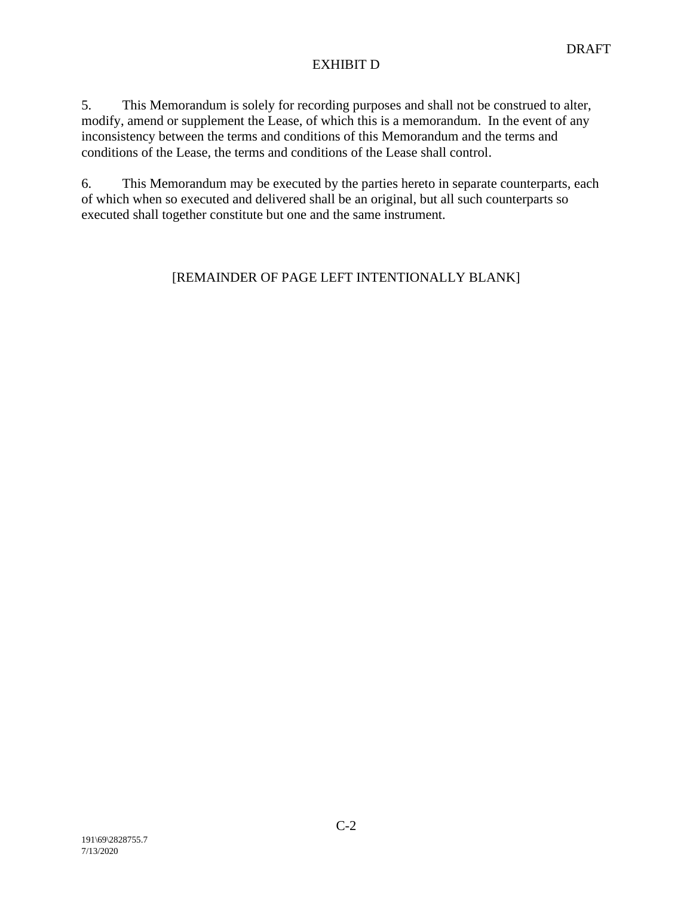5. This Memorandum is solely for recording purposes and shall not be construed to alter, modify, amend or supplement the Lease, of which this is a memorandum. In the event of any inconsistency between the terms and conditions of this Memorandum and the terms and conditions of the Lease, the terms and conditions of the Lease shall control.

6. This Memorandum may be executed by the parties hereto in separate counterparts, each of which when so executed and delivered shall be an original, but all such counterparts so executed shall together constitute but one and the same instrument.

# [REMAINDER OF PAGE LEFT INTENTIONALLY BLANK]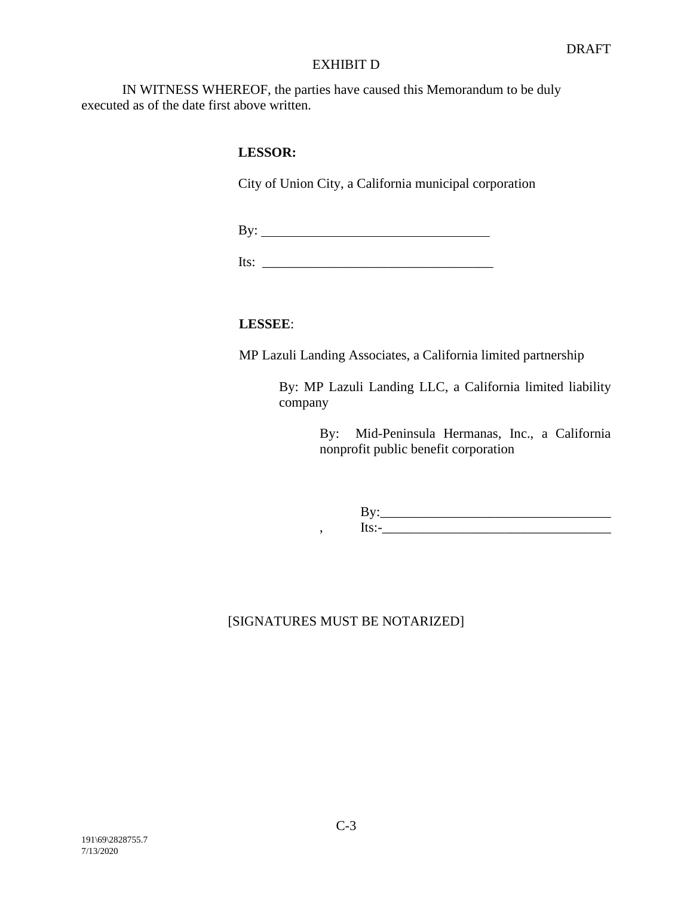IN WITNESS WHEREOF, the parties have caused this Memorandum to be duly executed as of the date first above written.

## **LESSOR:**

City of Union City, a California municipal corporation

By:

Its:  $\Box$ 

## **LESSEE**:

MP Lazuli Landing Associates, a California limited partnership

By: MP Lazuli Landing LLC, a California limited liability company

> By: Mid-Peninsula Hermanas, Inc., a California nonprofit public benefit corporation

> By:\_\_\_\_\_\_\_\_\_\_\_\_\_\_\_\_\_\_\_\_\_\_\_\_\_\_\_\_\_\_\_\_\_\_ , Its:-\_\_\_\_\_\_\_\_\_\_\_\_\_\_\_\_\_\_\_\_\_\_\_\_\_\_\_\_\_\_\_\_\_\_

# [SIGNATURES MUST BE NOTARIZED]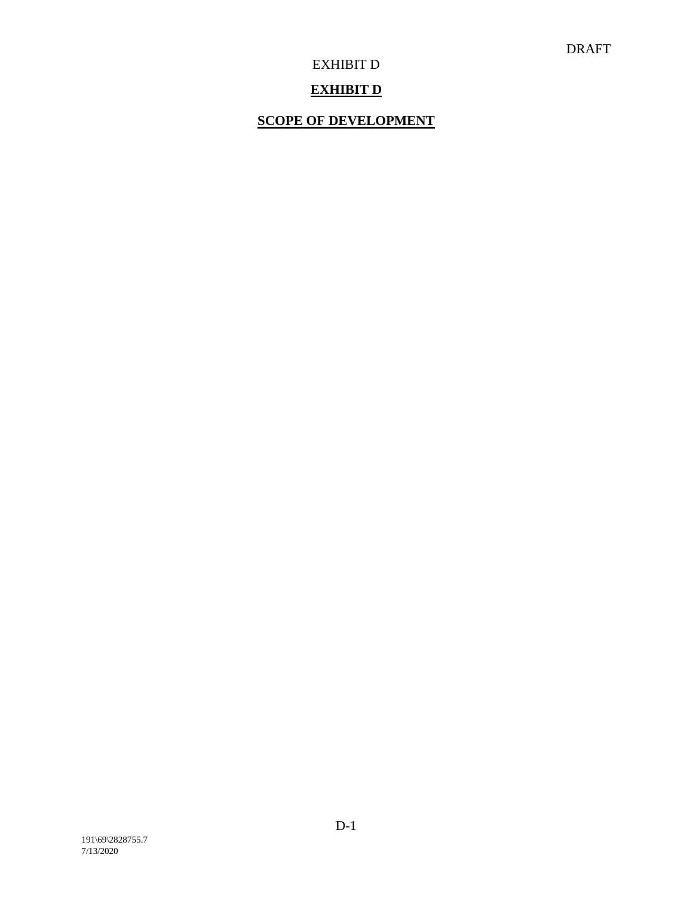## **EXHIBIT D**

## **SCOPE OF DEVELOPMENT**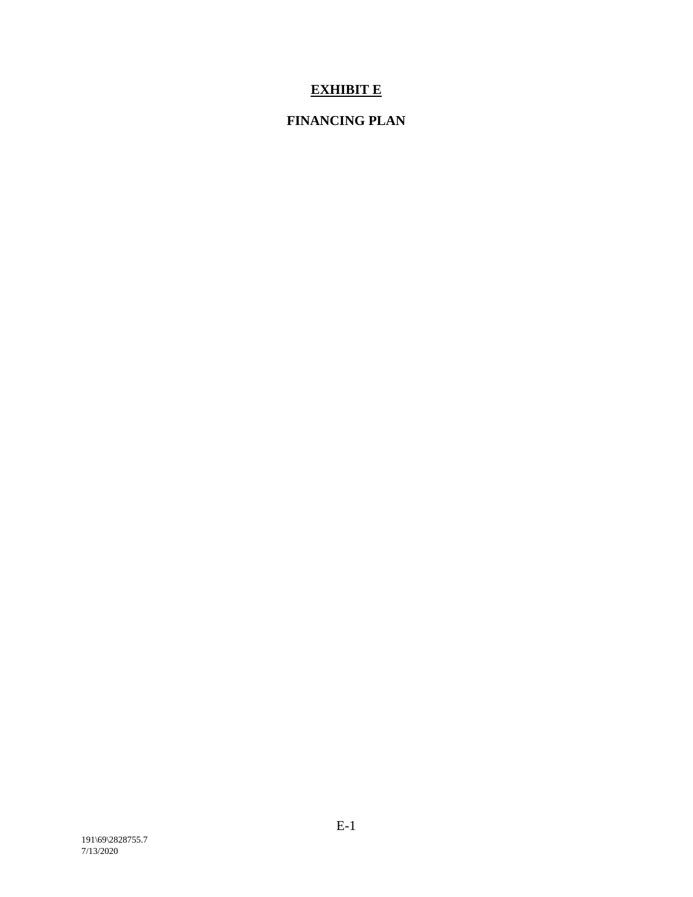# **EXHIBIT E**

# **FINANCING PLAN**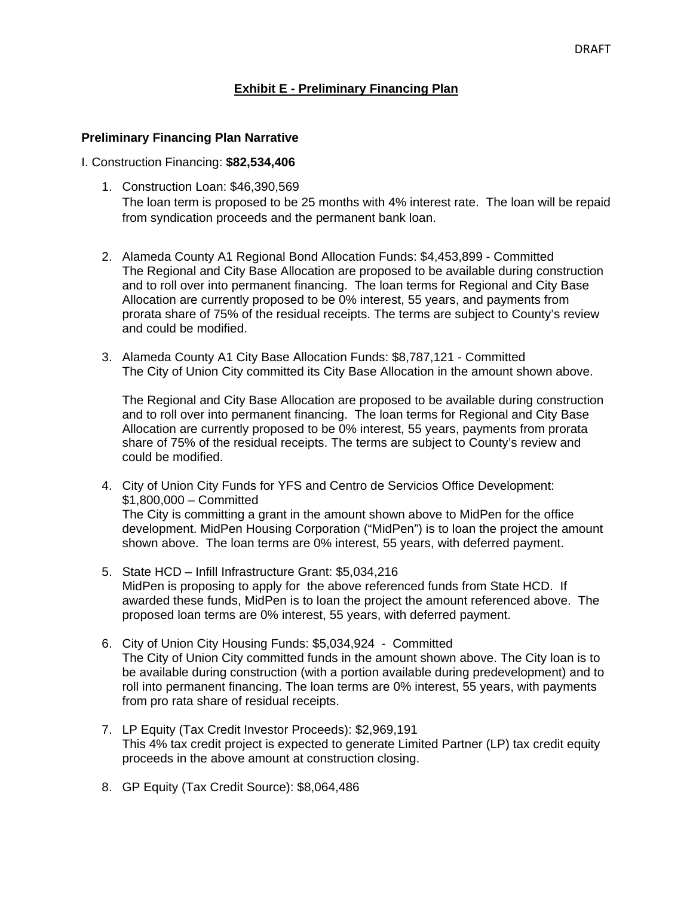## **Exhibit E - Preliminary Financing Plan**

## **Preliminary Financing Plan Narrative**

#### I. Construction Financing: **\$82,534,406**

- 1. Construction Loan: \$46,390,569 The loan term is proposed to be 25 months with 4% interest rate. The loan will be repaid from syndication proceeds and the permanent bank loan.
- 2. Alameda County A1 Regional Bond Allocation Funds: \$4,453,899 Committed The Regional and City Base Allocation are proposed to be available during construction and to roll over into permanent financing. The loan terms for Regional and City Base Allocation are currently proposed to be 0% interest, 55 years, and payments from prorata share of 75% of the residual receipts. The terms are subject to County's review and could be modified.
- 3. Alameda County A1 City Base Allocation Funds: \$8,787,121 Committed The City of Union City committed its City Base Allocation in the amount shown above.

The Regional and City Base Allocation are proposed to be available during construction and to roll over into permanent financing. The loan terms for Regional and City Base Allocation are currently proposed to be 0% interest, 55 years, payments from prorata share of 75% of the residual receipts. The terms are subject to County's review and could be modified.

- 4. City of Union City Funds for YFS and Centro de Servicios Office Development: \$1,800,000 – Committed The City is committing a grant in the amount shown above to MidPen for the office development. MidPen Housing Corporation ("MidPen") is to loan the project the amount shown above. The loan terms are 0% interest, 55 years, with deferred payment.
- 5. State HCD Infill Infrastructure Grant: \$5,034,216 MidPen is proposing to apply for the above referenced funds from State HCD. If awarded these funds, MidPen is to loan the project the amount referenced above. The proposed loan terms are 0% interest, 55 years, with deferred payment.
- 6. City of Union City Housing Funds: \$5,034,924 Committed The City of Union City committed funds in the amount shown above. The City loan is to be available during construction (with a portion available during predevelopment) and to roll into permanent financing. The loan terms are 0% interest, 55 years, with payments from pro rata share of residual receipts.
- 7. LP Equity (Tax Credit Investor Proceeds): \$2,969,191 This 4% tax credit project is expected to generate Limited Partner (LP) tax credit equity proceeds in the above amount at construction closing.
- 8. GP Equity (Tax Credit Source): \$8,064,486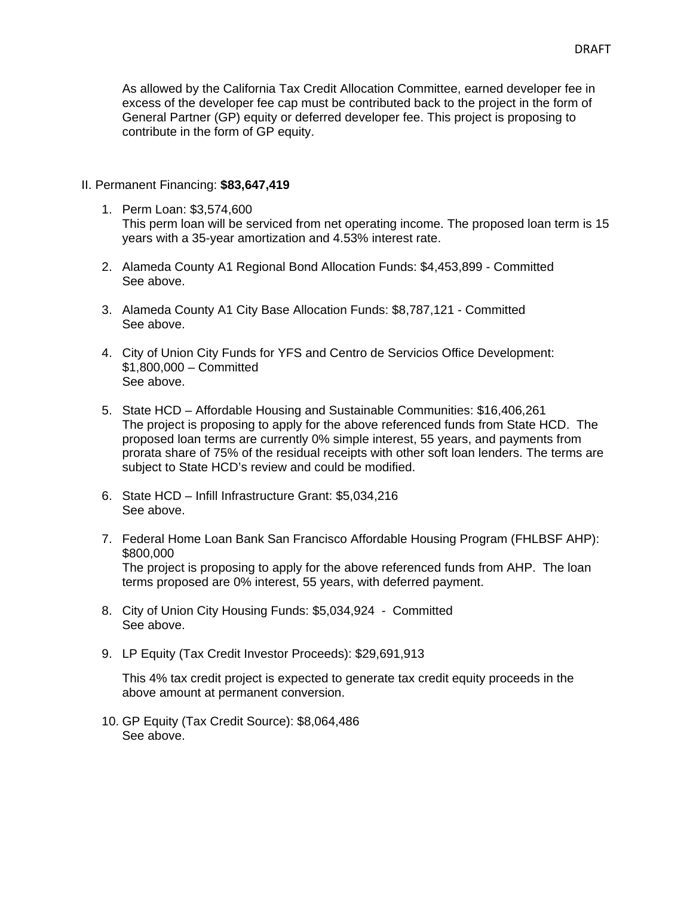As allowed by the California Tax Credit Allocation Committee, earned developer fee in excess of the developer fee cap must be contributed back to the project in the form of General Partner (GP) equity or deferred developer fee. This project is proposing to contribute in the form of GP equity.

#### II. Permanent Financing: **\$83,647,419**

1. Perm Loan: \$3,574,600

This perm loan will be serviced from net operating income. The proposed loan term is 15 years with a 35-year amortization and 4.53% interest rate.

- 2. Alameda County A1 Regional Bond Allocation Funds: \$4,453,899 Committed See above.
- 3. Alameda County A1 City Base Allocation Funds: \$8,787,121 Committed See above.
- 4. City of Union City Funds for YFS and Centro de Servicios Office Development: \$1,800,000 – Committed See above.
- 5. State HCD Affordable Housing and Sustainable Communities: \$16,406,261 The project is proposing to apply for the above referenced funds from State HCD. The proposed loan terms are currently 0% simple interest, 55 years, and payments from prorata share of 75% of the residual receipts with other soft loan lenders. The terms are subject to State HCD's review and could be modified.
- 6. State HCD Infill Infrastructure Grant: \$5,034,216 See above.
- 7. Federal Home Loan Bank San Francisco Affordable Housing Program (FHLBSF AHP): \$800,000 The project is proposing to apply for the above referenced funds from AHP. The loan terms proposed are 0% interest, 55 years, with deferred payment.
- 8. City of Union City Housing Funds: \$5,034,924 Committed See above.
- 9. LP Equity (Tax Credit Investor Proceeds): \$29,691,913

This 4% tax credit project is expected to generate tax credit equity proceeds in the above amount at permanent conversion.

10. GP Equity (Tax Credit Source): \$8,064,486 See above.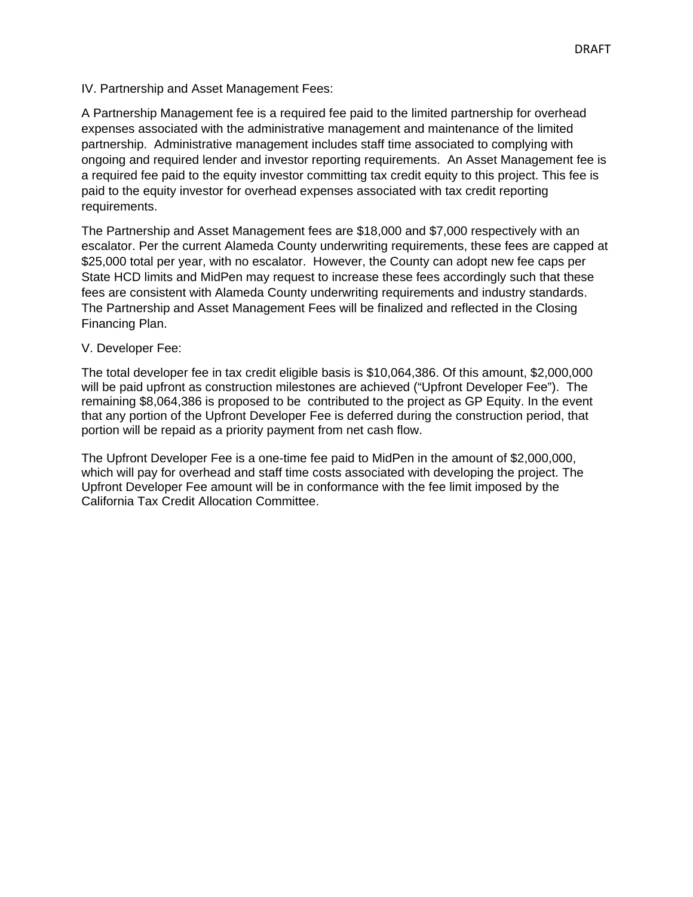IV. Partnership and Asset Management Fees:

A Partnership Management fee is a required fee paid to the limited partnership for overhead expenses associated with the administrative management and maintenance of the limited partnership. Administrative management includes staff time associated to complying with ongoing and required lender and investor reporting requirements. An Asset Management fee is a required fee paid to the equity investor committing tax credit equity to this project. This fee is paid to the equity investor for overhead expenses associated with tax credit reporting requirements.

The Partnership and Asset Management fees are \$18,000 and \$7,000 respectively with an escalator. Per the current Alameda County underwriting requirements, these fees are capped at \$25,000 total per year, with no escalator. However, the County can adopt new fee caps per State HCD limits and MidPen may request to increase these fees accordingly such that these fees are consistent with Alameda County underwriting requirements and industry standards. The Partnership and Asset Management Fees will be finalized and reflected in the Closing Financing Plan.

#### V. Developer Fee:

The total developer fee in tax credit eligible basis is \$10,064,386. Of this amount, \$2,000,000 will be paid upfront as construction milestones are achieved ("Upfront Developer Fee"). The remaining \$8,064,386 is proposed to be contributed to the project as GP Equity. In the event that any portion of the Upfront Developer Fee is deferred during the construction period, that portion will be repaid as a priority payment from net cash flow.

The Upfront Developer Fee is a one-time fee paid to MidPen in the amount of \$2,000,000, which will pay for overhead and staff time costs associated with developing the project. The Upfront Developer Fee amount will be in conformance with the fee limit imposed by the California Tax Credit Allocation Committee.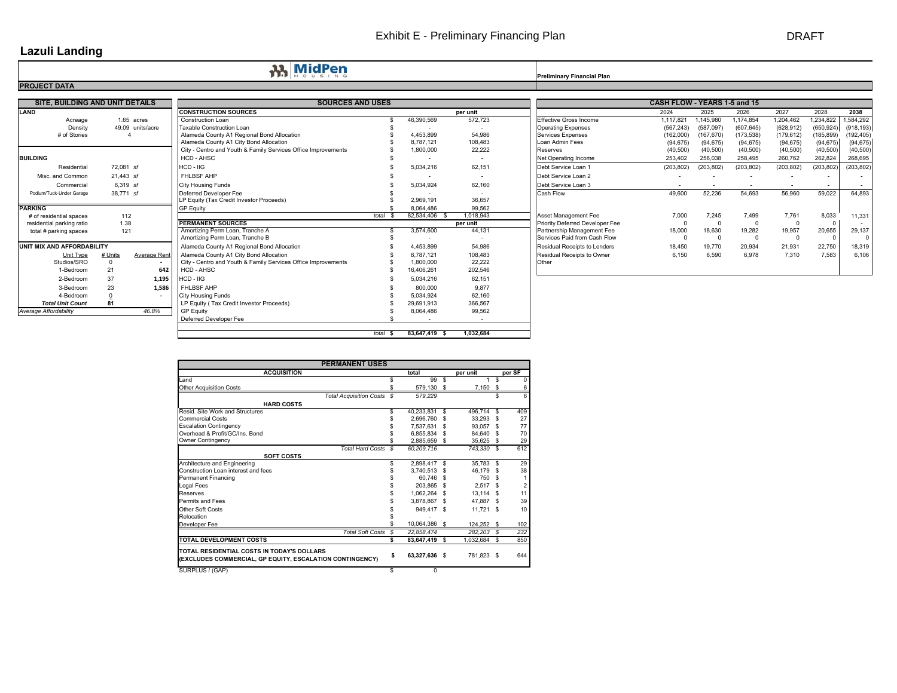# Exhibit E - Preliminary Financing Plan DRAFT

# **Lazuli Landing**

**Preliminary Financial Plan Preliminary Financial Plan** 

| SITE, BUILDING AND UNIT DETAILS |           |                     | <b>SOURCES AND USES</b>                                       |         |            |                          | CASH FLOW - YEARS 1-5 and 15        |                          |            |                          |                          |            |                          |
|---------------------------------|-----------|---------------------|---------------------------------------------------------------|---------|------------|--------------------------|-------------------------------------|--------------------------|------------|--------------------------|--------------------------|------------|--------------------------|
| LAND                            |           |                     | <b>CONSTRUCTION SOURCES</b>                                   |         |            | per unit                 |                                     | 2024                     | 2025       | 2026                     | 2027                     | 2028       | 2038                     |
| Acreage                         |           | 1.65 acres          | <b>Construction Loan</b>                                      |         | 46,390,569 | 572,723                  | Effective Gross Income              | 1,117,821                | 1.145.980  | 1,174,854                | 1,204,462                | 1,234,822  | 1,584,292                |
| Density                         |           | 49.09 units/acre    | Taxable Construction Loan                                     |         |            |                          | <b>Operating Expenses</b>           | (567, 243)               | (587,097)  | (607, 645)               | (628, 912)               | (650, 924) | (918, 193)               |
| # of Stories                    |           |                     | Alameda County A1 Regional Bond Allocation                    |         | 4.453.899  | 54.986                   | <b>Services Expenses</b>            | (162,000)                | (167, 670) | (173, 538)               | (179, 612)               | (185, 899) | (192, 405)               |
|                                 |           |                     | Alameda County A1 City Bond Allocation                        |         | 8,787,121  | 108,483                  | Loan Admin Fees                     | (94, 675)                | (94, 675)  | (94, 675)                | (94, 675)                | (94, 675)  | (94, 675)                |
|                                 |           |                     | City - Centro and Youth & Family Services Office Improvements |         | 1,800,000  | 22,222                   | Reserves                            | (40, 500)                | (40, 500)  | (40, 500)                | (40, 500)                | (40, 500)  | (40, 500)                |
| <b>BUILDING</b>                 |           |                     | HCD - AHSC                                                    |         |            | $\overline{\phantom{a}}$ | Net Operating Income                | 253,402                  | 256,038    | 258,495                  | 260,762                  | 262,824    | 268.695                  |
| Residential                     | 72.081 sf |                     | $HCD - IIG$                                                   |         | 5,034,216  | 62,151                   | Debt Service Loan 1                 | (203, 802)               | (203, 802) | (203, 802)               | (203, 802)               | (203, 802) | (203, 802)               |
| Misc. and Common                | 21.443 sf |                     | FHLBSF AHP                                                    |         |            | $\sim$                   | Debt Service Loan 2                 |                          |            |                          |                          |            |                          |
| Commercial                      |           | 6.319 sf            | <b>City Housing Funds</b>                                     |         | 5,034,924  | 62,160                   | Debt Service Loan 3                 | $\overline{\phantom{a}}$ |            | $\overline{\phantom{a}}$ | $\overline{\phantom{a}}$ | $\sim$     | $\overline{\phantom{a}}$ |
| Podium/Tuck-Under Garage        | 38,771 sf |                     | Deferred Developer Fee                                        |         |            |                          | Cash Flow                           | 49.600                   | 52.236     | 54.693                   | 56,960                   | 59.022     | 64,893                   |
|                                 |           |                     | LP Equity (Tax Credit Investor Proceeds)                      |         | 2,969,191  | 36,657                   |                                     |                          |            |                          |                          |            |                          |
| <b>PARKING</b>                  |           |                     | <b>GP Equity</b>                                              |         | 8,064,486  | 99.562                   |                                     |                          |            |                          |                          |            |                          |
| # of residential spaces         | 112       |                     |                                                               | total 9 | 82,534,406 | 1.018.943                | Asset Management Fee                | 7,000                    | 7.245      | 7,499                    | 7,761                    | 8.033      | 11,331                   |
| residential parking ratio       | 1.38      |                     | <b>PERMANENT SOURCES</b>                                      |         |            | per unit                 | Priority Deferred Developer Fee     |                          |            | $\Omega$                 |                          | $\Omega$   |                          |
| total # parking spaces          |           | 121                 | Amortizing Perm Loan, Tranche A                               |         | 3,574,600  | 44,131                   | Partnership Management Fee          | 18,000                   | 18,630     | 19,282                   | 19,957                   | 20,655     | 29,137                   |
|                                 |           |                     | Amortizing Perm Loan, Tranche B                               |         |            |                          | Services Paid from Cash Flow        |                          |            | $\Omega$                 |                          | $\Omega$   |                          |
| UNIT MIX AND AFFORDABILITY      |           |                     | Alameda County A1 Regional Bond Allocation                    |         | 4.453.899  | 54.986                   | <b>Residual Receipts to Lenders</b> | 18,450                   | 19.770     | 20.934                   | 21,931                   | 22.750     | 18,319                   |
| Unit Type                       | # Units   | <b>Average Rent</b> | Alameda County A1 City Bond Allocation                        |         | 8.787.121  | 108,483                  | Residual Receipts to Owner          | 6.150                    | 6.590      | 6,978                    | 7,310                    | 7.583      | 6,106                    |
| Studios/SRO                     | $\Omega$  |                     | City - Centro and Youth & Family Services Office Improvements |         | 1.800.000  | 22.222                   | Other                               |                          |            |                          |                          |            |                          |
| 1-Bedroom                       | 21        | 642                 | HCD - AHSC                                                    |         | 16,406,261 | 202,546                  |                                     |                          |            |                          |                          |            |                          |
| 2-Bedroom                       | 37        | 1,195               | HCD - IIG                                                     |         | 5,034,216  | 62,151                   |                                     |                          |            |                          |                          |            |                          |
| 3-Bedroom                       | 23        | 1.586               | <b>FHLBSF AHP</b>                                             |         | 800.000    | 9.877                    |                                     |                          |            |                          |                          |            |                          |
| 4-Bedroom                       |           |                     | <b>City Housing Funds</b>                                     |         | 5.034.924  | 62.160                   |                                     |                          |            |                          |                          |            |                          |
| <b>Total Unit Count</b>         | 81        |                     | LP Equity (Tax Credit Investor Proceeds)                      |         | 29,691,913 | 366,567                  |                                     |                          |            |                          |                          |            |                          |
| Average Affordability           |           | 46.8%               | <b>GP Equity</b>                                              |         | 8,064,486  | 99,562                   |                                     |                          |            |                          |                          |            |                          |
|                                 |           |                     | Deferred Developer Fee                                        |         |            | $\overline{\phantom{0}}$ |                                     |                          |            |                          |                          |            |                          |

*total* **\$ 1,032,684 83,647,419 \$** 

| <b>PERMANENT USES</b>                                                                                  |   |               |              |                |
|--------------------------------------------------------------------------------------------------------|---|---------------|--------------|----------------|
| <b>ACQUISITION</b>                                                                                     |   | total         | per unit     | per SF         |
| and                                                                                                    |   | 99S           |              | \$<br>0        |
| <b>Other Acquisition Costs</b>                                                                         |   | 579.130 \$    | $7,150$ \$   | 6              |
| Total Acquisition Costs \$                                                                             |   | 579,229       |              | \$<br>6        |
| <b>HARD COSTS</b>                                                                                      |   |               |              |                |
| Resid. Site Work and Structures                                                                        |   | 40,233,831 \$ | 496,714 \$   | 409            |
| <b>Commercial Costs</b>                                                                                |   | 2,696,760 \$  | 33,293 \$    | 27             |
| <b>Escalation Contingency</b>                                                                          |   | 7,537,631 \$  | 93,057 \$    | 77             |
| Overhead & Profit/GC/Ins. Bond                                                                         |   | 6.855.834 \$  | 84.640 \$    | 70             |
| <b>Owner Contingency</b>                                                                               |   | 2.885.659 \$  | 35.625 \$    | 29             |
| Total Hard Costs \$                                                                                    |   | 60,209,716    | 743,330 \$   | 612            |
| <b>SOFT COSTS</b>                                                                                      |   |               |              |                |
| Architecture and Engineering                                                                           |   | 2,898,417 \$  | 35,783 \$    | 29             |
| Construction Loan interest and fees                                                                    |   | 3,740,513 \$  | 46,179 \$    | 38             |
| <b>Permanent Financing</b>                                                                             |   | 60.746 \$     | 750 \$       | 1              |
| Legal Fees                                                                                             |   | 203,865 \$    | $2,517$ \$   | $\overline{2}$ |
| <b>Reserves</b>                                                                                        |   | 1.062.264 \$  | $13,114$ \$  | 11             |
| Permits and Fees                                                                                       |   | 3.878.867 \$  | 47.887 \$    | 39             |
| <b>Other Soft Costs</b>                                                                                |   | 949.417 \$    | $11,721$ \$  | 10             |
| Relocation                                                                                             |   |               |              |                |
| Developer Fee                                                                                          |   | 10,064,386 \$ | 124.252 \$   | 102            |
| Total Soft Costs \$                                                                                    |   | 22.858.474    | 282.203 \$   | 232            |
| <b>TOTAL DEVELOPMENT COSTS</b>                                                                         |   | 83,647,419 \$ | 1,032,684 \$ | 850            |
| TOTAL RESIDENTIAL COSTS IN TODAY'S DOLLARS<br>(EXCLUDES COMMERCIAL, GP EQUITY, ESCALATION CONTINGENCY) | s | 63,327,636 \$ | 781,823 \$   | 644            |
| SURPLUS / (GAP)                                                                                        | S | 0             |              |                |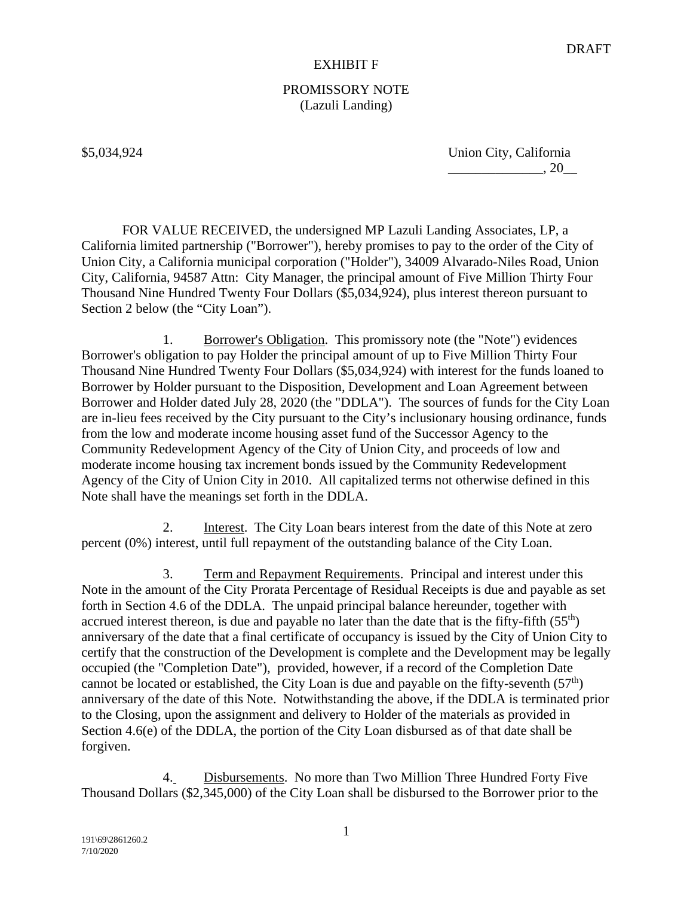# PROMISSORY NOTE (Lazuli Landing)

\$5,034,924 Union City, California  $\frac{1}{20}$ , 20

FOR VALUE RECEIVED, the undersigned MP Lazuli Landing Associates, LP, a California limited partnership ("Borrower"), hereby promises to pay to the order of the City of Union City, a California municipal corporation ("Holder"), 34009 Alvarado-Niles Road, Union City, California, 94587 Attn: City Manager, the principal amount of Five Million Thirty Four Thousand Nine Hundred Twenty Four Dollars (\$5,034,924), plus interest thereon pursuant to Section 2 below (the "City Loan").

1. Borrower's Obligation. This promissory note (the "Note") evidences Borrower's obligation to pay Holder the principal amount of up to Five Million Thirty Four Thousand Nine Hundred Twenty Four Dollars (\$5,034,924) with interest for the funds loaned to Borrower by Holder pursuant to the Disposition, Development and Loan Agreement between Borrower and Holder dated July 28, 2020 (the "DDLA"). The sources of funds for the City Loan are in-lieu fees received by the City pursuant to the City's inclusionary housing ordinance, funds from the low and moderate income housing asset fund of the Successor Agency to the Community Redevelopment Agency of the City of Union City, and proceeds of low and moderate income housing tax increment bonds issued by the Community Redevelopment Agency of the City of Union City in 2010. All capitalized terms not otherwise defined in this Note shall have the meanings set forth in the DDLA.

2. Interest. The City Loan bears interest from the date of this Note at zero percent (0%) interest, until full repayment of the outstanding balance of the City Loan.

3. Term and Repayment Requirements. Principal and interest under this Note in the amount of the City Prorata Percentage of Residual Receipts is due and payable as set forth in Section 4.6 of the DDLA. The unpaid principal balance hereunder, together with accrued interest thereon, is due and payable no later than the date that is the fifty-fifth  $(55<sup>th</sup>)$ anniversary of the date that a final certificate of occupancy is issued by the City of Union City to certify that the construction of the Development is complete and the Development may be legally occupied (the "Completion Date"), provided, however, if a record of the Completion Date cannot be located or established, the City Loan is due and payable on the fifty-seventh  $(57<sup>th</sup>)$ anniversary of the date of this Note. Notwithstanding the above, if the DDLA is terminated prior to the Closing, upon the assignment and delivery to Holder of the materials as provided in Section 4.6(e) of the DDLA, the portion of the City Loan disbursed as of that date shall be forgiven.

4. Disbursements. No more than Two Million Three Hundred Forty Five Thousand Dollars (\$2,345,000) of the City Loan shall be disbursed to the Borrower prior to the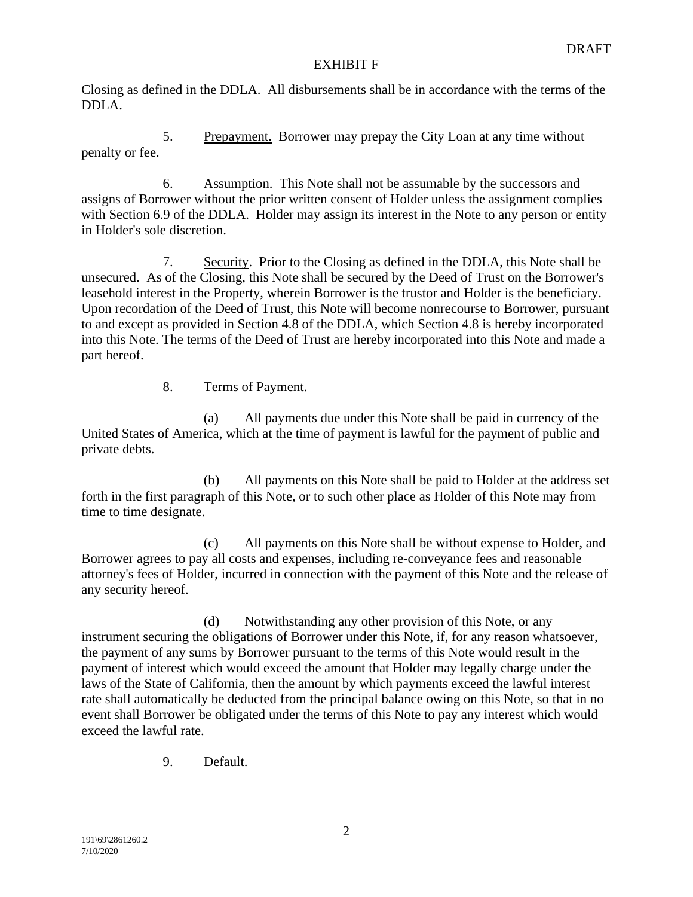Closing as defined in the DDLA. All disbursements shall be in accordance with the terms of the DDLA.

5. Prepayment. Borrower may prepay the City Loan at any time without penalty or fee.

6. Assumption. This Note shall not be assumable by the successors and assigns of Borrower without the prior written consent of Holder unless the assignment complies with Section 6.9 of the DDLA. Holder may assign its interest in the Note to any person or entity in Holder's sole discretion.

7. Security. Prior to the Closing as defined in the DDLA, this Note shall be unsecured. As of the Closing, this Note shall be secured by the Deed of Trust on the Borrower's leasehold interest in the Property, wherein Borrower is the trustor and Holder is the beneficiary. Upon recordation of the Deed of Trust, this Note will become nonrecourse to Borrower, pursuant to and except as provided in Section 4.8 of the DDLA, which Section 4.8 is hereby incorporated into this Note. The terms of the Deed of Trust are hereby incorporated into this Note and made a part hereof.

# 8. Terms of Payment.

(a) All payments due under this Note shall be paid in currency of the United States of America, which at the time of payment is lawful for the payment of public and private debts.

(b) All payments on this Note shall be paid to Holder at the address set forth in the first paragraph of this Note, or to such other place as Holder of this Note may from time to time designate.

(c) All payments on this Note shall be without expense to Holder, and Borrower agrees to pay all costs and expenses, including re-conveyance fees and reasonable attorney's fees of Holder, incurred in connection with the payment of this Note and the release of any security hereof.

(d) Notwithstanding any other provision of this Note, or any instrument securing the obligations of Borrower under this Note, if, for any reason whatsoever, the payment of any sums by Borrower pursuant to the terms of this Note would result in the payment of interest which would exceed the amount that Holder may legally charge under the laws of the State of California, then the amount by which payments exceed the lawful interest rate shall automatically be deducted from the principal balance owing on this Note, so that in no event shall Borrower be obligated under the terms of this Note to pay any interest which would exceed the lawful rate.

9. Default.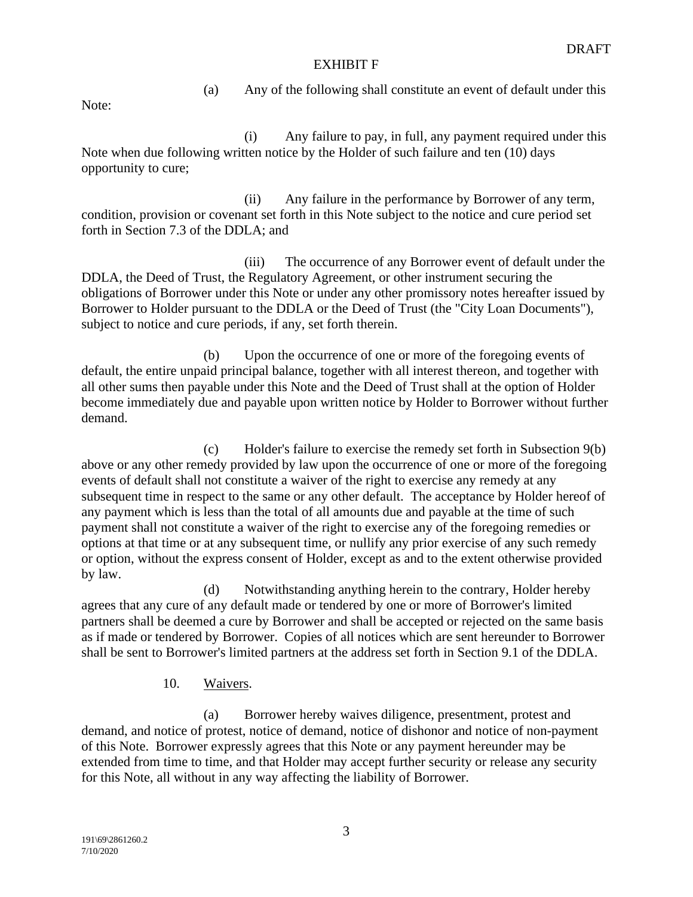(a) Any of the following shall constitute an event of default under this

Note:

(i) Any failure to pay, in full, any payment required under this Note when due following written notice by the Holder of such failure and ten (10) days opportunity to cure;

(ii) Any failure in the performance by Borrower of any term, condition, provision or covenant set forth in this Note subject to the notice and cure period set forth in Section 7.3 of the DDLA; and

(iii) The occurrence of any Borrower event of default under the DDLA, the Deed of Trust, the Regulatory Agreement, or other instrument securing the obligations of Borrower under this Note or under any other promissory notes hereafter issued by Borrower to Holder pursuant to the DDLA or the Deed of Trust (the "City Loan Documents"), subject to notice and cure periods, if any, set forth therein.

(b) Upon the occurrence of one or more of the foregoing events of default, the entire unpaid principal balance, together with all interest thereon, and together with all other sums then payable under this Note and the Deed of Trust shall at the option of Holder become immediately due and payable upon written notice by Holder to Borrower without further demand.

(c) Holder's failure to exercise the remedy set forth in Subsection 9(b) above or any other remedy provided by law upon the occurrence of one or more of the foregoing events of default shall not constitute a waiver of the right to exercise any remedy at any subsequent time in respect to the same or any other default. The acceptance by Holder hereof of any payment which is less than the total of all amounts due and payable at the time of such payment shall not constitute a waiver of the right to exercise any of the foregoing remedies or options at that time or at any subsequent time, or nullify any prior exercise of any such remedy or option, without the express consent of Holder, except as and to the extent otherwise provided by law.

(d) Notwithstanding anything herein to the contrary, Holder hereby agrees that any cure of any default made or tendered by one or more of Borrower's limited partners shall be deemed a cure by Borrower and shall be accepted or rejected on the same basis as if made or tendered by Borrower. Copies of all notices which are sent hereunder to Borrower shall be sent to Borrower's limited partners at the address set forth in Section 9.1 of the DDLA.

# 10. Waivers.

(a) Borrower hereby waives diligence, presentment, protest and demand, and notice of protest, notice of demand, notice of dishonor and notice of non-payment of this Note. Borrower expressly agrees that this Note or any payment hereunder may be extended from time to time, and that Holder may accept further security or release any security for this Note, all without in any way affecting the liability of Borrower.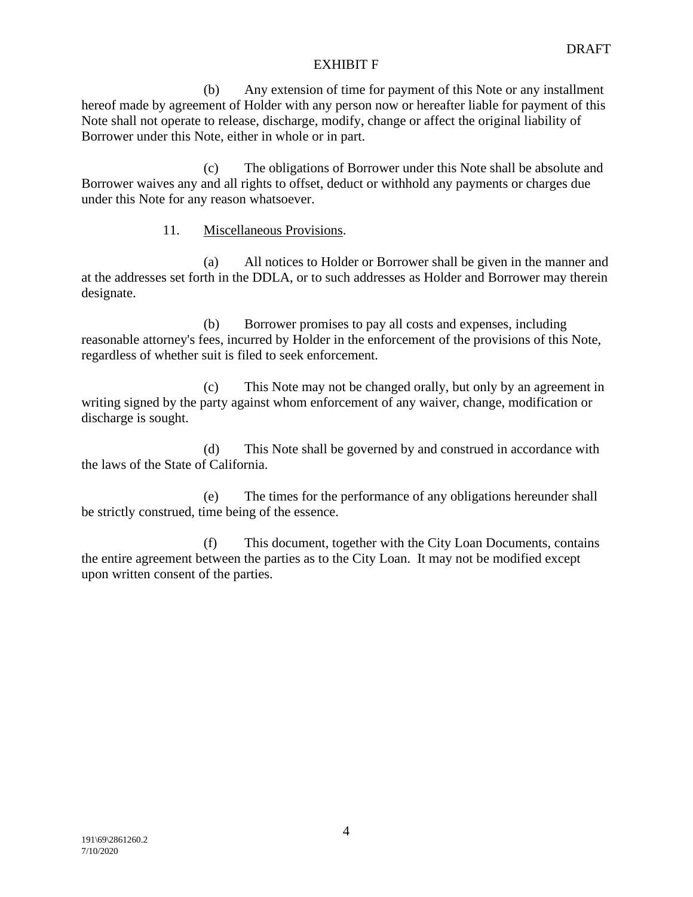(b) Any extension of time for payment of this Note or any installment hereof made by agreement of Holder with any person now or hereafter liable for payment of this Note shall not operate to release, discharge, modify, change or affect the original liability of Borrower under this Note, either in whole or in part.

(c) The obligations of Borrower under this Note shall be absolute and Borrower waives any and all rights to offset, deduct or withhold any payments or charges due under this Note for any reason whatsoever.

# 11. Miscellaneous Provisions.

(a) All notices to Holder or Borrower shall be given in the manner and at the addresses set forth in the DDLA, or to such addresses as Holder and Borrower may therein designate.

(b) Borrower promises to pay all costs and expenses, including reasonable attorney's fees, incurred by Holder in the enforcement of the provisions of this Note, regardless of whether suit is filed to seek enforcement.

(c) This Note may not be changed orally, but only by an agreement in writing signed by the party against whom enforcement of any waiver, change, modification or discharge is sought.

(d) This Note shall be governed by and construed in accordance with the laws of the State of California.

(e) The times for the performance of any obligations hereunder shall be strictly construed, time being of the essence.

(f) This document, together with the City Loan Documents, contains the entire agreement between the parties as to the City Loan. It may not be modified except upon written consent of the parties.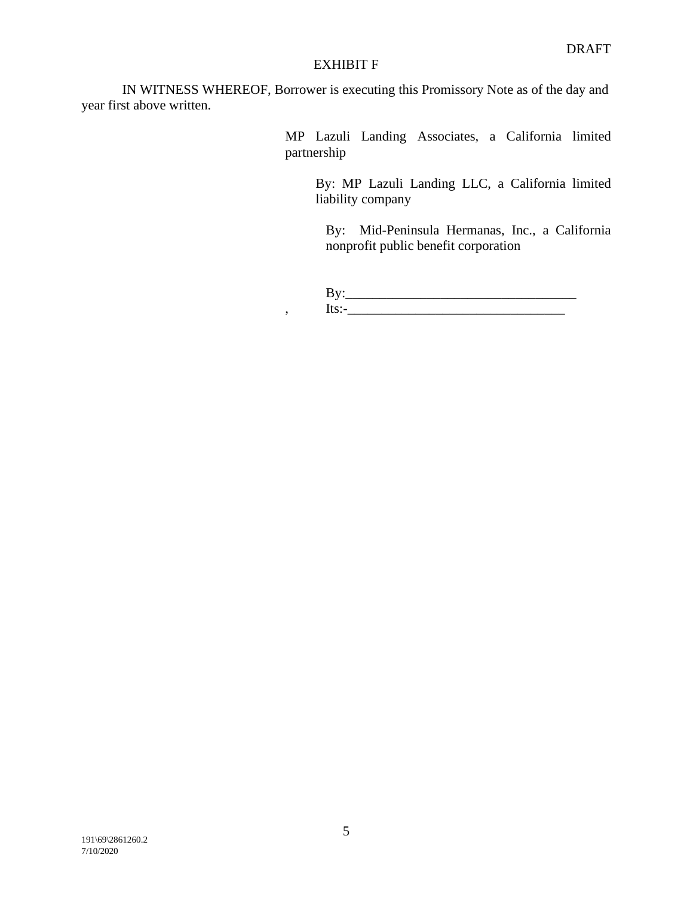IN WITNESS WHEREOF, Borrower is executing this Promissory Note as of the day and year first above written.

> MP Lazuli Landing Associates, a California limited partnership

By: MP Lazuli Landing LLC, a California limited liability company

By: Mid-Peninsula Hermanas, Inc., a California nonprofit public benefit corporation

By:\_\_\_\_\_\_\_\_\_\_\_\_\_\_\_\_\_\_\_\_\_\_\_\_\_\_\_\_\_\_\_\_\_\_ , Its:-\_\_\_\_\_\_\_\_\_\_\_\_\_\_\_\_\_\_\_\_\_\_\_\_\_\_\_\_\_\_\_\_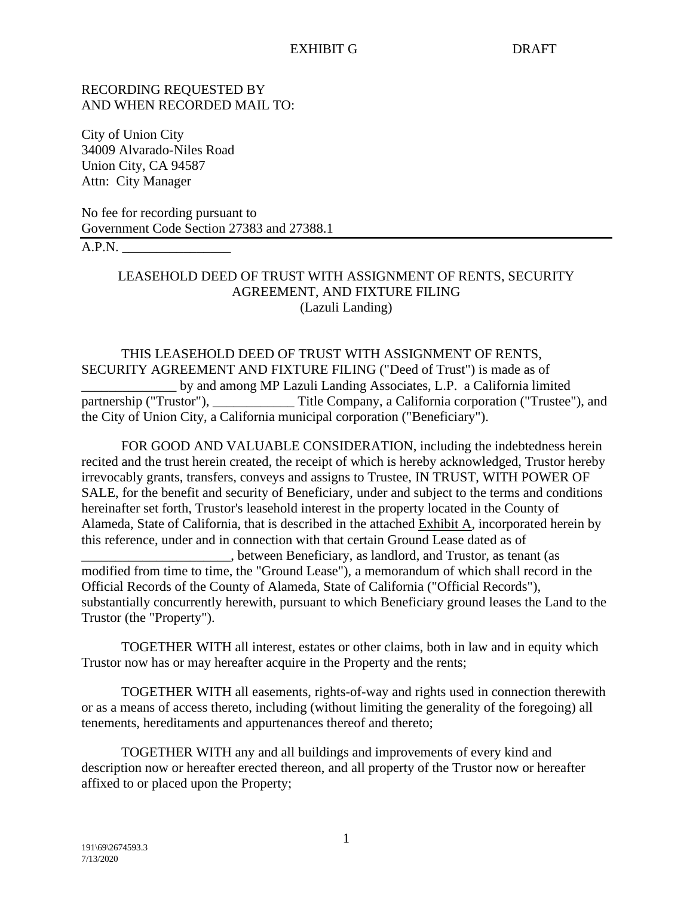# RECORDING REQUESTED BY AND WHEN RECORDED MAIL TO:

City of Union City 34009 Alvarado-Niles Road Union City, CA 94587 Attn: City Manager

No fee for recording pursuant to Government Code Section 27383 and 27388.1  $A.P.N.$ 

# LEASEHOLD DEED OF TRUST WITH ASSIGNMENT OF RENTS, SECURITY AGREEMENT, AND FIXTURE FILING (Lazuli Landing)

# THIS LEASEHOLD DEED OF TRUST WITH ASSIGNMENT OF RENTS, SECURITY AGREEMENT AND FIXTURE FILING ("Deed of Trust") is made as of by and among MP Lazuli Landing Associates, L.P. a California limited partnership ("Trustor"), \_\_\_\_\_\_\_\_\_\_\_\_\_\_\_ Title Company, a California corporation ("Trustee"), and the City of Union City, a California municipal corporation ("Beneficiary").

FOR GOOD AND VALUABLE CONSIDERATION, including the indebtedness herein recited and the trust herein created, the receipt of which is hereby acknowledged, Trustor hereby irrevocably grants, transfers, conveys and assigns to Trustee, IN TRUST, WITH POWER OF SALE, for the benefit and security of Beneficiary, under and subject to the terms and conditions hereinafter set forth, Trustor's leasehold interest in the property located in the County of Alameda, State of California, that is described in the attached Exhibit A, incorporated herein by this reference, under and in connection with that certain Ground Lease dated as of \_\_\_\_\_\_\_\_\_\_\_\_\_\_\_\_\_\_\_\_\_\_, between Beneficiary, as landlord, and Trustor, as tenant (as modified from time to time, the "Ground Lease"), a memorandum of which shall record in the

Official Records of the County of Alameda, State of California ("Official Records"), substantially concurrently herewith, pursuant to which Beneficiary ground leases the Land to the Trustor (the "Property").

TOGETHER WITH all interest, estates or other claims, both in law and in equity which Trustor now has or may hereafter acquire in the Property and the rents;

TOGETHER WITH all easements, rights-of-way and rights used in connection therewith or as a means of access thereto, including (without limiting the generality of the foregoing) all tenements, hereditaments and appurtenances thereof and thereto;

TOGETHER WITH any and all buildings and improvements of every kind and description now or hereafter erected thereon, and all property of the Trustor now or hereafter affixed to or placed upon the Property;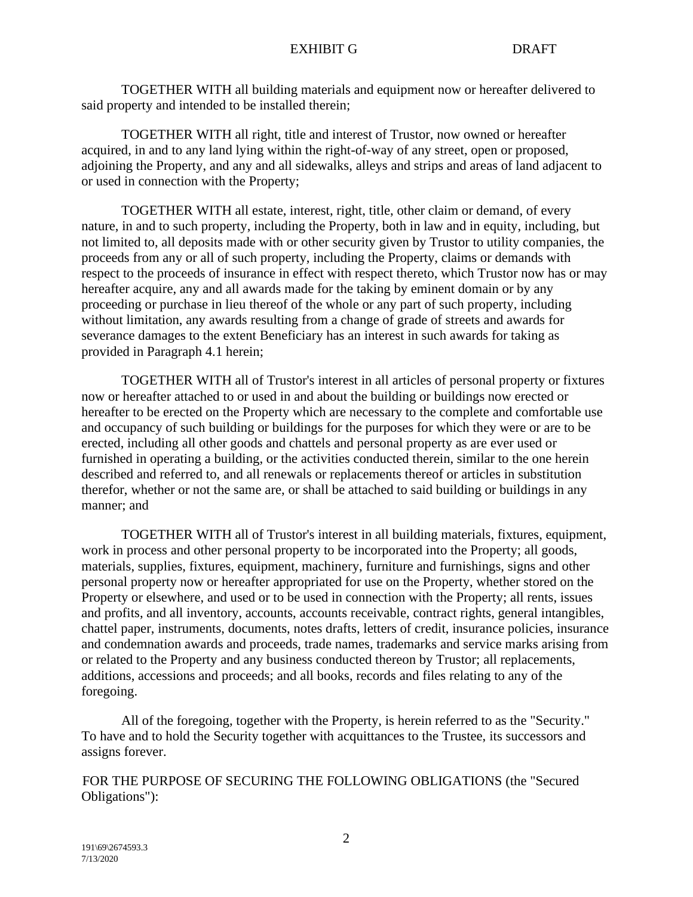TOGETHER WITH all building materials and equipment now or hereafter delivered to said property and intended to be installed therein;

TOGETHER WITH all right, title and interest of Trustor, now owned or hereafter acquired, in and to any land lying within the right-of-way of any street, open or proposed, adjoining the Property, and any and all sidewalks, alleys and strips and areas of land adjacent to or used in connection with the Property;

TOGETHER WITH all estate, interest, right, title, other claim or demand, of every nature, in and to such property, including the Property, both in law and in equity, including, but not limited to, all deposits made with or other security given by Trustor to utility companies, the proceeds from any or all of such property, including the Property, claims or demands with respect to the proceeds of insurance in effect with respect thereto, which Trustor now has or may hereafter acquire, any and all awards made for the taking by eminent domain or by any proceeding or purchase in lieu thereof of the whole or any part of such property, including without limitation, any awards resulting from a change of grade of streets and awards for severance damages to the extent Beneficiary has an interest in such awards for taking as provided in Paragraph 4.1 herein;

TOGETHER WITH all of Trustor's interest in all articles of personal property or fixtures now or hereafter attached to or used in and about the building or buildings now erected or hereafter to be erected on the Property which are necessary to the complete and comfortable use and occupancy of such building or buildings for the purposes for which they were or are to be erected, including all other goods and chattels and personal property as are ever used or furnished in operating a building, or the activities conducted therein, similar to the one herein described and referred to, and all renewals or replacements thereof or articles in substitution therefor, whether or not the same are, or shall be attached to said building or buildings in any manner; and

TOGETHER WITH all of Trustor's interest in all building materials, fixtures, equipment, work in process and other personal property to be incorporated into the Property; all goods, materials, supplies, fixtures, equipment, machinery, furniture and furnishings, signs and other personal property now or hereafter appropriated for use on the Property, whether stored on the Property or elsewhere, and used or to be used in connection with the Property; all rents, issues and profits, and all inventory, accounts, accounts receivable, contract rights, general intangibles, chattel paper, instruments, documents, notes drafts, letters of credit, insurance policies, insurance and condemnation awards and proceeds, trade names, trademarks and service marks arising from or related to the Property and any business conducted thereon by Trustor; all replacements, additions, accessions and proceeds; and all books, records and files relating to any of the foregoing.

All of the foregoing, together with the Property, is herein referred to as the "Security." To have and to hold the Security together with acquittances to the Trustee, its successors and assigns forever.

FOR THE PURPOSE OF SECURING THE FOLLOWING OBLIGATIONS (the "Secured Obligations"):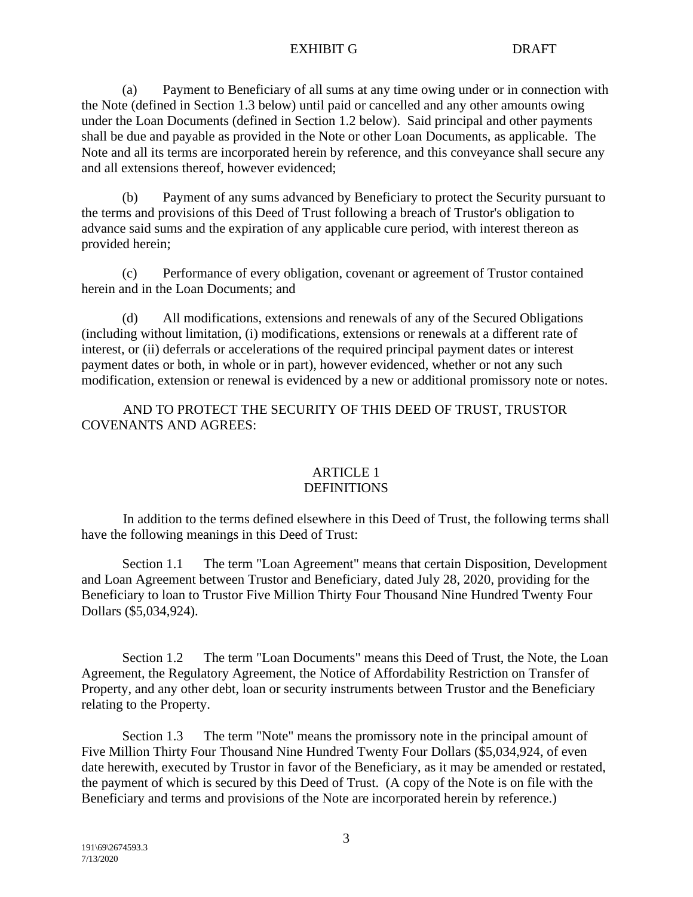(a) Payment to Beneficiary of all sums at any time owing under or in connection with the Note (defined in Section 1.3 below) until paid or cancelled and any other amounts owing under the Loan Documents (defined in Section 1.2 below). Said principal and other payments shall be due and payable as provided in the Note or other Loan Documents, as applicable. The Note and all its terms are incorporated herein by reference, and this conveyance shall secure any and all extensions thereof, however evidenced;

(b) Payment of any sums advanced by Beneficiary to protect the Security pursuant to the terms and provisions of this Deed of Trust following a breach of Trustor's obligation to advance said sums and the expiration of any applicable cure period, with interest thereon as provided herein;

(c) Performance of every obligation, covenant or agreement of Trustor contained herein and in the Loan Documents; and

(d) All modifications, extensions and renewals of any of the Secured Obligations (including without limitation, (i) modifications, extensions or renewals at a different rate of interest, or (ii) deferrals or accelerations of the required principal payment dates or interest payment dates or both, in whole or in part), however evidenced, whether or not any such modification, extension or renewal is evidenced by a new or additional promissory note or notes.

AND TO PROTECT THE SECURITY OF THIS DEED OF TRUST, TRUSTOR COVENANTS AND AGREES:

# ARTICLE 1 **DEFINITIONS**

In addition to the terms defined elsewhere in this Deed of Trust, the following terms shall have the following meanings in this Deed of Trust:

Section 1.1 The term "Loan Agreement" means that certain Disposition, Development and Loan Agreement between Trustor and Beneficiary, dated July 28, 2020, providing for the Beneficiary to loan to Trustor Five Million Thirty Four Thousand Nine Hundred Twenty Four Dollars (\$5,034,924).

Section 1.2 The term "Loan Documents" means this Deed of Trust, the Note, the Loan Agreement, the Regulatory Agreement, the Notice of Affordability Restriction on Transfer of Property, and any other debt, loan or security instruments between Trustor and the Beneficiary relating to the Property.

Section 1.3 The term "Note" means the promissory note in the principal amount of Five Million Thirty Four Thousand Nine Hundred Twenty Four Dollars (\$5,034,924, of even date herewith, executed by Trustor in favor of the Beneficiary, as it may be amended or restated, the payment of which is secured by this Deed of Trust. (A copy of the Note is on file with the Beneficiary and terms and provisions of the Note are incorporated herein by reference.)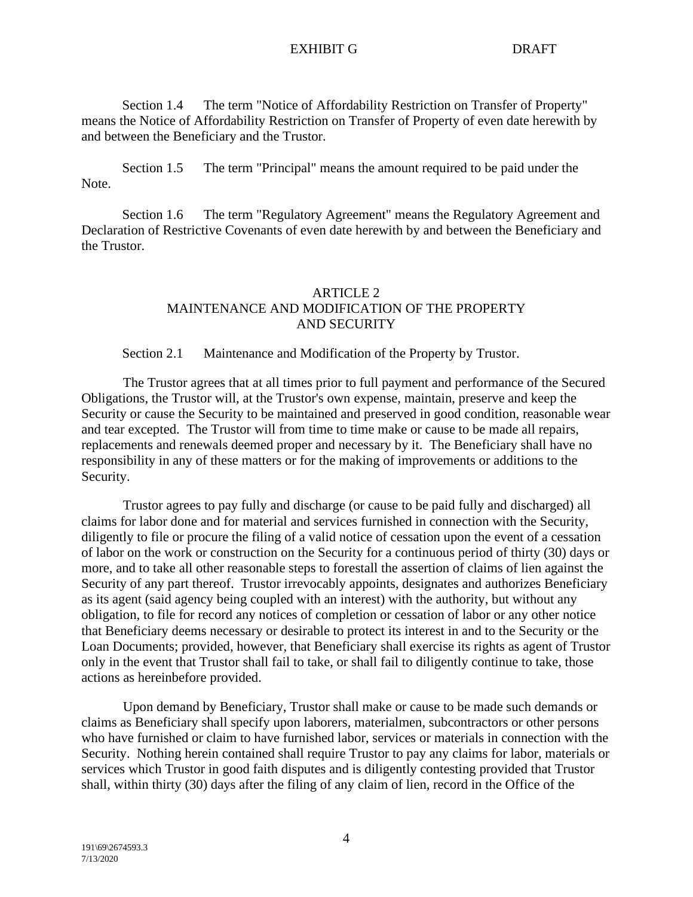Section 1.4 The term "Notice of Affordability Restriction on Transfer of Property" means the Notice of Affordability Restriction on Transfer of Property of even date herewith by and between the Beneficiary and the Trustor.

Section 1.5 The term "Principal" means the amount required to be paid under the Note.

Section 1.6 The term "Regulatory Agreement" means the Regulatory Agreement and Declaration of Restrictive Covenants of even date herewith by and between the Beneficiary and the Trustor.

# ARTICLE 2 MAINTENANCE AND MODIFICATION OF THE PROPERTY AND SECURITY

Section 2.1 Maintenance and Modification of the Property by Trustor.

The Trustor agrees that at all times prior to full payment and performance of the Secured Obligations, the Trustor will, at the Trustor's own expense, maintain, preserve and keep the Security or cause the Security to be maintained and preserved in good condition, reasonable wear and tear excepted. The Trustor will from time to time make or cause to be made all repairs, replacements and renewals deemed proper and necessary by it. The Beneficiary shall have no responsibility in any of these matters or for the making of improvements or additions to the Security.

Trustor agrees to pay fully and discharge (or cause to be paid fully and discharged) all claims for labor done and for material and services furnished in connection with the Security, diligently to file or procure the filing of a valid notice of cessation upon the event of a cessation of labor on the work or construction on the Security for a continuous period of thirty (30) days or more, and to take all other reasonable steps to forestall the assertion of claims of lien against the Security of any part thereof. Trustor irrevocably appoints, designates and authorizes Beneficiary as its agent (said agency being coupled with an interest) with the authority, but without any obligation, to file for record any notices of completion or cessation of labor or any other notice that Beneficiary deems necessary or desirable to protect its interest in and to the Security or the Loan Documents; provided, however, that Beneficiary shall exercise its rights as agent of Trustor only in the event that Trustor shall fail to take, or shall fail to diligently continue to take, those actions as hereinbefore provided.

Upon demand by Beneficiary, Trustor shall make or cause to be made such demands or claims as Beneficiary shall specify upon laborers, materialmen, subcontractors or other persons who have furnished or claim to have furnished labor, services or materials in connection with the Security. Nothing herein contained shall require Trustor to pay any claims for labor, materials or services which Trustor in good faith disputes and is diligently contesting provided that Trustor shall, within thirty (30) days after the filing of any claim of lien, record in the Office of the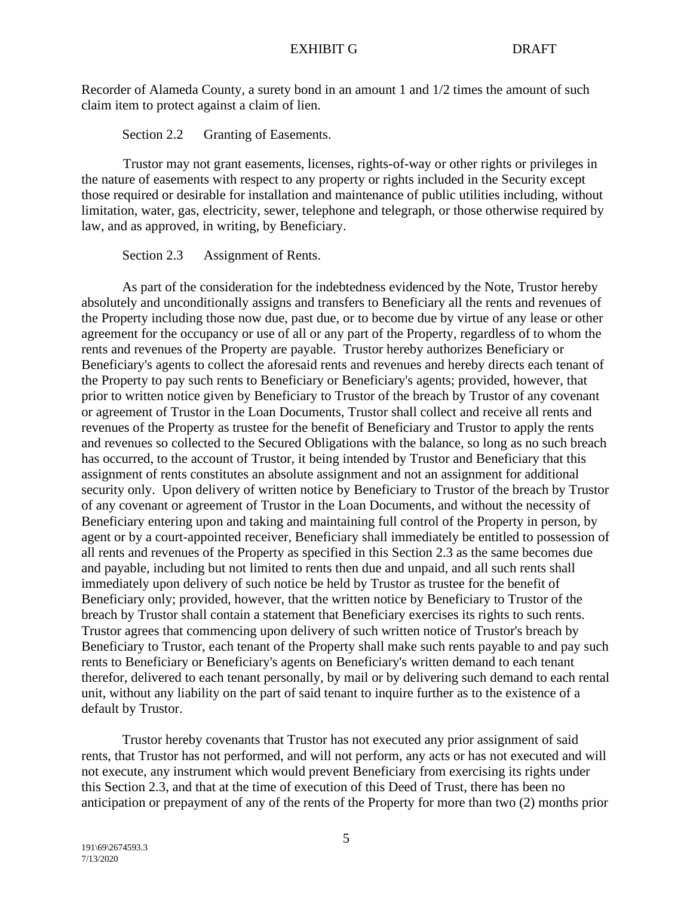Recorder of Alameda County, a surety bond in an amount 1 and 1/2 times the amount of such claim item to protect against a claim of lien.

Section 2.2 Granting of Easements.

Trustor may not grant easements, licenses, rights-of-way or other rights or privileges in the nature of easements with respect to any property or rights included in the Security except those required or desirable for installation and maintenance of public utilities including, without limitation, water, gas, electricity, sewer, telephone and telegraph, or those otherwise required by law, and as approved, in writing, by Beneficiary.

Section 2.3 Assignment of Rents.

As part of the consideration for the indebtedness evidenced by the Note, Trustor hereby absolutely and unconditionally assigns and transfers to Beneficiary all the rents and revenues of the Property including those now due, past due, or to become due by virtue of any lease or other agreement for the occupancy or use of all or any part of the Property, regardless of to whom the rents and revenues of the Property are payable. Trustor hereby authorizes Beneficiary or Beneficiary's agents to collect the aforesaid rents and revenues and hereby directs each tenant of the Property to pay such rents to Beneficiary or Beneficiary's agents; provided, however, that prior to written notice given by Beneficiary to Trustor of the breach by Trustor of any covenant or agreement of Trustor in the Loan Documents, Trustor shall collect and receive all rents and revenues of the Property as trustee for the benefit of Beneficiary and Trustor to apply the rents and revenues so collected to the Secured Obligations with the balance, so long as no such breach has occurred, to the account of Trustor, it being intended by Trustor and Beneficiary that this assignment of rents constitutes an absolute assignment and not an assignment for additional security only. Upon delivery of written notice by Beneficiary to Trustor of the breach by Trustor of any covenant or agreement of Trustor in the Loan Documents, and without the necessity of Beneficiary entering upon and taking and maintaining full control of the Property in person, by agent or by a court-appointed receiver, Beneficiary shall immediately be entitled to possession of all rents and revenues of the Property as specified in this Section 2.3 as the same becomes due and payable, including but not limited to rents then due and unpaid, and all such rents shall immediately upon delivery of such notice be held by Trustor as trustee for the benefit of Beneficiary only; provided, however, that the written notice by Beneficiary to Trustor of the breach by Trustor shall contain a statement that Beneficiary exercises its rights to such rents. Trustor agrees that commencing upon delivery of such written notice of Trustor's breach by Beneficiary to Trustor, each tenant of the Property shall make such rents payable to and pay such rents to Beneficiary or Beneficiary's agents on Beneficiary's written demand to each tenant therefor, delivered to each tenant personally, by mail or by delivering such demand to each rental unit, without any liability on the part of said tenant to inquire further as to the existence of a default by Trustor.

Trustor hereby covenants that Trustor has not executed any prior assignment of said rents, that Trustor has not performed, and will not perform, any acts or has not executed and will not execute, any instrument which would prevent Beneficiary from exercising its rights under this Section 2.3, and that at the time of execution of this Deed of Trust, there has been no anticipation or prepayment of any of the rents of the Property for more than two (2) months prior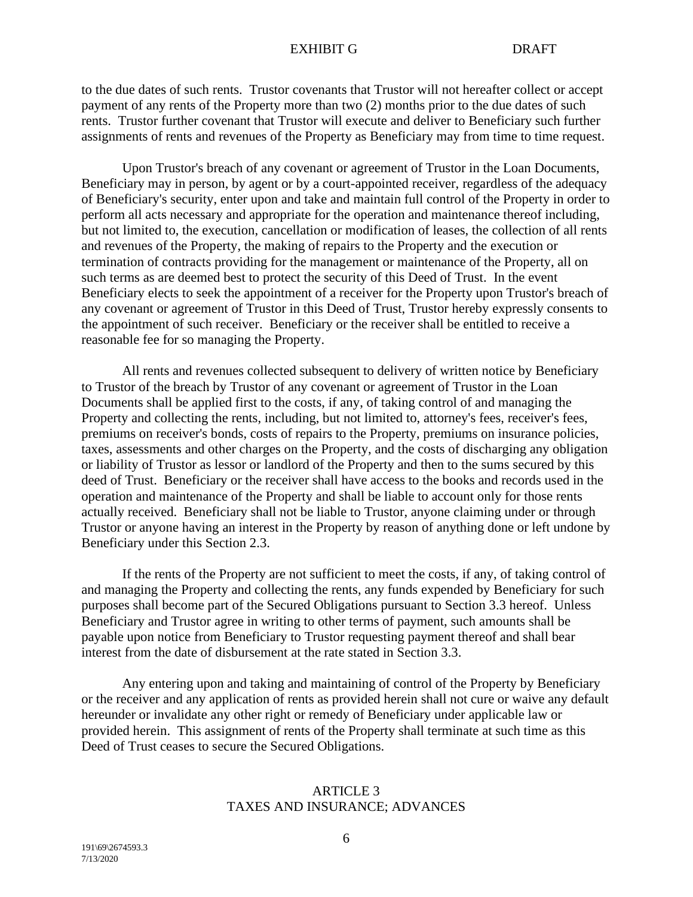to the due dates of such rents. Trustor covenants that Trustor will not hereafter collect or accept payment of any rents of the Property more than two (2) months prior to the due dates of such rents. Trustor further covenant that Trustor will execute and deliver to Beneficiary such further assignments of rents and revenues of the Property as Beneficiary may from time to time request.

Upon Trustor's breach of any covenant or agreement of Trustor in the Loan Documents, Beneficiary may in person, by agent or by a court-appointed receiver, regardless of the adequacy of Beneficiary's security, enter upon and take and maintain full control of the Property in order to perform all acts necessary and appropriate for the operation and maintenance thereof including, but not limited to, the execution, cancellation or modification of leases, the collection of all rents and revenues of the Property, the making of repairs to the Property and the execution or termination of contracts providing for the management or maintenance of the Property, all on such terms as are deemed best to protect the security of this Deed of Trust. In the event Beneficiary elects to seek the appointment of a receiver for the Property upon Trustor's breach of any covenant or agreement of Trustor in this Deed of Trust, Trustor hereby expressly consents to the appointment of such receiver. Beneficiary or the receiver shall be entitled to receive a reasonable fee for so managing the Property.

All rents and revenues collected subsequent to delivery of written notice by Beneficiary to Trustor of the breach by Trustor of any covenant or agreement of Trustor in the Loan Documents shall be applied first to the costs, if any, of taking control of and managing the Property and collecting the rents, including, but not limited to, attorney's fees, receiver's fees, premiums on receiver's bonds, costs of repairs to the Property, premiums on insurance policies, taxes, assessments and other charges on the Property, and the costs of discharging any obligation or liability of Trustor as lessor or landlord of the Property and then to the sums secured by this deed of Trust. Beneficiary or the receiver shall have access to the books and records used in the operation and maintenance of the Property and shall be liable to account only for those rents actually received. Beneficiary shall not be liable to Trustor, anyone claiming under or through Trustor or anyone having an interest in the Property by reason of anything done or left undone by Beneficiary under this Section 2.3.

If the rents of the Property are not sufficient to meet the costs, if any, of taking control of and managing the Property and collecting the rents, any funds expended by Beneficiary for such purposes shall become part of the Secured Obligations pursuant to Section 3.3 hereof. Unless Beneficiary and Trustor agree in writing to other terms of payment, such amounts shall be payable upon notice from Beneficiary to Trustor requesting payment thereof and shall bear interest from the date of disbursement at the rate stated in Section 3.3.

Any entering upon and taking and maintaining of control of the Property by Beneficiary or the receiver and any application of rents as provided herein shall not cure or waive any default hereunder or invalidate any other right or remedy of Beneficiary under applicable law or provided herein. This assignment of rents of the Property shall terminate at such time as this Deed of Trust ceases to secure the Secured Obligations.

# ARTICLE 3 TAXES AND INSURANCE; ADVANCES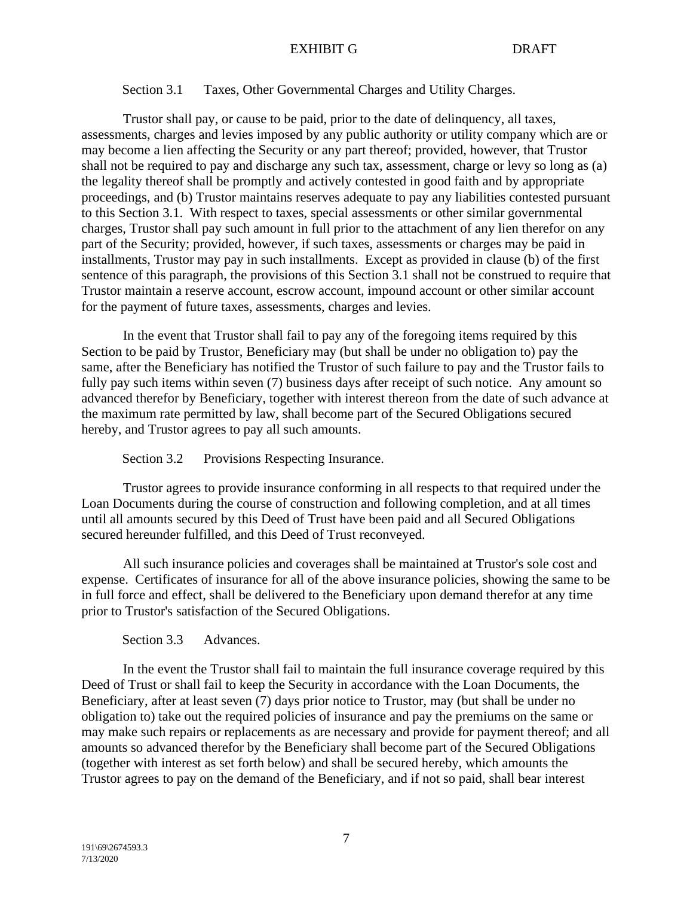#### Section 3.1 Taxes, Other Governmental Charges and Utility Charges.

Trustor shall pay, or cause to be paid, prior to the date of delinquency, all taxes, assessments, charges and levies imposed by any public authority or utility company which are or may become a lien affecting the Security or any part thereof; provided, however, that Trustor shall not be required to pay and discharge any such tax, assessment, charge or levy so long as (a) the legality thereof shall be promptly and actively contested in good faith and by appropriate proceedings, and (b) Trustor maintains reserves adequate to pay any liabilities contested pursuant to this Section 3.1. With respect to taxes, special assessments or other similar governmental charges, Trustor shall pay such amount in full prior to the attachment of any lien therefor on any part of the Security; provided, however, if such taxes, assessments or charges may be paid in installments, Trustor may pay in such installments. Except as provided in clause (b) of the first sentence of this paragraph, the provisions of this Section 3.1 shall not be construed to require that Trustor maintain a reserve account, escrow account, impound account or other similar account for the payment of future taxes, assessments, charges and levies.

In the event that Trustor shall fail to pay any of the foregoing items required by this Section to be paid by Trustor, Beneficiary may (but shall be under no obligation to) pay the same, after the Beneficiary has notified the Trustor of such failure to pay and the Trustor fails to fully pay such items within seven (7) business days after receipt of such notice. Any amount so advanced therefor by Beneficiary, together with interest thereon from the date of such advance at the maximum rate permitted by law, shall become part of the Secured Obligations secured hereby, and Trustor agrees to pay all such amounts.

Section 3.2 Provisions Respecting Insurance.

Trustor agrees to provide insurance conforming in all respects to that required under the Loan Documents during the course of construction and following completion, and at all times until all amounts secured by this Deed of Trust have been paid and all Secured Obligations secured hereunder fulfilled, and this Deed of Trust reconveyed.

All such insurance policies and coverages shall be maintained at Trustor's sole cost and expense. Certificates of insurance for all of the above insurance policies, showing the same to be in full force and effect, shall be delivered to the Beneficiary upon demand therefor at any time prior to Trustor's satisfaction of the Secured Obligations.

## Section 3.3 Advances.

In the event the Trustor shall fail to maintain the full insurance coverage required by this Deed of Trust or shall fail to keep the Security in accordance with the Loan Documents, the Beneficiary, after at least seven (7) days prior notice to Trustor, may (but shall be under no obligation to) take out the required policies of insurance and pay the premiums on the same or may make such repairs or replacements as are necessary and provide for payment thereof; and all amounts so advanced therefor by the Beneficiary shall become part of the Secured Obligations (together with interest as set forth below) and shall be secured hereby, which amounts the Trustor agrees to pay on the demand of the Beneficiary, and if not so paid, shall bear interest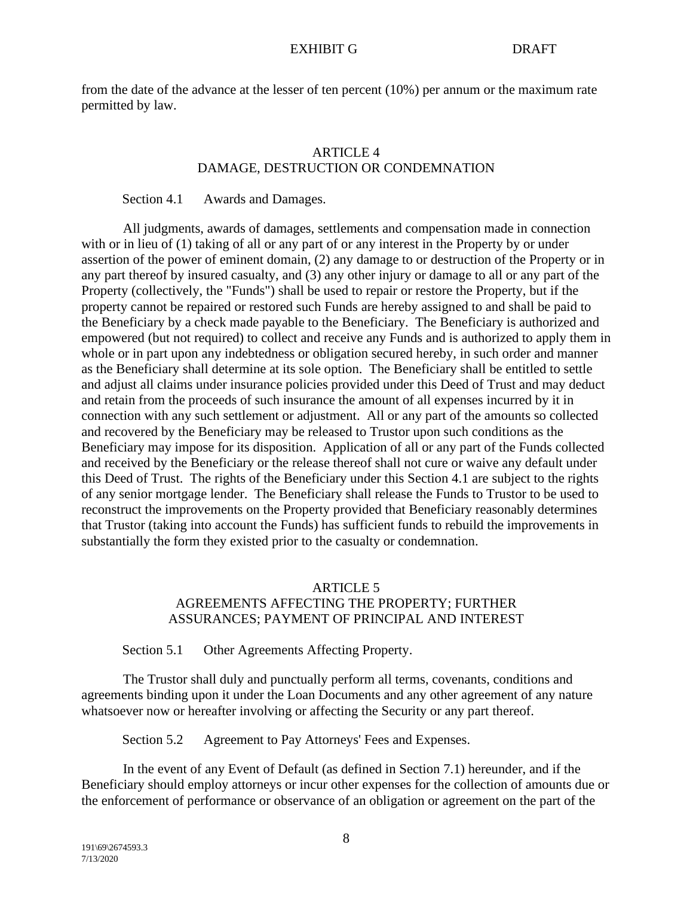from the date of the advance at the lesser of ten percent (10%) per annum or the maximum rate permitted by law.

# **ARTICLE 4** DAMAGE, DESTRUCTION OR CONDEMNATION

#### Section 4.1 Awards and Damages.

All judgments, awards of damages, settlements and compensation made in connection with or in lieu of (1) taking of all or any part of or any interest in the Property by or under assertion of the power of eminent domain, (2) any damage to or destruction of the Property or in any part thereof by insured casualty, and (3) any other injury or damage to all or any part of the Property (collectively, the "Funds") shall be used to repair or restore the Property, but if the property cannot be repaired or restored such Funds are hereby assigned to and shall be paid to the Beneficiary by a check made payable to the Beneficiary. The Beneficiary is authorized and empowered (but not required) to collect and receive any Funds and is authorized to apply them in whole or in part upon any indebtedness or obligation secured hereby, in such order and manner as the Beneficiary shall determine at its sole option. The Beneficiary shall be entitled to settle and adjust all claims under insurance policies provided under this Deed of Trust and may deduct and retain from the proceeds of such insurance the amount of all expenses incurred by it in connection with any such settlement or adjustment. All or any part of the amounts so collected and recovered by the Beneficiary may be released to Trustor upon such conditions as the Beneficiary may impose for its disposition. Application of all or any part of the Funds collected and received by the Beneficiary or the release thereof shall not cure or waive any default under this Deed of Trust. The rights of the Beneficiary under this Section 4.1 are subject to the rights of any senior mortgage lender. The Beneficiary shall release the Funds to Trustor to be used to reconstruct the improvements on the Property provided that Beneficiary reasonably determines that Trustor (taking into account the Funds) has sufficient funds to rebuild the improvements in substantially the form they existed prior to the casualty or condemnation.

# ARTICLE 5 AGREEMENTS AFFECTING THE PROPERTY; FURTHER ASSURANCES; PAYMENT OF PRINCIPAL AND INTEREST

Section 5.1 Other Agreements Affecting Property.

The Trustor shall duly and punctually perform all terms, covenants, conditions and agreements binding upon it under the Loan Documents and any other agreement of any nature whatsoever now or hereafter involving or affecting the Security or any part thereof.

Section 5.2 Agreement to Pay Attorneys' Fees and Expenses.

In the event of any Event of Default (as defined in Section 7.1) hereunder, and if the Beneficiary should employ attorneys or incur other expenses for the collection of amounts due or the enforcement of performance or observance of an obligation or agreement on the part of the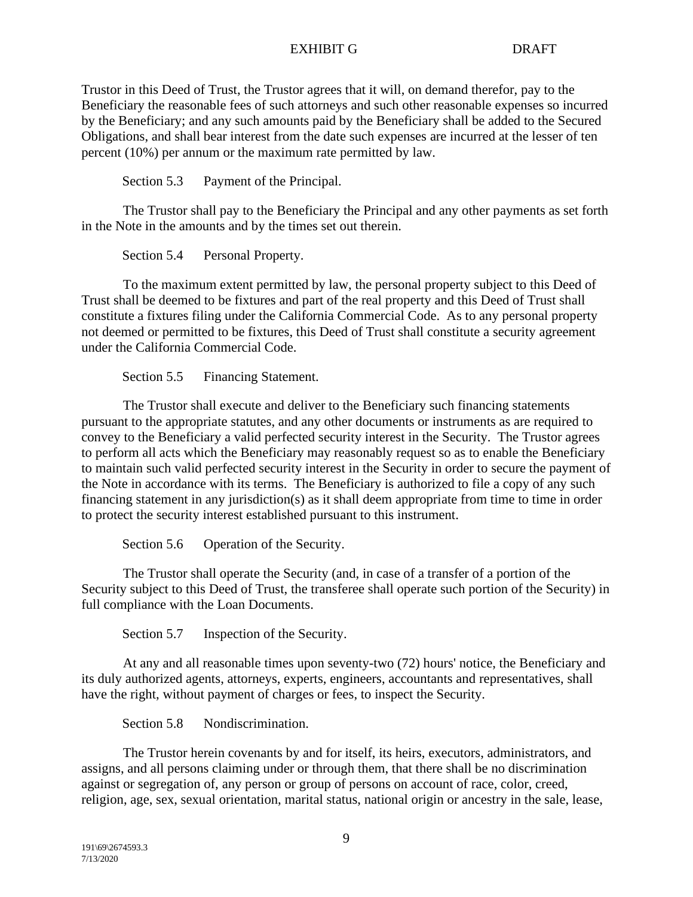Trustor in this Deed of Trust, the Trustor agrees that it will, on demand therefor, pay to the Beneficiary the reasonable fees of such attorneys and such other reasonable expenses so incurred by the Beneficiary; and any such amounts paid by the Beneficiary shall be added to the Secured Obligations, and shall bear interest from the date such expenses are incurred at the lesser of ten percent (10%) per annum or the maximum rate permitted by law.

Section 5.3 Payment of the Principal.

The Trustor shall pay to the Beneficiary the Principal and any other payments as set forth in the Note in the amounts and by the times set out therein.

Section 5.4 Personal Property.

To the maximum extent permitted by law, the personal property subject to this Deed of Trust shall be deemed to be fixtures and part of the real property and this Deed of Trust shall constitute a fixtures filing under the California Commercial Code. As to any personal property not deemed or permitted to be fixtures, this Deed of Trust shall constitute a security agreement under the California Commercial Code.

Section 5.5 Financing Statement.

The Trustor shall execute and deliver to the Beneficiary such financing statements pursuant to the appropriate statutes, and any other documents or instruments as are required to convey to the Beneficiary a valid perfected security interest in the Security. The Trustor agrees to perform all acts which the Beneficiary may reasonably request so as to enable the Beneficiary to maintain such valid perfected security interest in the Security in order to secure the payment of the Note in accordance with its terms. The Beneficiary is authorized to file a copy of any such financing statement in any jurisdiction(s) as it shall deem appropriate from time to time in order to protect the security interest established pursuant to this instrument.

Section 5.6 Operation of the Security.

The Trustor shall operate the Security (and, in case of a transfer of a portion of the Security subject to this Deed of Trust, the transferee shall operate such portion of the Security) in full compliance with the Loan Documents.

Section 5.7 Inspection of the Security.

At any and all reasonable times upon seventy-two (72) hours' notice, the Beneficiary and its duly authorized agents, attorneys, experts, engineers, accountants and representatives, shall have the right, without payment of charges or fees, to inspect the Security.

Section 5.8 Nondiscrimination.

The Trustor herein covenants by and for itself, its heirs, executors, administrators, and assigns, and all persons claiming under or through them, that there shall be no discrimination against or segregation of, any person or group of persons on account of race, color, creed, religion, age, sex, sexual orientation, marital status, national origin or ancestry in the sale, lease,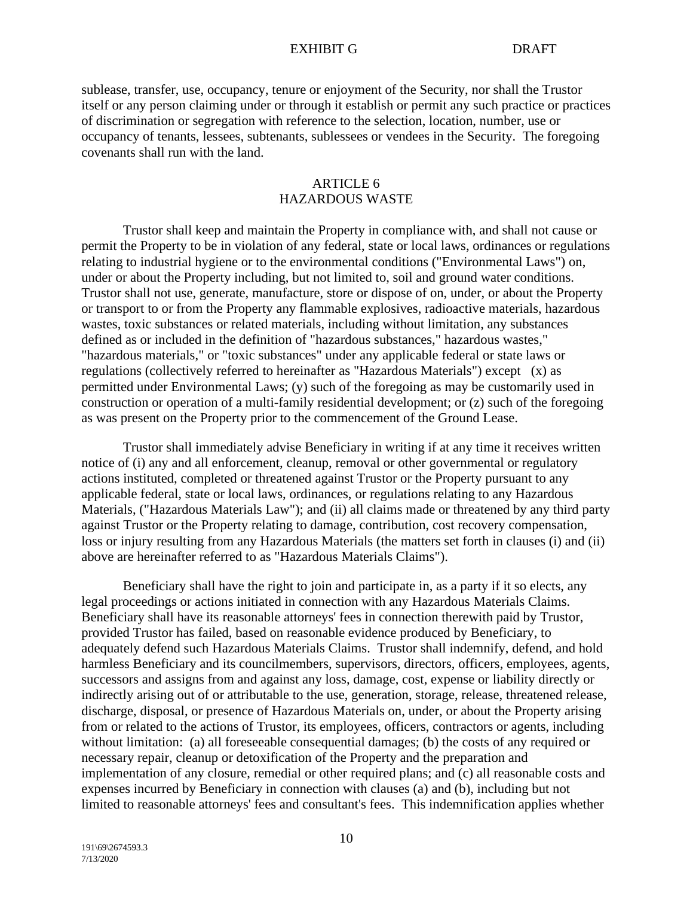sublease, transfer, use, occupancy, tenure or enjoyment of the Security, nor shall the Trustor itself or any person claiming under or through it establish or permit any such practice or practices of discrimination or segregation with reference to the selection, location, number, use or occupancy of tenants, lessees, subtenants, sublessees or vendees in the Security. The foregoing covenants shall run with the land.

# ARTICLE 6 HAZARDOUS WASTE

Trustor shall keep and maintain the Property in compliance with, and shall not cause or permit the Property to be in violation of any federal, state or local laws, ordinances or regulations relating to industrial hygiene or to the environmental conditions ("Environmental Laws") on, under or about the Property including, but not limited to, soil and ground water conditions. Trustor shall not use, generate, manufacture, store or dispose of on, under, or about the Property or transport to or from the Property any flammable explosives, radioactive materials, hazardous wastes, toxic substances or related materials, including without limitation, any substances defined as or included in the definition of "hazardous substances," hazardous wastes," "hazardous materials," or "toxic substances" under any applicable federal or state laws or regulations (collectively referred to hereinafter as "Hazardous Materials") except (x) as permitted under Environmental Laws; (y) such of the foregoing as may be customarily used in construction or operation of a multi-family residential development; or (z) such of the foregoing as was present on the Property prior to the commencement of the Ground Lease.

Trustor shall immediately advise Beneficiary in writing if at any time it receives written notice of (i) any and all enforcement, cleanup, removal or other governmental or regulatory actions instituted, completed or threatened against Trustor or the Property pursuant to any applicable federal, state or local laws, ordinances, or regulations relating to any Hazardous Materials, ("Hazardous Materials Law"); and (ii) all claims made or threatened by any third party against Trustor or the Property relating to damage, contribution, cost recovery compensation, loss or injury resulting from any Hazardous Materials (the matters set forth in clauses (i) and (ii) above are hereinafter referred to as "Hazardous Materials Claims").

Beneficiary shall have the right to join and participate in, as a party if it so elects, any legal proceedings or actions initiated in connection with any Hazardous Materials Claims. Beneficiary shall have its reasonable attorneys' fees in connection therewith paid by Trustor, provided Trustor has failed, based on reasonable evidence produced by Beneficiary, to adequately defend such Hazardous Materials Claims. Trustor shall indemnify, defend, and hold harmless Beneficiary and its councilmembers, supervisors, directors, officers, employees, agents, successors and assigns from and against any loss, damage, cost, expense or liability directly or indirectly arising out of or attributable to the use, generation, storage, release, threatened release, discharge, disposal, or presence of Hazardous Materials on, under, or about the Property arising from or related to the actions of Trustor, its employees, officers, contractors or agents, including without limitation: (a) all foreseeable consequential damages; (b) the costs of any required or necessary repair, cleanup or detoxification of the Property and the preparation and implementation of any closure, remedial or other required plans; and (c) all reasonable costs and expenses incurred by Beneficiary in connection with clauses (a) and (b), including but not limited to reasonable attorneys' fees and consultant's fees. This indemnification applies whether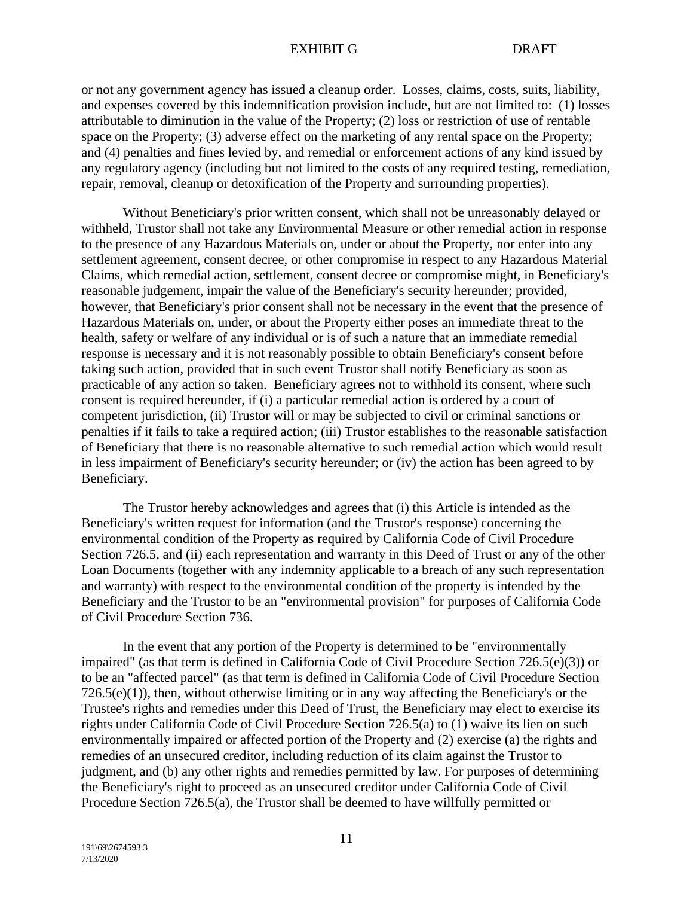or not any government agency has issued a cleanup order. Losses, claims, costs, suits, liability, and expenses covered by this indemnification provision include, but are not limited to: (1) losses attributable to diminution in the value of the Property; (2) loss or restriction of use of rentable space on the Property; (3) adverse effect on the marketing of any rental space on the Property; and (4) penalties and fines levied by, and remedial or enforcement actions of any kind issued by any regulatory agency (including but not limited to the costs of any required testing, remediation, repair, removal, cleanup or detoxification of the Property and surrounding properties).

Without Beneficiary's prior written consent, which shall not be unreasonably delayed or withheld, Trustor shall not take any Environmental Measure or other remedial action in response to the presence of any Hazardous Materials on, under or about the Property, nor enter into any settlement agreement, consent decree, or other compromise in respect to any Hazardous Material Claims, which remedial action, settlement, consent decree or compromise might, in Beneficiary's reasonable judgement, impair the value of the Beneficiary's security hereunder; provided, however, that Beneficiary's prior consent shall not be necessary in the event that the presence of Hazardous Materials on, under, or about the Property either poses an immediate threat to the health, safety or welfare of any individual or is of such a nature that an immediate remedial response is necessary and it is not reasonably possible to obtain Beneficiary's consent before taking such action, provided that in such event Trustor shall notify Beneficiary as soon as practicable of any action so taken. Beneficiary agrees not to withhold its consent, where such consent is required hereunder, if (i) a particular remedial action is ordered by a court of competent jurisdiction, (ii) Trustor will or may be subjected to civil or criminal sanctions or penalties if it fails to take a required action; (iii) Trustor establishes to the reasonable satisfaction of Beneficiary that there is no reasonable alternative to such remedial action which would result in less impairment of Beneficiary's security hereunder; or (iv) the action has been agreed to by Beneficiary.

The Trustor hereby acknowledges and agrees that (i) this Article is intended as the Beneficiary's written request for information (and the Trustor's response) concerning the environmental condition of the Property as required by California Code of Civil Procedure Section 726.5, and (ii) each representation and warranty in this Deed of Trust or any of the other Loan Documents (together with any indemnity applicable to a breach of any such representation and warranty) with respect to the environmental condition of the property is intended by the Beneficiary and the Trustor to be an "environmental provision" for purposes of California Code of Civil Procedure Section 736.

In the event that any portion of the Property is determined to be "environmentally impaired" (as that term is defined in California Code of Civil Procedure Section 726.5(e)(3)) or to be an "affected parcel" (as that term is defined in California Code of Civil Procedure Section  $726.5(e)(1)$ , then, without otherwise limiting or in any way affecting the Beneficiary's or the Trustee's rights and remedies under this Deed of Trust, the Beneficiary may elect to exercise its rights under California Code of Civil Procedure Section 726.5(a) to (1) waive its lien on such environmentally impaired or affected portion of the Property and (2) exercise (a) the rights and remedies of an unsecured creditor, including reduction of its claim against the Trustor to judgment, and (b) any other rights and remedies permitted by law. For purposes of determining the Beneficiary's right to proceed as an unsecured creditor under California Code of Civil Procedure Section 726.5(a), the Trustor shall be deemed to have willfully permitted or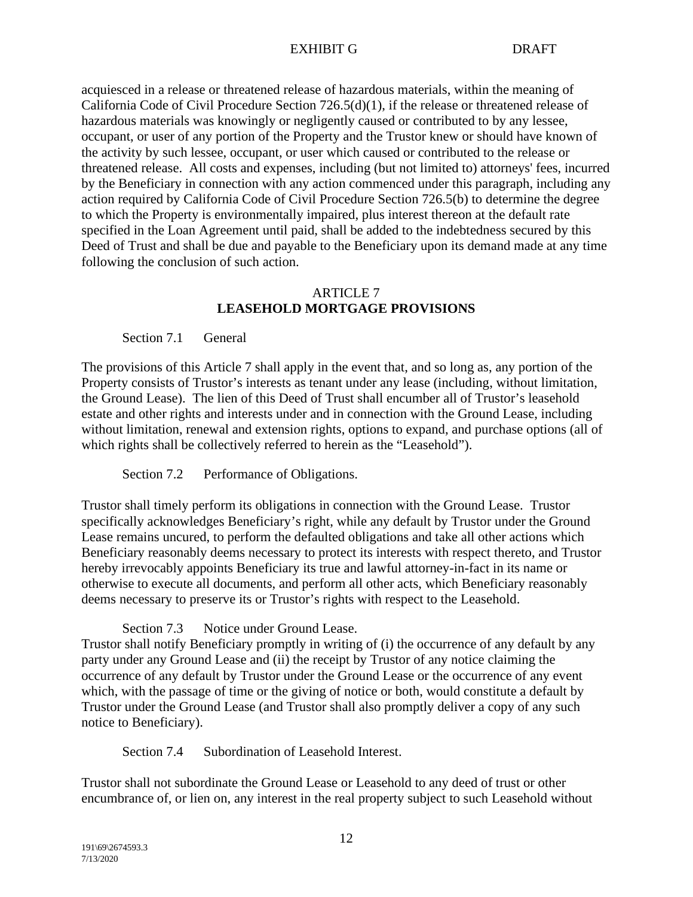acquiesced in a release or threatened release of hazardous materials, within the meaning of California Code of Civil Procedure Section 726.5(d)(1), if the release or threatened release of hazardous materials was knowingly or negligently caused or contributed to by any lessee, occupant, or user of any portion of the Property and the Trustor knew or should have known of the activity by such lessee, occupant, or user which caused or contributed to the release or threatened release. All costs and expenses, including (but not limited to) attorneys' fees, incurred by the Beneficiary in connection with any action commenced under this paragraph, including any action required by California Code of Civil Procedure Section 726.5(b) to determine the degree to which the Property is environmentally impaired, plus interest thereon at the default rate specified in the Loan Agreement until paid, shall be added to the indebtedness secured by this Deed of Trust and shall be due and payable to the Beneficiary upon its demand made at any time following the conclusion of such action.

# ARTICLE 7 **LEASEHOLD MORTGAGE PROVISIONS**

## Section 7.1 General

The provisions of this Article 7 shall apply in the event that, and so long as, any portion of the Property consists of Trustor's interests as tenant under any lease (including, without limitation, the Ground Lease). The lien of this Deed of Trust shall encumber all of Trustor's leasehold estate and other rights and interests under and in connection with the Ground Lease, including without limitation, renewal and extension rights, options to expand, and purchase options (all of which rights shall be collectively referred to herein as the "Leasehold").

Section 7.2 Performance of Obligations.

Trustor shall timely perform its obligations in connection with the Ground Lease. Trustor specifically acknowledges Beneficiary's right, while any default by Trustor under the Ground Lease remains uncured, to perform the defaulted obligations and take all other actions which Beneficiary reasonably deems necessary to protect its interests with respect thereto, and Trustor hereby irrevocably appoints Beneficiary its true and lawful attorney-in-fact in its name or otherwise to execute all documents, and perform all other acts, which Beneficiary reasonably deems necessary to preserve its or Trustor's rights with respect to the Leasehold.

Section 7.3 Notice under Ground Lease.

Trustor shall notify Beneficiary promptly in writing of (i) the occurrence of any default by any party under any Ground Lease and (ii) the receipt by Trustor of any notice claiming the occurrence of any default by Trustor under the Ground Lease or the occurrence of any event which, with the passage of time or the giving of notice or both, would constitute a default by Trustor under the Ground Lease (and Trustor shall also promptly deliver a copy of any such notice to Beneficiary).

Section 7.4 Subordination of Leasehold Interest.

Trustor shall not subordinate the Ground Lease or Leasehold to any deed of trust or other encumbrance of, or lien on, any interest in the real property subject to such Leasehold without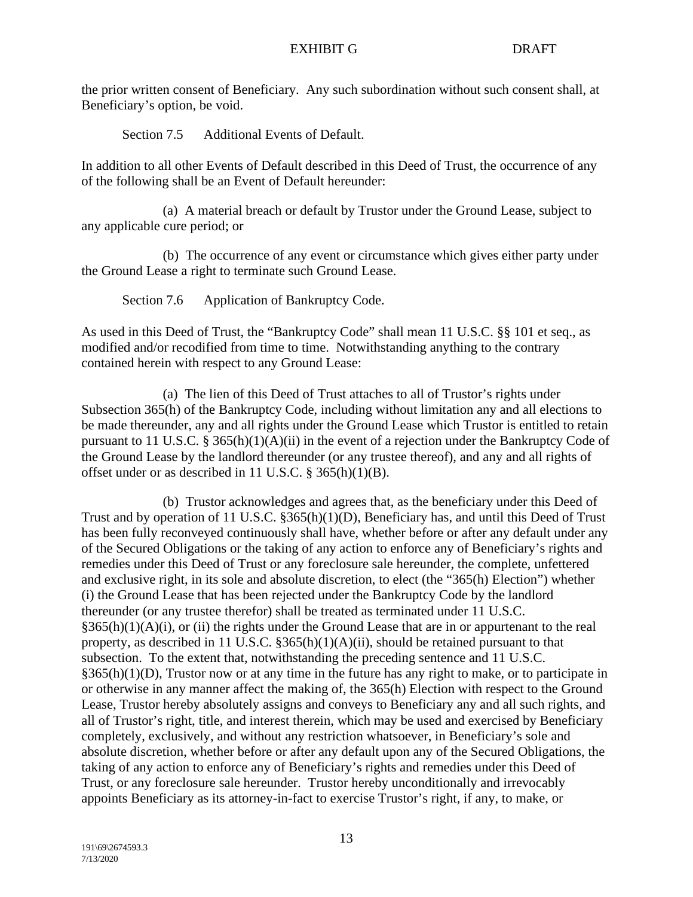the prior written consent of Beneficiary. Any such subordination without such consent shall, at Beneficiary's option, be void.

Section 7.5 Additional Events of Default.

In addition to all other Events of Default described in this Deed of Trust, the occurrence of any of the following shall be an Event of Default hereunder:

(a) A material breach or default by Trustor under the Ground Lease, subject to any applicable cure period; or

(b) The occurrence of any event or circumstance which gives either party under the Ground Lease a right to terminate such Ground Lease.

Section 7.6 Application of Bankruptcy Code.

As used in this Deed of Trust, the "Bankruptcy Code" shall mean 11 U.S.C. §§ 101 et seq., as modified and/or recodified from time to time. Notwithstanding anything to the contrary contained herein with respect to any Ground Lease:

(a) The lien of this Deed of Trust attaches to all of Trustor's rights under Subsection 365(h) of the Bankruptcy Code, including without limitation any and all elections to be made thereunder, any and all rights under the Ground Lease which Trustor is entitled to retain pursuant to 11 U.S.C. § 365(h)(1)(A)(ii) in the event of a rejection under the Bankruptcy Code of the Ground Lease by the landlord thereunder (or any trustee thereof), and any and all rights of offset under or as described in 11 U.S.C. § 365(h)(1)(B).

(b) Trustor acknowledges and agrees that, as the beneficiary under this Deed of Trust and by operation of 11 U.S.C. §365(h)(1)(D), Beneficiary has, and until this Deed of Trust has been fully reconveyed continuously shall have, whether before or after any default under any of the Secured Obligations or the taking of any action to enforce any of Beneficiary's rights and remedies under this Deed of Trust or any foreclosure sale hereunder, the complete, unfettered and exclusive right, in its sole and absolute discretion, to elect (the "365(h) Election") whether (i) the Ground Lease that has been rejected under the Bankruptcy Code by the landlord thereunder (or any trustee therefor) shall be treated as terminated under 11 U.S.C.  $§365(h)(1)(A)(i)$ , or (ii) the rights under the Ground Lease that are in or appurtenant to the real property, as described in 11 U.S.C. §365(h)(1)(A)(ii), should be retained pursuant to that subsection. To the extent that, notwithstanding the preceding sentence and 11 U.S.C.  $§365(h)(1)(D)$ , Trustor now or at any time in the future has any right to make, or to participate in or otherwise in any manner affect the making of, the 365(h) Election with respect to the Ground Lease, Trustor hereby absolutely assigns and conveys to Beneficiary any and all such rights, and all of Trustor's right, title, and interest therein, which may be used and exercised by Beneficiary completely, exclusively, and without any restriction whatsoever, in Beneficiary's sole and absolute discretion, whether before or after any default upon any of the Secured Obligations, the taking of any action to enforce any of Beneficiary's rights and remedies under this Deed of Trust, or any foreclosure sale hereunder. Trustor hereby unconditionally and irrevocably appoints Beneficiary as its attorney-in-fact to exercise Trustor's right, if any, to make, or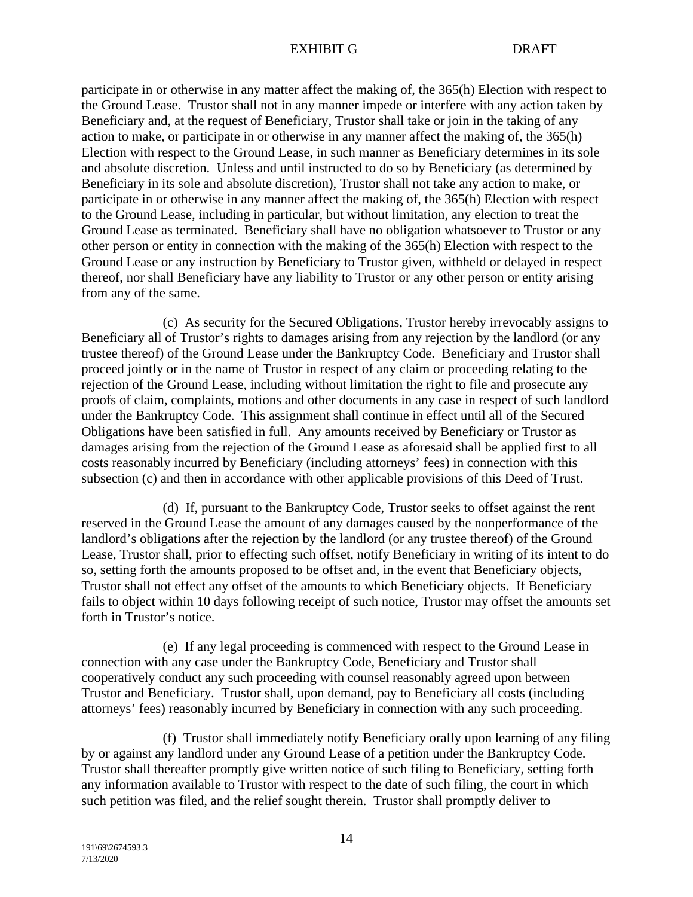participate in or otherwise in any matter affect the making of, the 365(h) Election with respect to the Ground Lease. Trustor shall not in any manner impede or interfere with any action taken by Beneficiary and, at the request of Beneficiary, Trustor shall take or join in the taking of any action to make, or participate in or otherwise in any manner affect the making of, the 365(h) Election with respect to the Ground Lease, in such manner as Beneficiary determines in its sole and absolute discretion. Unless and until instructed to do so by Beneficiary (as determined by Beneficiary in its sole and absolute discretion), Trustor shall not take any action to make, or participate in or otherwise in any manner affect the making of, the 365(h) Election with respect to the Ground Lease, including in particular, but without limitation, any election to treat the Ground Lease as terminated. Beneficiary shall have no obligation whatsoever to Trustor or any other person or entity in connection with the making of the 365(h) Election with respect to the Ground Lease or any instruction by Beneficiary to Trustor given, withheld or delayed in respect thereof, nor shall Beneficiary have any liability to Trustor or any other person or entity arising from any of the same.

(c) As security for the Secured Obligations, Trustor hereby irrevocably assigns to Beneficiary all of Trustor's rights to damages arising from any rejection by the landlord (or any trustee thereof) of the Ground Lease under the Bankruptcy Code. Beneficiary and Trustor shall proceed jointly or in the name of Trustor in respect of any claim or proceeding relating to the rejection of the Ground Lease, including without limitation the right to file and prosecute any proofs of claim, complaints, motions and other documents in any case in respect of such landlord under the Bankruptcy Code. This assignment shall continue in effect until all of the Secured Obligations have been satisfied in full. Any amounts received by Beneficiary or Trustor as damages arising from the rejection of the Ground Lease as aforesaid shall be applied first to all costs reasonably incurred by Beneficiary (including attorneys' fees) in connection with this subsection (c) and then in accordance with other applicable provisions of this Deed of Trust.

(d) If, pursuant to the Bankruptcy Code, Trustor seeks to offset against the rent reserved in the Ground Lease the amount of any damages caused by the nonperformance of the landlord's obligations after the rejection by the landlord (or any trustee thereof) of the Ground Lease, Trustor shall, prior to effecting such offset, notify Beneficiary in writing of its intent to do so, setting forth the amounts proposed to be offset and, in the event that Beneficiary objects, Trustor shall not effect any offset of the amounts to which Beneficiary objects. If Beneficiary fails to object within 10 days following receipt of such notice, Trustor may offset the amounts set forth in Trustor's notice.

(e) If any legal proceeding is commenced with respect to the Ground Lease in connection with any case under the Bankruptcy Code, Beneficiary and Trustor shall cooperatively conduct any such proceeding with counsel reasonably agreed upon between Trustor and Beneficiary. Trustor shall, upon demand, pay to Beneficiary all costs (including attorneys' fees) reasonably incurred by Beneficiary in connection with any such proceeding.

(f) Trustor shall immediately notify Beneficiary orally upon learning of any filing by or against any landlord under any Ground Lease of a petition under the Bankruptcy Code. Trustor shall thereafter promptly give written notice of such filing to Beneficiary, setting forth any information available to Trustor with respect to the date of such filing, the court in which such petition was filed, and the relief sought therein. Trustor shall promptly deliver to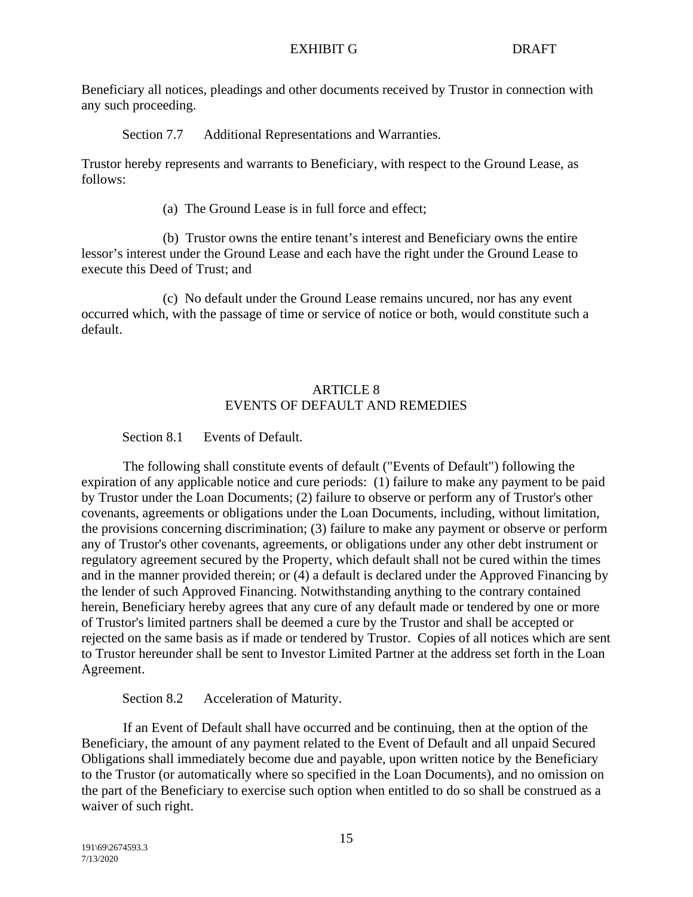Beneficiary all notices, pleadings and other documents received by Trustor in connection with any such proceeding.

Section 7.7 Additional Representations and Warranties.

Trustor hereby represents and warrants to Beneficiary, with respect to the Ground Lease, as follows:

(a) The Ground Lease is in full force and effect;

(b) Trustor owns the entire tenant's interest and Beneficiary owns the entire lessor's interest under the Ground Lease and each have the right under the Ground Lease to execute this Deed of Trust; and

(c) No default under the Ground Lease remains uncured, nor has any event occurred which, with the passage of time or service of notice or both, would constitute such a default.

# ARTICLE 8 EVENTS OF DEFAULT AND REMEDIES

Section 8.1 Events of Default.

The following shall constitute events of default ("Events of Default") following the expiration of any applicable notice and cure periods: (1) failure to make any payment to be paid by Trustor under the Loan Documents; (2) failure to observe or perform any of Trustor's other covenants, agreements or obligations under the Loan Documents, including, without limitation, the provisions concerning discrimination; (3) failure to make any payment or observe or perform any of Trustor's other covenants, agreements, or obligations under any other debt instrument or regulatory agreement secured by the Property, which default shall not be cured within the times and in the manner provided therein; or (4) a default is declared under the Approved Financing by the lender of such Approved Financing. Notwithstanding anything to the contrary contained herein, Beneficiary hereby agrees that any cure of any default made or tendered by one or more of Trustor's limited partners shall be deemed a cure by the Trustor and shall be accepted or rejected on the same basis as if made or tendered by Trustor. Copies of all notices which are sent to Trustor hereunder shall be sent to Investor Limited Partner at the address set forth in the Loan Agreement.

Section 8.2 Acceleration of Maturity.

If an Event of Default shall have occurred and be continuing, then at the option of the Beneficiary, the amount of any payment related to the Event of Default and all unpaid Secured Obligations shall immediately become due and payable, upon written notice by the Beneficiary to the Trustor (or automatically where so specified in the Loan Documents), and no omission on the part of the Beneficiary to exercise such option when entitled to do so shall be construed as a waiver of such right.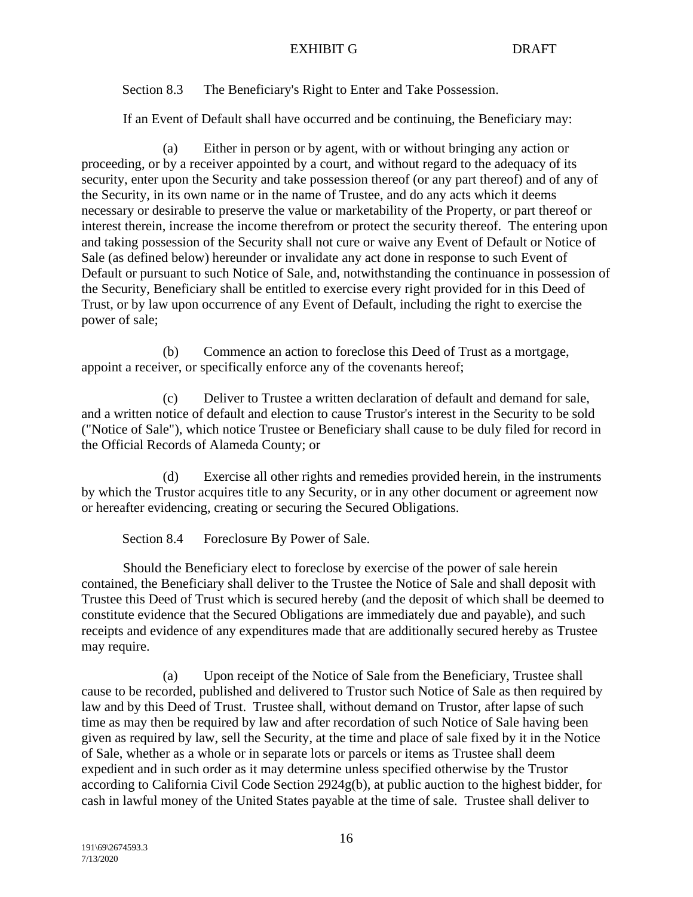Section 8.3 The Beneficiary's Right to Enter and Take Possession.

If an Event of Default shall have occurred and be continuing, the Beneficiary may:

(a) Either in person or by agent, with or without bringing any action or proceeding, or by a receiver appointed by a court, and without regard to the adequacy of its security, enter upon the Security and take possession thereof (or any part thereof) and of any of the Security, in its own name or in the name of Trustee, and do any acts which it deems necessary or desirable to preserve the value or marketability of the Property, or part thereof or interest therein, increase the income therefrom or protect the security thereof. The entering upon and taking possession of the Security shall not cure or waive any Event of Default or Notice of Sale (as defined below) hereunder or invalidate any act done in response to such Event of Default or pursuant to such Notice of Sale, and, notwithstanding the continuance in possession of the Security, Beneficiary shall be entitled to exercise every right provided for in this Deed of Trust, or by law upon occurrence of any Event of Default, including the right to exercise the power of sale;

(b) Commence an action to foreclose this Deed of Trust as a mortgage, appoint a receiver, or specifically enforce any of the covenants hereof;

(c) Deliver to Trustee a written declaration of default and demand for sale, and a written notice of default and election to cause Trustor's interest in the Security to be sold ("Notice of Sale"), which notice Trustee or Beneficiary shall cause to be duly filed for record in the Official Records of Alameda County; or

(d) Exercise all other rights and remedies provided herein, in the instruments by which the Trustor acquires title to any Security, or in any other document or agreement now or hereafter evidencing, creating or securing the Secured Obligations.

Section 8.4 Foreclosure By Power of Sale.

Should the Beneficiary elect to foreclose by exercise of the power of sale herein contained, the Beneficiary shall deliver to the Trustee the Notice of Sale and shall deposit with Trustee this Deed of Trust which is secured hereby (and the deposit of which shall be deemed to constitute evidence that the Secured Obligations are immediately due and payable), and such receipts and evidence of any expenditures made that are additionally secured hereby as Trustee may require.

(a) Upon receipt of the Notice of Sale from the Beneficiary, Trustee shall cause to be recorded, published and delivered to Trustor such Notice of Sale as then required by law and by this Deed of Trust. Trustee shall, without demand on Trustor, after lapse of such time as may then be required by law and after recordation of such Notice of Sale having been given as required by law, sell the Security, at the time and place of sale fixed by it in the Notice of Sale, whether as a whole or in separate lots or parcels or items as Trustee shall deem expedient and in such order as it may determine unless specified otherwise by the Trustor according to California Civil Code Section 2924g(b), at public auction to the highest bidder, for cash in lawful money of the United States payable at the time of sale. Trustee shall deliver to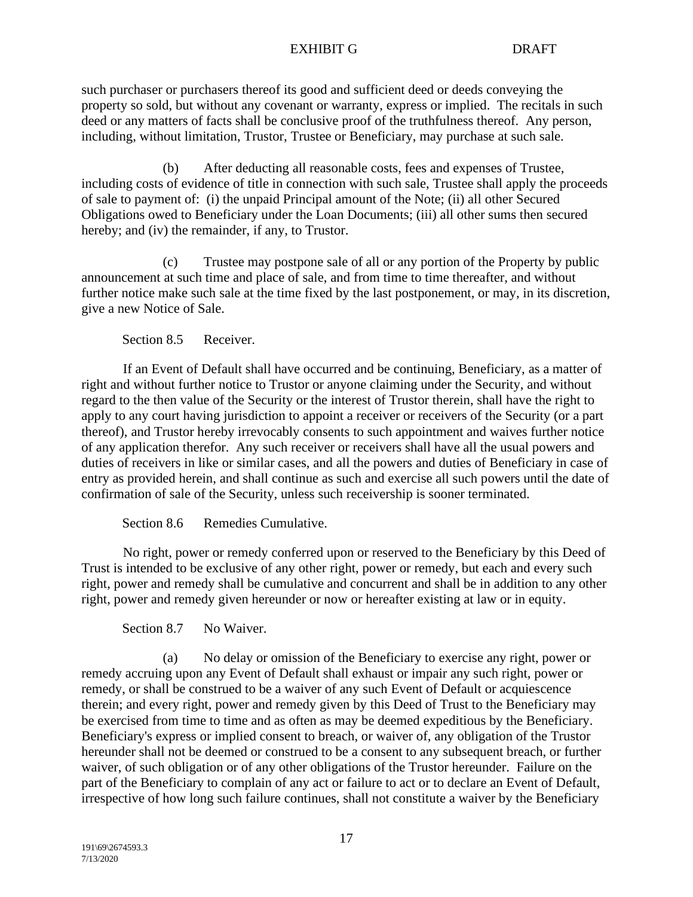such purchaser or purchasers thereof its good and sufficient deed or deeds conveying the property so sold, but without any covenant or warranty, express or implied. The recitals in such deed or any matters of facts shall be conclusive proof of the truthfulness thereof. Any person, including, without limitation, Trustor, Trustee or Beneficiary, may purchase at such sale.

(b) After deducting all reasonable costs, fees and expenses of Trustee, including costs of evidence of title in connection with such sale, Trustee shall apply the proceeds of sale to payment of: (i) the unpaid Principal amount of the Note; (ii) all other Secured Obligations owed to Beneficiary under the Loan Documents; (iii) all other sums then secured hereby; and (iv) the remainder, if any, to Trustor.

(c) Trustee may postpone sale of all or any portion of the Property by public announcement at such time and place of sale, and from time to time thereafter, and without further notice make such sale at the time fixed by the last postponement, or may, in its discretion, give a new Notice of Sale.

Section 8.5 Receiver.

If an Event of Default shall have occurred and be continuing, Beneficiary, as a matter of right and without further notice to Trustor or anyone claiming under the Security, and without regard to the then value of the Security or the interest of Trustor therein, shall have the right to apply to any court having jurisdiction to appoint a receiver or receivers of the Security (or a part thereof), and Trustor hereby irrevocably consents to such appointment and waives further notice of any application therefor. Any such receiver or receivers shall have all the usual powers and duties of receivers in like or similar cases, and all the powers and duties of Beneficiary in case of entry as provided herein, and shall continue as such and exercise all such powers until the date of confirmation of sale of the Security, unless such receivership is sooner terminated.

Section 8.6 Remedies Cumulative.

No right, power or remedy conferred upon or reserved to the Beneficiary by this Deed of Trust is intended to be exclusive of any other right, power or remedy, but each and every such right, power and remedy shall be cumulative and concurrent and shall be in addition to any other right, power and remedy given hereunder or now or hereafter existing at law or in equity.

Section 8.7 No Waiver.

(a) No delay or omission of the Beneficiary to exercise any right, power or remedy accruing upon any Event of Default shall exhaust or impair any such right, power or remedy, or shall be construed to be a waiver of any such Event of Default or acquiescence therein; and every right, power and remedy given by this Deed of Trust to the Beneficiary may be exercised from time to time and as often as may be deemed expeditious by the Beneficiary. Beneficiary's express or implied consent to breach, or waiver of, any obligation of the Trustor hereunder shall not be deemed or construed to be a consent to any subsequent breach, or further waiver, of such obligation or of any other obligations of the Trustor hereunder. Failure on the part of the Beneficiary to complain of any act or failure to act or to declare an Event of Default, irrespective of how long such failure continues, shall not constitute a waiver by the Beneficiary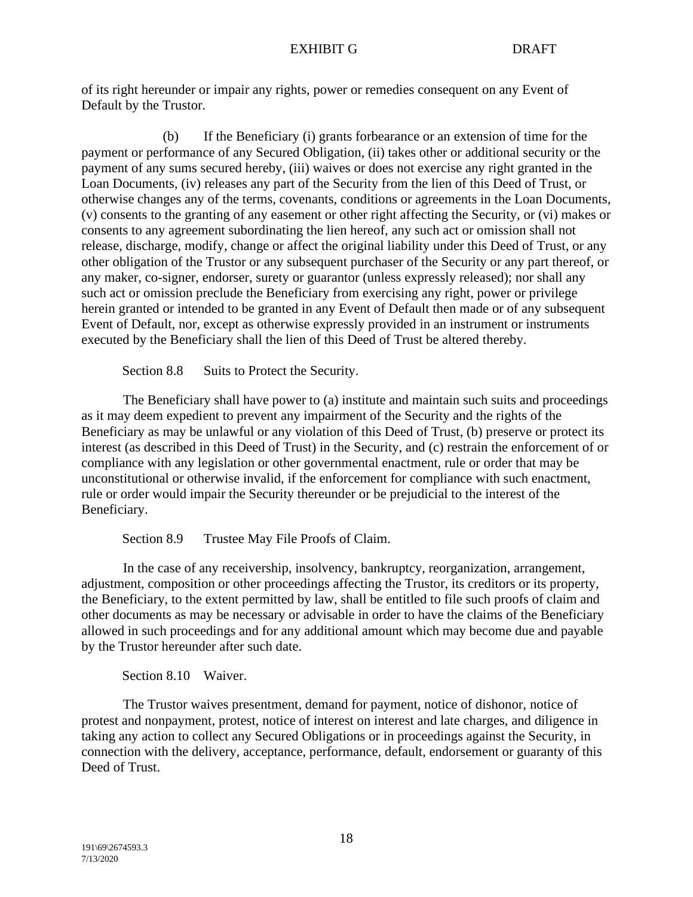of its right hereunder or impair any rights, power or remedies consequent on any Event of Default by the Trustor.

(b) If the Beneficiary (i) grants forbearance or an extension of time for the payment or performance of any Secured Obligation, (ii) takes other or additional security or the payment of any sums secured hereby, (iii) waives or does not exercise any right granted in the Loan Documents, (iv) releases any part of the Security from the lien of this Deed of Trust, or otherwise changes any of the terms, covenants, conditions or agreements in the Loan Documents, (v) consents to the granting of any easement or other right affecting the Security, or (vi) makes or consents to any agreement subordinating the lien hereof, any such act or omission shall not release, discharge, modify, change or affect the original liability under this Deed of Trust, or any other obligation of the Trustor or any subsequent purchaser of the Security or any part thereof, or any maker, co-signer, endorser, surety or guarantor (unless expressly released); nor shall any such act or omission preclude the Beneficiary from exercising any right, power or privilege herein granted or intended to be granted in any Event of Default then made or of any subsequent Event of Default, nor, except as otherwise expressly provided in an instrument or instruments executed by the Beneficiary shall the lien of this Deed of Trust be altered thereby.

Section 8.8 Suits to Protect the Security.

The Beneficiary shall have power to (a) institute and maintain such suits and proceedings as it may deem expedient to prevent any impairment of the Security and the rights of the Beneficiary as may be unlawful or any violation of this Deed of Trust, (b) preserve or protect its interest (as described in this Deed of Trust) in the Security, and (c) restrain the enforcement of or compliance with any legislation or other governmental enactment, rule or order that may be unconstitutional or otherwise invalid, if the enforcement for compliance with such enactment, rule or order would impair the Security thereunder or be prejudicial to the interest of the Beneficiary.

Section 8.9 Trustee May File Proofs of Claim.

In the case of any receivership, insolvency, bankruptcy, reorganization, arrangement, adjustment, composition or other proceedings affecting the Trustor, its creditors or its property, the Beneficiary, to the extent permitted by law, shall be entitled to file such proofs of claim and other documents as may be necessary or advisable in order to have the claims of the Beneficiary allowed in such proceedings and for any additional amount which may become due and payable by the Trustor hereunder after such date.

Section 8.10 Waiver.

The Trustor waives presentment, demand for payment, notice of dishonor, notice of protest and nonpayment, protest, notice of interest on interest and late charges, and diligence in taking any action to collect any Secured Obligations or in proceedings against the Security, in connection with the delivery, acceptance, performance, default, endorsement or guaranty of this Deed of Trust.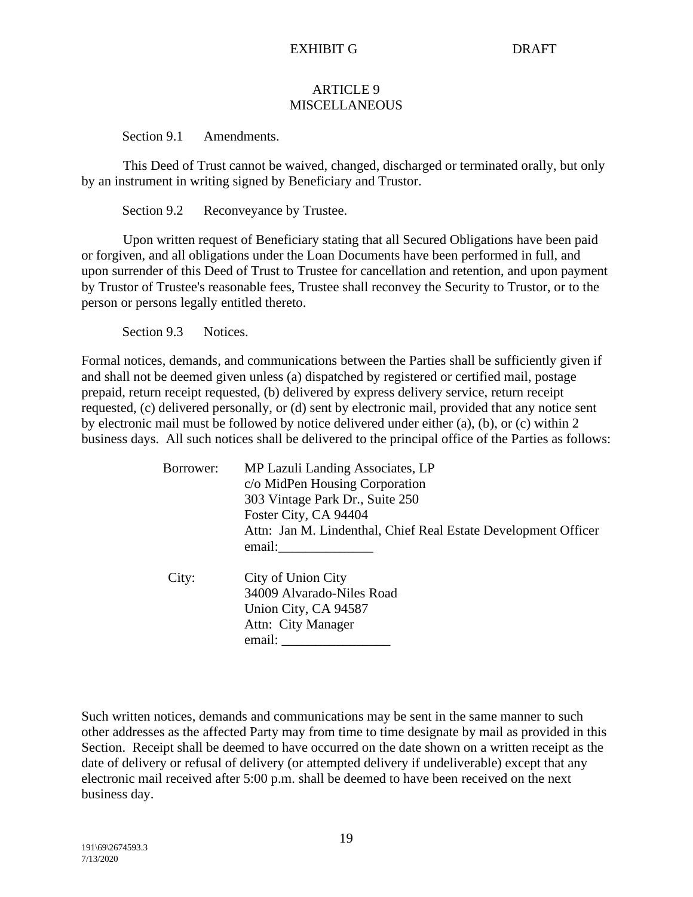#### ARTICLE 9 MISCELLANEOUS

Section 9.1 Amendments.

This Deed of Trust cannot be waived, changed, discharged or terminated orally, but only by an instrument in writing signed by Beneficiary and Trustor.

Section 9.2 Reconveyance by Trustee.

Upon written request of Beneficiary stating that all Secured Obligations have been paid or forgiven, and all obligations under the Loan Documents have been performed in full, and upon surrender of this Deed of Trust to Trustee for cancellation and retention, and upon payment by Trustor of Trustee's reasonable fees, Trustee shall reconvey the Security to Trustor, or to the person or persons legally entitled thereto.

Section 9.3 Notices.

Formal notices, demands, and communications between the Parties shall be sufficiently given if and shall not be deemed given unless (a) dispatched by registered or certified mail, postage prepaid, return receipt requested, (b) delivered by express delivery service, return receipt requested, (c) delivered personally, or (d) sent by electronic mail, provided that any notice sent by electronic mail must be followed by notice delivered under either (a), (b), or (c) within 2 business days. All such notices shall be delivered to the principal office of the Parties as follows:

| Borrower: | MP Lazuli Landing Associates, LP<br>c/o MidPen Housing Corporation<br>303 Vintage Park Dr., Suite 250<br>Foster City, CA 94404<br>Attn: Jan M. Lindenthal, Chief Real Estate Development Officer<br>email: |
|-----------|------------------------------------------------------------------------------------------------------------------------------------------------------------------------------------------------------------|
| City:     | City of Union City<br>34009 Alvarado-Niles Road<br>Union City, CA 94587<br>Attn: City Manager<br>email:                                                                                                    |

Such written notices, demands and communications may be sent in the same manner to such other addresses as the affected Party may from time to time designate by mail as provided in this Section. Receipt shall be deemed to have occurred on the date shown on a written receipt as the date of delivery or refusal of delivery (or attempted delivery if undeliverable) except that any electronic mail received after 5:00 p.m. shall be deemed to have been received on the next business day.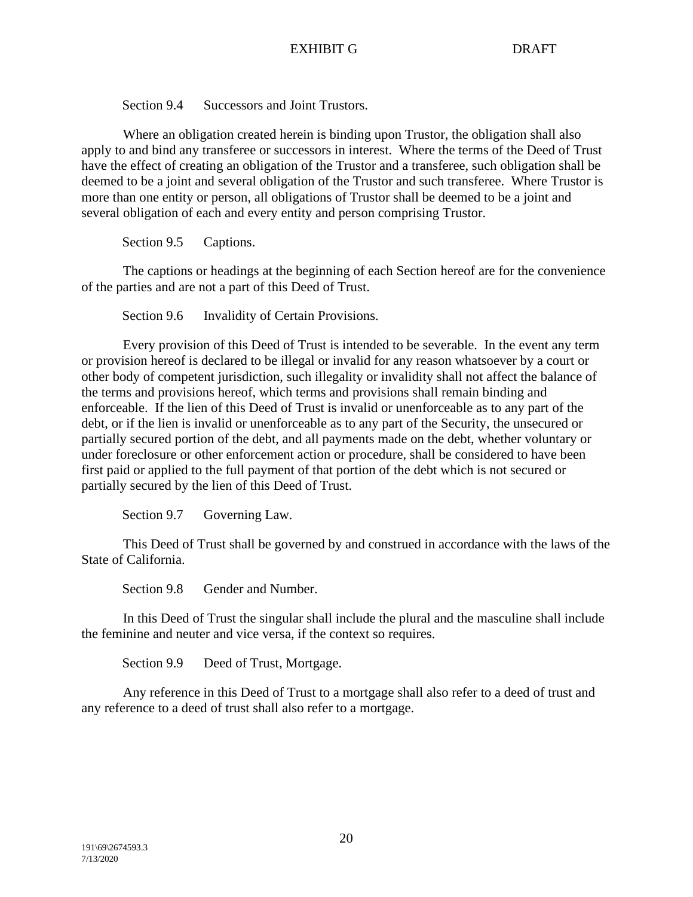Section 9.4 Successors and Joint Trustors.

Where an obligation created herein is binding upon Trustor, the obligation shall also apply to and bind any transferee or successors in interest. Where the terms of the Deed of Trust have the effect of creating an obligation of the Trustor and a transferee, such obligation shall be deemed to be a joint and several obligation of the Trustor and such transferee. Where Trustor is more than one entity or person, all obligations of Trustor shall be deemed to be a joint and several obligation of each and every entity and person comprising Trustor.

Section 9.5 Captions.

The captions or headings at the beginning of each Section hereof are for the convenience of the parties and are not a part of this Deed of Trust.

Section 9.6 Invalidity of Certain Provisions.

Every provision of this Deed of Trust is intended to be severable. In the event any term or provision hereof is declared to be illegal or invalid for any reason whatsoever by a court or other body of competent jurisdiction, such illegality or invalidity shall not affect the balance of the terms and provisions hereof, which terms and provisions shall remain binding and enforceable. If the lien of this Deed of Trust is invalid or unenforceable as to any part of the debt, or if the lien is invalid or unenforceable as to any part of the Security, the unsecured or partially secured portion of the debt, and all payments made on the debt, whether voluntary or under foreclosure or other enforcement action or procedure, shall be considered to have been first paid or applied to the full payment of that portion of the debt which is not secured or partially secured by the lien of this Deed of Trust.

Section 9.7 Governing Law.

This Deed of Trust shall be governed by and construed in accordance with the laws of the State of California.

Section 9.8 Gender and Number.

In this Deed of Trust the singular shall include the plural and the masculine shall include the feminine and neuter and vice versa, if the context so requires.

Section 9.9 Deed of Trust, Mortgage.

Any reference in this Deed of Trust to a mortgage shall also refer to a deed of trust and any reference to a deed of trust shall also refer to a mortgage.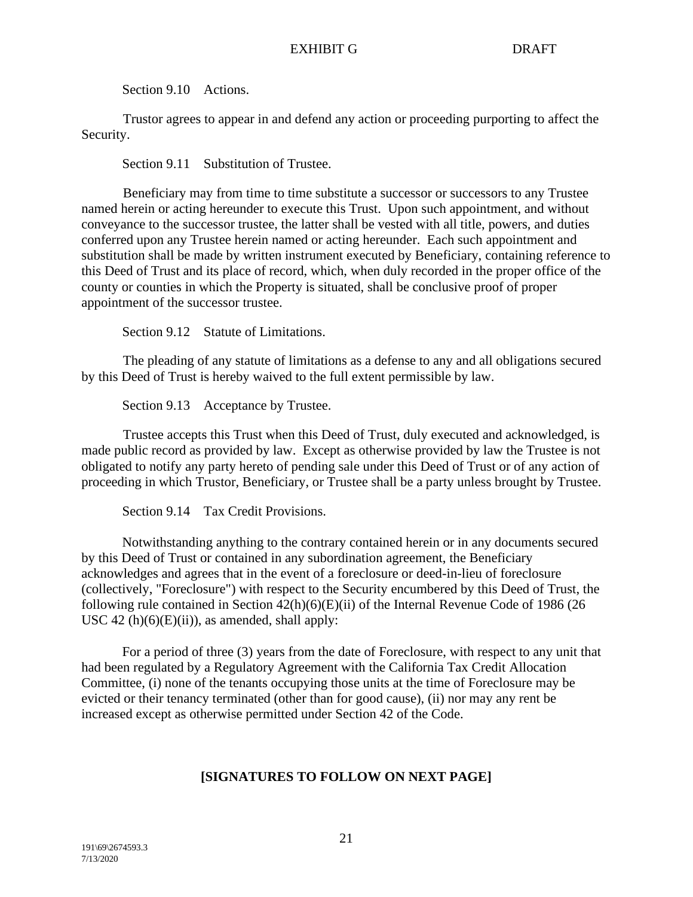Section 9.10 Actions.

Trustor agrees to appear in and defend any action or proceeding purporting to affect the Security.

Section 9.11 Substitution of Trustee.

Beneficiary may from time to time substitute a successor or successors to any Trustee named herein or acting hereunder to execute this Trust. Upon such appointment, and without conveyance to the successor trustee, the latter shall be vested with all title, powers, and duties conferred upon any Trustee herein named or acting hereunder. Each such appointment and substitution shall be made by written instrument executed by Beneficiary, containing reference to this Deed of Trust and its place of record, which, when duly recorded in the proper office of the county or counties in which the Property is situated, shall be conclusive proof of proper appointment of the successor trustee.

Section 9.12 Statute of Limitations.

The pleading of any statute of limitations as a defense to any and all obligations secured by this Deed of Trust is hereby waived to the full extent permissible by law.

Section 9.13 Acceptance by Trustee.

Trustee accepts this Trust when this Deed of Trust, duly executed and acknowledged, is made public record as provided by law. Except as otherwise provided by law the Trustee is not obligated to notify any party hereto of pending sale under this Deed of Trust or of any action of proceeding in which Trustor, Beneficiary, or Trustee shall be a party unless brought by Trustee.

Section 9.14 Tax Credit Provisions.

Notwithstanding anything to the contrary contained herein or in any documents secured by this Deed of Trust or contained in any subordination agreement, the Beneficiary acknowledges and agrees that in the event of a foreclosure or deed-in-lieu of foreclosure (collectively, "Foreclosure") with respect to the Security encumbered by this Deed of Trust, the following rule contained in Section  $42(h)(6)(E)(ii)$  of the Internal Revenue Code of 1986 (26 USC 42 (h) $(6)(E)(ii)$ , as amended, shall apply:

For a period of three (3) years from the date of Foreclosure, with respect to any unit that had been regulated by a Regulatory Agreement with the California Tax Credit Allocation Committee, (i) none of the tenants occupying those units at the time of Foreclosure may be evicted or their tenancy terminated (other than for good cause), (ii) nor may any rent be increased except as otherwise permitted under Section 42 of the Code.

# **[SIGNATURES TO FOLLOW ON NEXT PAGE]**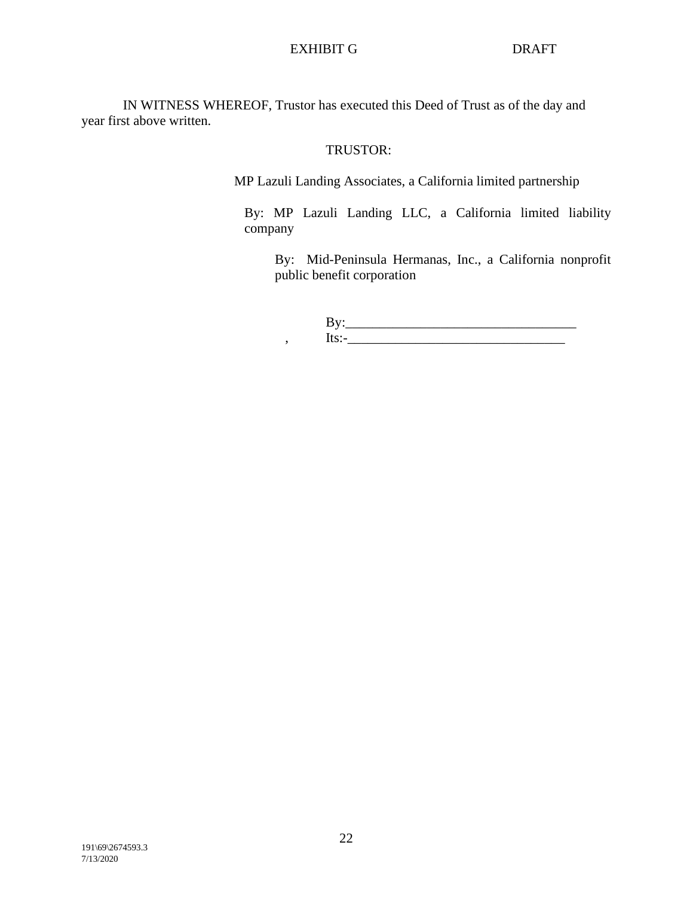IN WITNESS WHEREOF, Trustor has executed this Deed of Trust as of the day and year first above written.

# TRUSTOR:

MP Lazuli Landing Associates, a California limited partnership

By: MP Lazuli Landing LLC, a California limited liability company

By: Mid-Peninsula Hermanas, Inc., a California nonprofit public benefit corporation

By:\_\_\_\_\_\_\_\_\_\_\_\_\_\_\_\_\_\_\_\_\_\_\_\_\_\_\_\_\_\_\_\_\_\_ , Its:-\_\_\_\_\_\_\_\_\_\_\_\_\_\_\_\_\_\_\_\_\_\_\_\_\_\_\_\_\_\_\_\_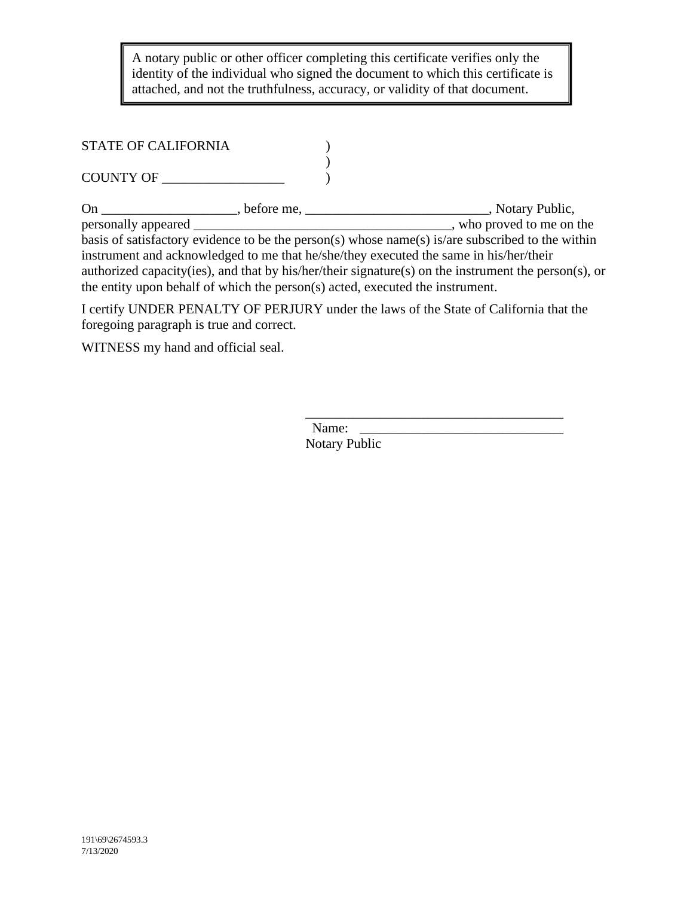$\mathbb{E}$  . The draft is the set of  $\mathbb{E}$  of  $\mathbb{E}$  and  $\mathbb{E}$  and  $\mathbb{E}$  . A notary public or other officer completing this certificate verifies only the identity of the individual who signed the document to which this certificate is attached, and not the truthfulness, accuracy, or validity of that document.

# STATE OF CALIFORNIA  $($

)  $COUNTY OF \_$ 

On \_\_\_\_\_\_\_\_\_\_\_\_\_\_\_\_\_\_\_\_\_, before me, \_\_\_\_\_\_\_\_\_\_\_\_\_\_\_\_\_\_\_\_\_\_\_\_\_\_\_\_\_\_\_, Notary Public, personally appeared \_\_\_\_\_\_\_\_\_\_\_\_\_\_\_\_\_\_\_\_\_\_\_\_\_\_\_\_\_\_\_\_\_\_\_\_\_\_, who proved to me on the basis of satisfactory evidence to be the person(s) whose name(s) is/are subscribed to the within instrument and acknowledged to me that he/she/they executed the same in his/her/their authorized capacity(ies), and that by his/her/their signature(s) on the instrument the person(s), or the entity upon behalf of which the person(s) acted, executed the instrument.

I certify UNDER PENALTY OF PERJURY under the laws of the State of California that the foregoing paragraph is true and correct.

WITNESS my hand and official seal.

\_\_\_\_\_\_\_\_\_\_\_\_\_\_\_\_\_\_\_\_\_\_\_\_\_\_\_\_\_\_\_\_\_\_\_\_\_\_ Name: Notary Public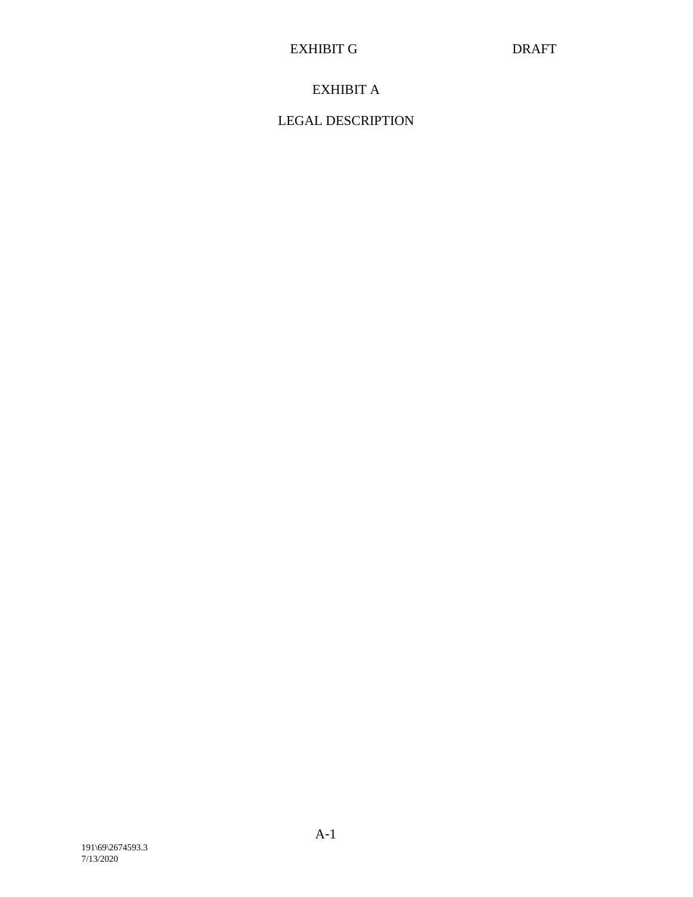# EXHIBIT A

# LEGAL DESCRIPTION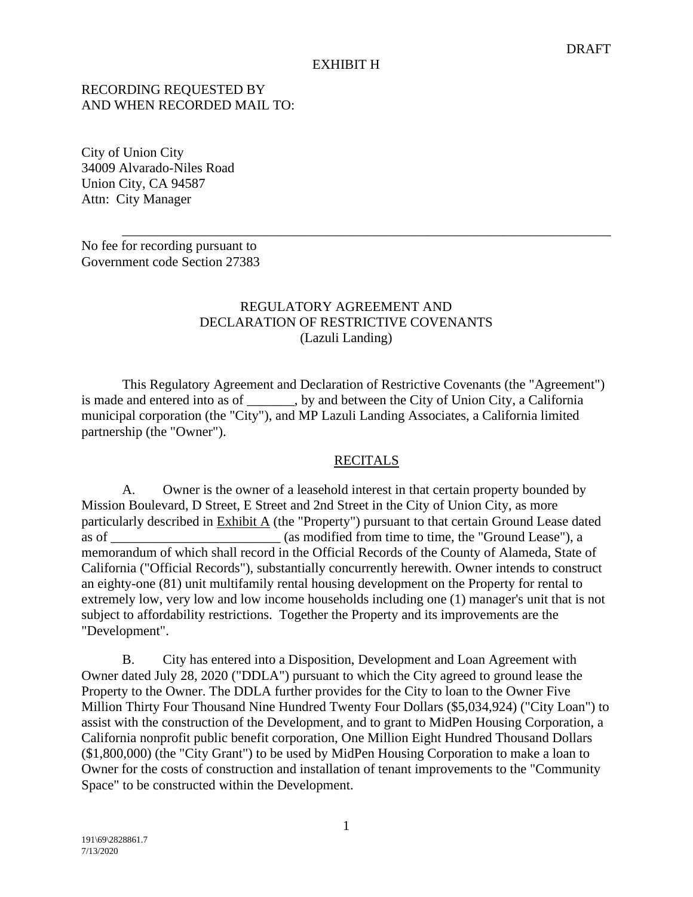# RECORDING REQUESTED BY AND WHEN RECORDED MAIL TO:

City of Union City 34009 Alvarado-Niles Road Union City, CA 94587 Attn: City Manager

No fee for recording pursuant to Government code Section 27383

# REGULATORY AGREEMENT AND DECLARATION OF RESTRICTIVE COVENANTS (Lazuli Landing)

\_\_\_\_\_\_\_\_\_\_\_\_\_\_\_\_\_\_\_\_\_\_\_\_\_\_\_\_\_\_\_\_\_\_\_\_\_\_\_\_\_\_\_\_\_\_\_\_\_\_\_\_\_\_\_\_\_\_\_\_\_\_\_\_\_\_\_\_\_\_\_\_

This Regulatory Agreement and Declaration of Restrictive Covenants (the "Agreement") is made and entered into as of \_\_\_\_\_\_\_, by and between the City of Union City, a California municipal corporation (the "City"), and MP Lazuli Landing Associates, a California limited partnership (the "Owner").

## RECITALS

A. Owner is the owner of a leasehold interest in that certain property bounded by Mission Boulevard, D Street, E Street and 2nd Street in the City of Union City, as more particularly described in  $Exhibit A$  (the "Property") pursuant to that certain Ground Lease dated as of  $\qquad \qquad$  (as modified from time to time, the "Ground Lease"), a memorandum of which shall record in the Official Records of the County of Alameda, State of California ("Official Records"), substantially concurrently herewith. Owner intends to construct an eighty-one (81) unit multifamily rental housing development on the Property for rental to extremely low, very low and low income households including one (1) manager's unit that is not subject to affordability restrictions. Together the Property and its improvements are the "Development".

B. City has entered into a Disposition, Development and Loan Agreement with Owner dated July 28, 2020 ("DDLA") pursuant to which the City agreed to ground lease the Property to the Owner. The DDLA further provides for the City to loan to the Owner Five Million Thirty Four Thousand Nine Hundred Twenty Four Dollars (\$5,034,924) ("City Loan") to assist with the construction of the Development, and to grant to MidPen Housing Corporation, a California nonprofit public benefit corporation, One Million Eight Hundred Thousand Dollars (\$1,800,000) (the "City Grant") to be used by MidPen Housing Corporation to make a loan to Owner for the costs of construction and installation of tenant improvements to the "Community Space" to be constructed within the Development.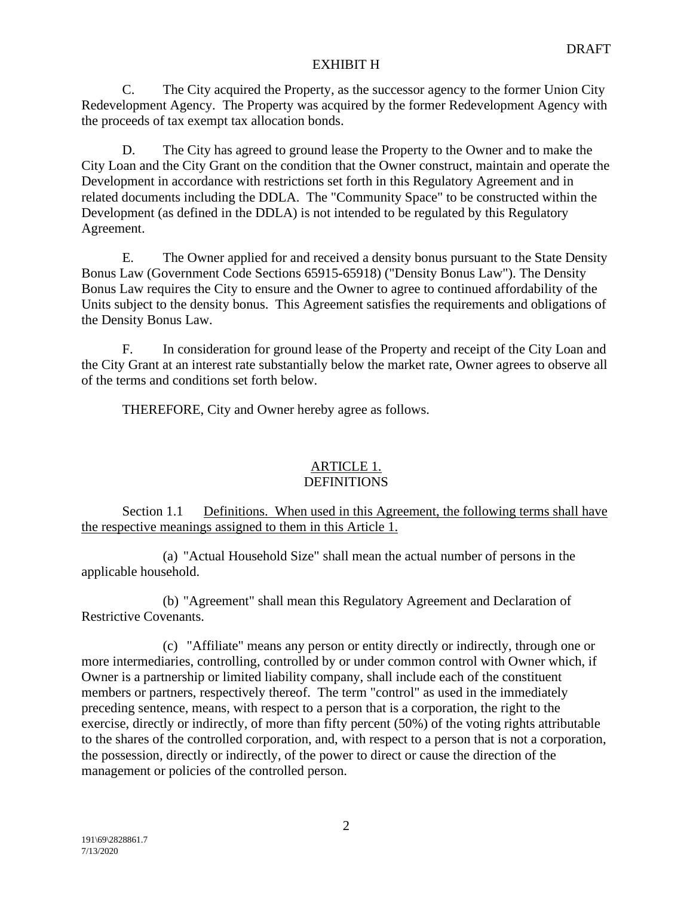C. The City acquired the Property, as the successor agency to the former Union City Redevelopment Agency. The Property was acquired by the former Redevelopment Agency with the proceeds of tax exempt tax allocation bonds.

D. The City has agreed to ground lease the Property to the Owner and to make the City Loan and the City Grant on the condition that the Owner construct, maintain and operate the Development in accordance with restrictions set forth in this Regulatory Agreement and in related documents including the DDLA. The "Community Space" to be constructed within the Development (as defined in the DDLA) is not intended to be regulated by this Regulatory Agreement.

E. The Owner applied for and received a density bonus pursuant to the State Density Bonus Law (Government Code Sections 65915-65918) ("Density Bonus Law"). The Density Bonus Law requires the City to ensure and the Owner to agree to continued affordability of the Units subject to the density bonus. This Agreement satisfies the requirements and obligations of the Density Bonus Law.

F. In consideration for ground lease of the Property and receipt of the City Loan and the City Grant at an interest rate substantially below the market rate, Owner agrees to observe all of the terms and conditions set forth below.

THEREFORE, City and Owner hereby agree as follows.

#### ARTICLE 1. DEFINITIONS

Section 1.1 Definitions. When used in this Agreement, the following terms shall have the respective meanings assigned to them in this Article 1.

(a) "Actual Household Size" shall mean the actual number of persons in the applicable household.

(b) "Agreement" shall mean this Regulatory Agreement and Declaration of Restrictive Covenants.

(c) "Affiliate" means any person or entity directly or indirectly, through one or more intermediaries, controlling, controlled by or under common control with Owner which, if Owner is a partnership or limited liability company, shall include each of the constituent members or partners, respectively thereof. The term "control" as used in the immediately preceding sentence, means, with respect to a person that is a corporation, the right to the exercise, directly or indirectly, of more than fifty percent (50%) of the voting rights attributable to the shares of the controlled corporation, and, with respect to a person that is not a corporation, the possession, directly or indirectly, of the power to direct or cause the direction of the management or policies of the controlled person.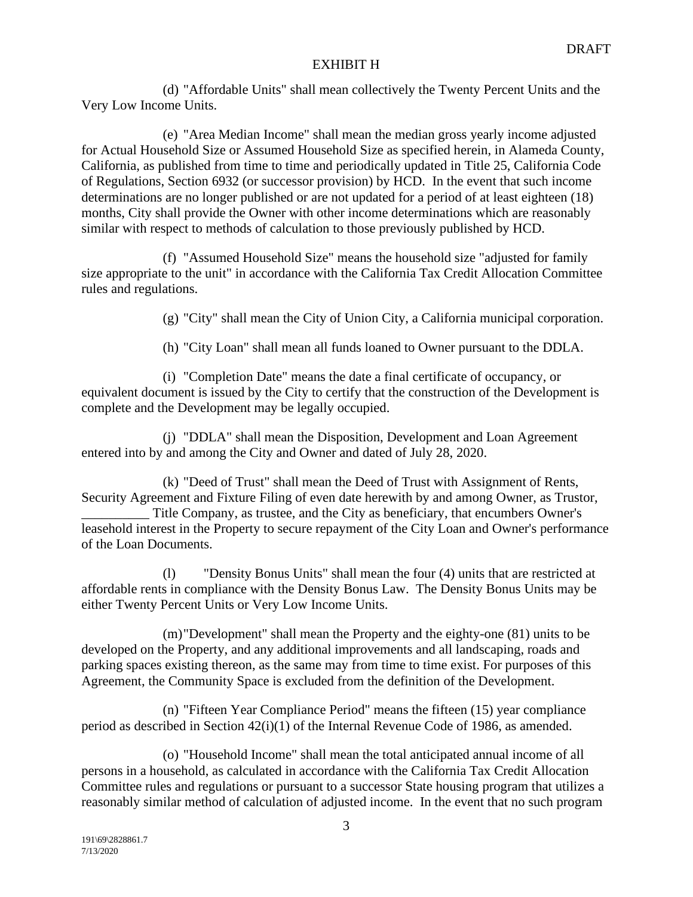(d) "Affordable Units" shall mean collectively the Twenty Percent Units and the Very Low Income Units.

(e) "Area Median Income" shall mean the median gross yearly income adjusted for Actual Household Size or Assumed Household Size as specified herein, in Alameda County, California, as published from time to time and periodically updated in Title 25, California Code of Regulations, Section 6932 (or successor provision) by HCD. In the event that such income determinations are no longer published or are not updated for a period of at least eighteen (18) months, City shall provide the Owner with other income determinations which are reasonably similar with respect to methods of calculation to those previously published by HCD.

(f) "Assumed Household Size" means the household size "adjusted for family size appropriate to the unit" in accordance with the California Tax Credit Allocation Committee rules and regulations.

(g) "City" shall mean the City of Union City, a California municipal corporation.

(h) "City Loan" shall mean all funds loaned to Owner pursuant to the DDLA.

(i) "Completion Date" means the date a final certificate of occupancy, or equivalent document is issued by the City to certify that the construction of the Development is complete and the Development may be legally occupied.

(j) "DDLA" shall mean the Disposition, Development and Loan Agreement entered into by and among the City and Owner and dated of July 28, 2020.

(k) "Deed of Trust" shall mean the Deed of Trust with Assignment of Rents, Security Agreement and Fixture Filing of even date herewith by and among Owner, as Trustor, Title Company, as trustee, and the City as beneficiary, that encumbers Owner's leasehold interest in the Property to secure repayment of the City Loan and Owner's performance of the Loan Documents.

(l) "Density Bonus Units" shall mean the four (4) units that are restricted at affordable rents in compliance with the Density Bonus Law. The Density Bonus Units may be either Twenty Percent Units or Very Low Income Units.

(m)"Development" shall mean the Property and the eighty-one (81) units to be developed on the Property, and any additional improvements and all landscaping, roads and parking spaces existing thereon, as the same may from time to time exist. For purposes of this Agreement, the Community Space is excluded from the definition of the Development.

(n) "Fifteen Year Compliance Period" means the fifteen (15) year compliance period as described in Section 42(i)(1) of the Internal Revenue Code of 1986, as amended.

(o) "Household Income" shall mean the total anticipated annual income of all persons in a household, as calculated in accordance with the California Tax Credit Allocation Committee rules and regulations or pursuant to a successor State housing program that utilizes a reasonably similar method of calculation of adjusted income. In the event that no such program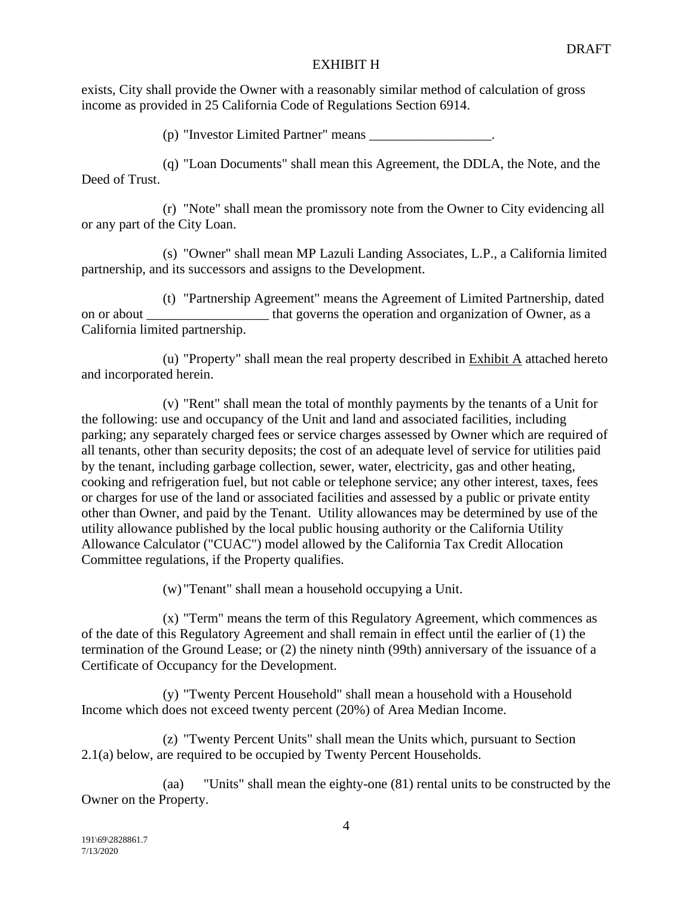exists, City shall provide the Owner with a reasonably similar method of calculation of gross income as provided in 25 California Code of Regulations Section 6914.

(p) "Investor Limited Partner" means \_\_\_\_\_\_\_\_\_\_\_\_\_\_\_\_\_\_.

(q) "Loan Documents" shall mean this Agreement, the DDLA, the Note, and the Deed of Trust.

(r) "Note" shall mean the promissory note from the Owner to City evidencing all or any part of the City Loan.

(s) "Owner" shall mean MP Lazuli Landing Associates, L.P., a California limited partnership, and its successors and assigns to the Development.

(t) "Partnership Agreement" means the Agreement of Limited Partnership, dated on or about that governs the operation and organization of Owner, as a California limited partnership.

(u) "Property" shall mean the real property described in Exhibit A attached hereto and incorporated herein.

(v) "Rent" shall mean the total of monthly payments by the tenants of a Unit for the following: use and occupancy of the Unit and land and associated facilities, including parking; any separately charged fees or service charges assessed by Owner which are required of all tenants, other than security deposits; the cost of an adequate level of service for utilities paid by the tenant, including garbage collection, sewer, water, electricity, gas and other heating, cooking and refrigeration fuel, but not cable or telephone service; any other interest, taxes, fees or charges for use of the land or associated facilities and assessed by a public or private entity other than Owner, and paid by the Tenant. Utility allowances may be determined by use of the utility allowance published by the local public housing authority or the California Utility Allowance Calculator ("CUAC") model allowed by the California Tax Credit Allocation Committee regulations, if the Property qualifies.

(w) "Tenant" shall mean a household occupying a Unit.

(x) "Term" means the term of this Regulatory Agreement, which commences as of the date of this Regulatory Agreement and shall remain in effect until the earlier of (1) the termination of the Ground Lease; or (2) the ninety ninth (99th) anniversary of the issuance of a Certificate of Occupancy for the Development.

(y) "Twenty Percent Household" shall mean a household with a Household Income which does not exceed twenty percent (20%) of Area Median Income.

(z) "Twenty Percent Units" shall mean the Units which, pursuant to Section 2.1(a) below, are required to be occupied by Twenty Percent Households.

(aa) "Units" shall mean the eighty-one (81) rental units to be constructed by the Owner on the Property.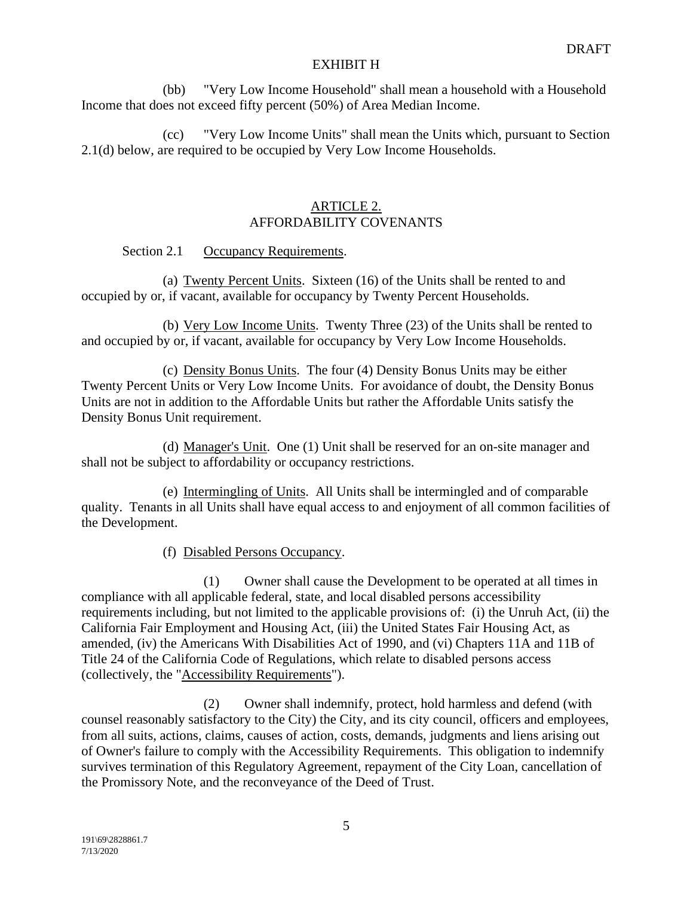(bb) "Very Low Income Household" shall mean a household with a Household Income that does not exceed fifty percent (50%) of Area Median Income.

(cc) "Very Low Income Units" shall mean the Units which, pursuant to Section 2.1(d) below, are required to be occupied by Very Low Income Households.

# ARTICLE 2. AFFORDABILITY COVENANTS

# Section 2.1 Occupancy Requirements.

(a) Twenty Percent Units. Sixteen (16) of the Units shall be rented to and occupied by or, if vacant, available for occupancy by Twenty Percent Households.

(b) Very Low Income Units. Twenty Three (23) of the Units shall be rented to and occupied by or, if vacant, available for occupancy by Very Low Income Households.

(c) Density Bonus Units. The four (4) Density Bonus Units may be either Twenty Percent Units or Very Low Income Units. For avoidance of doubt, the Density Bonus Units are not in addition to the Affordable Units but rather the Affordable Units satisfy the Density Bonus Unit requirement.

(d) Manager's Unit. One (1) Unit shall be reserved for an on-site manager and shall not be subject to affordability or occupancy restrictions.

(e) Intermingling of Units. All Units shall be intermingled and of comparable quality. Tenants in all Units shall have equal access to and enjoyment of all common facilities of the Development.

(f) Disabled Persons Occupancy.

(1) Owner shall cause the Development to be operated at all times in compliance with all applicable federal, state, and local disabled persons accessibility requirements including, but not limited to the applicable provisions of: (i) the Unruh Act, (ii) the California Fair Employment and Housing Act, (iii) the United States Fair Housing Act, as amended, (iv) the Americans With Disabilities Act of 1990, and (vi) Chapters 11A and 11B of Title 24 of the California Code of Regulations, which relate to disabled persons access (collectively, the "Accessibility Requirements").

(2) Owner shall indemnify, protect, hold harmless and defend (with counsel reasonably satisfactory to the City) the City, and its city council, officers and employees, from all suits, actions, claims, causes of action, costs, demands, judgments and liens arising out of Owner's failure to comply with the Accessibility Requirements. This obligation to indemnify survives termination of this Regulatory Agreement, repayment of the City Loan, cancellation of the Promissory Note, and the reconveyance of the Deed of Trust.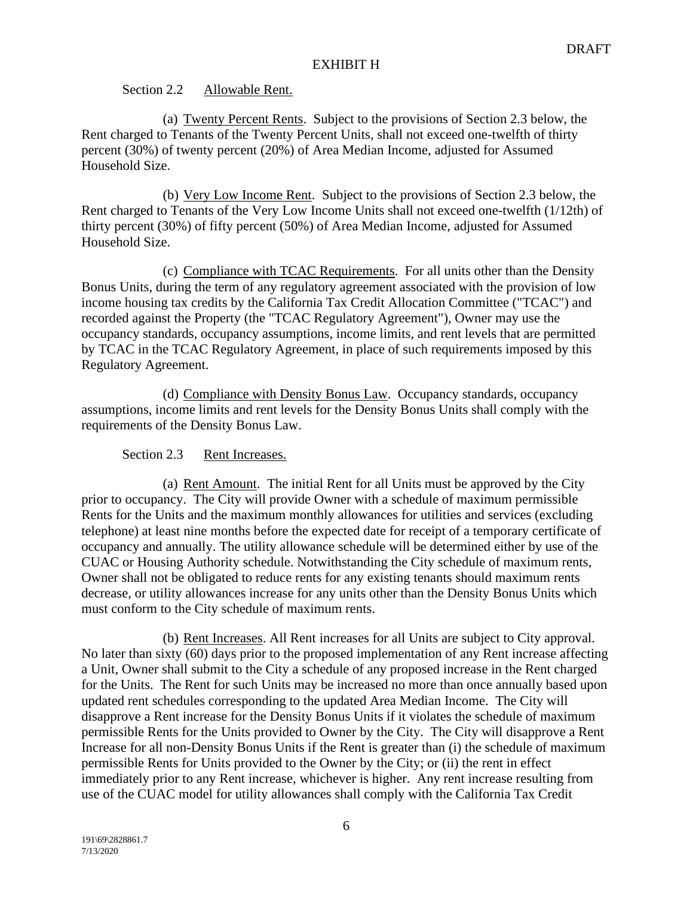# Section 2.2 Allowable Rent.

(a) Twenty Percent Rents. Subject to the provisions of Section 2.3 below, the Rent charged to Tenants of the Twenty Percent Units, shall not exceed one-twelfth of thirty percent (30%) of twenty percent (20%) of Area Median Income, adjusted for Assumed Household Size.

(b) Very Low Income Rent. Subject to the provisions of Section 2.3 below, the Rent charged to Tenants of the Very Low Income Units shall not exceed one-twelfth (1/12th) of thirty percent (30%) of fifty percent (50%) of Area Median Income, adjusted for Assumed Household Size.

(c) Compliance with TCAC Requirements. For all units other than the Density Bonus Units, during the term of any regulatory agreement associated with the provision of low income housing tax credits by the California Tax Credit Allocation Committee ("TCAC") and recorded against the Property (the "TCAC Regulatory Agreement"), Owner may use the occupancy standards, occupancy assumptions, income limits, and rent levels that are permitted by TCAC in the TCAC Regulatory Agreement, in place of such requirements imposed by this Regulatory Agreement.

(d) Compliance with Density Bonus Law. Occupancy standards, occupancy assumptions, income limits and rent levels for the Density Bonus Units shall comply with the requirements of the Density Bonus Law.

# Section 2.3 Rent Increases.

(a) Rent Amount. The initial Rent for all Units must be approved by the City prior to occupancy. The City will provide Owner with a schedule of maximum permissible Rents for the Units and the maximum monthly allowances for utilities and services (excluding telephone) at least nine months before the expected date for receipt of a temporary certificate of occupancy and annually. The utility allowance schedule will be determined either by use of the CUAC or Housing Authority schedule. Notwithstanding the City schedule of maximum rents, Owner shall not be obligated to reduce rents for any existing tenants should maximum rents decrease, or utility allowances increase for any units other than the Density Bonus Units which must conform to the City schedule of maximum rents.

(b) Rent Increases. All Rent increases for all Units are subject to City approval. No later than sixty (60) days prior to the proposed implementation of any Rent increase affecting a Unit, Owner shall submit to the City a schedule of any proposed increase in the Rent charged for the Units. The Rent for such Units may be increased no more than once annually based upon updated rent schedules corresponding to the updated Area Median Income. The City will disapprove a Rent increase for the Density Bonus Units if it violates the schedule of maximum permissible Rents for the Units provided to Owner by the City. The City will disapprove a Rent Increase for all non-Density Bonus Units if the Rent is greater than (i) the schedule of maximum permissible Rents for Units provided to the Owner by the City; or (ii) the rent in effect immediately prior to any Rent increase, whichever is higher. Any rent increase resulting from use of the CUAC model for utility allowances shall comply with the California Tax Credit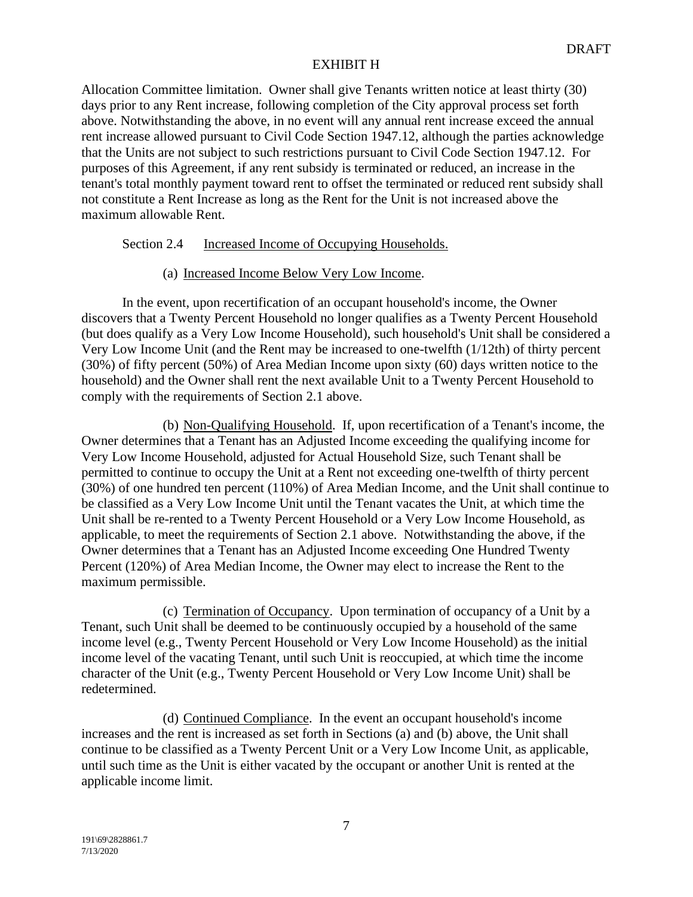Allocation Committee limitation. Owner shall give Tenants written notice at least thirty (30) days prior to any Rent increase, following completion of the City approval process set forth above. Notwithstanding the above, in no event will any annual rent increase exceed the annual rent increase allowed pursuant to Civil Code Section 1947.12, although the parties acknowledge that the Units are not subject to such restrictions pursuant to Civil Code Section 1947.12. For purposes of this Agreement, if any rent subsidy is terminated or reduced, an increase in the tenant's total monthly payment toward rent to offset the terminated or reduced rent subsidy shall not constitute a Rent Increase as long as the Rent for the Unit is not increased above the maximum allowable Rent.

# Section 2.4 Increased Income of Occupying Households.

# (a) Increased Income Below Very Low Income.

In the event, upon recertification of an occupant household's income, the Owner discovers that a Twenty Percent Household no longer qualifies as a Twenty Percent Household (but does qualify as a Very Low Income Household), such household's Unit shall be considered a Very Low Income Unit (and the Rent may be increased to one-twelfth (1/12th) of thirty percent (30%) of fifty percent (50%) of Area Median Income upon sixty (60) days written notice to the household) and the Owner shall rent the next available Unit to a Twenty Percent Household to comply with the requirements of Section 2.1 above.

(b) Non-Qualifying Household. If, upon recertification of a Tenant's income, the Owner determines that a Tenant has an Adjusted Income exceeding the qualifying income for Very Low Income Household, adjusted for Actual Household Size, such Tenant shall be permitted to continue to occupy the Unit at a Rent not exceeding one-twelfth of thirty percent (30%) of one hundred ten percent (110%) of Area Median Income, and the Unit shall continue to be classified as a Very Low Income Unit until the Tenant vacates the Unit, at which time the Unit shall be re-rented to a Twenty Percent Household or a Very Low Income Household, as applicable, to meet the requirements of Section 2.1 above. Notwithstanding the above, if the Owner determines that a Tenant has an Adjusted Income exceeding One Hundred Twenty Percent (120%) of Area Median Income, the Owner may elect to increase the Rent to the maximum permissible.

(c) Termination of Occupancy. Upon termination of occupancy of a Unit by a Tenant, such Unit shall be deemed to be continuously occupied by a household of the same income level (e.g., Twenty Percent Household or Very Low Income Household) as the initial income level of the vacating Tenant, until such Unit is reoccupied, at which time the income character of the Unit (e.g., Twenty Percent Household or Very Low Income Unit) shall be redetermined.

(d) Continued Compliance. In the event an occupant household's income increases and the rent is increased as set forth in Sections (a) and (b) above, the Unit shall continue to be classified as a Twenty Percent Unit or a Very Low Income Unit, as applicable, until such time as the Unit is either vacated by the occupant or another Unit is rented at the applicable income limit.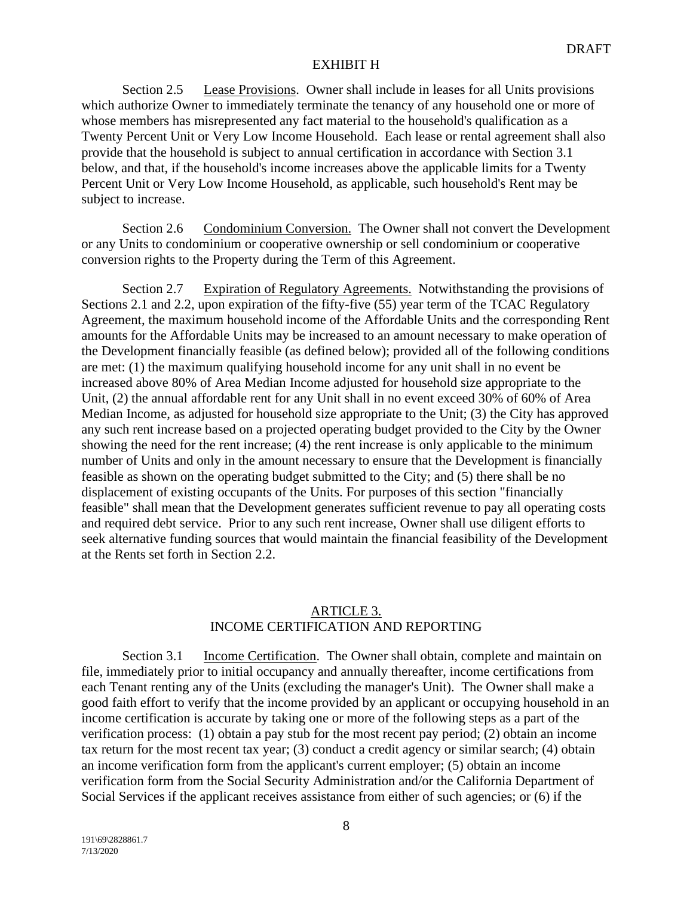Section 2.5 Lease Provisions. Owner shall include in leases for all Units provisions which authorize Owner to immediately terminate the tenancy of any household one or more of whose members has misrepresented any fact material to the household's qualification as a Twenty Percent Unit or Very Low Income Household. Each lease or rental agreement shall also provide that the household is subject to annual certification in accordance with Section 3.1 below, and that, if the household's income increases above the applicable limits for a Twenty Percent Unit or Very Low Income Household, as applicable, such household's Rent may be subject to increase.

Section 2.6 Condominium Conversion. The Owner shall not convert the Development or any Units to condominium or cooperative ownership or sell condominium or cooperative conversion rights to the Property during the Term of this Agreement.

Section 2.7 Expiration of Regulatory Agreements. Notwithstanding the provisions of Sections 2.1 and 2.2, upon expiration of the fifty-five (55) year term of the TCAC Regulatory Agreement, the maximum household income of the Affordable Units and the corresponding Rent amounts for the Affordable Units may be increased to an amount necessary to make operation of the Development financially feasible (as defined below); provided all of the following conditions are met: (1) the maximum qualifying household income for any unit shall in no event be increased above 80% of Area Median Income adjusted for household size appropriate to the Unit, (2) the annual affordable rent for any Unit shall in no event exceed 30% of 60% of Area Median Income, as adjusted for household size appropriate to the Unit; (3) the City has approved any such rent increase based on a projected operating budget provided to the City by the Owner showing the need for the rent increase; (4) the rent increase is only applicable to the minimum number of Units and only in the amount necessary to ensure that the Development is financially feasible as shown on the operating budget submitted to the City; and (5) there shall be no displacement of existing occupants of the Units. For purposes of this section "financially feasible" shall mean that the Development generates sufficient revenue to pay all operating costs and required debt service. Prior to any such rent increase, Owner shall use diligent efforts to seek alternative funding sources that would maintain the financial feasibility of the Development at the Rents set forth in Section 2.2.

# ARTICLE 3. INCOME CERTIFICATION AND REPORTING

Section 3.1 Income Certification. The Owner shall obtain, complete and maintain on file, immediately prior to initial occupancy and annually thereafter, income certifications from each Tenant renting any of the Units (excluding the manager's Unit). The Owner shall make a good faith effort to verify that the income provided by an applicant or occupying household in an income certification is accurate by taking one or more of the following steps as a part of the verification process: (1) obtain a pay stub for the most recent pay period; (2) obtain an income tax return for the most recent tax year; (3) conduct a credit agency or similar search; (4) obtain an income verification form from the applicant's current employer; (5) obtain an income verification form from the Social Security Administration and/or the California Department of Social Services if the applicant receives assistance from either of such agencies; or (6) if the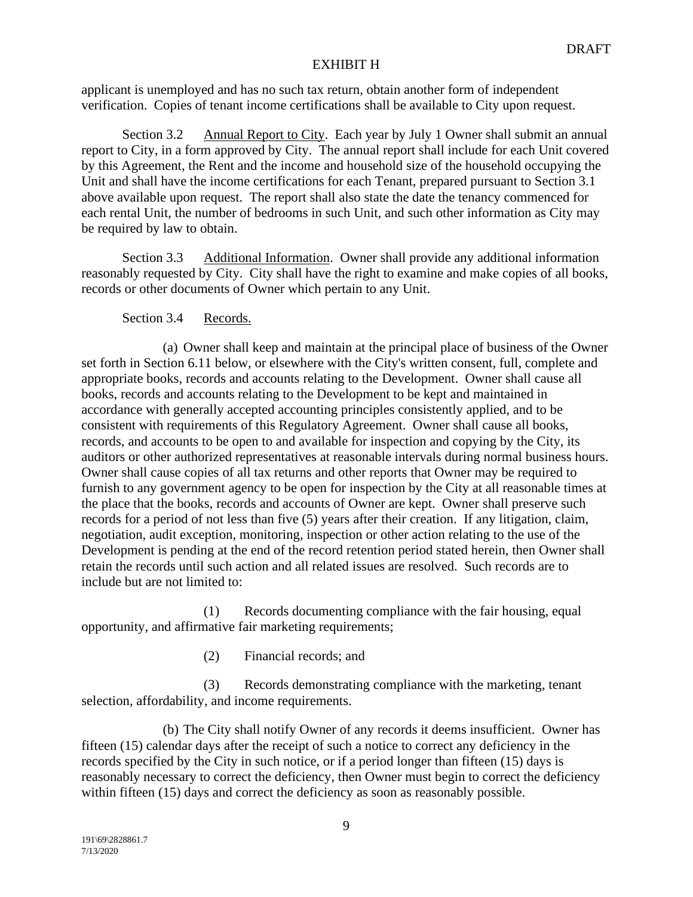applicant is unemployed and has no such tax return, obtain another form of independent verification. Copies of tenant income certifications shall be available to City upon request.

Section 3.2 Annual Report to City. Each year by July 1 Owner shall submit an annual report to City, in a form approved by City. The annual report shall include for each Unit covered by this Agreement, the Rent and the income and household size of the household occupying the Unit and shall have the income certifications for each Tenant, prepared pursuant to Section 3.1 above available upon request. The report shall also state the date the tenancy commenced for each rental Unit, the number of bedrooms in such Unit, and such other information as City may be required by law to obtain.

Section 3.3 Additional Information. Owner shall provide any additional information reasonably requested by City. City shall have the right to examine and make copies of all books, records or other documents of Owner which pertain to any Unit.

# Section 3.4 Records.

(a) Owner shall keep and maintain at the principal place of business of the Owner set forth in Section 6.11 below, or elsewhere with the City's written consent, full, complete and appropriate books, records and accounts relating to the Development. Owner shall cause all books, records and accounts relating to the Development to be kept and maintained in accordance with generally accepted accounting principles consistently applied, and to be consistent with requirements of this Regulatory Agreement. Owner shall cause all books, records, and accounts to be open to and available for inspection and copying by the City, its auditors or other authorized representatives at reasonable intervals during normal business hours. Owner shall cause copies of all tax returns and other reports that Owner may be required to furnish to any government agency to be open for inspection by the City at all reasonable times at the place that the books, records and accounts of Owner are kept. Owner shall preserve such records for a period of not less than five (5) years after their creation. If any litigation, claim, negotiation, audit exception, monitoring, inspection or other action relating to the use of the Development is pending at the end of the record retention period stated herein, then Owner shall retain the records until such action and all related issues are resolved. Such records are to include but are not limited to:

(1) Records documenting compliance with the fair housing, equal opportunity, and affirmative fair marketing requirements;

(2) Financial records; and

(3) Records demonstrating compliance with the marketing, tenant selection, affordability, and income requirements.

(b) The City shall notify Owner of any records it deems insufficient. Owner has fifteen (15) calendar days after the receipt of such a notice to correct any deficiency in the records specified by the City in such notice, or if a period longer than fifteen (15) days is reasonably necessary to correct the deficiency, then Owner must begin to correct the deficiency within fifteen (15) days and correct the deficiency as soon as reasonably possible.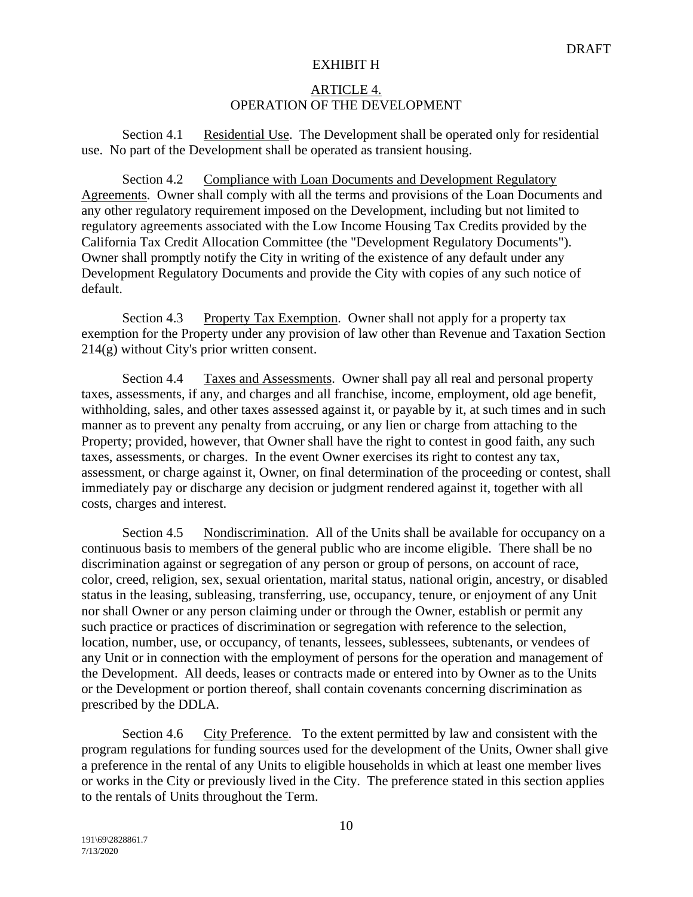# ARTICLE 4. OPERATION OF THE DEVELOPMENT

Section 4.1 Residential Use. The Development shall be operated only for residential use. No part of the Development shall be operated as transient housing.

Section 4.2 Compliance with Loan Documents and Development Regulatory Agreements. Owner shall comply with all the terms and provisions of the Loan Documents and any other regulatory requirement imposed on the Development, including but not limited to regulatory agreements associated with the Low Income Housing Tax Credits provided by the California Tax Credit Allocation Committee (the "Development Regulatory Documents"). Owner shall promptly notify the City in writing of the existence of any default under any Development Regulatory Documents and provide the City with copies of any such notice of default.

Section 4.3 Property Tax Exemption. Owner shall not apply for a property tax exemption for the Property under any provision of law other than Revenue and Taxation Section 214(g) without City's prior written consent.

Section 4.4 Taxes and Assessments. Owner shall pay all real and personal property taxes, assessments, if any, and charges and all franchise, income, employment, old age benefit, withholding, sales, and other taxes assessed against it, or payable by it, at such times and in such manner as to prevent any penalty from accruing, or any lien or charge from attaching to the Property; provided, however, that Owner shall have the right to contest in good faith, any such taxes, assessments, or charges. In the event Owner exercises its right to contest any tax, assessment, or charge against it, Owner, on final determination of the proceeding or contest, shall immediately pay or discharge any decision or judgment rendered against it, together with all costs, charges and interest.

Section 4.5 Nondiscrimination. All of the Units shall be available for occupancy on a continuous basis to members of the general public who are income eligible. There shall be no discrimination against or segregation of any person or group of persons, on account of race, color, creed, religion, sex, sexual orientation, marital status, national origin, ancestry, or disabled status in the leasing, subleasing, transferring, use, occupancy, tenure, or enjoyment of any Unit nor shall Owner or any person claiming under or through the Owner, establish or permit any such practice or practices of discrimination or segregation with reference to the selection, location, number, use, or occupancy, of tenants, lessees, sublessees, subtenants, or vendees of any Unit or in connection with the employment of persons for the operation and management of the Development. All deeds, leases or contracts made or entered into by Owner as to the Units or the Development or portion thereof, shall contain covenants concerning discrimination as prescribed by the DDLA.

Section 4.6 City Preference. To the extent permitted by law and consistent with the program regulations for funding sources used for the development of the Units, Owner shall give a preference in the rental of any Units to eligible households in which at least one member lives or works in the City or previously lived in the City. The preference stated in this section applies to the rentals of Units throughout the Term.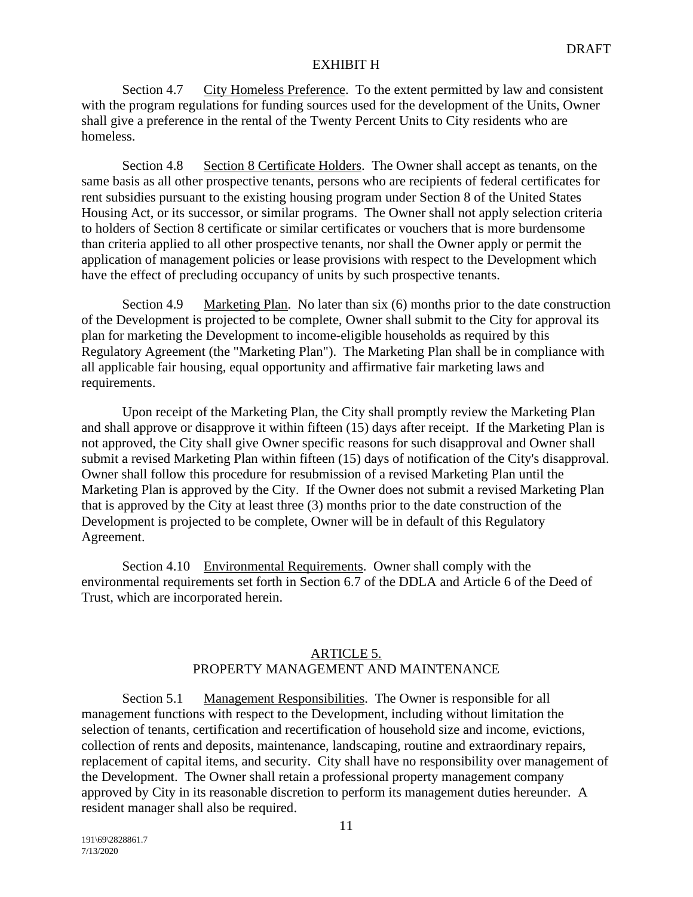Section 4.7 City Homeless Preference. To the extent permitted by law and consistent with the program regulations for funding sources used for the development of the Units, Owner shall give a preference in the rental of the Twenty Percent Units to City residents who are homeless.

Section 4.8 Section 8 Certificate Holders. The Owner shall accept as tenants, on the same basis as all other prospective tenants, persons who are recipients of federal certificates for rent subsidies pursuant to the existing housing program under Section 8 of the United States Housing Act, or its successor, or similar programs. The Owner shall not apply selection criteria to holders of Section 8 certificate or similar certificates or vouchers that is more burdensome than criteria applied to all other prospective tenants, nor shall the Owner apply or permit the application of management policies or lease provisions with respect to the Development which have the effect of precluding occupancy of units by such prospective tenants.

Section 4.9 Marketing Plan. No later than six (6) months prior to the date construction of the Development is projected to be complete, Owner shall submit to the City for approval its plan for marketing the Development to income-eligible households as required by this Regulatory Agreement (the "Marketing Plan"). The Marketing Plan shall be in compliance with all applicable fair housing, equal opportunity and affirmative fair marketing laws and requirements.

Upon receipt of the Marketing Plan, the City shall promptly review the Marketing Plan and shall approve or disapprove it within fifteen (15) days after receipt. If the Marketing Plan is not approved, the City shall give Owner specific reasons for such disapproval and Owner shall submit a revised Marketing Plan within fifteen (15) days of notification of the City's disapproval. Owner shall follow this procedure for resubmission of a revised Marketing Plan until the Marketing Plan is approved by the City. If the Owner does not submit a revised Marketing Plan that is approved by the City at least three (3) months prior to the date construction of the Development is projected to be complete, Owner will be in default of this Regulatory Agreement.

Section 4.10 Environmental Requirements. Owner shall comply with the environmental requirements set forth in Section 6.7 of the DDLA and Article 6 of the Deed of Trust, which are incorporated herein.

# ARTICLE 5. PROPERTY MANAGEMENT AND MAINTENANCE

Section 5.1 Management Responsibilities. The Owner is responsible for all management functions with respect to the Development, including without limitation the selection of tenants, certification and recertification of household size and income, evictions, collection of rents and deposits, maintenance, landscaping, routine and extraordinary repairs, replacement of capital items, and security. City shall have no responsibility over management of the Development. The Owner shall retain a professional property management company approved by City in its reasonable discretion to perform its management duties hereunder. A resident manager shall also be required.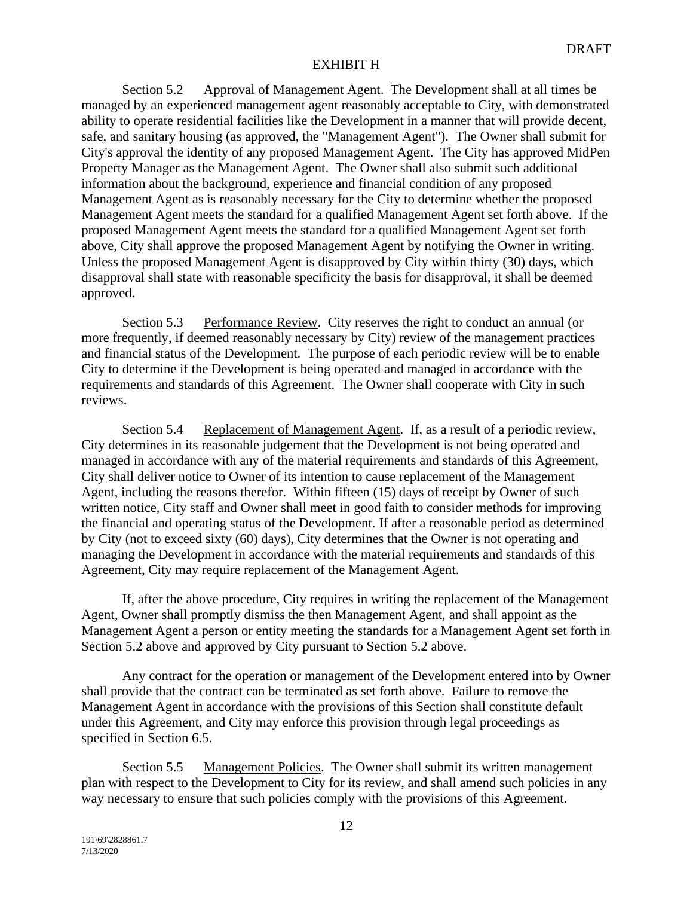Section 5.2 Approval of Management Agent. The Development shall at all times be managed by an experienced management agent reasonably acceptable to City, with demonstrated ability to operate residential facilities like the Development in a manner that will provide decent, safe, and sanitary housing (as approved, the "Management Agent"). The Owner shall submit for City's approval the identity of any proposed Management Agent. The City has approved MidPen Property Manager as the Management Agent. The Owner shall also submit such additional information about the background, experience and financial condition of any proposed Management Agent as is reasonably necessary for the City to determine whether the proposed Management Agent meets the standard for a qualified Management Agent set forth above. If the proposed Management Agent meets the standard for a qualified Management Agent set forth above, City shall approve the proposed Management Agent by notifying the Owner in writing. Unless the proposed Management Agent is disapproved by City within thirty (30) days, which disapproval shall state with reasonable specificity the basis for disapproval, it shall be deemed approved.

Section 5.3 Performance Review. City reserves the right to conduct an annual (or more frequently, if deemed reasonably necessary by City) review of the management practices and financial status of the Development. The purpose of each periodic review will be to enable City to determine if the Development is being operated and managed in accordance with the requirements and standards of this Agreement. The Owner shall cooperate with City in such reviews.

Section 5.4 Replacement of Management Agent. If, as a result of a periodic review, City determines in its reasonable judgement that the Development is not being operated and managed in accordance with any of the material requirements and standards of this Agreement, City shall deliver notice to Owner of its intention to cause replacement of the Management Agent, including the reasons therefor. Within fifteen (15) days of receipt by Owner of such written notice, City staff and Owner shall meet in good faith to consider methods for improving the financial and operating status of the Development. If after a reasonable period as determined by City (not to exceed sixty (60) days), City determines that the Owner is not operating and managing the Development in accordance with the material requirements and standards of this Agreement, City may require replacement of the Management Agent.

If, after the above procedure, City requires in writing the replacement of the Management Agent, Owner shall promptly dismiss the then Management Agent, and shall appoint as the Management Agent a person or entity meeting the standards for a Management Agent set forth in Section 5.2 above and approved by City pursuant to Section 5.2 above.

Any contract for the operation or management of the Development entered into by Owner shall provide that the contract can be terminated as set forth above. Failure to remove the Management Agent in accordance with the provisions of this Section shall constitute default under this Agreement, and City may enforce this provision through legal proceedings as specified in Section 6.5.

Section 5.5 Management Policies. The Owner shall submit its written management plan with respect to the Development to City for its review, and shall amend such policies in any way necessary to ensure that such policies comply with the provisions of this Agreement.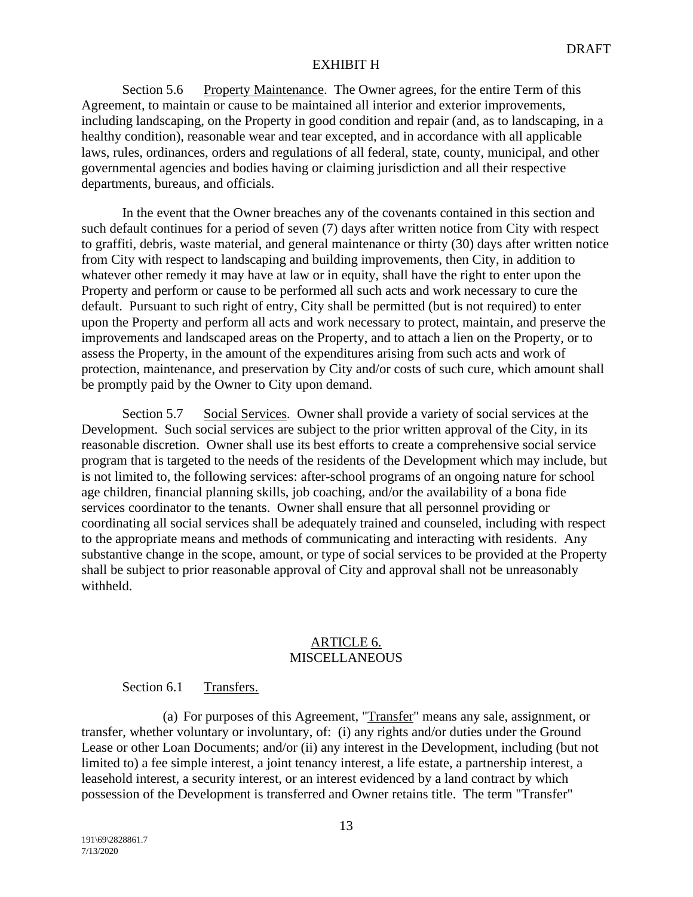Section 5.6 Property Maintenance. The Owner agrees, for the entire Term of this Agreement, to maintain or cause to be maintained all interior and exterior improvements, including landscaping, on the Property in good condition and repair (and, as to landscaping, in a healthy condition), reasonable wear and tear excepted, and in accordance with all applicable laws, rules, ordinances, orders and regulations of all federal, state, county, municipal, and other governmental agencies and bodies having or claiming jurisdiction and all their respective departments, bureaus, and officials.

In the event that the Owner breaches any of the covenants contained in this section and such default continues for a period of seven (7) days after written notice from City with respect to graffiti, debris, waste material, and general maintenance or thirty (30) days after written notice from City with respect to landscaping and building improvements, then City, in addition to whatever other remedy it may have at law or in equity, shall have the right to enter upon the Property and perform or cause to be performed all such acts and work necessary to cure the default. Pursuant to such right of entry, City shall be permitted (but is not required) to enter upon the Property and perform all acts and work necessary to protect, maintain, and preserve the improvements and landscaped areas on the Property, and to attach a lien on the Property, or to assess the Property, in the amount of the expenditures arising from such acts and work of protection, maintenance, and preservation by City and/or costs of such cure, which amount shall be promptly paid by the Owner to City upon demand.

Section 5.7 Social Services. Owner shall provide a variety of social services at the Development. Such social services are subject to the prior written approval of the City, in its reasonable discretion. Owner shall use its best efforts to create a comprehensive social service program that is targeted to the needs of the residents of the Development which may include, but is not limited to, the following services: after-school programs of an ongoing nature for school age children, financial planning skills, job coaching, and/or the availability of a bona fide services coordinator to the tenants. Owner shall ensure that all personnel providing or coordinating all social services shall be adequately trained and counseled, including with respect to the appropriate means and methods of communicating and interacting with residents. Any substantive change in the scope, amount, or type of social services to be provided at the Property shall be subject to prior reasonable approval of City and approval shall not be unreasonably withheld.

#### ARTICLE 6. **MISCELLANEOUS**

## Section 6.1 Transfers.

(a) For purposes of this Agreement, "Transfer" means any sale, assignment, or transfer, whether voluntary or involuntary, of: (i) any rights and/or duties under the Ground Lease or other Loan Documents; and/or (ii) any interest in the Development, including (but not limited to) a fee simple interest, a joint tenancy interest, a life estate, a partnership interest, a leasehold interest, a security interest, or an interest evidenced by a land contract by which possession of the Development is transferred and Owner retains title. The term "Transfer"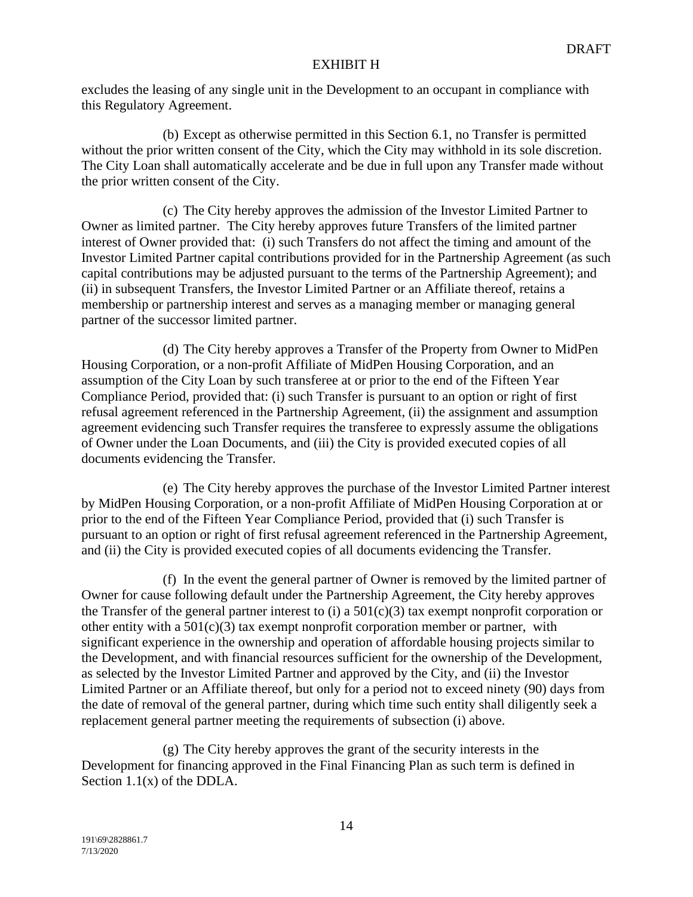excludes the leasing of any single unit in the Development to an occupant in compliance with this Regulatory Agreement.

(b) Except as otherwise permitted in this Section 6.1, no Transfer is permitted without the prior written consent of the City, which the City may withhold in its sole discretion. The City Loan shall automatically accelerate and be due in full upon any Transfer made without the prior written consent of the City.

(c) The City hereby approves the admission of the Investor Limited Partner to Owner as limited partner. The City hereby approves future Transfers of the limited partner interest of Owner provided that: (i) such Transfers do not affect the timing and amount of the Investor Limited Partner capital contributions provided for in the Partnership Agreement (as such capital contributions may be adjusted pursuant to the terms of the Partnership Agreement); and (ii) in subsequent Transfers, the Investor Limited Partner or an Affiliate thereof, retains a membership or partnership interest and serves as a managing member or managing general partner of the successor limited partner.

(d) The City hereby approves a Transfer of the Property from Owner to MidPen Housing Corporation, or a non-profit Affiliate of MidPen Housing Corporation, and an assumption of the City Loan by such transferee at or prior to the end of the Fifteen Year Compliance Period, provided that: (i) such Transfer is pursuant to an option or right of first refusal agreement referenced in the Partnership Agreement, (ii) the assignment and assumption agreement evidencing such Transfer requires the transferee to expressly assume the obligations of Owner under the Loan Documents, and (iii) the City is provided executed copies of all documents evidencing the Transfer.

(e) The City hereby approves the purchase of the Investor Limited Partner interest by MidPen Housing Corporation, or a non-profit Affiliate of MidPen Housing Corporation at or prior to the end of the Fifteen Year Compliance Period, provided that (i) such Transfer is pursuant to an option or right of first refusal agreement referenced in the Partnership Agreement, and (ii) the City is provided executed copies of all documents evidencing the Transfer.

(f) In the event the general partner of Owner is removed by the limited partner of Owner for cause following default under the Partnership Agreement, the City hereby approves the Transfer of the general partner interest to (i) a  $501(c)(3)$  tax exempt nonprofit corporation or other entity with a  $501(c)(3)$  tax exempt nonprofit corporation member or partner, with significant experience in the ownership and operation of affordable housing projects similar to the Development, and with financial resources sufficient for the ownership of the Development, as selected by the Investor Limited Partner and approved by the City, and (ii) the Investor Limited Partner or an Affiliate thereof, but only for a period not to exceed ninety (90) days from the date of removal of the general partner, during which time such entity shall diligently seek a replacement general partner meeting the requirements of subsection (i) above.

(g) The City hereby approves the grant of the security interests in the Development for financing approved in the Final Financing Plan as such term is defined in Section  $1.1(x)$  of the DDLA.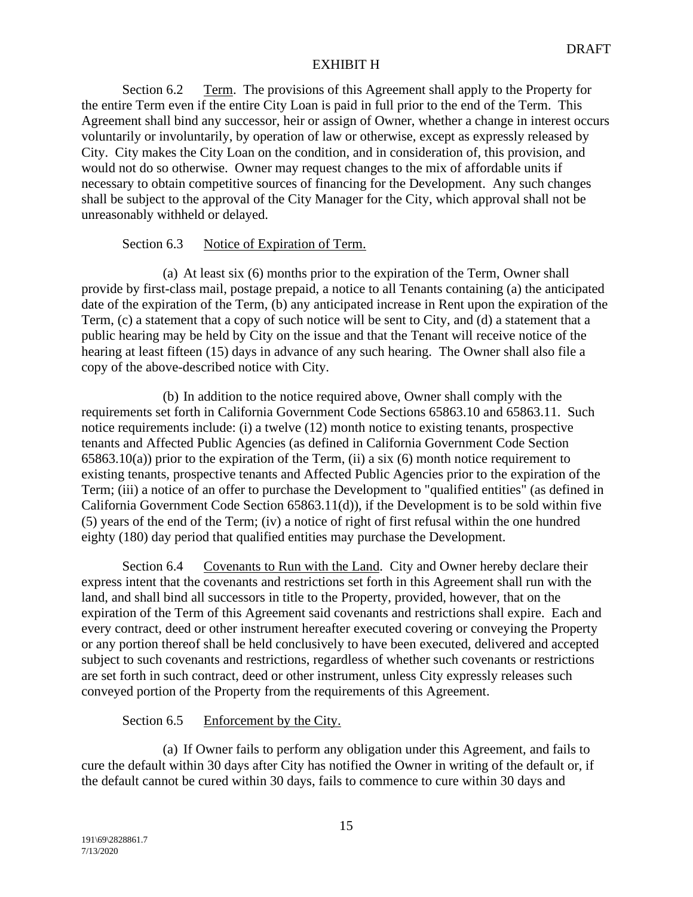Section 6.2 Term. The provisions of this Agreement shall apply to the Property for the entire Term even if the entire City Loan is paid in full prior to the end of the Term. This Agreement shall bind any successor, heir or assign of Owner, whether a change in interest occurs voluntarily or involuntarily, by operation of law or otherwise, except as expressly released by City. City makes the City Loan on the condition, and in consideration of, this provision, and would not do so otherwise. Owner may request changes to the mix of affordable units if necessary to obtain competitive sources of financing for the Development. Any such changes shall be subject to the approval of the City Manager for the City, which approval shall not be unreasonably withheld or delayed.

# Section 6.3 Notice of Expiration of Term.

(a) At least six (6) months prior to the expiration of the Term, Owner shall provide by first-class mail, postage prepaid, a notice to all Tenants containing (a) the anticipated date of the expiration of the Term, (b) any anticipated increase in Rent upon the expiration of the Term, (c) a statement that a copy of such notice will be sent to City, and (d) a statement that a public hearing may be held by City on the issue and that the Tenant will receive notice of the hearing at least fifteen (15) days in advance of any such hearing. The Owner shall also file a copy of the above-described notice with City.

(b) In addition to the notice required above, Owner shall comply with the requirements set forth in California Government Code Sections 65863.10 and 65863.11. Such notice requirements include: (i) a twelve (12) month notice to existing tenants, prospective tenants and Affected Public Agencies (as defined in California Government Code Section  $65863.10(a)$ ) prior to the expiration of the Term, (ii) a six (6) month notice requirement to existing tenants, prospective tenants and Affected Public Agencies prior to the expiration of the Term; (iii) a notice of an offer to purchase the Development to "qualified entities" (as defined in California Government Code Section 65863.11(d)), if the Development is to be sold within five (5) years of the end of the Term; (iv) a notice of right of first refusal within the one hundred eighty (180) day period that qualified entities may purchase the Development.

Section 6.4 Covenants to Run with the Land. City and Owner hereby declare their express intent that the covenants and restrictions set forth in this Agreement shall run with the land, and shall bind all successors in title to the Property, provided, however, that on the expiration of the Term of this Agreement said covenants and restrictions shall expire. Each and every contract, deed or other instrument hereafter executed covering or conveying the Property or any portion thereof shall be held conclusively to have been executed, delivered and accepted subject to such covenants and restrictions, regardless of whether such covenants or restrictions are set forth in such contract, deed or other instrument, unless City expressly releases such conveyed portion of the Property from the requirements of this Agreement.

# Section 6.5 Enforcement by the City.

(a) If Owner fails to perform any obligation under this Agreement, and fails to cure the default within 30 days after City has notified the Owner in writing of the default or, if the default cannot be cured within 30 days, fails to commence to cure within 30 days and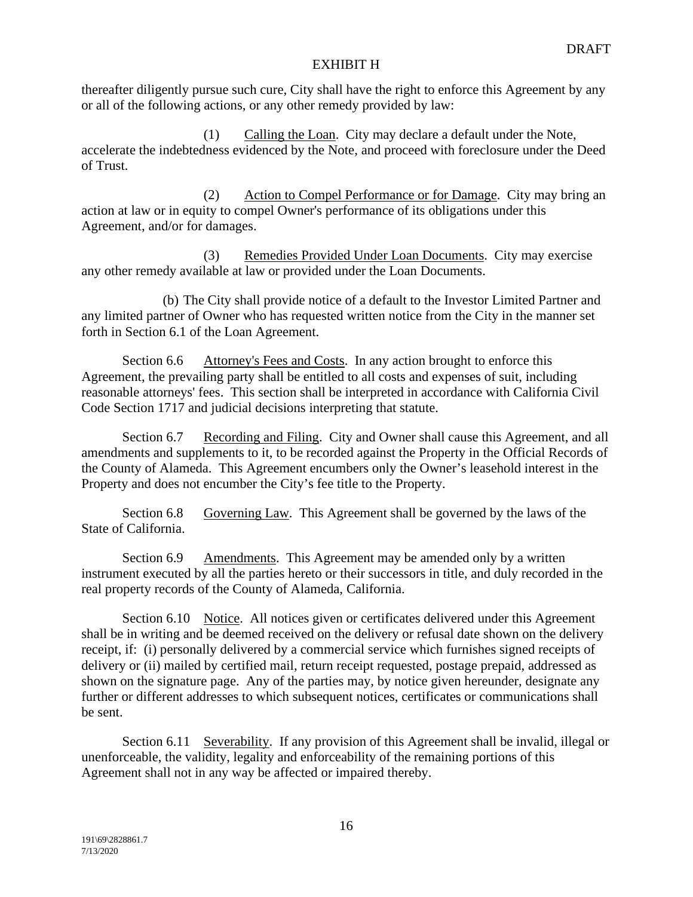thereafter diligently pursue such cure, City shall have the right to enforce this Agreement by any or all of the following actions, or any other remedy provided by law:

(1) Calling the Loan. City may declare a default under the Note, accelerate the indebtedness evidenced by the Note, and proceed with foreclosure under the Deed of Trust.

(2) Action to Compel Performance or for Damage. City may bring an action at law or in equity to compel Owner's performance of its obligations under this Agreement, and/or for damages.

(3) Remedies Provided Under Loan Documents. City may exercise any other remedy available at law or provided under the Loan Documents.

(b) The City shall provide notice of a default to the Investor Limited Partner and any limited partner of Owner who has requested written notice from the City in the manner set forth in Section 6.1 of the Loan Agreement.

Section 6.6 Attorney's Fees and Costs. In any action brought to enforce this Agreement, the prevailing party shall be entitled to all costs and expenses of suit, including reasonable attorneys' fees. This section shall be interpreted in accordance with California Civil Code Section 1717 and judicial decisions interpreting that statute.

Section 6.7 Recording and Filing. City and Owner shall cause this Agreement, and all amendments and supplements to it, to be recorded against the Property in the Official Records of the County of Alameda. This Agreement encumbers only the Owner's leasehold interest in the Property and does not encumber the City's fee title to the Property.

Section 6.8 Governing Law. This Agreement shall be governed by the laws of the State of California.

Section 6.9 Amendments. This Agreement may be amended only by a written instrument executed by all the parties hereto or their successors in title, and duly recorded in the real property records of the County of Alameda, California.

Section 6.10 Notice. All notices given or certificates delivered under this Agreement shall be in writing and be deemed received on the delivery or refusal date shown on the delivery receipt, if: (i) personally delivered by a commercial service which furnishes signed receipts of delivery or (ii) mailed by certified mail, return receipt requested, postage prepaid, addressed as shown on the signature page. Any of the parties may, by notice given hereunder, designate any further or different addresses to which subsequent notices, certificates or communications shall be sent.

Section 6.11 Severability. If any provision of this Agreement shall be invalid, illegal or unenforceable, the validity, legality and enforceability of the remaining portions of this Agreement shall not in any way be affected or impaired thereby.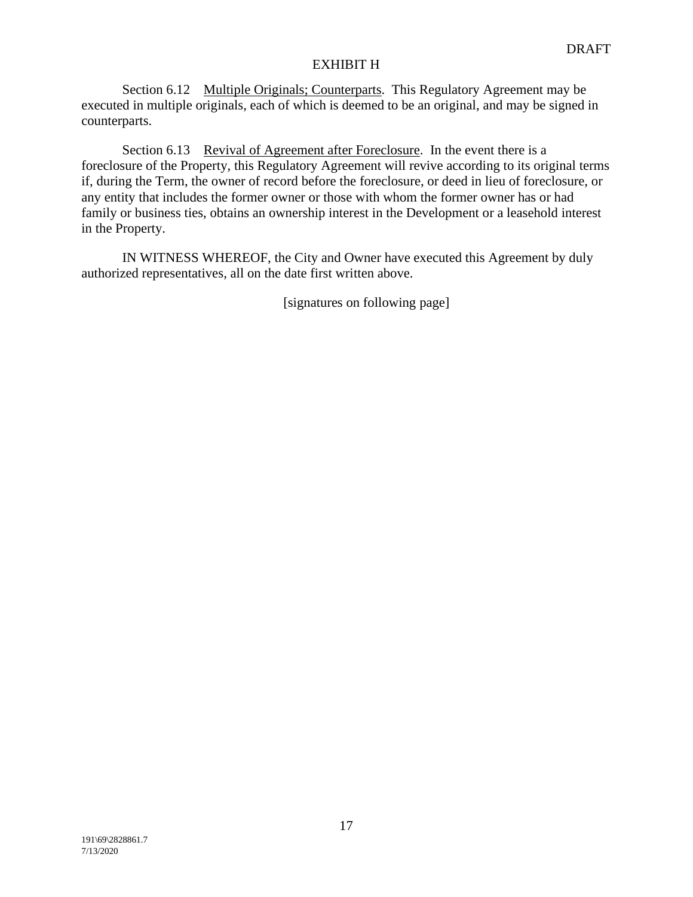Section 6.12 Multiple Originals; Counterparts. This Regulatory Agreement may be executed in multiple originals, each of which is deemed to be an original, and may be signed in counterparts.

Section 6.13 Revival of Agreement after Foreclosure. In the event there is a foreclosure of the Property, this Regulatory Agreement will revive according to its original terms if, during the Term, the owner of record before the foreclosure, or deed in lieu of foreclosure, or any entity that includes the former owner or those with whom the former owner has or had family or business ties, obtains an ownership interest in the Development or a leasehold interest in the Property.

IN WITNESS WHEREOF, the City and Owner have executed this Agreement by duly authorized representatives, all on the date first written above.

[signatures on following page]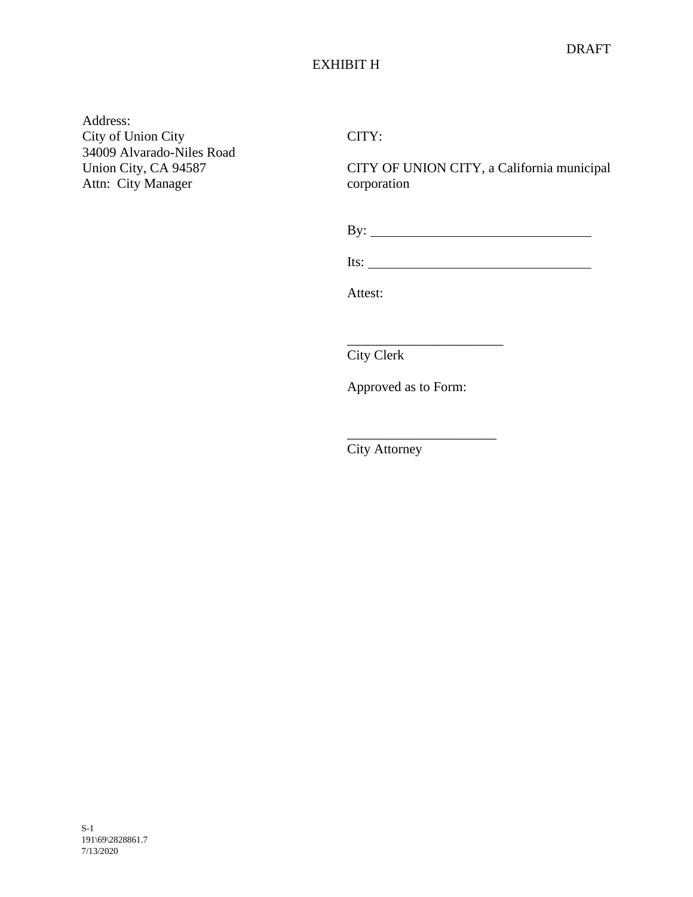Address: City of Union City 34009 Alvarado-Niles Road Union City, CA 94587 Attn: City Manager

CITY:

CITY OF UNION CITY, a California municipal corporation

By:

 $\overline{\phantom{a}}$  , where  $\overline{\phantom{a}}$ 

 $\mathcal{L}=\mathcal{L}^{\mathcal{L}}$ 

Its:

Attest:

City Clerk

Approved as to Form:

City Attorney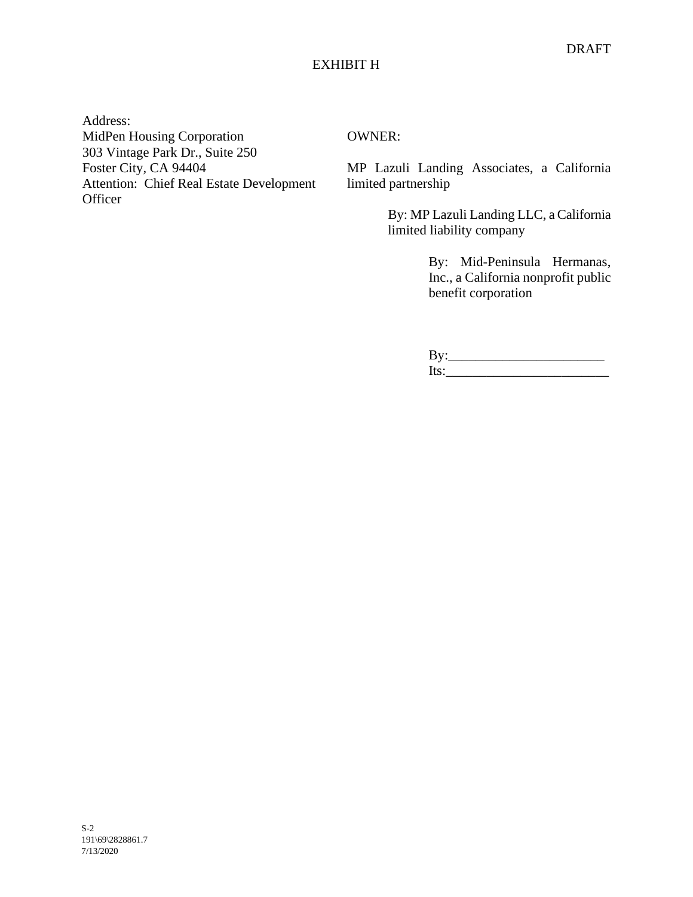Address: MidPen Housing Corporation 303 Vintage Park Dr., Suite 250 Foster City, CA 94404 Attention: Chief Real Estate Development **Officer** 

OWNER:

MP Lazuli Landing Associates, a California limited partnership

> By: MP Lazuli Landing LLC, a California limited liability company

> > By: Mid-Peninsula Hermanas, Inc., a California nonprofit public benefit corporation

By:\_\_\_\_\_\_\_\_\_\_\_\_\_\_\_\_\_\_\_\_\_\_\_ Its:\_\_\_\_\_\_\_\_\_\_\_\_\_\_\_\_\_\_\_\_\_\_\_\_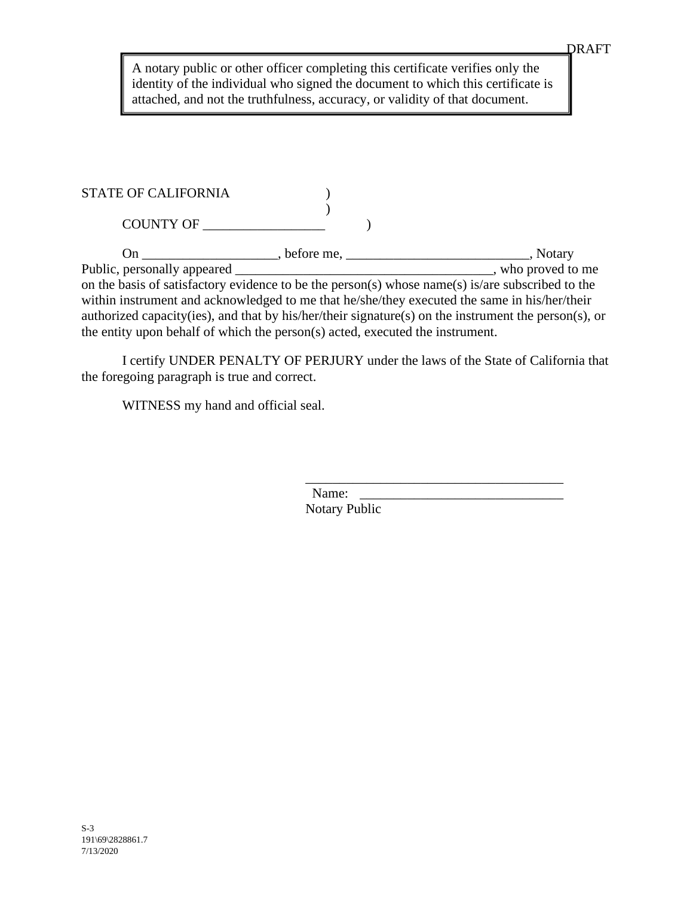A notary public or other officer completing this certificate verifies only the identity of the individual who signed the document to which this certificate is attached, and not the truthfulness, accuracy, or validity of that document.

## STATE OF CALIFORNIA  $($  $\mathcal{L}$

COUNTY OF \_\_\_\_\_\_\_\_\_\_\_\_\_\_\_\_\_\_ )

On \_\_\_\_\_\_\_\_\_\_\_\_\_\_\_\_\_, before me, \_\_\_\_\_\_\_\_\_\_\_\_\_\_\_\_\_\_\_\_\_\_\_, Notary<br>Public, personally appeared \_\_\_\_\_\_\_\_\_\_\_\_\_\_\_\_\_\_\_\_\_\_\_\_\_\_\_\_\_\_\_\_, who proved to externally appearing appearing appearing appearing to me on the basis of satisfactory evidence to be the person(s) whose name(s) is/are subscribed to the within instrument and acknowledged to me that he/she/they executed the same in his/her/their authorized capacity(ies), and that by his/her/their signature(s) on the instrument the person(s), or the entity upon behalf of which the person(s) acted, executed the instrument.

I certify UNDER PENALTY OF PERJURY under the laws of the State of California that the foregoing paragraph is true and correct.

WITNESS my hand and official seal.

\_\_\_\_\_\_\_\_\_\_\_\_\_\_\_\_\_\_\_\_\_\_\_\_\_\_\_\_\_\_\_\_\_\_\_\_\_\_ Name: Notary Public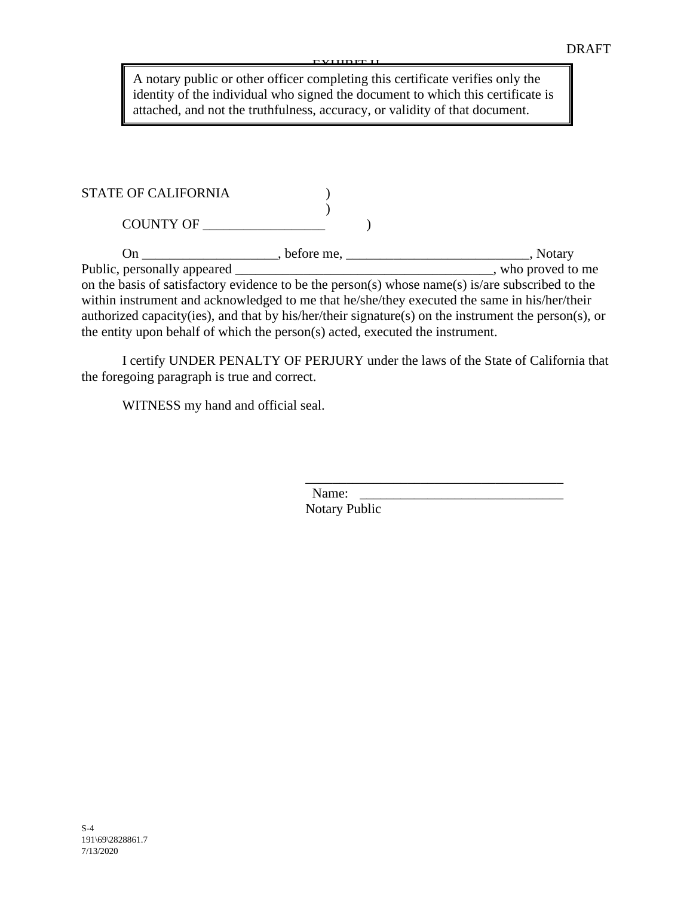EVIIDE H

A notary public or other officer completing this certificate verifies only the identity of the individual who signed the document to which this certificate is attached, and not the truthfulness, accuracy, or validity of that document.

| <b>STATE OF CALIFORNIA</b> |  |
|----------------------------|--|
|                            |  |
| COUNTY OF                  |  |

On \_\_\_\_\_\_\_\_\_\_\_\_\_\_, before me, \_\_\_\_\_\_\_\_\_\_\_\_\_\_\_\_\_\_\_\_\_, Notary<br>Public, personally appeared , who proved to  $\rule{1em}{0.15mm}$  who proved to me on the basis of satisfactory evidence to be the person(s) whose name(s) is/are subscribed to the within instrument and acknowledged to me that he/she/they executed the same in his/her/their authorized capacity(ies), and that by his/her/their signature(s) on the instrument the person(s), or the entity upon behalf of which the person(s) acted, executed the instrument.

I certify UNDER PENALTY OF PERJURY under the laws of the State of California that the foregoing paragraph is true and correct.

WITNESS my hand and official seal.

Name: Notary Public

\_\_\_\_\_\_\_\_\_\_\_\_\_\_\_\_\_\_\_\_\_\_\_\_\_\_\_\_\_\_\_\_\_\_\_\_\_\_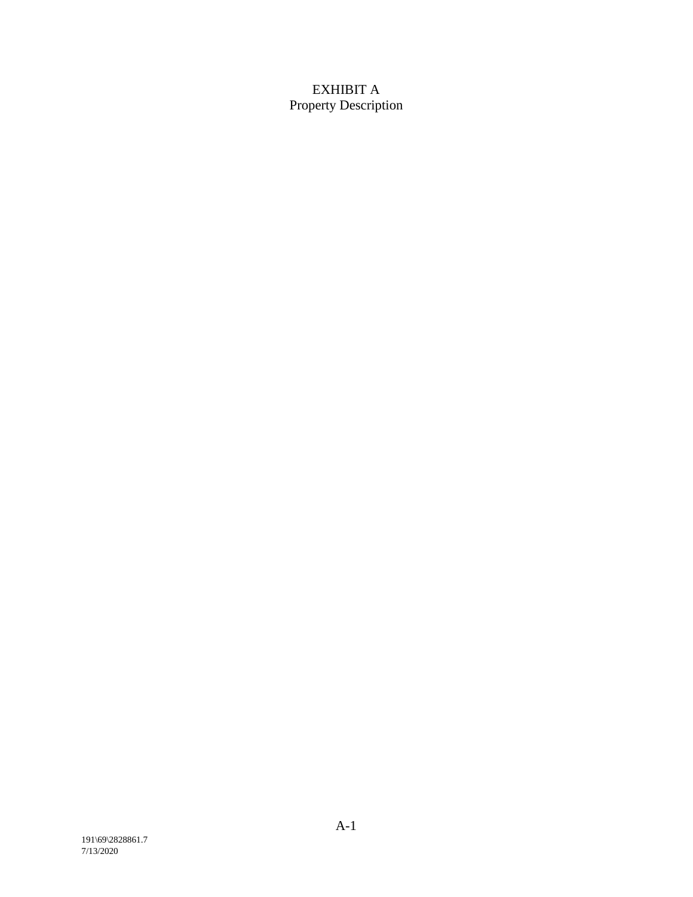# EXHIBIT A Property Description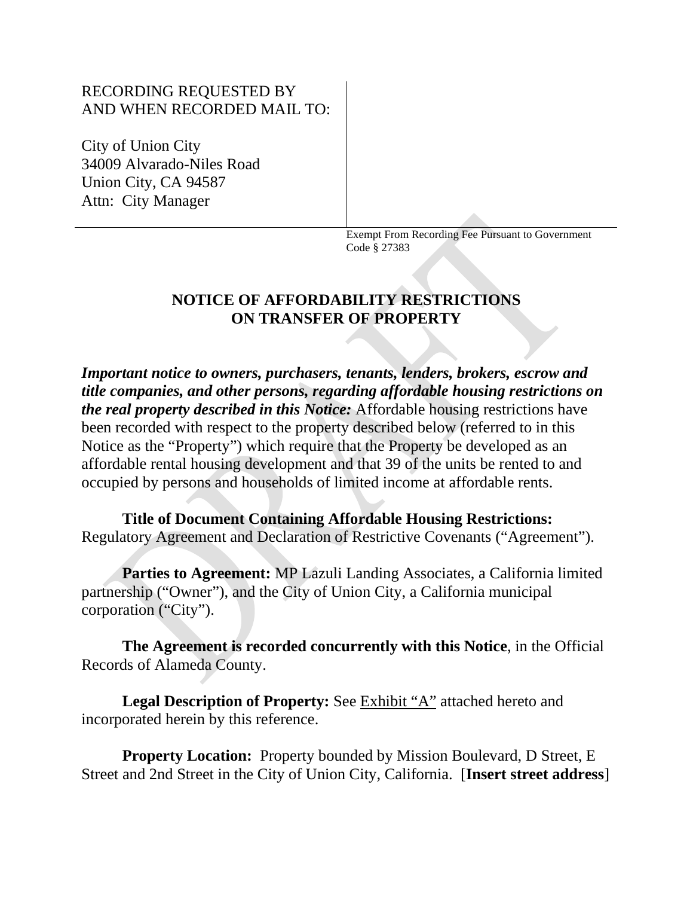# RECORDING REQUESTED BY AND WHEN RECORDED MAIL TO:

City of Union City 34009 Alvarado-Niles Road Union City, CA 94587 Attn: City Manager

> Exempt From Recording Fee Pursuant to Government Code § 27383

# **NOTICE OF AFFORDABILITY RESTRICTIONS ON TRANSFER OF PROPERTY**

*Important notice to owners, purchasers, tenants, lenders, brokers, escrow and title companies, and other persons, regarding affordable housing restrictions on the real property described in this Notice:* Affordable housing restrictions have been recorded with respect to the property described below (referred to in this Notice as the "Property") which require that the Property be developed as an affordable rental housing development and that 39 of the units be rented to and occupied by persons and households of limited income at affordable rents.

**Title of Document Containing Affordable Housing Restrictions:**  Regulatory Agreement and Declaration of Restrictive Covenants ("Agreement").

**Parties to Agreement:** MP Lazuli Landing Associates, a California limited partnership ("Owner"), and the City of Union City, a California municipal corporation ("City").

**The Agreement is recorded concurrently with this Notice**, in the Official Records of Alameda County.

Legal Description of Property: See **Exhibit "A"** attached hereto and incorporated herein by this reference.

**Property Location:** Property bounded by Mission Boulevard, D Street, E Street and 2nd Street in the City of Union City, California. [**Insert street address**]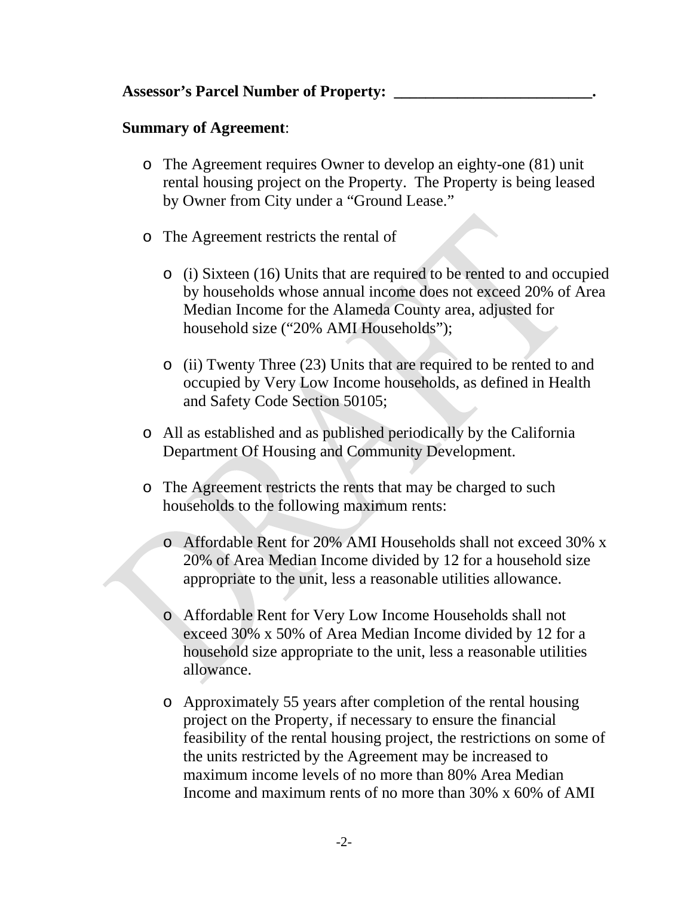# **Summary of Agreement**:

- o The Agreement requires Owner to develop an eighty-one (81) unit rental housing project on the Property. The Property is being leased by Owner from City under a "Ground Lease."
- o The Agreement restricts the rental of
	- o (i) Sixteen (16) Units that are required to be rented to and occupied by households whose annual income does not exceed 20% of Area Median Income for the Alameda County area, adjusted for household size ("20% AMI Households");
	- o (ii) Twenty Three (23) Units that are required to be rented to and occupied by Very Low Income households, as defined in Health and Safety Code Section 50105;
- o All as established and as published periodically by the California Department Of Housing and Community Development.
- o The Agreement restricts the rents that may be charged to such households to the following maximum rents:
	- o Affordable Rent for 20% AMI Households shall not exceed 30% x 20% of Area Median Income divided by 12 for a household size appropriate to the unit, less a reasonable utilities allowance.
	- o Affordable Rent for Very Low Income Households shall not exceed 30% x 50% of Area Median Income divided by 12 for a household size appropriate to the unit, less a reasonable utilities allowance.
	- o Approximately 55 years after completion of the rental housing project on the Property, if necessary to ensure the financial feasibility of the rental housing project, the restrictions on some of the units restricted by the Agreement may be increased to maximum income levels of no more than 80% Area Median Income and maximum rents of no more than 30% x 60% of AMI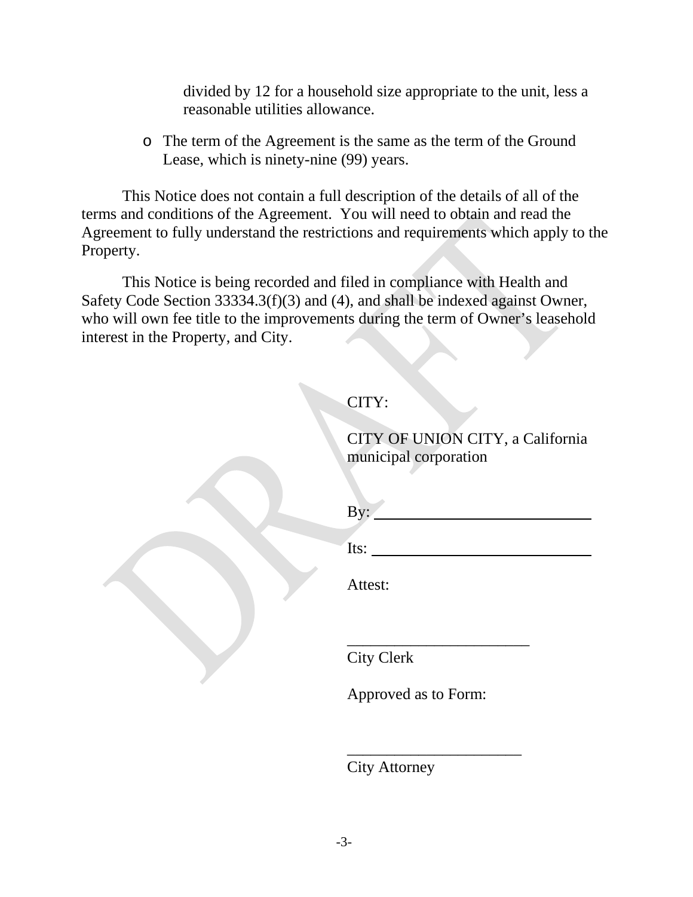divided by 12 for a household size appropriate to the unit, less a reasonable utilities allowance.

o The term of the Agreement is the same as the term of the Ground Lease, which is ninety-nine (99) years.

This Notice does not contain a full description of the details of all of the terms and conditions of the Agreement. You will need to obtain and read the Agreement to fully understand the restrictions and requirements which apply to the Property.

This Notice is being recorded and filed in compliance with Health and Safety Code Section 33334.3(f)(3) and (4), and shall be indexed against Owner, who will own fee title to the improvements during the term of Owner's leasehold interest in the Property, and City.

# **CITY:**

CITY OF UNION CITY, a California municipal corporation

 $By:$ 

\_\_\_\_\_\_\_\_\_\_\_\_\_\_\_\_\_\_\_\_\_\_\_

Its:

Attest:

City Clerk

Approved as to Form:

\_\_\_\_\_\_\_\_\_\_\_\_\_\_\_\_\_\_\_\_\_\_

City Attorney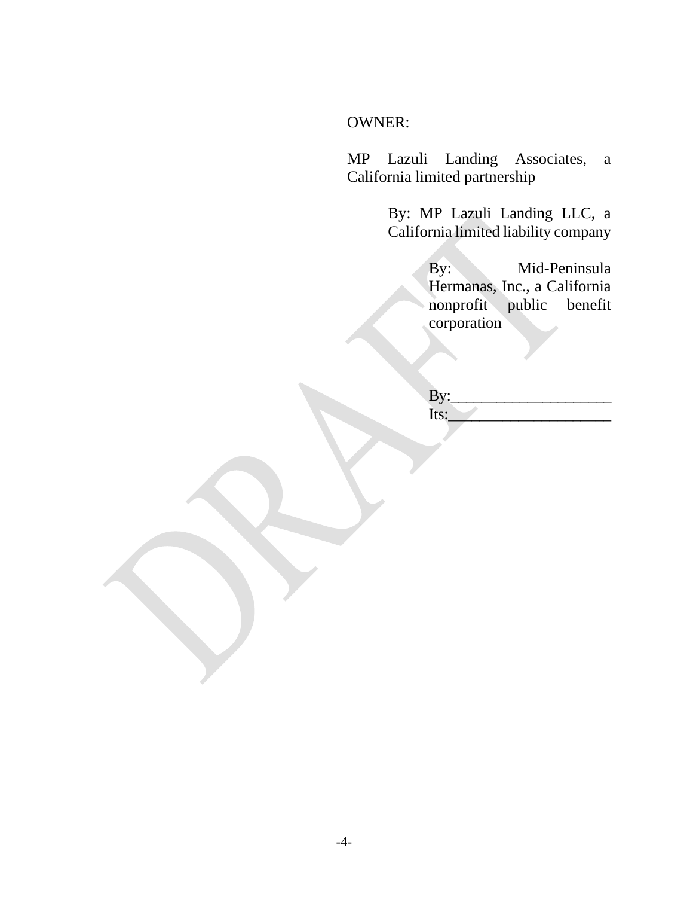# OWNER:

MP Lazuli Landing Associates, a California limited partnership

> By: MP Lazuli Landing LLC, a California limited liability company

> > By: Mid-Peninsula Hermanas, Inc., a California nonprofit public benefit corporation

By: Its: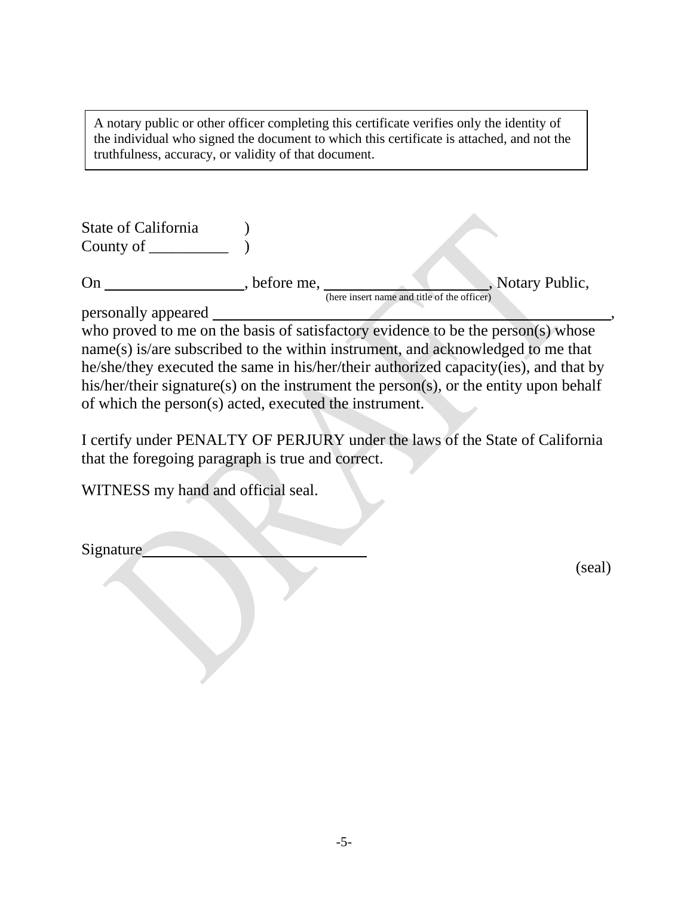A notary public or other officer completing this certificate verifies only the identity of the individual who signed the document to which this certificate is attached, and not the truthfulness, accuracy, or validity of that document.

| State of California<br>County of |            |                                                                 |
|----------------------------------|------------|-----------------------------------------------------------------|
| On                               | before me, | , Notary Public,<br>(here insert name and title of the officer) |
| personally appeared              |            |                                                                 |

who proved to me on the basis of satisfactory evidence to be the person(s) whose name(s) is/are subscribed to the within instrument, and acknowledged to me that he/she/they executed the same in his/her/their authorized capacity(ies), and that by his/her/their signature(s) on the instrument the person(s), or the entity upon behalf of which the person(s) acted, executed the instrument.

I certify under PENALTY OF PERJURY under the laws of the State of California that the foregoing paragraph is true and correct.

WITNESS my hand and official seal.

Signature

(seal)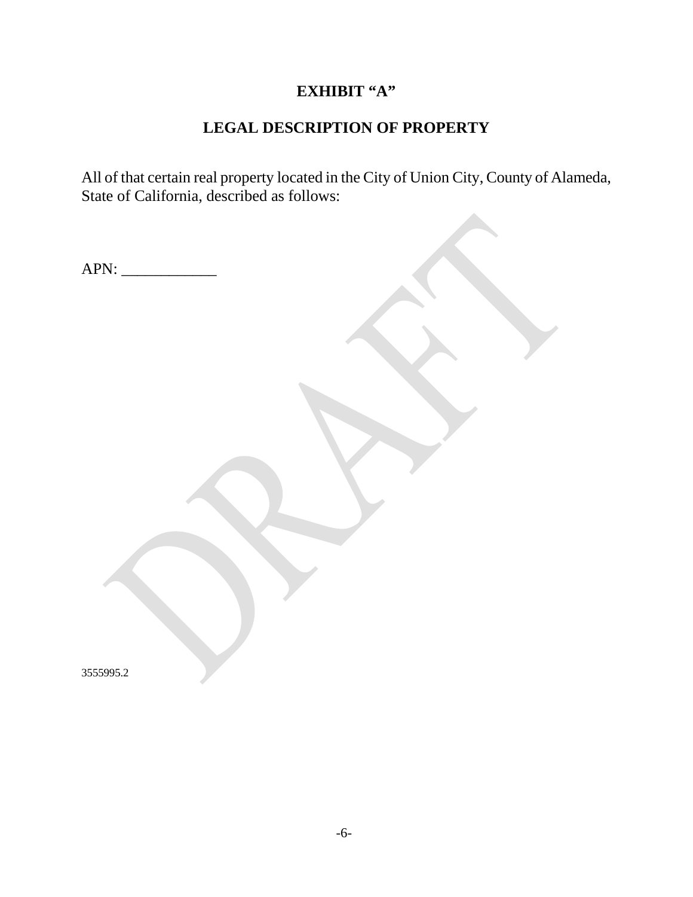# **EXHIBIT "A"**

# **LEGAL DESCRIPTION OF PROPERTY**

All of that certain real property located in the City of Union City, County of Alameda, State of California, described as follows:

APN: \_\_\_\_\_\_\_\_\_\_\_\_

3555995.2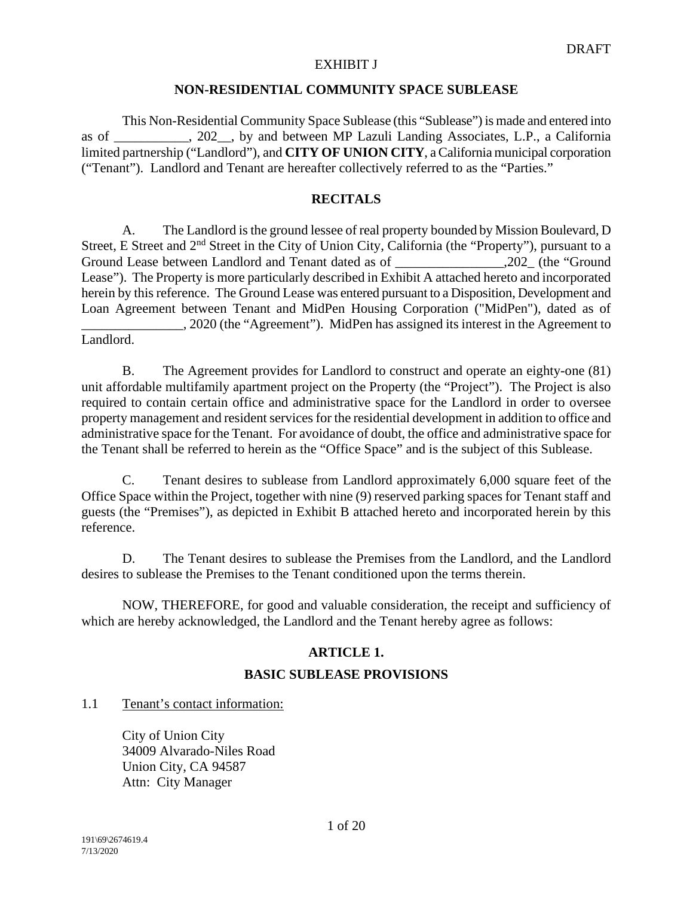#### **NON-RESIDENTIAL COMMUNITY SPACE SUBLEASE**

This Non-Residential Community Space Sublease (this "Sublease") is made and entered into as of \_\_\_\_\_\_\_\_\_\_\_, 202\_\_, by and between MP Lazuli Landing Associates, L.P., a California limited partnership ("Landlord"), and **CITY OF UNION CITY**, a California municipal corporation ("Tenant"). Landlord and Tenant are hereafter collectively referred to as the "Parties."

# **RECITALS**

A. The Landlord is the ground lessee of real property bounded by Mission Boulevard, D Street, E Street and 2<sup>nd</sup> Street in the City of Union City, California (the "Property"), pursuant to a Ground Lease between Landlord and Tenant dated as of \_\_\_\_\_\_\_\_\_\_\_\_\_\_\_\_\_\_,202\_ (the "Ground Lease"). The Property is more particularly described in Exhibit A attached hereto and incorporated herein by this reference. The Ground Lease was entered pursuant to a Disposition, Development and Loan Agreement between Tenant and MidPen Housing Corporation ("MidPen"), dated as of \_\_\_\_\_\_\_\_\_\_\_\_\_\_\_, 2020 (the "Agreement"). MidPen has assigned its interest in the Agreement to Landlord.

B. The Agreement provides for Landlord to construct and operate an eighty-one (81) unit affordable multifamily apartment project on the Property (the "Project"). The Project is also required to contain certain office and administrative space for the Landlord in order to oversee property management and resident services for the residential development in addition to office and administrative space for the Tenant. For avoidance of doubt, the office and administrative space for the Tenant shall be referred to herein as the "Office Space" and is the subject of this Sublease.

C. Tenant desires to sublease from Landlord approximately 6,000 square feet of the Office Space within the Project, together with nine (9) reserved parking spaces for Tenant staff and guests (the "Premises"), as depicted in Exhibit B attached hereto and incorporated herein by this reference.

D. The Tenant desires to sublease the Premises from the Landlord, and the Landlord desires to sublease the Premises to the Tenant conditioned upon the terms therein.

NOW, THEREFORE, for good and valuable consideration, the receipt and sufficiency of which are hereby acknowledged, the Landlord and the Tenant hereby agree as follows:

# **ARTICLE 1.**

# **BASIC SUBLEASE PROVISIONS**

1.1 Tenant's contact information:

City of Union City 34009 Alvarado-Niles Road Union City, CA 94587 Attn: City Manager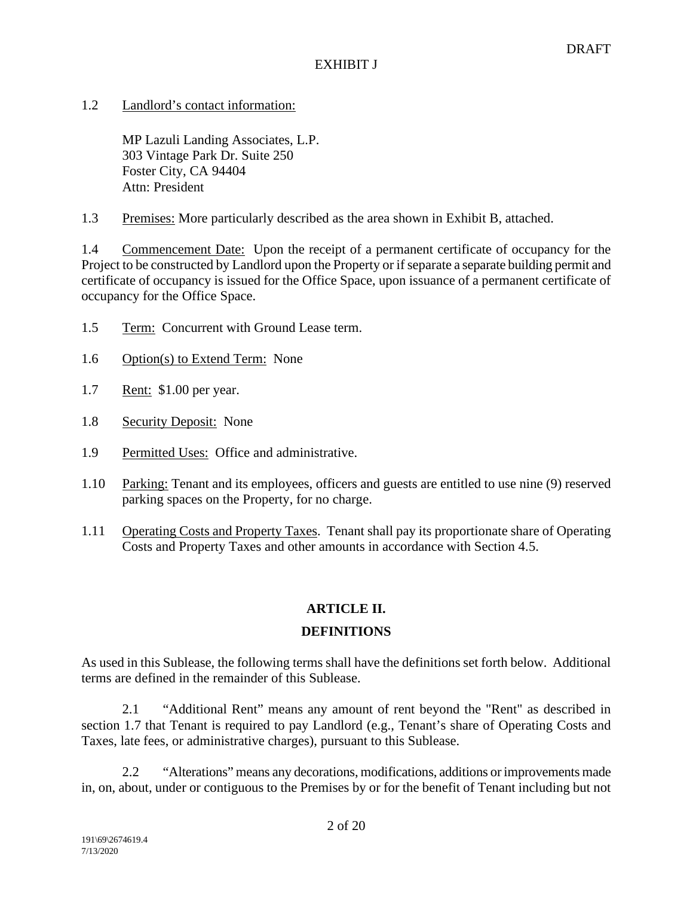1.2 Landlord's contact information:

MP Lazuli Landing Associates, L.P. 303 Vintage Park Dr. Suite 250 Foster City, CA 94404 Attn: President

1.3 Premises: More particularly described as the area shown in Exhibit B, attached.

1.4 Commencement Date:Upon the receipt of a permanent certificate of occupancy for the Project to be constructed by Landlord upon the Property or if separate a separate building permit and certificate of occupancy is issued for the Office Space, upon issuance of a permanent certificate of occupancy for the Office Space.

- 1.5 Term:Concurrent with Ground Lease term.
- 1.6 Option(s) to Extend Term:None
- 1.7 Rent:\$1.00 per year.
- 1.8 Security Deposit:None
- 1.9 Permitted Uses:Office and administrative.
- 1.10 Parking: Tenant and its employees, officers and guests are entitled to use nine (9) reserved parking spaces on the Property, for no charge.
- 1.11 Operating Costs and Property Taxes. Tenant shall pay its proportionate share of Operating Costs and Property Taxes and other amounts in accordance with Section 4.5.

# **ARTICLE II.**

# **DEFINITIONS**

As used in this Sublease, the following terms shall have the definitions set forth below. Additional terms are defined in the remainder of this Sublease.

2.1 "Additional Rent" means any amount of rent beyond the "Rent" as described in section 1.7 that Tenant is required to pay Landlord (e.g., Tenant's share of Operating Costs and Taxes, late fees, or administrative charges), pursuant to this Sublease.

2.2 "Alterations" means any decorations, modifications, additions or improvements made in, on, about, under or contiguous to the Premises by or for the benefit of Tenant including but not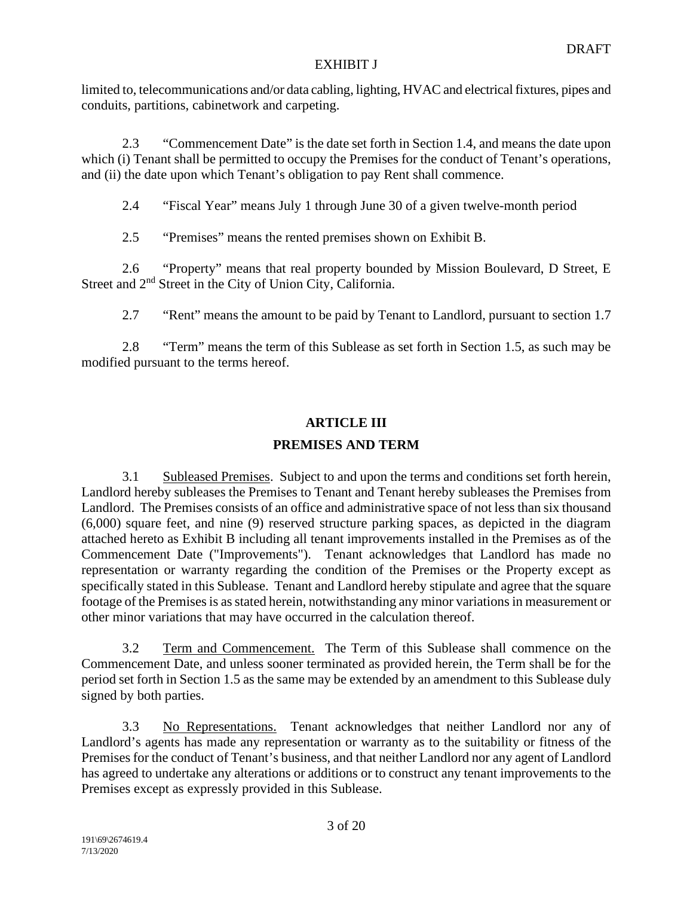limited to, telecommunications and/or data cabling, lighting, HVAC and electrical fixtures, pipes and conduits, partitions, cabinetwork and carpeting.

2.3 "Commencement Date" is the date set forth in Section 1.4, and means the date upon which (i) Tenant shall be permitted to occupy the Premises for the conduct of Tenant's operations, and (ii) the date upon which Tenant's obligation to pay Rent shall commence.

2.4 "Fiscal Year" means July 1 through June 30 of a given twelve-month period

2.5 "Premises" means the rented premises shown on Exhibit B.

2.6 "Property" means that real property bounded by Mission Boulevard, D Street, E Street and  $2<sup>nd</sup>$  Street in the City of Union City, California.

2.7 "Rent" means the amount to be paid by Tenant to Landlord, pursuant to section 1.7

2.8 "Term" means the term of this Sublease as set forth in Section 1.5, as such may be modified pursuant to the terms hereof.

# **ARTICLE III**

# **PREMISES AND TERM**

3.1 Subleased Premises. Subject to and upon the terms and conditions set forth herein, Landlord hereby subleases the Premises to Tenant and Tenant hereby subleases the Premises from Landlord. The Premises consists of an office and administrative space of not less than six thousand (6,000) square feet, and nine (9) reserved structure parking spaces, as depicted in the diagram attached hereto as Exhibit B including all tenant improvements installed in the Premises as of the Commencement Date ("Improvements"). Tenant acknowledges that Landlord has made no representation or warranty regarding the condition of the Premises or the Property except as specifically stated in this Sublease. Tenant and Landlord hereby stipulate and agree that the square footage of the Premises is as stated herein, notwithstanding any minor variations in measurement or other minor variations that may have occurred in the calculation thereof.

3.2 Term and Commencement. The Term of this Sublease shall commence on the Commencement Date, and unless sooner terminated as provided herein, the Term shall be for the period set forth in Section 1.5 as the same may be extended by an amendment to this Sublease duly signed by both parties.

3.3 No Representations. Tenant acknowledges that neither Landlord nor any of Landlord's agents has made any representation or warranty as to the suitability or fitness of the Premises for the conduct of Tenant's business, and that neither Landlord nor any agent of Landlord has agreed to undertake any alterations or additions or to construct any tenant improvements to the Premises except as expressly provided in this Sublease.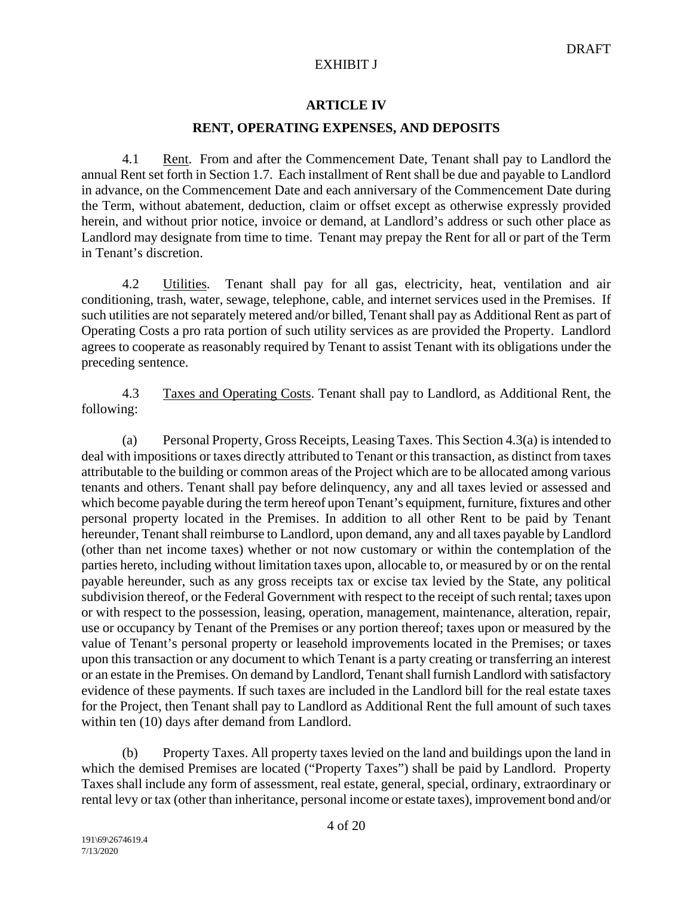# **ARTICLE IV**

# **RENT, OPERATING EXPENSES, AND DEPOSITS**

4.1 Rent. From and after the Commencement Date, Tenant shall pay to Landlord the annual Rent set forth in Section 1.7. Each installment of Rent shall be due and payable to Landlord in advance, on the Commencement Date and each anniversary of the Commencement Date during the Term, without abatement, deduction, claim or offset except as otherwise expressly provided herein, and without prior notice, invoice or demand, at Landlord's address or such other place as Landlord may designate from time to time. Tenant may prepay the Rent for all or part of the Term in Tenant's discretion.

4.2 Utilities. Tenant shall pay for all gas, electricity, heat, ventilation and air conditioning, trash, water, sewage, telephone, cable, and internet services used in the Premises. If such utilities are not separately metered and/or billed, Tenant shall pay as Additional Rent as part of Operating Costs a pro rata portion of such utility services as are provided the Property. Landlord agrees to cooperate as reasonably required by Tenant to assist Tenant with its obligations under the preceding sentence.

4.3 Taxes and Operating Costs. Tenant shall pay to Landlord, as Additional Rent, the following:

(a) Personal Property, Gross Receipts, Leasing Taxes. This Section 4.3(a) is intended to deal with impositions or taxes directly attributed to Tenant or this transaction, as distinct from taxes attributable to the building or common areas of the Project which are to be allocated among various tenants and others. Tenant shall pay before delinquency, any and all taxes levied or assessed and which become payable during the term hereof upon Tenant's equipment, furniture, fixtures and other personal property located in the Premises. In addition to all other Rent to be paid by Tenant hereunder, Tenant shall reimburse to Landlord, upon demand, any and all taxes payable by Landlord (other than net income taxes) whether or not now customary or within the contemplation of the parties hereto, including without limitation taxes upon, allocable to, or measured by or on the rental payable hereunder, such as any gross receipts tax or excise tax levied by the State, any political subdivision thereof, or the Federal Government with respect to the receipt of such rental; taxes upon or with respect to the possession, leasing, operation, management, maintenance, alteration, repair, use or occupancy by Tenant of the Premises or any portion thereof; taxes upon or measured by the value of Tenant's personal property or leasehold improvements located in the Premises; or taxes upon this transaction or any document to which Tenant is a party creating or transferring an interest or an estate in the Premises. On demand by Landlord, Tenant shall furnish Landlord with satisfactory evidence of these payments. If such taxes are included in the Landlord bill for the real estate taxes for the Project, then Tenant shall pay to Landlord as Additional Rent the full amount of such taxes within ten (10) days after demand from Landlord.

(b) Property Taxes. All property taxes levied on the land and buildings upon the land in which the demised Premises are located ("Property Taxes") shall be paid by Landlord. Property Taxes shall include any form of assessment, real estate, general, special, ordinary, extraordinary or rental levy or tax (other than inheritance, personal income or estate taxes), improvement bond and/or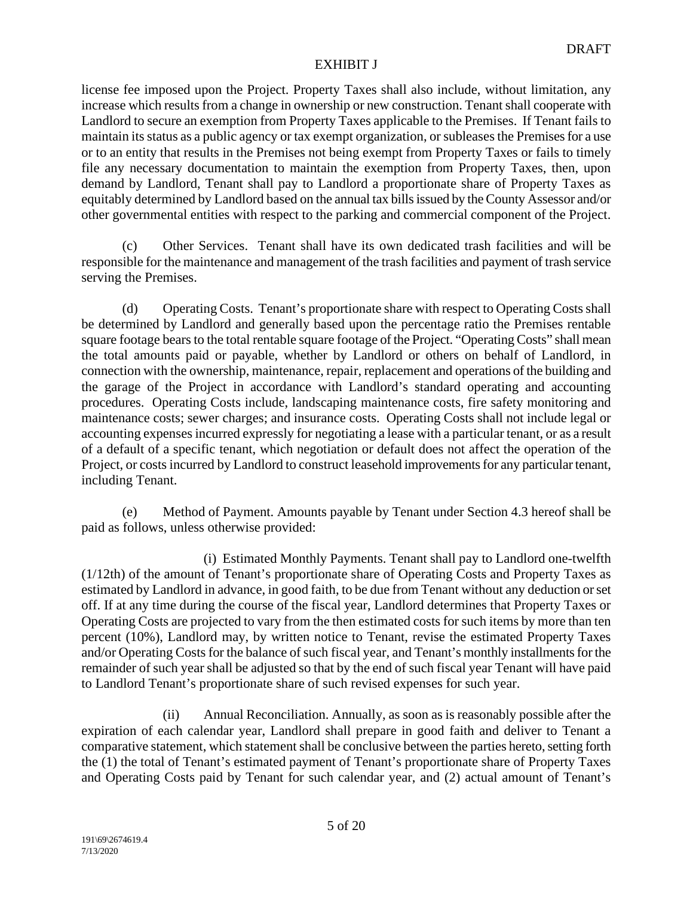license fee imposed upon the Project. Property Taxes shall also include, without limitation, any increase which results from a change in ownership or new construction. Tenant shall cooperate with Landlord to secure an exemption from Property Taxes applicable to the Premises. If Tenant fails to maintain its status as a public agency or tax exempt organization, or subleases the Premises for a use or to an entity that results in the Premises not being exempt from Property Taxes or fails to timely file any necessary documentation to maintain the exemption from Property Taxes, then, upon demand by Landlord, Tenant shall pay to Landlord a proportionate share of Property Taxes as equitably determined by Landlord based on the annual tax bills issued by the County Assessor and/or other governmental entities with respect to the parking and commercial component of the Project.

(c) Other Services. Tenant shall have its own dedicated trash facilities and will be responsible for the maintenance and management of the trash facilities and payment of trash service serving the Premises.

(d) Operating Costs. Tenant's proportionate share with respect to Operating Costs shall be determined by Landlord and generally based upon the percentage ratio the Premises rentable square footage bears to the total rentable square footage of the Project. "Operating Costs" shall mean the total amounts paid or payable, whether by Landlord or others on behalf of Landlord, in connection with the ownership, maintenance, repair, replacement and operations of the building and the garage of the Project in accordance with Landlord's standard operating and accounting procedures. Operating Costs include, landscaping maintenance costs, fire safety monitoring and maintenance costs; sewer charges; and insurance costs. Operating Costs shall not include legal or accounting expenses incurred expressly for negotiating a lease with a particular tenant, or as a result of a default of a specific tenant, which negotiation or default does not affect the operation of the Project, or costs incurred by Landlord to construct leasehold improvements for any particular tenant, including Tenant.

(e) Method of Payment. Amounts payable by Tenant under Section 4.3 hereof shall be paid as follows, unless otherwise provided:

(i) Estimated Monthly Payments. Tenant shall pay to Landlord one-twelfth (1/12th) of the amount of Tenant's proportionate share of Operating Costs and Property Taxes as estimated by Landlord in advance, in good faith, to be due from Tenant without any deduction or set off. If at any time during the course of the fiscal year, Landlord determines that Property Taxes or Operating Costs are projected to vary from the then estimated costs for such items by more than ten percent (10%), Landlord may, by written notice to Tenant, revise the estimated Property Taxes and/or Operating Costs for the balance of such fiscal year, and Tenant's monthly installments for the remainder of such year shall be adjusted so that by the end of such fiscal year Tenant will have paid to Landlord Tenant's proportionate share of such revised expenses for such year.

(ii) Annual Reconciliation. Annually, as soon as is reasonably possible after the expiration of each calendar year, Landlord shall prepare in good faith and deliver to Tenant a comparative statement, which statement shall be conclusive between the parties hereto, setting forth the (1) the total of Tenant's estimated payment of Tenant's proportionate share of Property Taxes and Operating Costs paid by Tenant for such calendar year, and (2) actual amount of Tenant's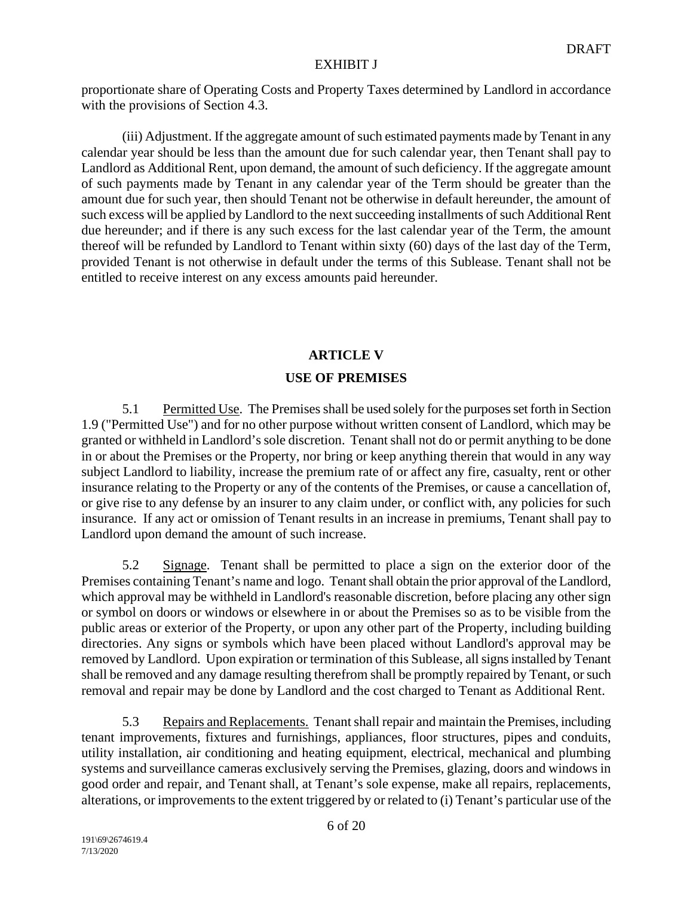proportionate share of Operating Costs and Property Taxes determined by Landlord in accordance with the provisions of Section 4.3.

(iii) Adjustment. If the aggregate amount of such estimated payments made by Tenant in any calendar year should be less than the amount due for such calendar year, then Tenant shall pay to Landlord as Additional Rent, upon demand, the amount of such deficiency. If the aggregate amount of such payments made by Tenant in any calendar year of the Term should be greater than the amount due for such year, then should Tenant not be otherwise in default hereunder, the amount of such excess will be applied by Landlord to the next succeeding installments of such Additional Rent due hereunder; and if there is any such excess for the last calendar year of the Term, the amount thereof will be refunded by Landlord to Tenant within sixty (60) days of the last day of the Term, provided Tenant is not otherwise in default under the terms of this Sublease. Tenant shall not be entitled to receive interest on any excess amounts paid hereunder.

# **ARTICLE V USE OF PREMISES**

5.1 Permitted Use. The Premises shall be used solely for the purposes set forth in Section 1.9 ("Permitted Use") and for no other purpose without written consent of Landlord, which may be granted or withheld in Landlord's sole discretion. Tenant shall not do or permit anything to be done in or about the Premises or the Property, nor bring or keep anything therein that would in any way subject Landlord to liability, increase the premium rate of or affect any fire, casualty, rent or other insurance relating to the Property or any of the contents of the Premises, or cause a cancellation of, or give rise to any defense by an insurer to any claim under, or conflict with, any policies for such insurance. If any act or omission of Tenant results in an increase in premiums, Tenant shall pay to Landlord upon demand the amount of such increase.

5.2 Signage. Tenant shall be permitted to place a sign on the exterior door of the Premises containing Tenant's name and logo. Tenant shall obtain the prior approval of the Landlord, which approval may be withheld in Landlord's reasonable discretion, before placing any other sign or symbol on doors or windows or elsewhere in or about the Premises so as to be visible from the public areas or exterior of the Property, or upon any other part of the Property, including building directories. Any signs or symbols which have been placed without Landlord's approval may be removed by Landlord. Upon expiration or termination of this Sublease, all signs installed by Tenant shall be removed and any damage resulting therefrom shall be promptly repaired by Tenant, or such removal and repair may be done by Landlord and the cost charged to Tenant as Additional Rent.

5.3 Repairs and Replacements. Tenant shall repair and maintain the Premises, including tenant improvements, fixtures and furnishings, appliances, floor structures, pipes and conduits, utility installation, air conditioning and heating equipment, electrical, mechanical and plumbing systems and surveillance cameras exclusively serving the Premises, glazing, doors and windows in good order and repair, and Tenant shall, at Tenant's sole expense, make all repairs, replacements, alterations, or improvements to the extent triggered by or related to (i) Tenant's particular use of the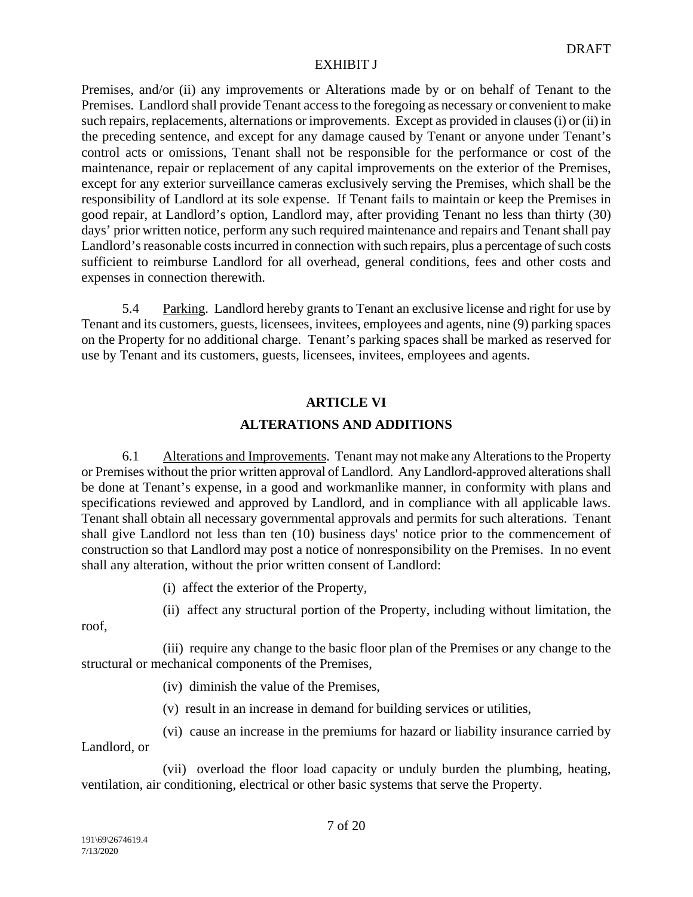Premises, and/or (ii) any improvements or Alterations made by or on behalf of Tenant to the Premises. Landlord shall provide Tenant access to the foregoing as necessary or convenient to make such repairs, replacements, alternations or improvements. Except as provided in clauses (i) or (ii) in the preceding sentence, and except for any damage caused by Tenant or anyone under Tenant's control acts or omissions, Tenant shall not be responsible for the performance or cost of the maintenance, repair or replacement of any capital improvements on the exterior of the Premises, except for any exterior surveillance cameras exclusively serving the Premises, which shall be the responsibility of Landlord at its sole expense. If Tenant fails to maintain or keep the Premises in good repair, at Landlord's option, Landlord may, after providing Tenant no less than thirty (30) days' prior written notice, perform any such required maintenance and repairs and Tenant shall pay Landlord's reasonable costs incurred in connection with such repairs, plus a percentage of such costs sufficient to reimburse Landlord for all overhead, general conditions, fees and other costs and expenses in connection therewith.

5.4 Parking. Landlord hereby grants to Tenant an exclusive license and right for use by Tenant and its customers, guests, licensees, invitees, employees and agents, nine (9) parking spaces on the Property for no additional charge. Tenant's parking spaces shall be marked as reserved for use by Tenant and its customers, guests, licensees, invitees, employees and agents.

# **ARTICLE VI**

# **ALTERATIONS AND ADDITIONS**

6.1 Alterations and Improvements. Tenant may not make any Alterations to the Property or Premises without the prior written approval of Landlord. Any Landlord-approved alterations shall be done at Tenant's expense, in a good and workmanlike manner, in conformity with plans and specifications reviewed and approved by Landlord, and in compliance with all applicable laws. Tenant shall obtain all necessary governmental approvals and permits for such alterations. Tenant shall give Landlord not less than ten (10) business days' notice prior to the commencement of construction so that Landlord may post a notice of nonresponsibility on the Premises. In no event shall any alteration, without the prior written consent of Landlord:

(i) affect the exterior of the Property,

(ii) affect any structural portion of the Property, including without limitation, the

roof,

(iii) require any change to the basic floor plan of the Premises or any change to the structural or mechanical components of the Premises,

(iv) diminish the value of the Premises,

(v) result in an increase in demand for building services or utilities,

(vi) cause an increase in the premiums for hazard or liability insurance carried by Landlord, or

(vii) overload the floor load capacity or unduly burden the plumbing, heating, ventilation, air conditioning, electrical or other basic systems that serve the Property.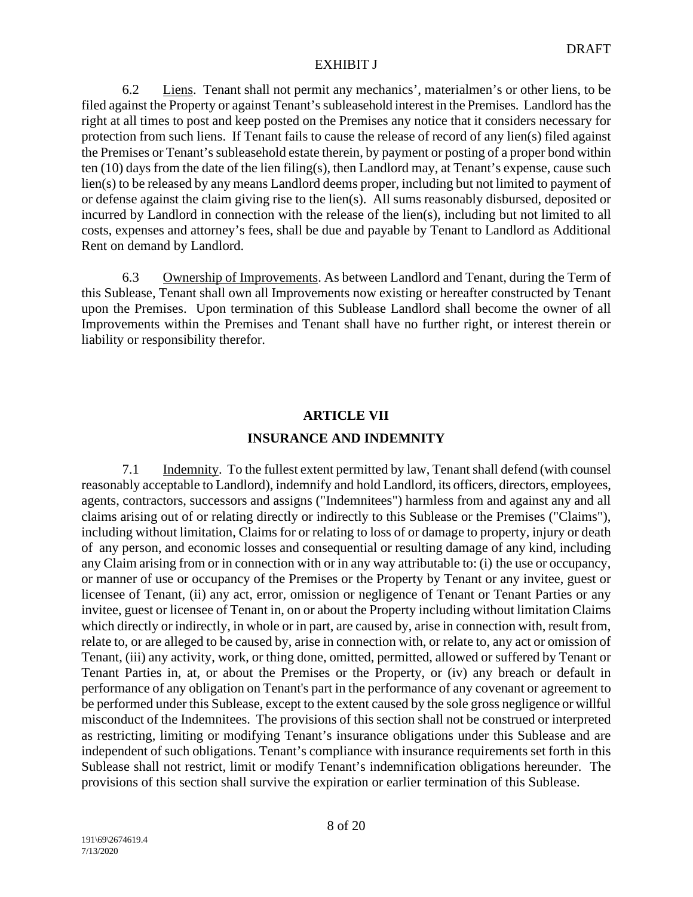6.2 Liens. Tenant shall not permit any mechanics', materialmen's or other liens, to be filed against the Property or against Tenant's subleasehold interest in the Premises. Landlord has the right at all times to post and keep posted on the Premises any notice that it considers necessary for protection from such liens. If Tenant fails to cause the release of record of any lien(s) filed against the Premises or Tenant's subleasehold estate therein, by payment or posting of a proper bond within ten (10) days from the date of the lien filing(s), then Landlord may, at Tenant's expense, cause such lien(s) to be released by any means Landlord deems proper, including but not limited to payment of or defense against the claim giving rise to the lien(s). All sums reasonably disbursed, deposited or incurred by Landlord in connection with the release of the lien(s), including but not limited to all costs, expenses and attorney's fees, shall be due and payable by Tenant to Landlord as Additional Rent on demand by Landlord.

6.3 Ownership of Improvements. As between Landlord and Tenant, during the Term of this Sublease, Tenant shall own all Improvements now existing or hereafter constructed by Tenant upon the Premises. Upon termination of this Sublease Landlord shall become the owner of all Improvements within the Premises and Tenant shall have no further right, or interest therein or liability or responsibility therefor.

# **ARTICLE VII**

# **INSURANCE AND INDEMNITY**

7.1 Indemnity. To the fullest extent permitted by law, Tenant shall defend (with counsel reasonably acceptable to Landlord), indemnify and hold Landlord, its officers, directors, employees, agents, contractors, successors and assigns ("Indemnitees") harmless from and against any and all claims arising out of or relating directly or indirectly to this Sublease or the Premises ("Claims"), including without limitation, Claims for or relating to loss of or damage to property, injury or death of any person, and economic losses and consequential or resulting damage of any kind, including any Claim arising from or in connection with or in any way attributable to: (i) the use or occupancy, or manner of use or occupancy of the Premises or the Property by Tenant or any invitee, guest or licensee of Tenant, (ii) any act, error, omission or negligence of Tenant or Tenant Parties or any invitee, guest or licensee of Tenant in, on or about the Property including without limitation Claims which directly or indirectly, in whole or in part, are caused by, arise in connection with, result from, relate to, or are alleged to be caused by, arise in connection with, or relate to, any act or omission of Tenant, (iii) any activity, work, or thing done, omitted, permitted, allowed or suffered by Tenant or Tenant Parties in, at, or about the Premises or the Property, or (iv) any breach or default in performance of any obligation on Tenant's part in the performance of any covenant or agreement to be performed under this Sublease, except to the extent caused by the sole gross negligence or willful misconduct of the Indemnitees. The provisions of this section shall not be construed or interpreted as restricting, limiting or modifying Tenant's insurance obligations under this Sublease and are independent of such obligations. Tenant's compliance with insurance requirements set forth in this Sublease shall not restrict, limit or modify Tenant's indemnification obligations hereunder. The provisions of this section shall survive the expiration or earlier termination of this Sublease.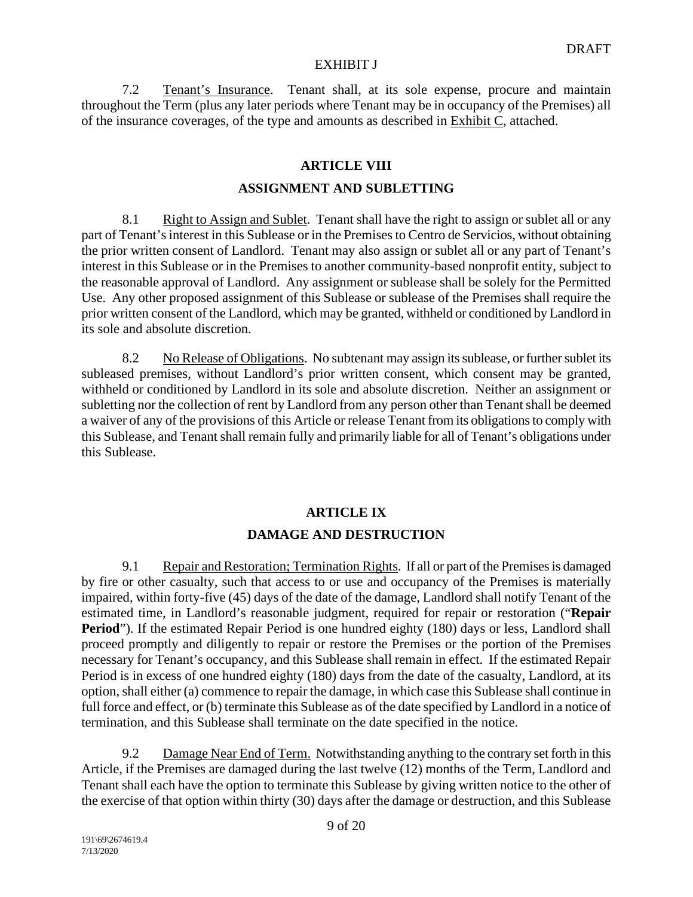7.2 Tenant's Insurance. Tenant shall, at its sole expense, procure and maintain throughout the Term (plus any later periods where Tenant may be in occupancy of the Premises) all of the insurance coverages, of the type and amounts as described in Exhibit C, attached.

# **ARTICLE VIII**

## **ASSIGNMENT AND SUBLETTING**

8.1 Right to Assign and Sublet. Tenant shall have the right to assign or sublet all or any part of Tenant's interest in this Sublease or in the Premises to Centro de Servicios, without obtaining the prior written consent of Landlord. Tenant may also assign or sublet all or any part of Tenant's interest in this Sublease or in the Premises to another community-based nonprofit entity, subject to the reasonable approval of Landlord. Any assignment or sublease shall be solely for the Permitted Use. Any other proposed assignment of this Sublease or sublease of the Premises shall require the prior written consent of the Landlord, which may be granted, withheld or conditioned by Landlord in its sole and absolute discretion.

8.2 No Release of Obligations. No subtenant may assign its sublease, or further sublet its subleased premises, without Landlord's prior written consent, which consent may be granted, withheld or conditioned by Landlord in its sole and absolute discretion. Neither an assignment or subletting nor the collection of rent by Landlord from any person other than Tenant shall be deemed a waiver of any of the provisions of this Article or release Tenant from its obligations to comply with this Sublease, and Tenant shall remain fully and primarily liable for all of Tenant's obligations under this Sublease.

# **ARTICLE IX**

# **DAMAGE AND DESTRUCTION**

9.1 Repair and Restoration; Termination Rights. If all or part of the Premises is damaged by fire or other casualty, such that access to or use and occupancy of the Premises is materially impaired, within forty-five (45) days of the date of the damage, Landlord shall notify Tenant of the estimated time, in Landlord's reasonable judgment, required for repair or restoration ("**Repair Period**"). If the estimated Repair Period is one hundred eighty (180) days or less, Landlord shall proceed promptly and diligently to repair or restore the Premises or the portion of the Premises necessary for Tenant's occupancy, and this Sublease shall remain in effect. If the estimated Repair Period is in excess of one hundred eighty (180) days from the date of the casualty, Landlord, at its option, shall either (a) commence to repair the damage, in which case this Sublease shall continue in full force and effect, or (b) terminate this Sublease as of the date specified by Landlord in a notice of termination, and this Sublease shall terminate on the date specified in the notice.

9.2 Damage Near End of Term. Notwithstanding anything to the contrary set forth in this Article, if the Premises are damaged during the last twelve (12) months of the Term, Landlord and Tenant shall each have the option to terminate this Sublease by giving written notice to the other of the exercise of that option within thirty (30) days after the damage or destruction, and this Sublease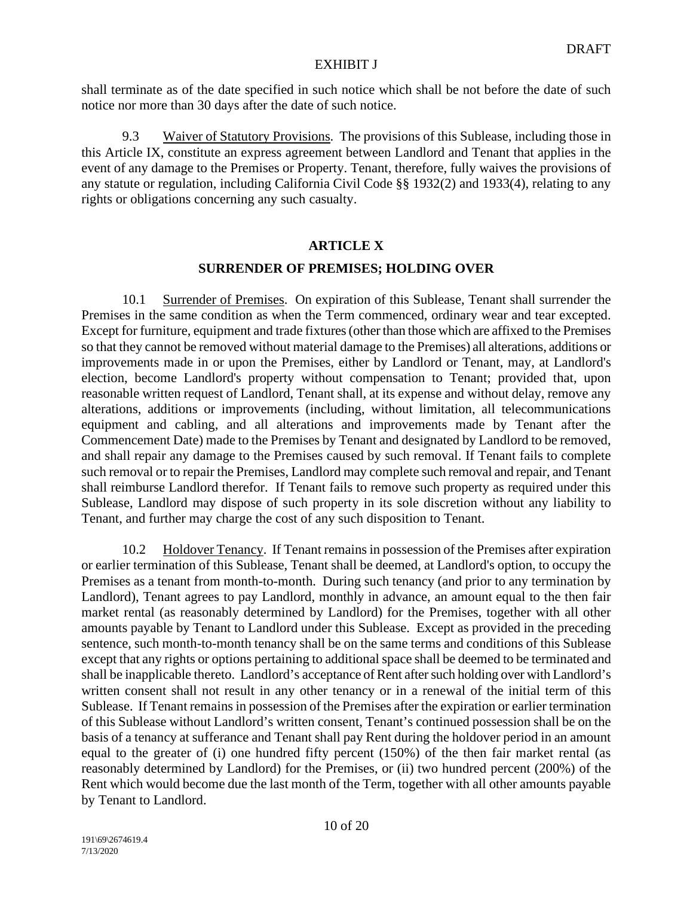shall terminate as of the date specified in such notice which shall be not before the date of such notice nor more than 30 days after the date of such notice.

9.3 Waiver of Statutory Provisions. The provisions of this Sublease, including those in this Article IX, constitute an express agreement between Landlord and Tenant that applies in the event of any damage to the Premises or Property. Tenant, therefore, fully waives the provisions of any statute or regulation, including California Civil Code §§ 1932(2) and 1933(4), relating to any rights or obligations concerning any such casualty.

# **ARTICLE X**

# **SURRENDER OF PREMISES; HOLDING OVER**

10.1 Surrender of Premises. On expiration of this Sublease, Tenant shall surrender the Premises in the same condition as when the Term commenced, ordinary wear and tear excepted. Except for furniture, equipment and trade fixtures (other than those which are affixed to the Premises so that they cannot be removed without material damage to the Premises) all alterations, additions or improvements made in or upon the Premises, either by Landlord or Tenant, may, at Landlord's election, become Landlord's property without compensation to Tenant; provided that, upon reasonable written request of Landlord, Tenant shall, at its expense and without delay, remove any alterations, additions or improvements (including, without limitation, all telecommunications equipment and cabling, and all alterations and improvements made by Tenant after the Commencement Date) made to the Premises by Tenant and designated by Landlord to be removed, and shall repair any damage to the Premises caused by such removal. If Tenant fails to complete such removal or to repair the Premises, Landlord may complete such removal and repair, and Tenant shall reimburse Landlord therefor. If Tenant fails to remove such property as required under this Sublease, Landlord may dispose of such property in its sole discretion without any liability to Tenant, and further may charge the cost of any such disposition to Tenant.

10.2 Holdover Tenancy. If Tenant remains in possession of the Premises after expiration or earlier termination of this Sublease, Tenant shall be deemed, at Landlord's option, to occupy the Premises as a tenant from month-to-month. During such tenancy (and prior to any termination by Landlord), Tenant agrees to pay Landlord, monthly in advance, an amount equal to the then fair market rental (as reasonably determined by Landlord) for the Premises, together with all other amounts payable by Tenant to Landlord under this Sublease. Except as provided in the preceding sentence, such month-to-month tenancy shall be on the same terms and conditions of this Sublease except that any rights or options pertaining to additional space shall be deemed to be terminated and shall be inapplicable thereto. Landlord's acceptance of Rent after such holding over with Landlord's written consent shall not result in any other tenancy or in a renewal of the initial term of this Sublease. If Tenant remains in possession of the Premises after the expiration or earlier termination of this Sublease without Landlord's written consent, Tenant's continued possession shall be on the basis of a tenancy at sufferance and Tenant shall pay Rent during the holdover period in an amount equal to the greater of (i) one hundred fifty percent (150%) of the then fair market rental (as reasonably determined by Landlord) for the Premises, or (ii) two hundred percent (200%) of the Rent which would become due the last month of the Term, together with all other amounts payable by Tenant to Landlord.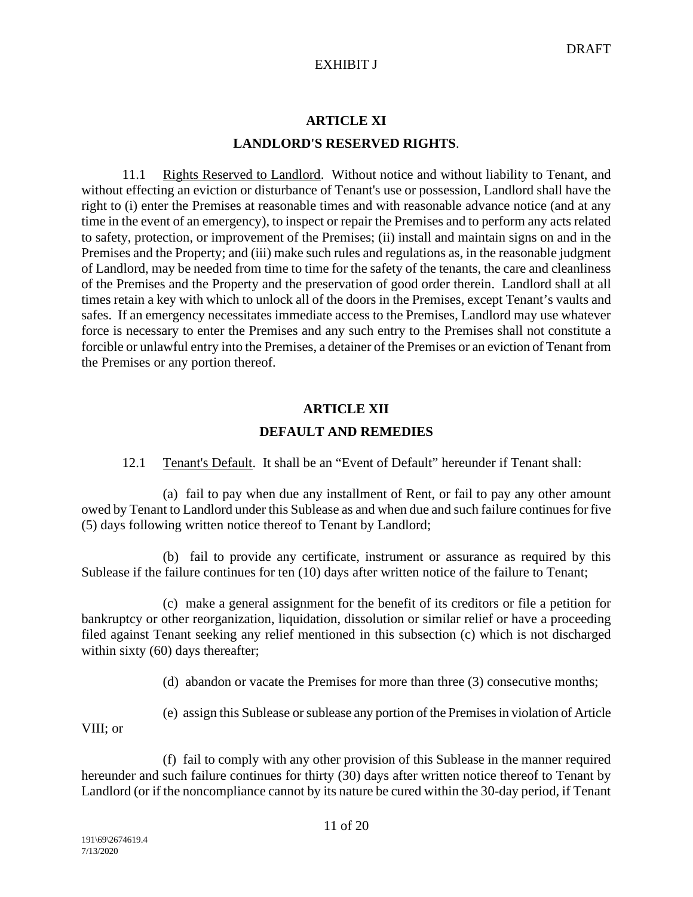# **ARTICLE XI LANDLORD'S RESERVED RIGHTS**.

11.1 Rights Reserved to Landlord. Without notice and without liability to Tenant, and without effecting an eviction or disturbance of Tenant's use or possession, Landlord shall have the right to (i) enter the Premises at reasonable times and with reasonable advance notice (and at any time in the event of an emergency), to inspect or repair the Premises and to perform any acts related to safety, protection, or improvement of the Premises; (ii) install and maintain signs on and in the Premises and the Property; and (iii) make such rules and regulations as, in the reasonable judgment of Landlord, may be needed from time to time for the safety of the tenants, the care and cleanliness of the Premises and the Property and the preservation of good order therein. Landlord shall at all times retain a key with which to unlock all of the doors in the Premises, except Tenant's vaults and safes. If an emergency necessitates immediate access to the Premises, Landlord may use whatever force is necessary to enter the Premises and any such entry to the Premises shall not constitute a forcible or unlawful entry into the Premises, a detainer of the Premises or an eviction of Tenant from the Premises or any portion thereof.

# **ARTICLE XII DEFAULT AND REMEDIES**

12.1 Tenant's Default. It shall be an "Event of Default" hereunder if Tenant shall:

(a) fail to pay when due any installment of Rent, or fail to pay any other amount owed by Tenant to Landlord under this Sublease as and when due and such failure continues for five (5) days following written notice thereof to Tenant by Landlord;

(b) fail to provide any certificate, instrument or assurance as required by this Sublease if the failure continues for ten (10) days after written notice of the failure to Tenant;

(c) make a general assignment for the benefit of its creditors or file a petition for bankruptcy or other reorganization, liquidation, dissolution or similar relief or have a proceeding filed against Tenant seeking any relief mentioned in this subsection (c) which is not discharged within sixty (60) days thereafter;

(d) abandon or vacate the Premises for more than three (3) consecutive months;

(e) assign this Sublease or sublease any portion of the Premises in violation of Article

VIII; or

(f) fail to comply with any other provision of this Sublease in the manner required hereunder and such failure continues for thirty (30) days after written notice thereof to Tenant by Landlord (or if the noncompliance cannot by its nature be cured within the 30-day period, if Tenant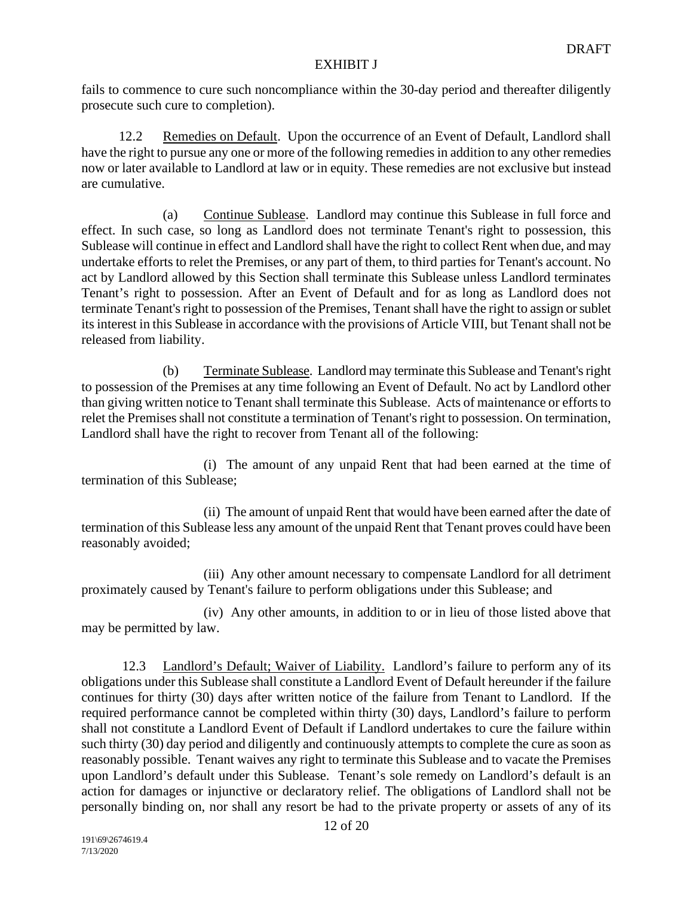fails to commence to cure such noncompliance within the 30-day period and thereafter diligently prosecute such cure to completion).

 12.2 Remedies on Default. Upon the occurrence of an Event of Default, Landlord shall have the right to pursue any one or more of the following remedies in addition to any other remedies now or later available to Landlord at law or in equity. These remedies are not exclusive but instead are cumulative.

(a) Continue Sublease. Landlord may continue this Sublease in full force and effect. In such case, so long as Landlord does not terminate Tenant's right to possession, this Sublease will continue in effect and Landlord shall have the right to collect Rent when due, and may undertake efforts to relet the Premises, or any part of them, to third parties for Tenant's account. No act by Landlord allowed by this Section shall terminate this Sublease unless Landlord terminates Tenant's right to possession. After an Event of Default and for as long as Landlord does not terminate Tenant's right to possession of the Premises, Tenant shall have the right to assign or sublet its interest in this Sublease in accordance with the provisions of Article VIII, but Tenant shall not be released from liability.

(b) Terminate Sublease. Landlord may terminate this Sublease and Tenant's right to possession of the Premises at any time following an Event of Default. No act by Landlord other than giving written notice to Tenant shall terminate this Sublease. Acts of maintenance or efforts to relet the Premises shall not constitute a termination of Tenant's right to possession. On termination, Landlord shall have the right to recover from Tenant all of the following:

(i) The amount of any unpaid Rent that had been earned at the time of termination of this Sublease;

(ii) The amount of unpaid Rent that would have been earned after the date of termination of this Sublease less any amount of the unpaid Rent that Tenant proves could have been reasonably avoided;

(iii) Any other amount necessary to compensate Landlord for all detriment proximately caused by Tenant's failure to perform obligations under this Sublease; and

(iv) Any other amounts, in addition to or in lieu of those listed above that may be permitted by law.

12.3 Landlord's Default; Waiver of Liability. Landlord's failure to perform any of its obligations under this Sublease shall constitute a Landlord Event of Default hereunder if the failure continues for thirty (30) days after written notice of the failure from Tenant to Landlord. If the required performance cannot be completed within thirty (30) days, Landlord's failure to perform shall not constitute a Landlord Event of Default if Landlord undertakes to cure the failure within such thirty (30) day period and diligently and continuously attempts to complete the cure as soon as reasonably possible. Tenant waives any right to terminate this Sublease and to vacate the Premises upon Landlord's default under this Sublease. Tenant's sole remedy on Landlord's default is an action for damages or injunctive or declaratory relief. The obligations of Landlord shall not be personally binding on, nor shall any resort be had to the private property or assets of any of its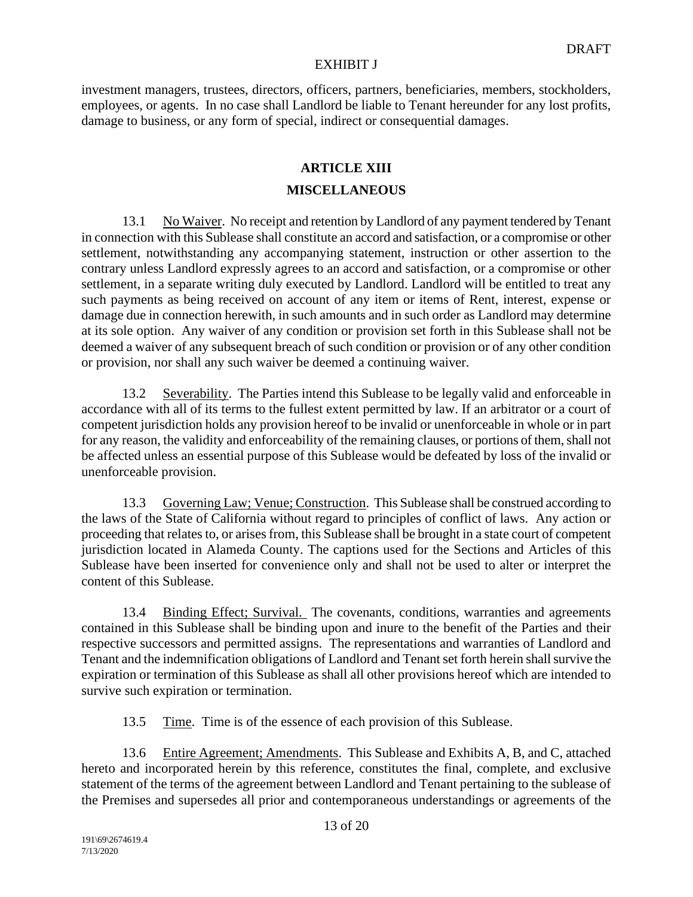investment managers, trustees, directors, officers, partners, beneficiaries, members, stockholders, employees, or agents. In no case shall Landlord be liable to Tenant hereunder for any lost profits, damage to business, or any form of special, indirect or consequential damages.

# **ARTICLE XIII**

# **MISCELLANEOUS**

13.1 No Waiver. No receipt and retention by Landlord of any payment tendered by Tenant in connection with this Sublease shall constitute an accord and satisfaction, or a compromise or other settlement, notwithstanding any accompanying statement, instruction or other assertion to the contrary unless Landlord expressly agrees to an accord and satisfaction, or a compromise or other settlement, in a separate writing duly executed by Landlord. Landlord will be entitled to treat any such payments as being received on account of any item or items of Rent, interest, expense or damage due in connection herewith, in such amounts and in such order as Landlord may determine at its sole option. Any waiver of any condition or provision set forth in this Sublease shall not be deemed a waiver of any subsequent breach of such condition or provision or of any other condition or provision, nor shall any such waiver be deemed a continuing waiver.

13.2 Severability. The Parties intend this Sublease to be legally valid and enforceable in accordance with all of its terms to the fullest extent permitted by law. If an arbitrator or a court of competent jurisdiction holds any provision hereof to be invalid or unenforceable in whole or in part for any reason, the validity and enforceability of the remaining clauses, or portions of them, shall not be affected unless an essential purpose of this Sublease would be defeated by loss of the invalid or unenforceable provision.

13.3 Governing Law; Venue; Construction. This Sublease shall be construed according to the laws of the State of California without regard to principles of conflict of laws. Any action or proceeding that relates to, or arises from, this Sublease shall be brought in a state court of competent jurisdiction located in Alameda County. The captions used for the Sections and Articles of this Sublease have been inserted for convenience only and shall not be used to alter or interpret the content of this Sublease.

13.4 Binding Effect; Survival. The covenants, conditions, warranties and agreements contained in this Sublease shall be binding upon and inure to the benefit of the Parties and their respective successors and permitted assigns. The representations and warranties of Landlord and Tenant and the indemnification obligations of Landlord and Tenant set forth herein shall survive the expiration or termination of this Sublease as shall all other provisions hereof which are intended to survive such expiration or termination.

13.5 Time. Time is of the essence of each provision of this Sublease.

13.6 Entire Agreement; Amendments. This Sublease and Exhibits A, B, and C, attached hereto and incorporated herein by this reference, constitutes the final, complete, and exclusive statement of the terms of the agreement between Landlord and Tenant pertaining to the sublease of the Premises and supersedes all prior and contemporaneous understandings or agreements of the

7/13/2020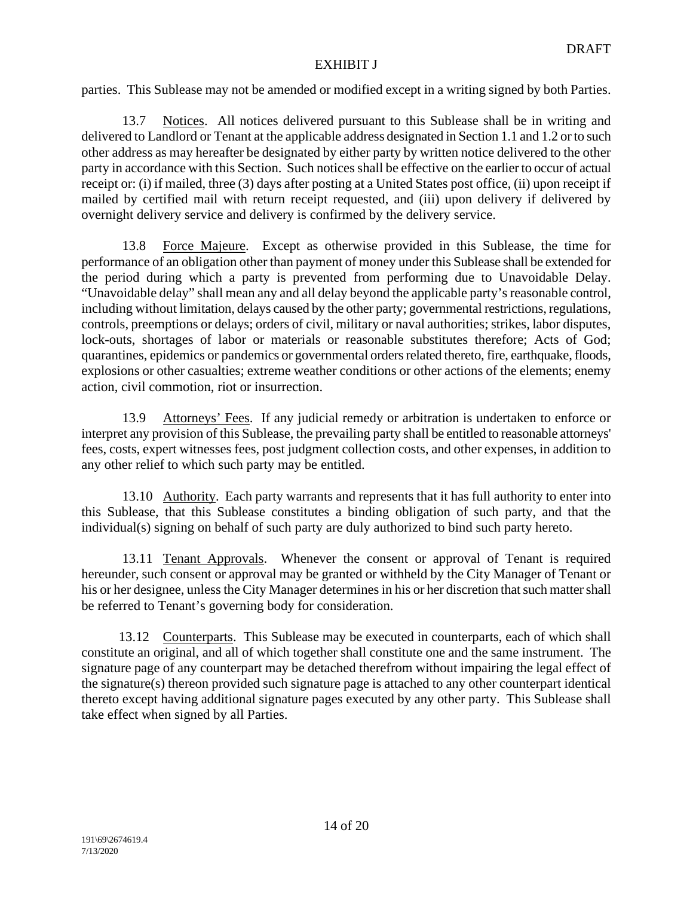parties. This Sublease may not be amended or modified except in a writing signed by both Parties.

13.7 Notices. All notices delivered pursuant to this Sublease shall be in writing and delivered to Landlord or Tenant at the applicable address designated in Section 1.1 and 1.2 or to such other address as may hereafter be designated by either party by written notice delivered to the other party in accordance with this Section. Such notices shall be effective on the earlier to occur of actual receipt or: (i) if mailed, three (3) days after posting at a United States post office, (ii) upon receipt if mailed by certified mail with return receipt requested, and (iii) upon delivery if delivered by overnight delivery service and delivery is confirmed by the delivery service.

13.8 Force Majeure. Except as otherwise provided in this Sublease, the time for performance of an obligation other than payment of money under this Sublease shall be extended for the period during which a party is prevented from performing due to Unavoidable Delay. "Unavoidable delay" shall mean any and all delay beyond the applicable party's reasonable control, including without limitation, delays caused by the other party; governmental restrictions, regulations, controls, preemptions or delays; orders of civil, military or naval authorities; strikes, labor disputes, lock-outs, shortages of labor or materials or reasonable substitutes therefore; Acts of God; quarantines, epidemics or pandemics or governmental orders related thereto, fire, earthquake, floods, explosions or other casualties; extreme weather conditions or other actions of the elements; enemy action, civil commotion, riot or insurrection.

13.9 Attorneys' Fees. If any judicial remedy or arbitration is undertaken to enforce or interpret any provision of this Sublease, the prevailing party shall be entitled to reasonable attorneys' fees, costs, expert witnesses fees, post judgment collection costs, and other expenses, in addition to any other relief to which such party may be entitled.

13.10 Authority. Each party warrants and represents that it has full authority to enter into this Sublease, that this Sublease constitutes a binding obligation of such party, and that the individual(s) signing on behalf of such party are duly authorized to bind such party hereto.

13.11 Tenant Approvals. Whenever the consent or approval of Tenant is required hereunder, such consent or approval may be granted or withheld by the City Manager of Tenant or his or her designee, unless the City Manager determines in his or her discretion that such matter shall be referred to Tenant's governing body for consideration.

 13.12 Counterparts. This Sublease may be executed in counterparts, each of which shall constitute an original, and all of which together shall constitute one and the same instrument. The signature page of any counterpart may be detached therefrom without impairing the legal effect of the signature(s) thereon provided such signature page is attached to any other counterpart identical thereto except having additional signature pages executed by any other party. This Sublease shall take effect when signed by all Parties.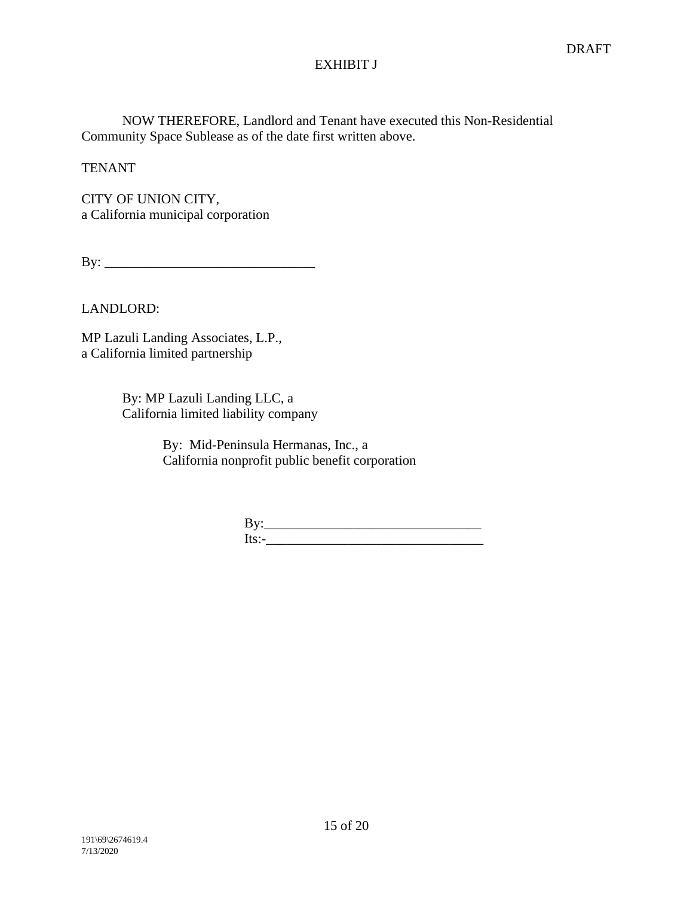NOW THEREFORE, Landlord and Tenant have executed this Non-Residential Community Space Sublease as of the date first written above.

**TENANT** 

CITY OF UNION CITY, a California municipal corporation

 $\mathbf{By:}$ 

LANDLORD:

MP Lazuli Landing Associates, L.P., a California limited partnership

> By: MP Lazuli Landing LLC, a California limited liability company

> > By: Mid-Peninsula Hermanas, Inc., a California nonprofit public benefit corporation

| $-1$<br>DV. |  |  |
|-------------|--|--|
| $ITS^*$     |  |  |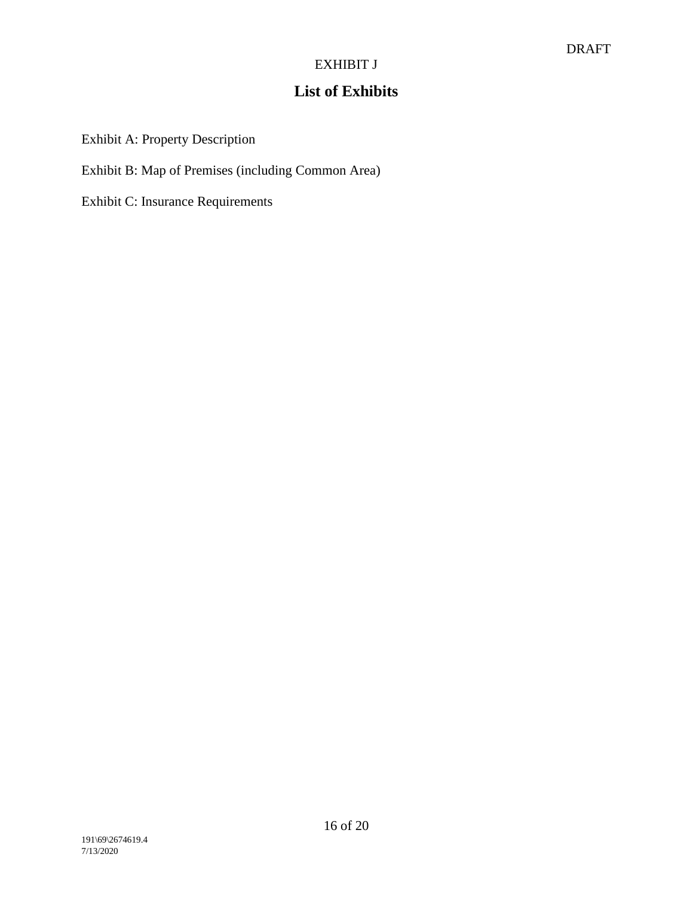# **List of Exhibits**

Exhibit A: Property Description

Exhibit B: Map of Premises (including Common Area)

Exhibit C: Insurance Requirements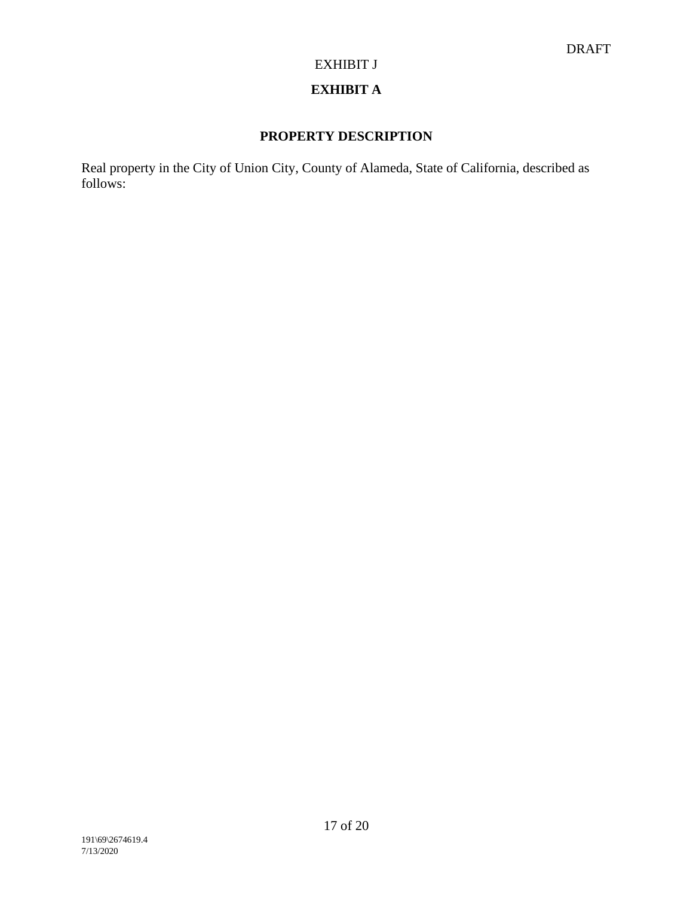# **EXHIBIT A**

# **PROPERTY DESCRIPTION**

Real property in the City of Union City, County of Alameda, State of California, described as follows: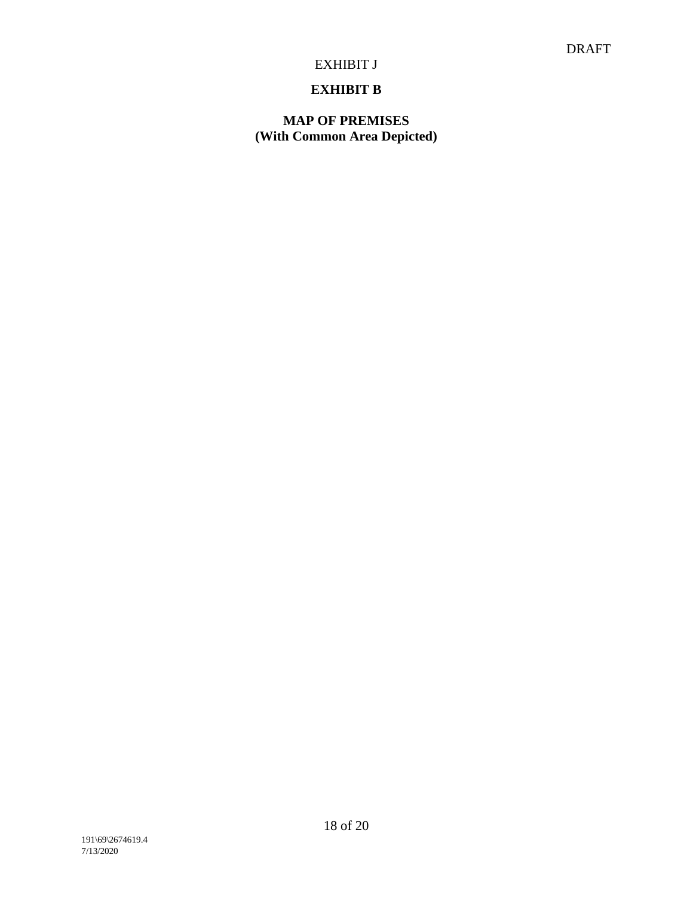# **EXHIBIT B**

# **MAP OF PREMISES (With Common Area Depicted)**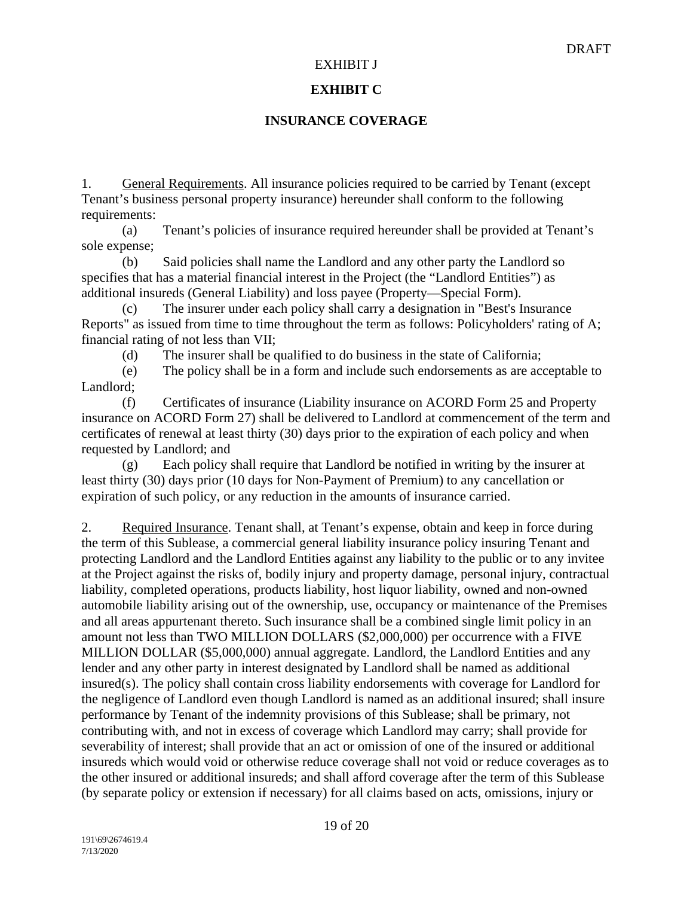### **EXHIBIT C**

### **INSURANCE COVERAGE**

1. General Requirements. All insurance policies required to be carried by Tenant (except Tenant's business personal property insurance) hereunder shall conform to the following requirements:

(a) Tenant's policies of insurance required hereunder shall be provided at Tenant's sole expense;

(b) Said policies shall name the Landlord and any other party the Landlord so specifies that has a material financial interest in the Project (the "Landlord Entities") as additional insureds (General Liability) and loss payee (Property—Special Form).

(c) The insurer under each policy shall carry a designation in "Best's Insurance Reports" as issued from time to time throughout the term as follows: Policyholders' rating of A; financial rating of not less than VII;

(d) The insurer shall be qualified to do business in the state of California;

(e) The policy shall be in a form and include such endorsements as are acceptable to Landlord;

(f) Certificates of insurance (Liability insurance on ACORD Form 25 and Property insurance on ACORD Form 27) shall be delivered to Landlord at commencement of the term and certificates of renewal at least thirty (30) days prior to the expiration of each policy and when requested by Landlord; and

(g) Each policy shall require that Landlord be notified in writing by the insurer at least thirty (30) days prior (10 days for Non-Payment of Premium) to any cancellation or expiration of such policy, or any reduction in the amounts of insurance carried.

2. Required Insurance. Tenant shall, at Tenant's expense, obtain and keep in force during the term of this Sublease, a commercial general liability insurance policy insuring Tenant and protecting Landlord and the Landlord Entities against any liability to the public or to any invitee at the Project against the risks of, bodily injury and property damage, personal injury, contractual liability, completed operations, products liability, host liquor liability, owned and non-owned automobile liability arising out of the ownership, use, occupancy or maintenance of the Premises and all areas appurtenant thereto. Such insurance shall be a combined single limit policy in an amount not less than TWO MILLION DOLLARS (\$2,000,000) per occurrence with a FIVE MILLION DOLLAR (\$5,000,000) annual aggregate. Landlord, the Landlord Entities and any lender and any other party in interest designated by Landlord shall be named as additional insured(s). The policy shall contain cross liability endorsements with coverage for Landlord for the negligence of Landlord even though Landlord is named as an additional insured; shall insure performance by Tenant of the indemnity provisions of this Sublease; shall be primary, not contributing with, and not in excess of coverage which Landlord may carry; shall provide for severability of interest; shall provide that an act or omission of one of the insured or additional insureds which would void or otherwise reduce coverage shall not void or reduce coverages as to the other insured or additional insureds; and shall afford coverage after the term of this Sublease (by separate policy or extension if necessary) for all claims based on acts, omissions, injury or